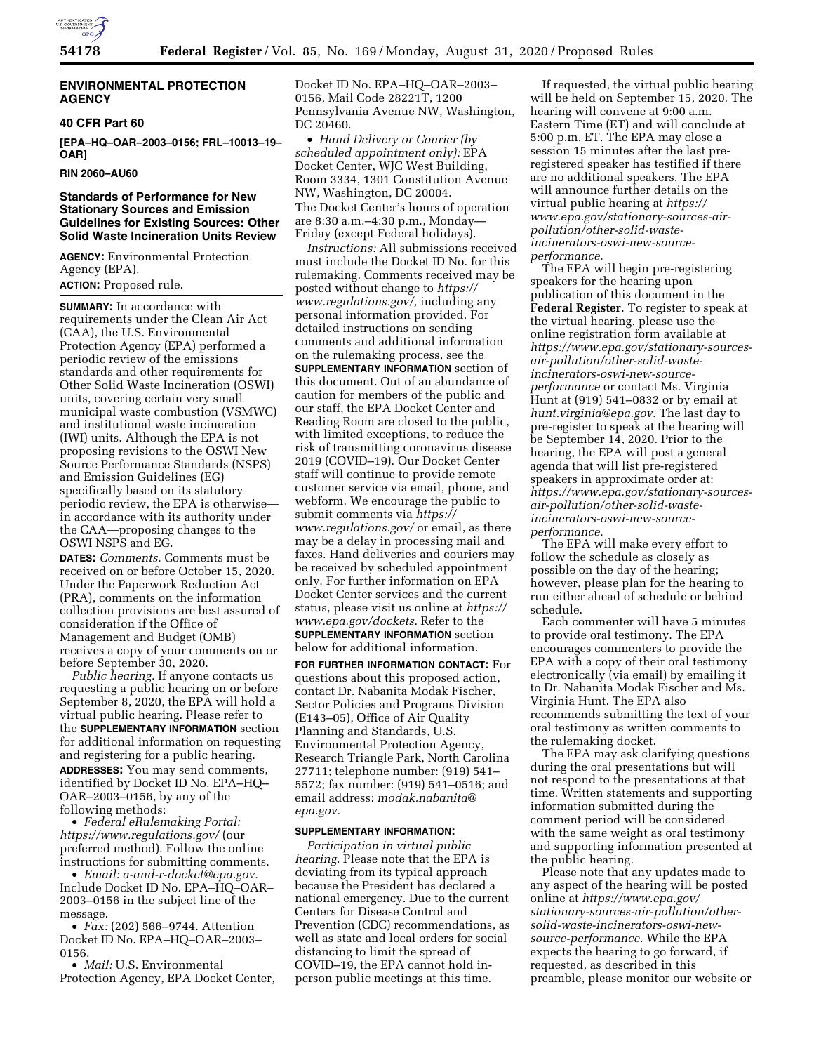

## **ENVIRONMENTAL PROTECTION AGENCY**

## **40 CFR Part 60**

**[EPA–HQ–OAR–2003–0156; FRL–10013–19– OAR]** 

## **RIN 2060–AU60**

## **Standards of Performance for New Stationary Sources and Emission Guidelines for Existing Sources: Other Solid Waste Incineration Units Review**

**AGENCY:** Environmental Protection Agency (EPA). **ACTION:** Proposed rule.

**SUMMARY:** In accordance with requirements under the Clean Air Act (CAA), the U.S. Environmental Protection Agency (EPA) performed a periodic review of the emissions standards and other requirements for Other Solid Waste Incineration (OSWI) units, covering certain very small municipal waste combustion (VSMWC) and institutional waste incineration (IWI) units. Although the EPA is not proposing revisions to the OSWI New Source Performance Standards (NSPS) and Emission Guidelines (EG) specifically based on its statutory periodic review, the EPA is otherwise in accordance with its authority under the CAA—proposing changes to the OSWI NSPS and EG.

**DATES:** *Comments.* Comments must be received on or before October 15, 2020. Under the Paperwork Reduction Act (PRA), comments on the information collection provisions are best assured of consideration if the Office of Management and Budget (OMB) receives a copy of your comments on or before September 30, 2020.

*Public hearing.* If anyone contacts us requesting a public hearing on or before September 8, 2020, the EPA will hold a virtual public hearing. Please refer to the **SUPPLEMENTARY INFORMATION** section for additional information on requesting and registering for a public hearing. **ADDRESSES:** You may send comments, identified by Docket ID No. EPA–HQ– OAR–2003–0156, by any of the following methods:

• *Federal eRulemaking Portal: <https://www.regulations.gov/>*(our preferred method). Follow the online instructions for submitting comments.

• *Email: [a-and-r-docket@epa.gov.](mailto:a-and-r-docket@epa.gov)*  Include Docket ID No. EPA–HQ–OAR– 2003–0156 in the subject line of the message.

• *Fax:* (202) 566–9744. Attention Docket ID No. EPA–HQ–OAR–2003– 0156.

• *Mail:* U.S. Environmental Protection Agency, EPA Docket Center, Docket ID No. EPA–HQ–OAR–2003– 0156, Mail Code 28221T, 1200 Pennsylvania Avenue NW, Washington, DC 20460.

• *Hand Delivery or Courier (by scheduled appointment only):* EPA Docket Center, WJC West Building, Room 3334, 1301 Constitution Avenue NW, Washington, DC 20004. The Docket Center's hours of operation are 8:30 a.m.–4:30 p.m., Monday— Friday (except Federal holidays).

*Instructions:* All submissions received must include the Docket ID No. for this rulemaking. Comments received may be posted without change to *[https://](https://www.regulations.gov/) [www.regulations.gov/,](https://www.regulations.gov/)* including any personal information provided. For detailed instructions on sending comments and additional information on the rulemaking process, see the **SUPPLEMENTARY INFORMATION** section of this document. Out of an abundance of caution for members of the public and our staff, the EPA Docket Center and Reading Room are closed to the public, with limited exceptions, to reduce the risk of transmitting coronavirus disease 2019 (COVID–19). Our Docket Center staff will continue to provide remote customer service via email, phone, and webform. We encourage the public to submit comments via *[https://](https://www.regulations.gov/) [www.regulations.gov/](https://www.regulations.gov/)* or email, as there may be a delay in processing mail and faxes. Hand deliveries and couriers may be received by scheduled appointment only. For further information on EPA Docket Center services and the current status, please visit us online at *[https://](https://www.epa.gov/dockets) [www.epa.gov/dockets.](https://www.epa.gov/dockets)* Refer to the **SUPPLEMENTARY INFORMATION** section below for additional information.

**FOR FURTHER INFORMATION CONTACT:** For questions about this proposed action, contact Dr. Nabanita Modak Fischer, Sector Policies and Programs Division (E143–05), Office of Air Quality Planning and Standards, U.S. Environmental Protection Agency, Research Triangle Park, North Carolina 27711; telephone number: (919) 541– 5572; fax number: (919) 541–0516; and email address: *[modak.nabanita@](mailto:modak.nabanita@epa.gov) [epa.gov.](mailto:modak.nabanita@epa.gov)* 

#### **SUPPLEMENTARY INFORMATION:**

*Participation in virtual public hearing.* Please note that the EPA is deviating from its typical approach because the President has declared a national emergency. Due to the current Centers for Disease Control and Prevention (CDC) recommendations, as well as state and local orders for social distancing to limit the spread of COVID–19, the EPA cannot hold inperson public meetings at this time.

If requested, the virtual public hearing will be held on September 15, 2020. The hearing will convene at 9:00 a.m. Eastern Time (ET) and will conclude at 5:00 p.m. ET. The EPA may close a session 15 minutes after the last preregistered speaker has testified if there are no additional speakers. The EPA will announce further details on the virtual public hearing at *[https://](https://www.epa.gov/stationary-sources-air-pollution/other-solid-waste-incinerators-oswi-new-source-performance) [www.epa.gov/stationary-sources-air](https://www.epa.gov/stationary-sources-air-pollution/other-solid-waste-incinerators-oswi-new-source-performance)[pollution/other-solid-waste](https://www.epa.gov/stationary-sources-air-pollution/other-solid-waste-incinerators-oswi-new-source-performance)[incinerators-oswi-new-source](https://www.epa.gov/stationary-sources-air-pollution/other-solid-waste-incinerators-oswi-new-source-performance)[performance.](https://www.epa.gov/stationary-sources-air-pollution/other-solid-waste-incinerators-oswi-new-source-performance)* 

The EPA will begin pre-registering speakers for the hearing upon publication of this document in the **Federal Register**. To register to speak at the virtual hearing, please use the online registration form available at *[https://www.epa.gov/stationary-sources](https://www.epa.gov/stationary-sources-air-pollution/other-solid-waste-incinerators-oswi-new-source-performance)[air-pollution/other-solid-waste](https://www.epa.gov/stationary-sources-air-pollution/other-solid-waste-incinerators-oswi-new-source-performance)[incinerators-oswi-new-source](https://www.epa.gov/stationary-sources-air-pollution/other-solid-waste-incinerators-oswi-new-source-performance)[performance](https://www.epa.gov/stationary-sources-air-pollution/other-solid-waste-incinerators-oswi-new-source-performance)* or contact Ms. Virginia Hunt at (919) 541–0832 or by email at *[hunt.virginia@epa.gov.](mailto:hunt.virginia@epa.gov)* The last day to pre-register to speak at the hearing will be September 14, 2020. Prior to the hearing, the EPA will post a general agenda that will list pre-registered speakers in approximate order at: *[https://www.epa.gov/stationary-sources](https://www.epa.gov/stationary-sources-air-pollution/other-solid-waste-incinerators-oswi-new-source-performance)[air-pollution/other-solid-waste](https://www.epa.gov/stationary-sources-air-pollution/other-solid-waste-incinerators-oswi-new-source-performance)[incinerators-oswi-new-source](https://www.epa.gov/stationary-sources-air-pollution/other-solid-waste-incinerators-oswi-new-source-performance)[performance.](https://www.epa.gov/stationary-sources-air-pollution/other-solid-waste-incinerators-oswi-new-source-performance)* 

The EPA will make every effort to follow the schedule as closely as possible on the day of the hearing; however, please plan for the hearing to run either ahead of schedule or behind schedule.

Each commenter will have 5 minutes to provide oral testimony. The EPA encourages commenters to provide the EPA with a copy of their oral testimony electronically (via email) by emailing it to Dr. Nabanita Modak Fischer and Ms. Virginia Hunt. The EPA also recommends submitting the text of your oral testimony as written comments to the rulemaking docket.

The EPA may ask clarifying questions during the oral presentations but will not respond to the presentations at that time. Written statements and supporting information submitted during the comment period will be considered with the same weight as oral testimony and supporting information presented at the public hearing.

Please note that any updates made to any aspect of the hearing will be posted online at *[https://www.epa.gov/](https://www.epa.gov/stationary-sources-air-pollution/other-solid-waste-incinerators-oswi-new-source-performance) [stationary-sources-air-pollution/other](https://www.epa.gov/stationary-sources-air-pollution/other-solid-waste-incinerators-oswi-new-source-performance)[solid-waste-incinerators-oswi-new](https://www.epa.gov/stationary-sources-air-pollution/other-solid-waste-incinerators-oswi-new-source-performance)[source-performance.](https://www.epa.gov/stationary-sources-air-pollution/other-solid-waste-incinerators-oswi-new-source-performance)* While the EPA expects the hearing to go forward, if requested, as described in this preamble, please monitor our website or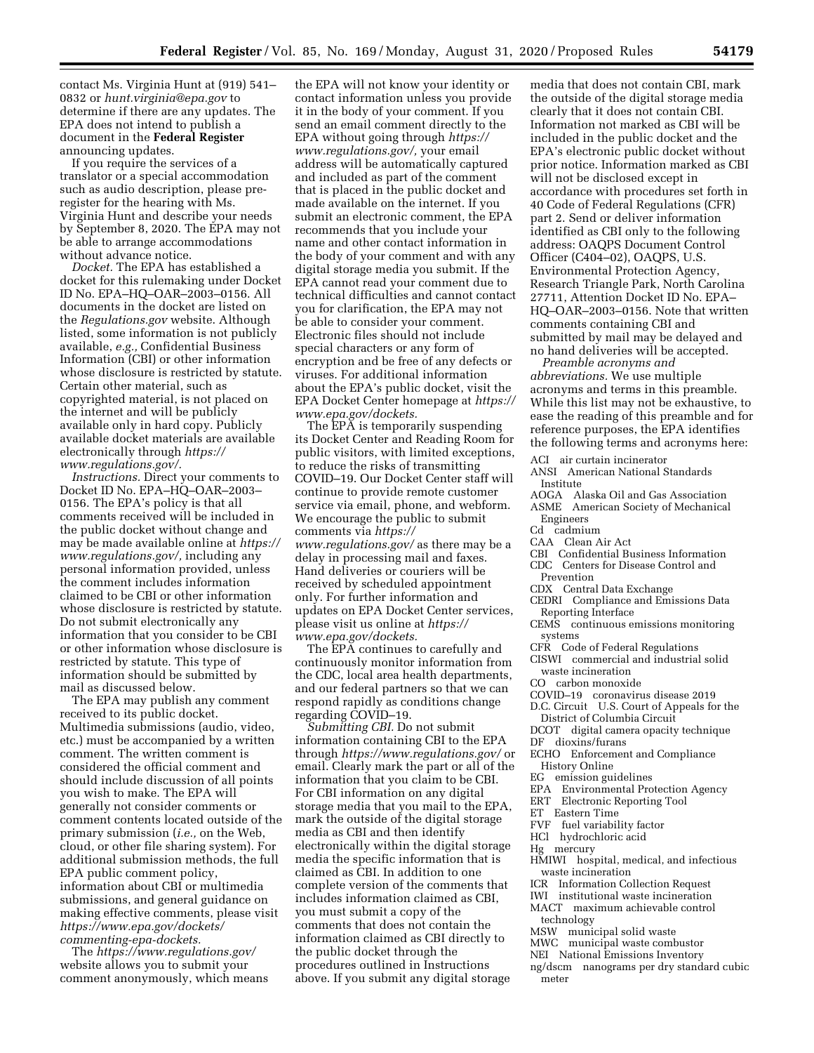contact Ms. Virginia Hunt at (919) 541– 0832 or *[hunt.virginia@epa.gov](mailto:hunt.virginia@epa.gov)* to determine if there are any updates. The EPA does not intend to publish a document in the **Federal Register**  announcing updates.

If you require the services of a translator or a special accommodation such as audio description, please preregister for the hearing with Ms. Virginia Hunt and describe your needs by September 8, 2020. The EPA may not be able to arrange accommodations without advance notice.

*Docket.* The EPA has established a docket for this rulemaking under Docket ID No. EPA–HQ–OAR–2003–0156. All documents in the docket are listed on the *Regulations.gov* website. Although listed, some information is not publicly available, *e.g.,* Confidential Business Information (CBI) or other information whose disclosure is restricted by statute. Certain other material, such as copyrighted material, is not placed on the internet and will be publicly available only in hard copy. Publicly available docket materials are available electronically through *[https://](https://www.regulations.gov/) [www.regulations.gov/.](https://www.regulations.gov/)* 

*Instructions.* Direct your comments to Docket ID No. EPA–HQ–OAR–2003– 0156. The EPA's policy is that all comments received will be included in the public docket without change and may be made available online at *[https://](https://www.regulations.gov/)  [www.regulations.gov/,](https://www.regulations.gov/)* including any personal information provided, unless the comment includes information claimed to be CBI or other information whose disclosure is restricted by statute. Do not submit electronically any information that you consider to be CBI or other information whose disclosure is restricted by statute. This type of information should be submitted by mail as discussed below.

The EPA may publish any comment received to its public docket. Multimedia submissions (audio, video, etc.) must be accompanied by a written comment. The written comment is considered the official comment and should include discussion of all points you wish to make. The EPA will generally not consider comments or comment contents located outside of the primary submission (*i.e.,* on the Web, cloud, or other file sharing system). For additional submission methods, the full EPA public comment policy, information about CBI or multimedia submissions, and general guidance on making effective comments, please visit *[https://www.epa.gov/dockets/](https://www.epa.gov/dockets/commenting-epa-dockets)  [commenting-epa-dockets.](https://www.epa.gov/dockets/commenting-epa-dockets)* 

The *<https://www.regulations.gov/>*  website allows you to submit your comment anonymously, which means

the EPA will not know your identity or contact information unless you provide it in the body of your comment. If you send an email comment directly to the EPA without going through *[https://](https://www.regulations.gov/) [www.regulations.gov/,](https://www.regulations.gov/)* your email address will be automatically captured and included as part of the comment that is placed in the public docket and made available on the internet. If you submit an electronic comment, the EPA recommends that you include your name and other contact information in the body of your comment and with any digital storage media you submit. If the EPA cannot read your comment due to technical difficulties and cannot contact you for clarification, the EPA may not be able to consider your comment. Electronic files should not include special characters or any form of encryption and be free of any defects or viruses. For additional information about the EPA's public docket, visit the EPA Docket Center homepage at *[https://](https://www.epa.gov/dockets)  [www.epa.gov/dockets.](https://www.epa.gov/dockets)* 

The EPA is temporarily suspending its Docket Center and Reading Room for public visitors, with limited exceptions, to reduce the risks of transmitting COVID–19. Our Docket Center staff will continue to provide remote customer service via email, phone, and webform. We encourage the public to submit comments via *[https://](https://www.regulations.gov/) [www.regulations.gov/](https://www.regulations.gov/)* as there may be a delay in processing mail and faxes. Hand deliveries or couriers will be received by scheduled appointment only. For further information and updates on EPA Docket Center services, please visit us online at *[https://](https://www.epa.gov/dockets) [www.epa.gov/dockets.](https://www.epa.gov/dockets)* 

The EPA continues to carefully and continuously monitor information from the CDC, local area health departments, and our federal partners so that we can respond rapidly as conditions change regarding COVID–19.

*Submitting CBI.* Do not submit information containing CBI to the EPA through *<https://www.regulations.gov/>*or email. Clearly mark the part or all of the information that you claim to be CBI. For CBI information on any digital storage media that you mail to the EPA, mark the outside of the digital storage media as CBI and then identify electronically within the digital storage media the specific information that is claimed as CBI. In addition to one complete version of the comments that includes information claimed as CBI, you must submit a copy of the comments that does not contain the information claimed as CBI directly to the public docket through the procedures outlined in Instructions above. If you submit any digital storage

media that does not contain CBI, mark the outside of the digital storage media clearly that it does not contain CBI. Information not marked as CBI will be included in the public docket and the EPA's electronic public docket without prior notice. Information marked as CBI will not be disclosed except in accordance with procedures set forth in 40 Code of Federal Regulations (CFR) part 2. Send or deliver information identified as CBI only to the following address: OAQPS Document Control Officer (C404–02), OAQPS, U.S. Environmental Protection Agency, Research Triangle Park, North Carolina 27711, Attention Docket ID No. EPA– HQ–OAR–2003–0156. Note that written comments containing CBI and submitted by mail may be delayed and no hand deliveries will be accepted.

*Preamble acronyms and abbreviations.* We use multiple acronyms and terms in this preamble. While this list may not be exhaustive, to ease the reading of this preamble and for reference purposes, the EPA identifies the following terms and acronyms here:

ACI air curtain incinerator

- ANSI American National Standards Institute
- AOGA Alaska Oil and Gas Association
- ASME American Society of Mechanical Engineers
- Cd cadmium
- CAA Clean Air Act
- CBI Confidential Business Information
- CDC Centers for Disease Control and
- Prevention
- CDX Central Data Exchange
- CEDRI Compliance and Emissions Data
- Reporting Interface
- CEMS continuous emissions monitoring systems
- CFR Code of Federal Regulations
- CISWI commercial and industrial solid waste incineration
- CO carbon monoxide
- COVID–19 coronavirus disease 2019
- D.C. Circuit U.S. Court of Appeals for the
- District of Columbia Circuit DCOT digital camera opacity technique
- 
- DF dioxins/furans
- ECHO Enforcement and Compliance History Online
- EG emission guidelines
- EPA Environmental Protection Agency
- ERT Electronic Reporting Tool
- ET Eastern Time
- FVF fuel variability factor
- HCl hydrochloric acid
- Hg mercury
- HMIWI hospital, medical, and infectious waste incineration
- ICR Information Collection Request
- IWI institutional waste incineration
- MACT maximum achievable control technology
- MSW municipal solid waste
- MWC municipal waste combustor
- NEI National Emissions Inventory
- ng/dscm nanograms per dry standard cubic meter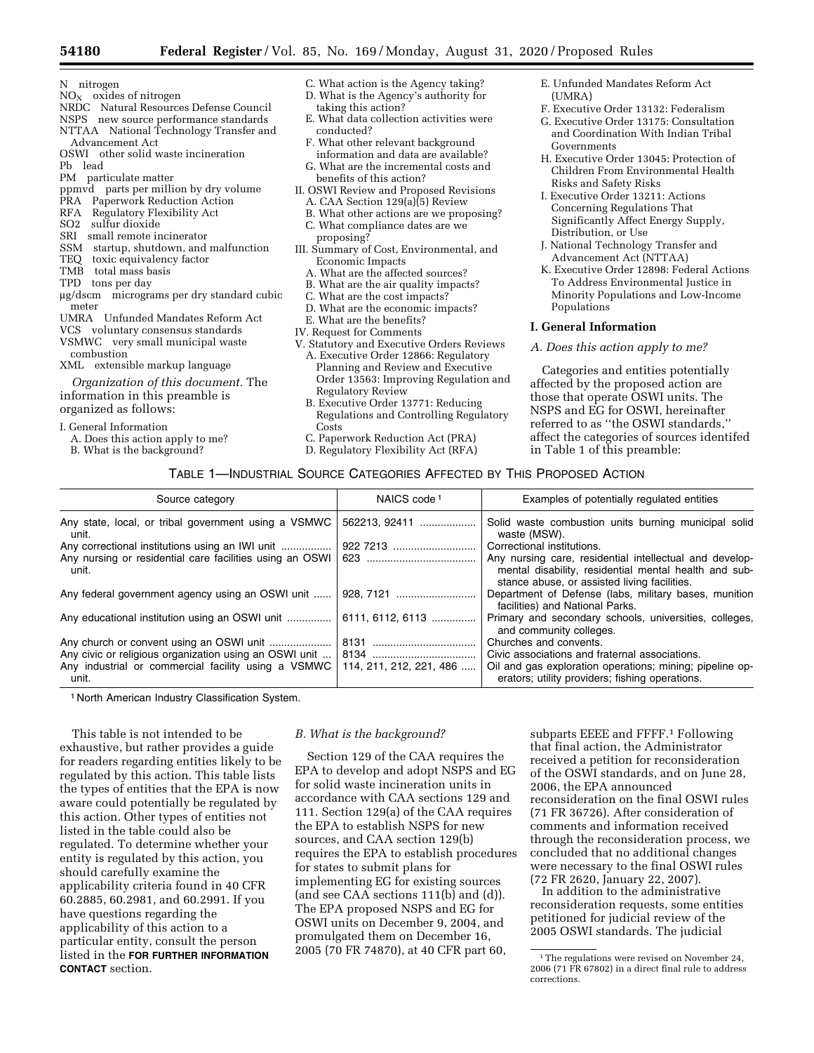- N nitrogen
- $NO<sub>x</sub>$  oxides of nitrogen
- NRDC Natural Resources Defense Council
- NSPS new source performance standards NTTAA National Technology Transfer and
- Advancement Act OSWI other solid waste incineration
- Pb lead
- PM particulate matter
- ppmvd parts per million by dry volume
- PRA Paperwork Reduction Action
- RFA Regulatory Flexibility Act
- SO2 sulfur dioxide
- SRI small remote incinerator
- SSM startup, shutdown, and malfunction
- TEQ toxic equivalency factor
- TMB total mass basis
- TPD tons per day
- mg/dscm micrograms per dry standard cubic meter
- UMRA Unfunded Mandates Reform Act
- VCS voluntary consensus standards
- VSMWC very small municipal waste combustion
- XML extensible markup language

*Organization of this document.* The information in this preamble is organized as follows:

I. General Information

- A. Does this action apply to me?
- B. What is the background?
- C. What action is the Agency taking?
- D. What is the Agency's authority for taking this action?
- E. What data collection activities were conducted?
- F. What other relevant background information and data are available?
- G. What are the incremental costs and
- benefits of this action? II. OSWI Review and Proposed Revisions
	- A. CAA Section  $129(a)\overline{(5)}$  Review
	- B. What other actions are we proposing?
- C. What compliance dates are we proposing?
- III. Summary of Cost, Environmental, and Economic Impacts
	- A. What are the affected sources?
	- B. What are the air quality impacts?
	- C. What are the cost impacts?
	- D. What are the economic impacts?
	- E. What are the benefits?
- IV. Request for Comments
- V. Statutory and Executive Orders Reviews A. Executive Order 12866: Regulatory
	- Planning and Review and Executive Order 13563: Improving Regulation and Regulatory Review
	- B. Executive Order 13771: Reducing Regulations and Controlling Regulatory Costs
- C. Paperwork Reduction Act (PRA)
- D. Regulatory Flexibility Act (RFA)
- E. Unfunded Mandates Reform Act (UMRA)
- F. Executive Order 13132: Federalism
- G. Executive Order 13175: Consultation and Coordination With Indian Tribal Governments
- H. Executive Order 13045: Protection of Children From Environmental Health Risks and Safety Risks
- I. Executive Order 13211: Actions Concerning Regulations That Significantly Affect Energy Supply, Distribution, or Use
- J. National Technology Transfer and Advancement Act (NTTAA)
- K. Executive Order 12898: Federal Actions To Address Environmental Justice in Minority Populations and Low-Income Populations

## **I. General Information**

## *A. Does this action apply to me?*

Categories and entities potentially affected by the proposed action are those that operate OSWI units. The NSPS and EG for OSWI, hereinafter referred to as ''the OSWI standards,'' affect the categories of sources identifed in Table 1 of this preamble:

## TABLE 1—INDUSTRIAL SOURCE CATEGORIES AFFECTED BY THIS PROPOSED ACTION

| Source category                                                   | NAICS code <sup>1</sup> | Examples of potentially regulated entities                                                                                                                       |
|-------------------------------------------------------------------|-------------------------|------------------------------------------------------------------------------------------------------------------------------------------------------------------|
| Any state, local, or tribal government using a VSMWC<br>unit.     | 562213, 92411           | Solid waste combustion units burning municipal solid<br>waste (MSW).                                                                                             |
|                                                                   |                         | Correctional institutions.                                                                                                                                       |
| Any nursing or residential care facilities using an OSWI<br>unit. |                         | Any nursing care, residential intellectual and develop-<br>mental disability, residential mental health and sub-<br>stance abuse, or assisted living facilities. |
| Any federal government agency using an OSWI unit                  | 928, 7121               | Department of Defense (labs, military bases, munition<br>facilities) and National Parks.                                                                         |
| Any educational institution using an OSWI unit                    | 6111, 6112, 6113        | Primary and secondary schools, universities, colleges,<br>and community colleges.                                                                                |
|                                                                   |                         | Churches and convents.                                                                                                                                           |
| Any industrial or commercial facility using a VSMWC<br>unit.      | 114, 211, 212, 221, 486 | Civic associations and fraternal associations.<br>Oil and gas exploration operations; mining; pipeline op-<br>erators; utility providers; fishing operations.    |

1 North American Industry Classification System.

This table is not intended to be exhaustive, but rather provides a guide for readers regarding entities likely to be regulated by this action. This table lists the types of entities that the EPA is now aware could potentially be regulated by this action. Other types of entities not listed in the table could also be regulated. To determine whether your entity is regulated by this action, you should carefully examine the applicability criteria found in 40 CFR 60.2885, 60.2981, and 60.2991. If you have questions regarding the applicability of this action to a particular entity, consult the person listed in the **FOR FURTHER INFORMATION CONTACT** section.

### *B. What is the background?*

Section 129 of the CAA requires the EPA to develop and adopt NSPS and EG for solid waste incineration units in accordance with CAA sections 129 and 111. Section 129(a) of the CAA requires the EPA to establish NSPS for new sources, and CAA section 129(b) requires the EPA to establish procedures for states to submit plans for implementing EG for existing sources (and see CAA sections 111(b) and (d)). The EPA proposed NSPS and EG for OSWI units on December 9, 2004, and promulgated them on December 16, 2005 (70 FR 74870), at 40 CFR part 60,

subparts EEEE and FFFF.1 Following that final action, the Administrator received a petition for reconsideration of the OSWI standards, and on June 28, 2006, the EPA announced reconsideration on the final OSWI rules (71 FR 36726). After consideration of comments and information received through the reconsideration process, we concluded that no additional changes were necessary to the final OSWI rules (72 FR 2620, January 22, 2007).

In addition to the administrative reconsideration requests, some entities petitioned for judicial review of the 2005 OSWI standards. The judicial

<sup>&</sup>lt;sup>1</sup>The regulations were revised on November 24, 2006 (71 FR 67802) in a direct final rule to address corrections.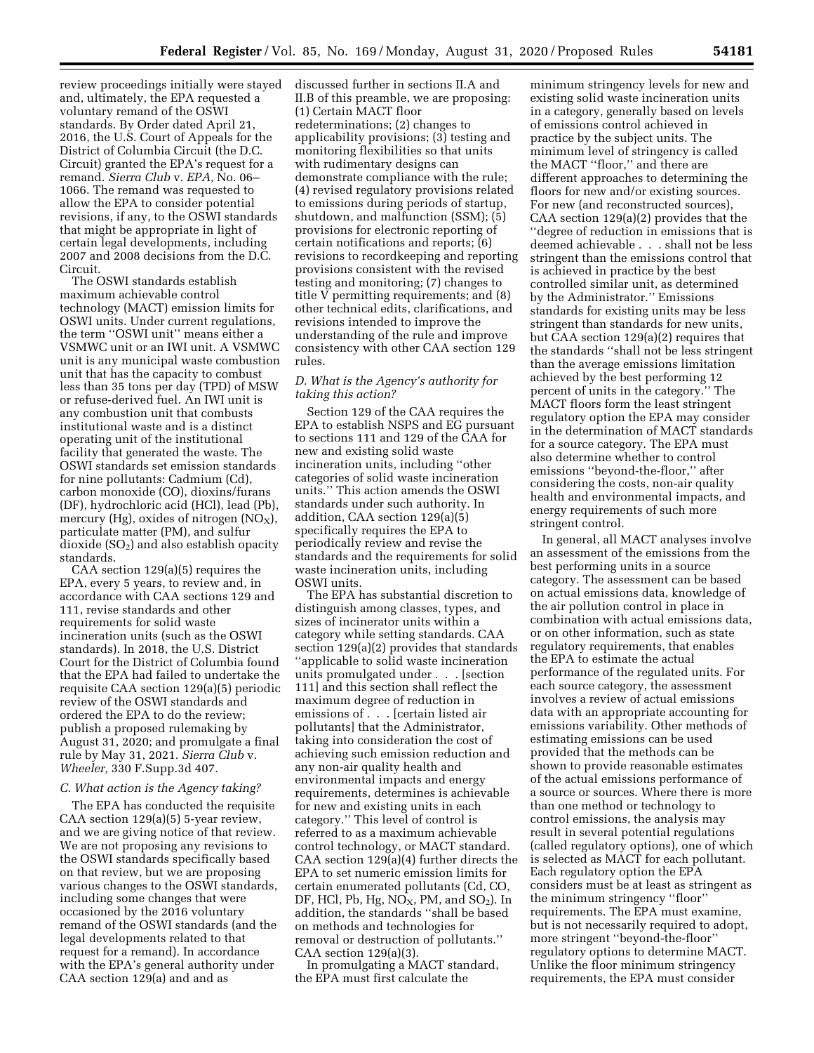review proceedings initially were stayed and, ultimately, the EPA requested a voluntary remand of the OSWI standards. By Order dated April 21, 2016, the U.S. Court of Appeals for the District of Columbia Circuit (the D.C. Circuit) granted the EPA's request for a remand. *Sierra Club* v. *EPA,* No. 06– 1066. The remand was requested to allow the EPA to consider potential revisions, if any, to the OSWI standards that might be appropriate in light of certain legal developments, including 2007 and 2008 decisions from the D.C. Circuit.

The OSWI standards establish maximum achievable control technology (MACT) emission limits for OSWI units. Under current regulations, the term ''OSWI unit'' means either a VSMWC unit or an IWI unit. A VSMWC unit is any municipal waste combustion unit that has the capacity to combust less than 35 tons per day (TPD) of MSW or refuse-derived fuel. An IWI unit is any combustion unit that combusts institutional waste and is a distinct operating unit of the institutional facility that generated the waste. The OSWI standards set emission standards for nine pollutants: Cadmium (Cd), carbon monoxide (CO), dioxins/furans (DF), hydrochloric acid (HCl), lead (Pb), mercury (Hg), oxides of nitrogen  $(NO<sub>X</sub>)$ , particulate matter (PM), and sulfur dioxide  $(SO<sub>2</sub>)$  and also establish opacity standards.

CAA section 129(a)(5) requires the EPA, every 5 years, to review and, in accordance with CAA sections 129 and 111, revise standards and other requirements for solid waste incineration units (such as the OSWI standards). In 2018, the U.S. District Court for the District of Columbia found that the EPA had failed to undertake the requisite CAA section 129(a)(5) periodic review of the OSWI standards and ordered the EPA to do the review; publish a proposed rulemaking by August 31, 2020; and promulgate a final rule by May 31, 2021. *Sierra Club* v. *Wheeler,* 330 F.Supp.3d 407.

## *C. What action is the Agency taking?*

The EPA has conducted the requisite CAA section 129(a)(5) 5-year review, and we are giving notice of that review. We are not proposing any revisions to the OSWI standards specifically based on that review, but we are proposing various changes to the OSWI standards, including some changes that were occasioned by the 2016 voluntary remand of the OSWI standards (and the legal developments related to that request for a remand). In accordance with the EPA's general authority under CAA section 129(a) and and as

discussed further in sections II.A and II.B of this preamble, we are proposing: (1) Certain MACT floor redeterminations; (2) changes to applicability provisions; (3) testing and monitoring flexibilities so that units with rudimentary designs can demonstrate compliance with the rule; (4) revised regulatory provisions related to emissions during periods of startup, shutdown, and malfunction (SSM); (5) provisions for electronic reporting of certain notifications and reports; (6) revisions to recordkeeping and reporting provisions consistent with the revised testing and monitoring; (7) changes to title V permitting requirements; and (8) other technical edits, clarifications, and revisions intended to improve the understanding of the rule and improve consistency with other CAA section 129 rules.

## *D. What is the Agency's authority for taking this action?*

Section 129 of the CAA requires the EPA to establish NSPS and EG pursuant to sections 111 and 129 of the CAA for new and existing solid waste incineration units, including ''other categories of solid waste incineration units.'' This action amends the OSWI standards under such authority. In addition, CAA section 129(a)(5) specifically requires the EPA to periodically review and revise the standards and the requirements for solid waste incineration units, including OSWI units.

The EPA has substantial discretion to distinguish among classes, types, and sizes of incinerator units within a category while setting standards. CAA section 129(a)(2) provides that standards ''applicable to solid waste incineration units promulgated under . . . [section 111] and this section shall reflect the maximum degree of reduction in emissions of . . . [certain listed air pollutants] that the Administrator, taking into consideration the cost of achieving such emission reduction and any non-air quality health and environmental impacts and energy requirements, determines is achievable for new and existing units in each category.'' This level of control is referred to as a maximum achievable control technology, or MACT standard. CAA section 129(a)(4) further directs the EPA to set numeric emission limits for certain enumerated pollutants (Cd, CO, DF, HCl, Pb, Hg,  $NO<sub>X</sub>$ , PM, and  $SO<sub>2</sub>$ ). In addition, the standards ''shall be based on methods and technologies for removal or destruction of pollutants.'' CAA section 129(a)(3).

In promulgating a MACT standard, the EPA must first calculate the

minimum stringency levels for new and existing solid waste incineration units in a category, generally based on levels of emissions control achieved in practice by the subject units. The minimum level of stringency is called the MACT ''floor,'' and there are different approaches to determining the floors for new and/or existing sources. For new (and reconstructed sources), CAA section 129(a)(2) provides that the ''degree of reduction in emissions that is deemed achievable . . . shall not be less stringent than the emissions control that is achieved in practice by the best controlled similar unit, as determined by the Administrator.'' Emissions standards for existing units may be less stringent than standards for new units, but CAA section 129(a)(2) requires that the standards ''shall not be less stringent than the average emissions limitation achieved by the best performing 12 percent of units in the category.'' The MACT floors form the least stringent regulatory option the EPA may consider in the determination of MACT standards for a source category. The EPA must also determine whether to control emissions ''beyond-the-floor,'' after considering the costs, non-air quality health and environmental impacts, and energy requirements of such more stringent control.

In general, all MACT analyses involve an assessment of the emissions from the best performing units in a source category. The assessment can be based on actual emissions data, knowledge of the air pollution control in place in combination with actual emissions data, or on other information, such as state regulatory requirements, that enables the EPA to estimate the actual performance of the regulated units. For each source category, the assessment involves a review of actual emissions data with an appropriate accounting for emissions variability. Other methods of estimating emissions can be used provided that the methods can be shown to provide reasonable estimates of the actual emissions performance of a source or sources. Where there is more than one method or technology to control emissions, the analysis may result in several potential regulations (called regulatory options), one of which is selected as MACT for each pollutant. Each regulatory option the EPA considers must be at least as stringent as the minimum stringency ''floor'' requirements. The EPA must examine, but is not necessarily required to adopt, more stringent ''beyond-the-floor'' regulatory options to determine MACT. Unlike the floor minimum stringency requirements, the EPA must consider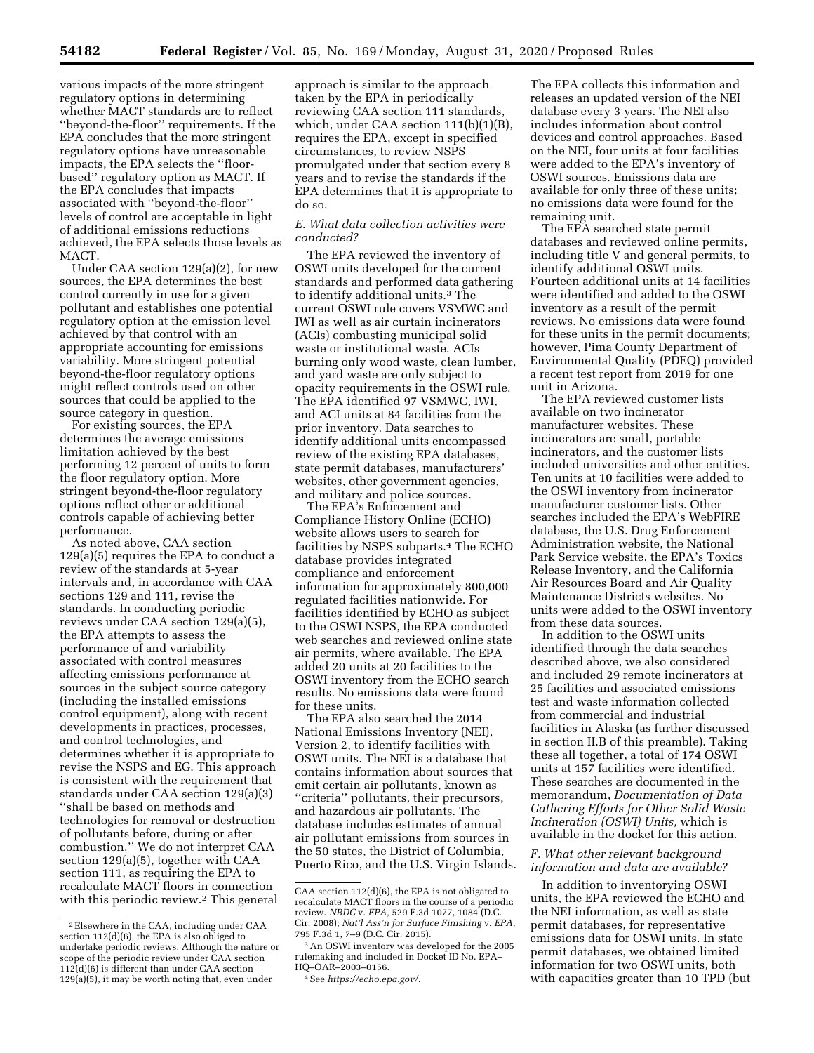various impacts of the more stringent regulatory options in determining whether MACT standards are to reflect ''beyond-the-floor'' requirements. If the EPA concludes that the more stringent regulatory options have unreasonable impacts, the EPA selects the ''floorbased'' regulatory option as MACT. If the EPA concludes that impacts associated with ''beyond-the-floor'' levels of control are acceptable in light of additional emissions reductions achieved, the EPA selects those levels as MACT.

Under CAA section 129(a)(2), for new sources, the EPA determines the best control currently in use for a given pollutant and establishes one potential regulatory option at the emission level achieved by that control with an appropriate accounting for emissions variability. More stringent potential beyond-the-floor regulatory options might reflect controls used on other sources that could be applied to the source category in question.

For existing sources, the EPA determines the average emissions limitation achieved by the best performing 12 percent of units to form the floor regulatory option. More stringent beyond-the-floor regulatory options reflect other or additional controls capable of achieving better performance.

As noted above, CAA section 129(a)(5) requires the EPA to conduct a review of the standards at 5-year intervals and, in accordance with CAA sections 129 and 111, revise the standards. In conducting periodic reviews under CAA section 129(a)(5), the EPA attempts to assess the performance of and variability associated with control measures affecting emissions performance at sources in the subject source category (including the installed emissions control equipment), along with recent developments in practices, processes, and control technologies, and determines whether it is appropriate to revise the NSPS and EG. This approach is consistent with the requirement that standards under CAA section 129(a)(3) ''shall be based on methods and technologies for removal or destruction of pollutants before, during or after combustion.'' We do not interpret CAA section 129(a)(5), together with CAA section 111, as requiring the EPA to recalculate MACT floors in connection with this periodic review.<sup>2</sup> This general

approach is similar to the approach taken by the EPA in periodically reviewing CAA section 111 standards, which, under CAA section 111(b)(1)(B), requires the EPA, except in specified circumstances, to review NSPS promulgated under that section every 8 years and to revise the standards if the EPA determines that it is appropriate to do so.

## *E. What data collection activities were conducted?*

The EPA reviewed the inventory of OSWI units developed for the current standards and performed data gathering to identify additional units.3 The current OSWI rule covers VSMWC and IWI as well as air curtain incinerators (ACIs) combusting municipal solid waste or institutional waste. ACIs burning only wood waste, clean lumber, and yard waste are only subject to opacity requirements in the OSWI rule. The EPA identified 97 VSMWC, IWI, and ACI units at 84 facilities from the prior inventory. Data searches to identify additional units encompassed review of the existing EPA databases, state permit databases, manufacturers' websites, other government agencies, and military and police sources.

The EPA's Enforcement and Compliance History Online (ECHO) website allows users to search for facilities by NSPS subparts.4 The ECHO database provides integrated compliance and enforcement information for approximately 800,000 regulated facilities nationwide. For facilities identified by ECHO as subject to the OSWI NSPS, the EPA conducted web searches and reviewed online state air permits, where available. The EPA added 20 units at 20 facilities to the OSWI inventory from the ECHO search results. No emissions data were found for these units.

The EPA also searched the 2014 National Emissions Inventory (NEI), Version 2, to identify facilities with OSWI units. The NEI is a database that contains information about sources that emit certain air pollutants, known as ''criteria'' pollutants, their precursors, and hazardous air pollutants. The database includes estimates of annual air pollutant emissions from sources in the 50 states, the District of Columbia, Puerto Rico, and the U.S. Virgin Islands.

The EPA collects this information and releases an updated version of the NEI database every 3 years. The NEI also includes information about control devices and control approaches. Based on the NEI, four units at four facilities were added to the EPA's inventory of OSWI sources. Emissions data are available for only three of these units; no emissions data were found for the remaining unit.

The EPA searched state permit databases and reviewed online permits, including title V and general permits, to identify additional OSWI units. Fourteen additional units at 14 facilities were identified and added to the OSWI inventory as a result of the permit reviews. No emissions data were found for these units in the permit documents; however, Pima County Department of Environmental Quality (PDEQ) provided a recent test report from 2019 for one unit in Arizona.

The EPA reviewed customer lists available on two incinerator manufacturer websites. These incinerators are small, portable incinerators, and the customer lists included universities and other entities. Ten units at 10 facilities were added to the OSWI inventory from incinerator manufacturer customer lists. Other searches included the EPA's WebFIRE database, the U.S. Drug Enforcement Administration website, the National Park Service website, the EPA's Toxics Release Inventory, and the California Air Resources Board and Air Quality Maintenance Districts websites. No units were added to the OSWI inventory from these data sources.

In addition to the OSWI units identified through the data searches described above, we also considered and included 29 remote incinerators at 25 facilities and associated emissions test and waste information collected from commercial and industrial facilities in Alaska (as further discussed in section II.B of this preamble). Taking these all together, a total of 174 OSWI units at 157 facilities were identified. These searches are documented in the memorandum, *Documentation of Data Gathering Efforts for Other Solid Waste Incineration (OSWI) Units,* which is available in the docket for this action.

## *F. What other relevant background information and data are available?*

In addition to inventorying OSWI units, the EPA reviewed the ECHO and the NEI information, as well as state permit databases, for representative emissions data for OSWI units. In state permit databases, we obtained limited information for two OSWI units, both with capacities greater than 10 TPD (but

<sup>2</sup>Elsewhere in the CAA, including under CAA section 112(d)(6), the EPA is also obliged to undertake periodic reviews. Although the nature or scope of the periodic review under CAA section 112(d)(6) is different than under CAA section 129(a)(5), it may be worth noting that, even under

CAA section 112(d)(6), the EPA is not obligated to recalculate MACT floors in the course of a periodic review. *NRDC* v. *EPA,* 529 F.3d 1077, 1084 (D.C. Cir. 2008); *Nat'l Ass'n for Surface Finishing* v. *EPA,*  795 F.3d 1, 7–9 (D.C. Cir. 2015).

<sup>3</sup>An OSWI inventory was developed for the 2005 rulemaking and included in Docket ID No. EPA– HQ–OAR–2003–0156.

<sup>4</sup>See *[https://echo.epa.gov/.](https://echo.epa.gov/)*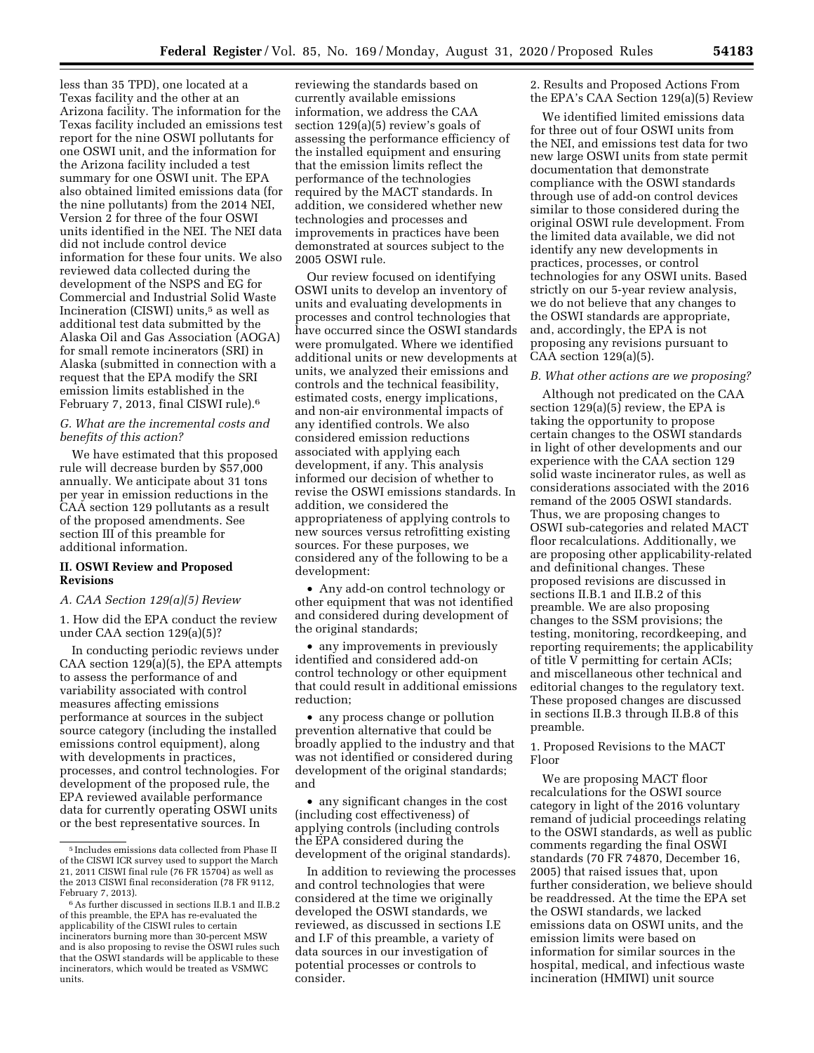less than 35 TPD), one located at a Texas facility and the other at an Arizona facility. The information for the Texas facility included an emissions test report for the nine OSWI pollutants for one OSWI unit, and the information for the Arizona facility included a test summary for one OSWI unit. The EPA also obtained limited emissions data (for the nine pollutants) from the 2014 NEI, Version 2 for three of the four OSWI units identified in the NEI. The NEI data did not include control device information for these four units. We also reviewed data collected during the development of the NSPS and EG for Commercial and Industrial Solid Waste Incineration (CISWI) units,<sup>5</sup> as well as additional test data submitted by the Alaska Oil and Gas Association (AOGA) for small remote incinerators (SRI) in Alaska (submitted in connection with a request that the EPA modify the SRI emission limits established in the February 7, 2013, final CISWI rule).6

## *G. What are the incremental costs and benefits of this action?*

We have estimated that this proposed rule will decrease burden by \$57,000 annually. We anticipate about 31 tons per year in emission reductions in the CAA section 129 pollutants as a result of the proposed amendments. See section III of this preamble for additional information.

## **II. OSWI Review and Proposed Revisions**

## *A. CAA Section 129(a)(5) Review*

1. How did the EPA conduct the review under CAA section 129(a)(5)?

In conducting periodic reviews under CAA section 129(a)(5), the EPA attempts to assess the performance of and variability associated with control measures affecting emissions performance at sources in the subject source category (including the installed emissions control equipment), along with developments in practices, processes, and control technologies. For development of the proposed rule, the EPA reviewed available performance data for currently operating OSWI units or the best representative sources. In

reviewing the standards based on currently available emissions information, we address the CAA section 129(a)(5) review's goals of assessing the performance efficiency of the installed equipment and ensuring that the emission limits reflect the performance of the technologies required by the MACT standards. In addition, we considered whether new technologies and processes and improvements in practices have been demonstrated at sources subject to the 2005 OSWI rule.

Our review focused on identifying OSWI units to develop an inventory of units and evaluating developments in processes and control technologies that have occurred since the OSWI standards were promulgated. Where we identified additional units or new developments at units, we analyzed their emissions and controls and the technical feasibility, estimated costs, energy implications, and non-air environmental impacts of any identified controls. We also considered emission reductions associated with applying each development, if any. This analysis informed our decision of whether to revise the OSWI emissions standards. In addition, we considered the appropriateness of applying controls to new sources versus retrofitting existing sources. For these purposes, we considered any of the following to be a development:

• Any add-on control technology or other equipment that was not identified and considered during development of the original standards;

• any improvements in previously identified and considered add-on control technology or other equipment that could result in additional emissions reduction;

• any process change or pollution prevention alternative that could be broadly applied to the industry and that was not identified or considered during development of the original standards; and

• any significant changes in the cost (including cost effectiveness) of applying controls (including controls the EPA considered during the development of the original standards).

In addition to reviewing the processes and control technologies that were considered at the time we originally developed the OSWI standards, we reviewed, as discussed in sections I.E and I.F of this preamble, a variety of data sources in our investigation of potential processes or controls to consider.

2. Results and Proposed Actions From the EPA's CAA Section 129(a)(5) Review

We identified limited emissions data for three out of four OSWI units from the NEI, and emissions test data for two new large OSWI units from state permit documentation that demonstrate compliance with the OSWI standards through use of add-on control devices similar to those considered during the original OSWI rule development. From the limited data available, we did not identify any new developments in practices, processes, or control technologies for any OSWI units. Based strictly on our 5-year review analysis, we do not believe that any changes to the OSWI standards are appropriate, and, accordingly, the EPA is not proposing any revisions pursuant to CAA section  $129(a)(5)$ .

#### *B. What other actions are we proposing?*

Although not predicated on the CAA section  $129(a)(5)$  review, the EPA is taking the opportunity to propose certain changes to the OSWI standards in light of other developments and our experience with the CAA section 129 solid waste incinerator rules, as well as considerations associated with the 2016 remand of the 2005 OSWI standards. Thus, we are proposing changes to OSWI sub-categories and related MACT floor recalculations. Additionally, we are proposing other applicability-related and definitional changes. These proposed revisions are discussed in sections II.B.1 and II.B.2 of this preamble. We are also proposing changes to the SSM provisions; the testing, monitoring, recordkeeping, and reporting requirements; the applicability of title V permitting for certain ACIs; and miscellaneous other technical and editorial changes to the regulatory text. These proposed changes are discussed in sections II.B.3 through II.B.8 of this preamble.

## 1. Proposed Revisions to the MACT Floor

We are proposing MACT floor recalculations for the OSWI source category in light of the 2016 voluntary remand of judicial proceedings relating to the OSWI standards, as well as public comments regarding the final OSWI standards (70 FR 74870, December 16, 2005) that raised issues that, upon further consideration, we believe should be readdressed. At the time the EPA set the OSWI standards, we lacked emissions data on OSWI units, and the emission limits were based on information for similar sources in the hospital, medical, and infectious waste incineration (HMIWI) unit source

<sup>5</sup> Includes emissions data collected from Phase II of the CISWI ICR survey used to support the March 21, 2011 CISWI final rule (76 FR 15704) as well as the 2013 CISWI final reconsideration (78 FR 9112, February 7, 2013).

 $^6\hspace{0.04cm}\mathrm{As}$  further discussed in sections II.B.1 and II.B.2 of this preamble, the EPA has re-evaluated the applicability of the CISWI rules to certain incinerators burning more than 30-percent MSW and is also proposing to revise the OSWI rules such that the OSWI standards will be applicable to these incinerators, which would be treated as VSMWC units.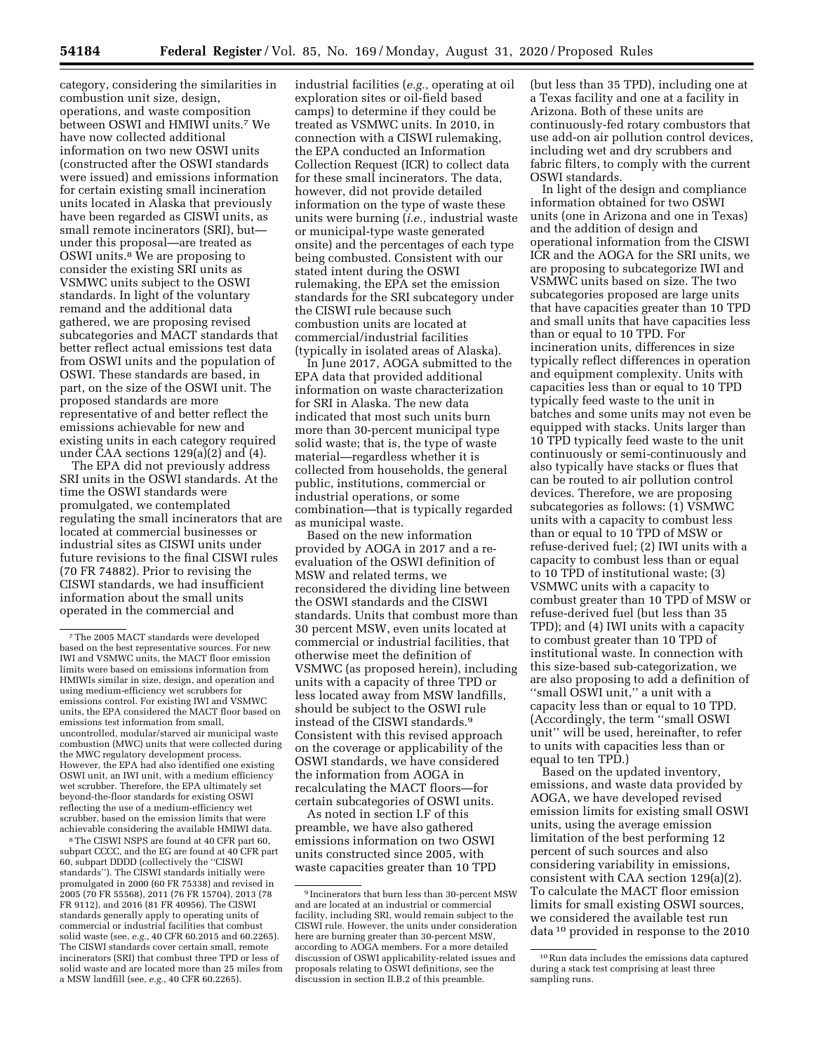category, considering the similarities in combustion unit size, design, operations, and waste composition between OSWI and HMIWI units.7 We have now collected additional information on two new OSWI units (constructed after the OSWI standards were issued) and emissions information for certain existing small incineration units located in Alaska that previously have been regarded as CISWI units, as small remote incinerators (SRI), but under this proposal—are treated as OSWI units.8 We are proposing to consider the existing SRI units as VSMWC units subject to the OSWI standards. In light of the voluntary remand and the additional data gathered, we are proposing revised subcategories and MACT standards that better reflect actual emissions test data from OSWI units and the population of OSWI. These standards are based, in part, on the size of the OSWI unit. The proposed standards are more representative of and better reflect the emissions achievable for new and existing units in each category required under  $\check{C}AA$  sections 129(a)(2) and (4).

The EPA did not previously address SRI units in the OSWI standards. At the time the OSWI standards were promulgated, we contemplated regulating the small incinerators that are located at commercial businesses or industrial sites as CISWI units under future revisions to the final CISWI rules (70 FR 74882). Prior to revising the CISWI standards, we had insufficient information about the small units operated in the commercial and

8The CISWI NSPS are found at 40 CFR part 60, subpart CCCC, and the EG are found at 40 CFR part 60, subpart DDDD (collectively the ''CISWI standards''). The CISWI standards initially were promulgated in 2000 (60 FR 75338) and revised in 2005 (70 FR 55568), 2011 (76 FR 15704), 2013 (78 FR 9112), and 2016 (81 FR 40956). The CISWI standards generally apply to operating units of commercial or industrial facilities that combust solid waste (see, *e.g.,* 40 CFR 60.2015 and 60.2265). The CISWI standards cover certain small, remote incinerators (SRI) that combust three TPD or less of solid waste and are located more than 25 miles from a MSW landfill (see, *e.g.,* 40 CFR 60.2265).

industrial facilities (*e.g.,* operating at oil exploration sites or oil-field based camps) to determine if they could be treated as VSMWC units. In 2010, in connection with a CISWI rulemaking, the EPA conducted an Information Collection Request (ICR) to collect data for these small incinerators. The data, however, did not provide detailed information on the type of waste these units were burning (*i.e.,* industrial waste or municipal-type waste generated onsite) and the percentages of each type being combusted. Consistent with our stated intent during the OSWI rulemaking, the EPA set the emission standards for the SRI subcategory under the CISWI rule because such combustion units are located at commercial/industrial facilities (typically in isolated areas of Alaska).

In June 2017, AOGA submitted to the EPA data that provided additional information on waste characterization for SRI in Alaska. The new data indicated that most such units burn more than 30-percent municipal type solid waste; that is, the type of waste material—regardless whether it is collected from households, the general public, institutions, commercial or industrial operations, or some combination—that is typically regarded as municipal waste.

Based on the new information provided by AOGA in 2017 and a reevaluation of the OSWI definition of MSW and related terms, we reconsidered the dividing line between the OSWI standards and the CISWI standards. Units that combust more than 30 percent MSW, even units located at commercial or industrial facilities, that otherwise meet the definition of VSMWC (as proposed herein), including units with a capacity of three TPD or less located away from MSW landfills, should be subject to the OSWI rule instead of the CISWI standards.9 Consistent with this revised approach on the coverage or applicability of the OSWI standards, we have considered the information from AOGA in recalculating the MACT floors—for certain subcategories of OSWI units.

As noted in section I.F of this preamble, we have also gathered emissions information on two OSWI units constructed since 2005, with waste capacities greater than 10 TPD (but less than 35 TPD), including one at a Texas facility and one at a facility in Arizona. Both of these units are continuously-fed rotary combustors that use add-on air pollution control devices, including wet and dry scrubbers and fabric filters, to comply with the current OSWI standards.

In light of the design and compliance information obtained for two OSWI units (one in Arizona and one in Texas) and the addition of design and operational information from the CISWI ICR and the AOGA for the SRI units, we are proposing to subcategorize IWI and VSMWC units based on size. The two subcategories proposed are large units that have capacities greater than 10 TPD and small units that have capacities less than or equal to 10 TPD. For incineration units, differences in size typically reflect differences in operation and equipment complexity. Units with capacities less than or equal to 10 TPD typically feed waste to the unit in batches and some units may not even be equipped with stacks. Units larger than 10 TPD typically feed waste to the unit continuously or semi-continuously and also typically have stacks or flues that can be routed to air pollution control devices. Therefore, we are proposing subcategories as follows: (1) VSMWC units with a capacity to combust less than or equal to 10 TPD of MSW or refuse-derived fuel; (2) IWI units with a capacity to combust less than or equal to 10 TPD of institutional waste; (3) VSMWC units with a capacity to combust greater than 10 TPD of MSW or refuse-derived fuel (but less than 35 TPD); and (4) IWI units with a capacity to combust greater than 10 TPD of institutional waste. In connection with this size-based sub-categorization, we are also proposing to add a definition of ''small OSWI unit,'' a unit with a capacity less than or equal to 10 TPD. (Accordingly, the term ''small OSWI unit'' will be used, hereinafter, to refer to units with capacities less than or equal to ten TPD.)

Based on the updated inventory, emissions, and waste data provided by AOGA, we have developed revised emission limits for existing small OSWI units, using the average emission limitation of the best performing 12 percent of such sources and also considering variability in emissions, consistent with CAA section 129(a)(2). To calculate the MACT floor emission limits for small existing OSWI sources, we considered the available test run data 10 provided in response to the 2010

<sup>7</sup>The 2005 MACT standards were developed based on the best representative sources. For new IWI and VSMWC units, the MACT floor emission limits were based on emissions information from HMIWIs similar in size, design, and operation and using medium-efficiency wet scrubbers for emissions control. For existing IWI and VSMWC units, the EPA considered the MACT floor based on emissions test information from small, uncontrolled, modular/starved air municipal waste combustion (MWC) units that were collected during the MWC regulatory development process. However, the EPA had also identified one existing OSWI unit, an IWI unit, with a medium efficiency wet scrubber. Therefore, the EPA ultimately set beyond-the-floor standards for existing OSWI reflecting the use of a medium-efficiency wet scrubber, based on the emission limits that were achievable considering the available HMIWI data.

<sup>9</sup> Incinerators that burn less than 30-percent MSW and are located at an industrial or commercial facility, including SRI, would remain subject to the CISWI rule. However, the units under consideration here are burning greater than 30-percent MSW, according to AOGA members. For a more detailed discussion of OSWI applicability-related issues and proposals relating to OSWI definitions, see the discussion in section II.B.2 of this preamble.

<sup>10</sup>Run data includes the emissions data captured during a stack test comprising at least three sampling runs.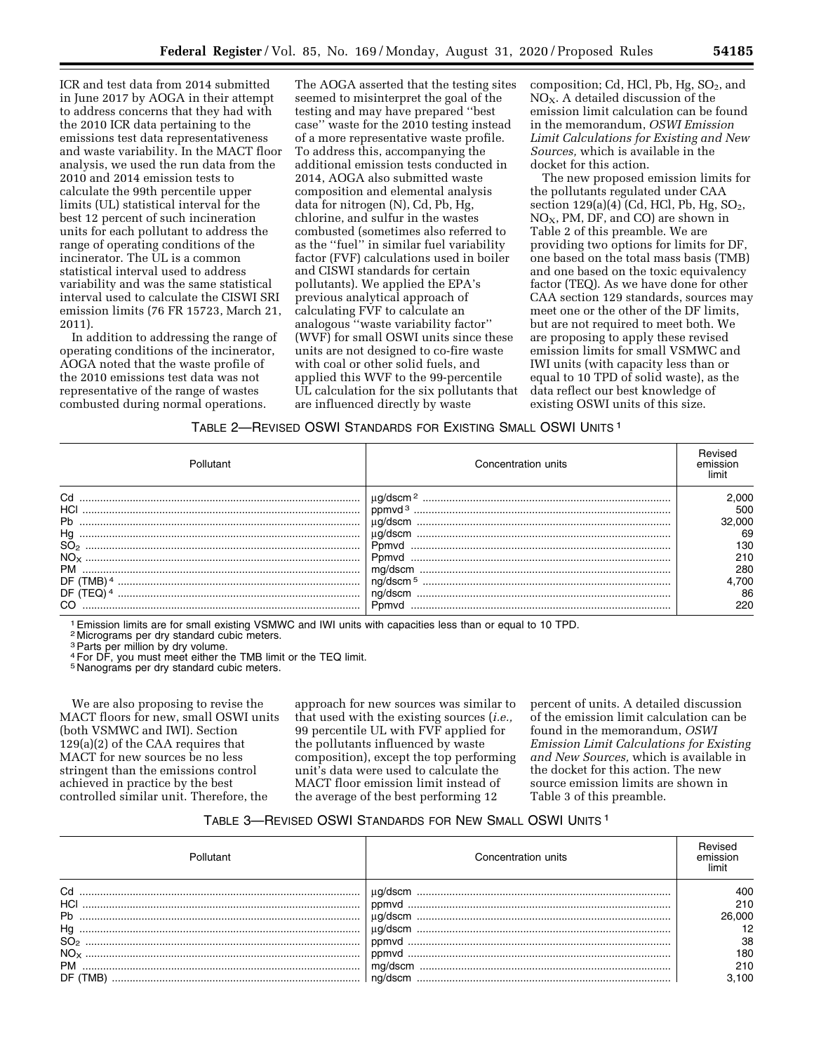ICR and test data from 2014 submitted in June 2017 by AOGA in their attempt to address concerns that they had with the 2010 ICR data pertaining to the emissions test data representativeness and waste variability. In the MACT floor analysis, we used the run data from the 2010 and 2014 emission tests to calculate the 99th percentile upper limits (UL) statistical interval for the best 12 percent of such incineration units for each pollutant to address the range of operating conditions of the incinerator. The UL is a common statistical interval used to address variability and was the same statistical interval used to calculate the CISWI SRI emission limits (76 FR 15723, March 21, 2011).

In addition to addressing the range of operating conditions of the incinerator, AOGA noted that the waste profile of the 2010 emissions test data was not representative of the range of wastes combusted during normal operations.

The AOGA asserted that the testing sites seemed to misinterpret the goal of the testing and may have prepared ''best case'' waste for the 2010 testing instead of a more representative waste profile. To address this, accompanying the additional emission tests conducted in 2014, AOGA also submitted waste composition and elemental analysis data for nitrogen (N), Cd, Pb, Hg, chlorine, and sulfur in the wastes combusted (sometimes also referred to as the ''fuel'' in similar fuel variability factor (FVF) calculations used in boiler and CISWI standards for certain pollutants). We applied the EPA's previous analytical approach of calculating FVF to calculate an analogous ''waste variability factor'' (WVF) for small OSWI units since these units are not designed to co-fire waste with coal or other solid fuels, and applied this WVF to the 99-percentile UL calculation for the six pollutants that are influenced directly by waste

composition; Cd, HCl, Pb, Hg, SO<sub>2</sub>, and  $NO<sub>x</sub>$ . A detailed discussion of the emission limit calculation can be found in the memorandum, *OSWI Emission Limit Calculations for Existing and New Sources,* which is available in the docket for this action.

The new proposed emission limits for the pollutants regulated under CAA section 129(a)(4) (Cd, HCl, Pb, Hg, SO2, NOX, PM, DF, and CO) are shown in Table 2 of this preamble. We are providing two options for limits for DF, one based on the total mass basis (TMB) and one based on the toxic equivalency factor (TEQ). As we have done for other CAA section 129 standards, sources may meet one or the other of the DF limits, but are not required to meet both. We are proposing to apply these revised emission limits for small VSMWC and IWI units (with capacity less than or equal to 10 TPD of solid waste), as the data reflect our best knowledge of existing OSWI units of this size.

### TABLE 2—REVISED OSWI STANDARDS FOR EXISTING SMALL OSWI UNITS 1

| Pollutant                  | Concentration units  | emission |
|----------------------------|----------------------|----------|
| Cd                         | ug/dscm <sup>2</sup> | 2.000    |
| HCI                        |                      | 500      |
|                            | ua/dscm              | 32,000   |
|                            |                      | 69       |
| SO <sub>2</sub>            | Pomvd                | 130      |
|                            |                      | 210      |
| <b>PM</b>                  | ma/dscm              | 280      |
| DF (<br>FMB) <sup>4</sup>  |                      | 4.700    |
| DF (1<br>FEQ) <sup>4</sup> | ng/dscm              | 86       |
| CO                         | Pomvd                | 220      |

1Emission limits are for small existing VSMWC and IWI units with capacities less than or equal to 10 TPD.

2 Micrograms per dry standard cubic meters.

<sup>3</sup> Parts per million by dry volume.

4For DF, you must meet either the TMB limit or the TEQ limit.

5 Nanograms per dry standard cubic meters.

We are also proposing to revise the MACT floors for new, small OSWI units (both VSMWC and IWI). Section 129(a)(2) of the CAA requires that MACT for new sources be no less stringent than the emissions control achieved in practice by the best controlled similar unit. Therefore, the

approach for new sources was similar to that used with the existing sources (*i.e.,*  99 percentile UL with FVF applied for the pollutants influenced by waste composition), except the top performing unit's data were used to calculate the MACT floor emission limit instead of the average of the best performing 12

percent of units. A detailed discussion of the emission limit calculation can be found in the memorandum, *OSWI Emission Limit Calculations for Existing and New Sources,* which is available in the docket for this action. The new source emission limits are shown in Table 3 of this preamble.

## TABLE 3—REVISED OSWI STANDARDS FOR NEW SMALL OSWI UNITS 1

|                 | Concentration units | emission |
|-----------------|---------------------|----------|
| Cd              |                     | 400      |
|                 |                     | 210      |
|                 |                     | 26,000   |
|                 |                     |          |
| SO <sub>2</sub> |                     | 38       |
| $NO_{\rm x}$    |                     | 180      |
| PМ              |                     | 210      |
|                 |                     | .100     |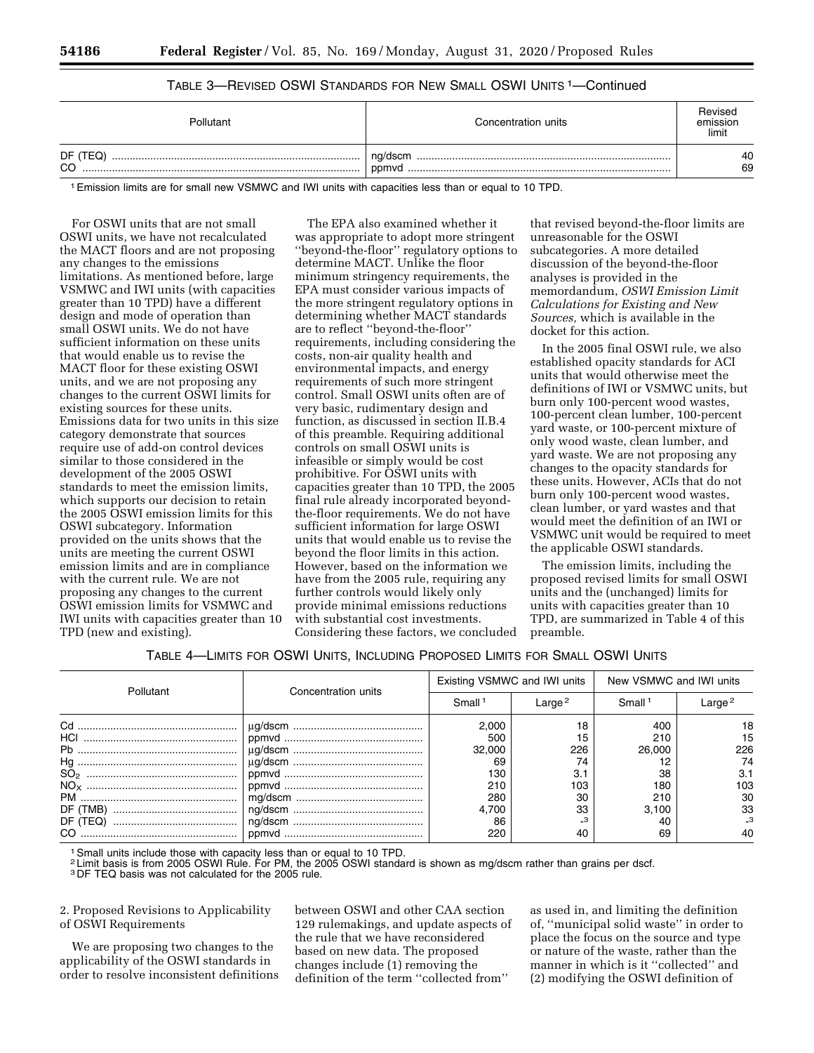## TABLE 3—REVISED OSWI STANDARDS FOR NEW SMALL OSWI UNITS 1—Continued

| Pollutant      | Concentration units | Revised<br>emission<br>limit |
|----------------|---------------------|------------------------------|
| DF (TEQ)<br>CO | ˈ ng/dscm<br>ppmyd  | 40<br>69                     |

1Emission limits are for small new VSMWC and IWI units with capacities less than or equal to 10 TPD.

For OSWI units that are not small OSWI units, we have not recalculated the MACT floors and are not proposing any changes to the emissions limitations. As mentioned before, large VSMWC and IWI units (with capacities greater than 10 TPD) have a different design and mode of operation than small OSWI units. We do not have sufficient information on these units that would enable us to revise the MACT floor for these existing OSWI units, and we are not proposing any changes to the current OSWI limits for existing sources for these units. Emissions data for two units in this size category demonstrate that sources require use of add-on control devices similar to those considered in the development of the 2005 OSWI standards to meet the emission limits, which supports our decision to retain the 2005 OSWI emission limits for this OSWI subcategory. Information provided on the units shows that the units are meeting the current OSWI emission limits and are in compliance with the current rule. We are not proposing any changes to the current OSWI emission limits for VSMWC and IWI units with capacities greater than 10 TPD (new and existing).

The EPA also examined whether it was appropriate to adopt more stringent ''beyond-the-floor'' regulatory options to determine MACT. Unlike the floor minimum stringency requirements, the EPA must consider various impacts of the more stringent regulatory options in determining whether MACT standards are to reflect ''beyond-the-floor'' requirements, including considering the costs, non-air quality health and environmental impacts, and energy requirements of such more stringent control. Small OSWI units often are of very basic, rudimentary design and function, as discussed in section II.B.4 of this preamble. Requiring additional controls on small OSWI units is infeasible or simply would be cost prohibitive. For OSWI units with capacities greater than 10 TPD, the 2005 final rule already incorporated beyondthe-floor requirements. We do not have sufficient information for large OSWI units that would enable us to revise the beyond the floor limits in this action. However, based on the information we have from the 2005 rule, requiring any further controls would likely only provide minimal emissions reductions with substantial cost investments. Considering these factors, we concluded

that revised beyond-the-floor limits are unreasonable for the OSWI subcategories. A more detailed discussion of the beyond-the-floor analyses is provided in the memordandum, *OSWI Emission Limit Calculations for Existing and New Sources,* which is available in the docket for this action.

In the 2005 final OSWI rule, we also established opacity standards for ACI units that would otherwise meet the definitions of IWI or VSMWC units, but burn only 100-percent wood wastes, 100-percent clean lumber, 100-percent yard waste, or 100-percent mixture of only wood waste, clean lumber, and yard waste. We are not proposing any changes to the opacity standards for these units. However, ACIs that do not burn only 100-percent wood wastes, clean lumber, or yard wastes and that would meet the definition of an IWI or VSMWC unit would be required to meet the applicable OSWI standards.

The emission limits, including the proposed revised limits for small OSWI units and the (unchanged) limits for units with capacities greater than 10 TPD, are summarized in Table 4 of this preamble.

| TABLE 4—LIMITS FOR OSWI UNITS, INCLUDING PROPOSED LIMITS FOR SMALL OSWI UNITS |  |  |  |
|-------------------------------------------------------------------------------|--|--|--|
|-------------------------------------------------------------------------------|--|--|--|

| Pollutant |                     | Existing VSMWC and IWI units |                    | New VSMWC and IWI units |                    |
|-----------|---------------------|------------------------------|--------------------|-------------------------|--------------------|
|           | Concentration units | Small <sup>1</sup>           | Large <sup>2</sup> | Small <sup>1</sup>      | Large <sup>2</sup> |
| Cd        |                     | 2.000                        | 18                 | 400                     | 18                 |
| HCI       |                     | 500                          | 15                 | 210                     | 15                 |
|           |                     | 32,000                       | 226                | 26,000                  | 226                |
|           |                     | 69                           | 74                 |                         | 74                 |
|           |                     | 130                          | 3.1                | 38                      | 3.1                |
|           |                     | 210                          | 103                | 180                     | 103                |
| PM        |                     | 280                          | 30                 | 210                     | 30                 |
| DF (TMB)  |                     | 4.700                        | 33                 | 3.100                   | 33                 |
| DF (TEQ)  |                     | 86                           | -3                 |                         |                    |
| CO.       |                     | 220                          | 40                 | 69                      |                    |

1Small units include those with capacity less than or equal to 10 TPD.

2 Limit basis is from 2005 OSWI Rule. For PM, the 2005 OSWI standard is shown as mg/dscm rather than grains per dscf.

3 DF TEQ basis was not calculated for the 2005 rule.

2. Proposed Revisions to Applicability of OSWI Requirements

We are proposing two changes to the applicability of the OSWI standards in order to resolve inconsistent definitions between OSWI and other CAA section 129 rulemakings, and update aspects of the rule that we have reconsidered based on new data. The proposed changes include (1) removing the definition of the term ''collected from''

as used in, and limiting the definition of, ''municipal solid waste'' in order to place the focus on the source and type or nature of the waste, rather than the manner in which is it ''collected'' and (2) modifying the OSWI definition of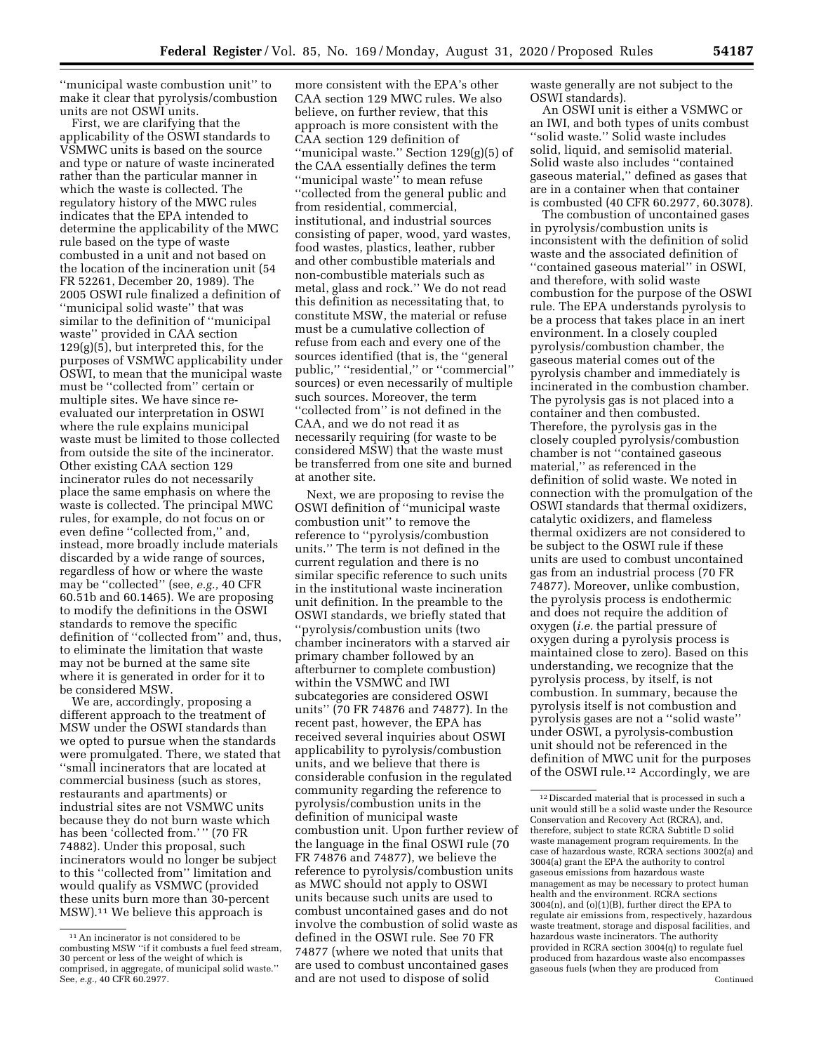''municipal waste combustion unit'' to make it clear that pyrolysis/combustion units are not OSWI units.

First, we are clarifying that the applicability of the OSWI standards to VSMWC units is based on the source and type or nature of waste incinerated rather than the particular manner in which the waste is collected. The regulatory history of the MWC rules indicates that the EPA intended to determine the applicability of the MWC rule based on the type of waste combusted in a unit and not based on the location of the incineration unit (54 FR 52261, December 20, 1989). The 2005 OSWI rule finalized a definition of ''municipal solid waste'' that was similar to the definition of ''municipal waste'' provided in CAA section 129(g)(5), but interpreted this, for the purposes of VSMWC applicability under OSWI, to mean that the municipal waste must be ''collected from'' certain or multiple sites. We have since reevaluated our interpretation in OSWI where the rule explains municipal waste must be limited to those collected from outside the site of the incinerator. Other existing CAA section 129 incinerator rules do not necessarily place the same emphasis on where the waste is collected. The principal MWC rules, for example, do not focus on or even define ''collected from,'' and, instead, more broadly include materials discarded by a wide range of sources, regardless of how or where the waste may be ''collected'' (see, *e.g.,* 40 CFR 60.51b and 60.1465). We are proposing to modify the definitions in the OSWI standards to remove the specific definition of ''collected from'' and, thus, to eliminate the limitation that waste may not be burned at the same site where it is generated in order for it to be considered MSW.

We are, accordingly, proposing a different approach to the treatment of MSW under the OSWI standards than we opted to pursue when the standards were promulgated. There, we stated that ''small incinerators that are located at commercial business (such as stores, restaurants and apartments) or industrial sites are not VSMWC units because they do not burn waste which has been 'collected from.'" (70 FR 74882). Under this proposal, such incinerators would no longer be subject to this ''collected from'' limitation and would qualify as VSMWC (provided these units burn more than 30-percent MSW).11 We believe this approach is

more consistent with the EPA's other CAA section 129 MWC rules. We also believe, on further review, that this approach is more consistent with the CAA section 129 definition of ''municipal waste.'' Section 129(g)(5) of the CAA essentially defines the term ''municipal waste'' to mean refuse ''collected from the general public and from residential, commercial, institutional, and industrial sources consisting of paper, wood, yard wastes, food wastes, plastics, leather, rubber and other combustible materials and non-combustible materials such as metal, glass and rock.'' We do not read this definition as necessitating that, to constitute MSW, the material or refuse must be a cumulative collection of refuse from each and every one of the sources identified (that is, the ''general public," "residential," or "commercial" sources) or even necessarily of multiple such sources. Moreover, the term ''collected from'' is not defined in the CAA, and we do not read it as necessarily requiring (for waste to be considered MSW) that the waste must be transferred from one site and burned at another site.

Next, we are proposing to revise the OSWI definition of ''municipal waste combustion unit'' to remove the reference to ''pyrolysis/combustion units.'' The term is not defined in the current regulation and there is no similar specific reference to such units in the institutional waste incineration unit definition. In the preamble to the OSWI standards, we briefly stated that ''pyrolysis/combustion units (two chamber incinerators with a starved air primary chamber followed by an afterburner to complete combustion) within the VSMWC and IWI subcategories are considered OSWI units'' (70 FR 74876 and 74877). In the recent past, however, the EPA has received several inquiries about OSWI applicability to pyrolysis/combustion units, and we believe that there is considerable confusion in the regulated community regarding the reference to pyrolysis/combustion units in the definition of municipal waste combustion unit. Upon further review of the language in the final OSWI rule (70 FR 74876 and 74877), we believe the reference to pyrolysis/combustion units as MWC should not apply to OSWI units because such units are used to combust uncontained gases and do not involve the combustion of solid waste as defined in the OSWI rule. See 70 FR 74877 (where we noted that units that are used to combust uncontained gases and are not used to dispose of solid

waste generally are not subject to the OSWI standards).

An OSWI unit is either a VSMWC or an IWI, and both types of units combust ''solid waste.'' Solid waste includes solid, liquid, and semisolid material. Solid waste also includes ''contained gaseous material,'' defined as gases that are in a container when that container is combusted (40 CFR 60.2977, 60.3078).

The combustion of uncontained gases in pyrolysis/combustion units is inconsistent with the definition of solid waste and the associated definition of ''contained gaseous material'' in OSWI, and therefore, with solid waste combustion for the purpose of the OSWI rule. The EPA understands pyrolysis to be a process that takes place in an inert environment. In a closely coupled pyrolysis/combustion chamber, the gaseous material comes out of the pyrolysis chamber and immediately is incinerated in the combustion chamber. The pyrolysis gas is not placed into a container and then combusted. Therefore, the pyrolysis gas in the closely coupled pyrolysis/combustion chamber is not ''contained gaseous material,'' as referenced in the definition of solid waste. We noted in connection with the promulgation of the OSWI standards that thermal oxidizers, catalytic oxidizers, and flameless thermal oxidizers are not considered to be subject to the OSWI rule if these units are used to combust uncontained gas from an industrial process (70 FR 74877). Moreover, unlike combustion, the pyrolysis process is endothermic and does not require the addition of oxygen (*i.e.* the partial pressure of oxygen during a pyrolysis process is maintained close to zero). Based on this understanding, we recognize that the pyrolysis process, by itself, is not combustion. In summary, because the pyrolysis itself is not combustion and pyrolysis gases are not a ''solid waste'' under OSWI, a pyrolysis-combustion unit should not be referenced in the definition of MWC unit for the purposes of the OSWI rule.12 Accordingly, we are

<sup>11</sup>An incinerator is not considered to be combusting MSW ''if it combusts a fuel feed stream, 30 percent or less of the weight of which is comprised, in aggregate, of municipal solid waste.'' See, *e.g.,* 40 CFR 60.2977.

<sup>12</sup> Discarded material that is processed in such a unit would still be a solid waste under the Resource Conservation and Recovery Act (RCRA), and, therefore, subject to state RCRA Subtitle D solid waste management program requirements. In the case of hazardous waste, RCRA sections 3002(a) and 3004(a) grant the EPA the authority to control gaseous emissions from hazardous waste management as may be necessary to protect human health and the environment. RCRA sections 3004(n), and (o)(1)(B), further direct the EPA to regulate air emissions from, respectively, hazardous waste treatment, storage and disposal facilities, and hazardous waste incinerators. The authority provided in RCRA section 3004(q) to regulate fuel produced from hazardous waste also encompasses gaseous fuels (when they are produced from Continued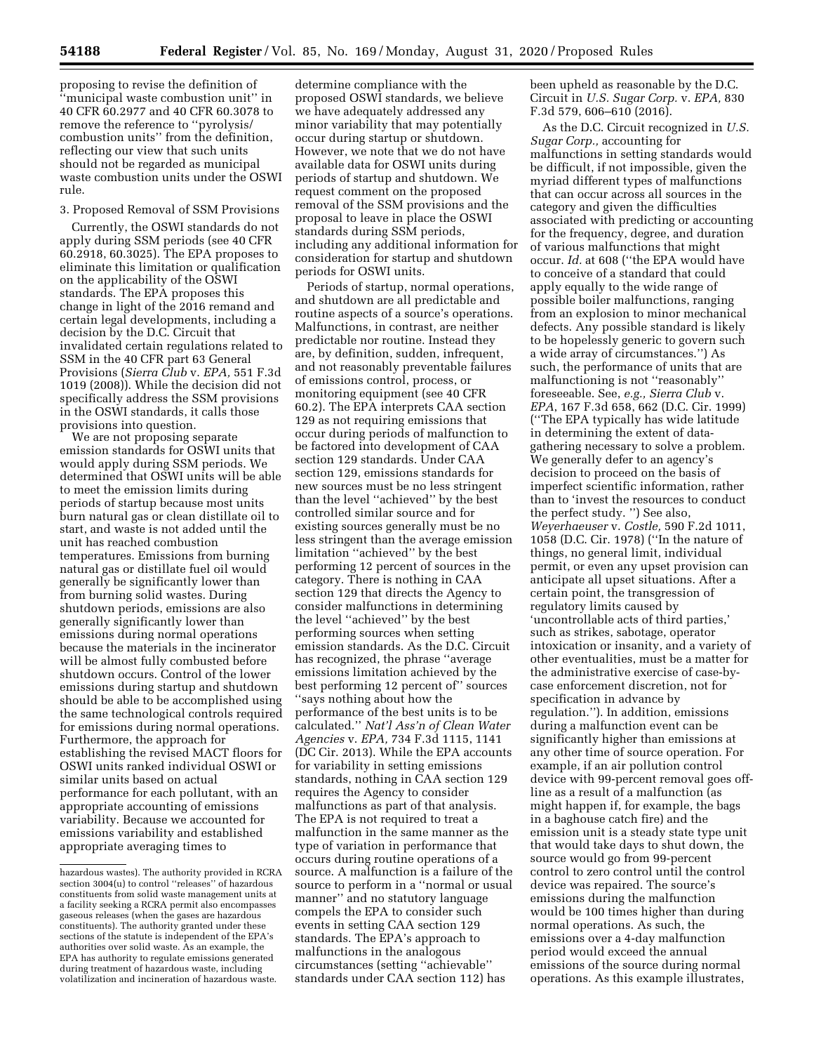proposing to revise the definition of ''municipal waste combustion unit'' in 40 CFR 60.2977 and 40 CFR 60.3078 to remove the reference to ''pyrolysis/ combustion units'' from the definition, reflecting our view that such units should not be regarded as municipal waste combustion units under the OSWI rule.

3. Proposed Removal of SSM Provisions

Currently, the OSWI standards do not apply during SSM periods (see 40 CFR 60.2918, 60.3025). The EPA proposes to eliminate this limitation or qualification on the applicability of the OSWI standards. The EPA proposes this change in light of the 2016 remand and certain legal developments, including a decision by the D.C. Circuit that invalidated certain regulations related to SSM in the 40 CFR part 63 General Provisions (*Sierra Club* v. *EPA,* 551 F.3d 1019 (2008)). While the decision did not specifically address the SSM provisions in the OSWI standards, it calls those provisions into question.

We are not proposing separate emission standards for OSWI units that would apply during SSM periods. We determined that OSWI units will be able to meet the emission limits during periods of startup because most units burn natural gas or clean distillate oil to start, and waste is not added until the unit has reached combustion temperatures. Emissions from burning natural gas or distillate fuel oil would generally be significantly lower than from burning solid wastes. During shutdown periods, emissions are also generally significantly lower than emissions during normal operations because the materials in the incinerator will be almost fully combusted before shutdown occurs. Control of the lower emissions during startup and shutdown should be able to be accomplished using the same technological controls required for emissions during normal operations. Furthermore, the approach for establishing the revised MACT floors for OSWI units ranked individual OSWI or similar units based on actual performance for each pollutant, with an appropriate accounting of emissions variability. Because we accounted for emissions variability and established appropriate averaging times to

determine compliance with the proposed OSWI standards, we believe we have adequately addressed any minor variability that may potentially occur during startup or shutdown. However, we note that we do not have available data for OSWI units during periods of startup and shutdown. We request comment on the proposed removal of the SSM provisions and the proposal to leave in place the OSWI standards during SSM periods, including any additional information for consideration for startup and shutdown periods for OSWI units.

Periods of startup, normal operations, and shutdown are all predictable and routine aspects of a source's operations. Malfunctions, in contrast, are neither predictable nor routine. Instead they are, by definition, sudden, infrequent, and not reasonably preventable failures of emissions control, process, or monitoring equipment (see 40 CFR 60.2). The EPA interprets CAA section 129 as not requiring emissions that occur during periods of malfunction to be factored into development of CAA section 129 standards. Under CAA section 129, emissions standards for new sources must be no less stringent than the level ''achieved'' by the best controlled similar source and for existing sources generally must be no less stringent than the average emission limitation ''achieved'' by the best performing 12 percent of sources in the category. There is nothing in CAA section 129 that directs the Agency to consider malfunctions in determining the level ''achieved'' by the best performing sources when setting emission standards. As the D.C. Circuit has recognized, the phrase ''average emissions limitation achieved by the best performing 12 percent of'' sources ''says nothing about how the performance of the best units is to be calculated.'' *Nat'l Ass'n of Clean Water Agencies* v. *EPA,* 734 F.3d 1115, 1141 (DC Cir. 2013). While the EPA accounts for variability in setting emissions standards, nothing in CAA section 129 requires the Agency to consider malfunctions as part of that analysis. The EPA is not required to treat a malfunction in the same manner as the type of variation in performance that occurs during routine operations of a source. A malfunction is a failure of the source to perform in a ''normal or usual manner'' and no statutory language compels the EPA to consider such events in setting CAA section 129 standards. The EPA's approach to malfunctions in the analogous circumstances (setting ''achievable'' standards under CAA section 112) has

been upheld as reasonable by the D.C. Circuit in *U.S. Sugar Corp.* v. *EPA,* 830 F.3d 579, 606–610 (2016).

As the D.C. Circuit recognized in *U.S. Sugar Corp.,* accounting for malfunctions in setting standards would be difficult, if not impossible, given the myriad different types of malfunctions that can occur across all sources in the category and given the difficulties associated with predicting or accounting for the frequency, degree, and duration of various malfunctions that might occur. *Id.* at 608 (''the EPA would have to conceive of a standard that could apply equally to the wide range of possible boiler malfunctions, ranging from an explosion to minor mechanical defects. Any possible standard is likely to be hopelessly generic to govern such a wide array of circumstances.'') As such, the performance of units that are malfunctioning is not ''reasonably'' foreseeable. See, *e.g., Sierra Club* v. *EPA*, 167 F.3d 658, 662 (D.C. Cir. 1999) (''The EPA typically has wide latitude in determining the extent of datagathering necessary to solve a problem. We generally defer to an agency's decision to proceed on the basis of imperfect scientific information, rather than to 'invest the resources to conduct the perfect study. '') See also, *Weyerhaeuser* v. *Costle,* 590 F.2d 1011, 1058 (D.C. Cir. 1978) (''In the nature of things, no general limit, individual permit, or even any upset provision can anticipate all upset situations. After a certain point, the transgression of regulatory limits caused by 'uncontrollable acts of third parties,' such as strikes, sabotage, operator intoxication or insanity, and a variety of other eventualities, must be a matter for the administrative exercise of case-bycase enforcement discretion, not for specification in advance by regulation.''). In addition, emissions during a malfunction event can be significantly higher than emissions at any other time of source operation. For example, if an air pollution control device with 99-percent removal goes offline as a result of a malfunction (as might happen if, for example, the bags in a baghouse catch fire) and the emission unit is a steady state type unit that would take days to shut down, the source would go from 99-percent control to zero control until the control device was repaired. The source's emissions during the malfunction would be 100 times higher than during normal operations. As such, the emissions over a 4-day malfunction period would exceed the annual emissions of the source during normal operations. As this example illustrates,

hazardous wastes). The authority provided in RCRA section 3004(u) to control ''releases'' of hazardous constituents from solid waste management units at a facility seeking a RCRA permit also encompasses gaseous releases (when the gases are hazardous constituents). The authority granted under these sections of the statute is independent of the EPA's authorities over solid waste. As an example, the EPA has authority to regulate emissions generated during treatment of hazardous waste, including volatilization and incineration of hazardous waste.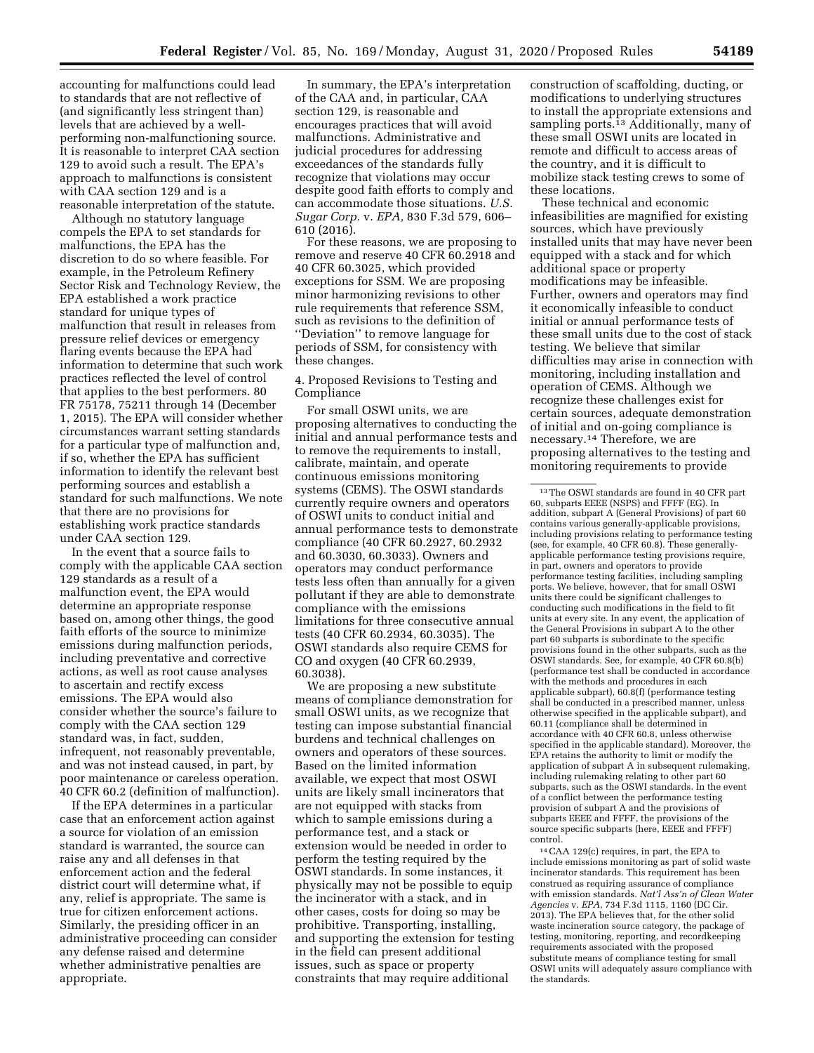accounting for malfunctions could lead to standards that are not reflective of (and significantly less stringent than) levels that are achieved by a wellperforming non-malfunctioning source. It is reasonable to interpret CAA section 129 to avoid such a result. The EPA's approach to malfunctions is consistent with CAA section 129 and is a reasonable interpretation of the statute.

Although no statutory language compels the EPA to set standards for malfunctions, the EPA has the discretion to do so where feasible. For example, in the Petroleum Refinery Sector Risk and Technology Review, the EPA established a work practice standard for unique types of malfunction that result in releases from pressure relief devices or emergency flaring events because the EPA had information to determine that such work practices reflected the level of control that applies to the best performers. 80 FR 75178, 75211 through 14 (December 1, 2015). The EPA will consider whether circumstances warrant setting standards for a particular type of malfunction and, if so, whether the EPA has sufficient information to identify the relevant best performing sources and establish a standard for such malfunctions. We note that there are no provisions for establishing work practice standards under CAA section 129.

In the event that a source fails to comply with the applicable CAA section 129 standards as a result of a malfunction event, the EPA would determine an appropriate response based on, among other things, the good faith efforts of the source to minimize emissions during malfunction periods, including preventative and corrective actions, as well as root cause analyses to ascertain and rectify excess emissions. The EPA would also consider whether the source's failure to comply with the CAA section 129 standard was, in fact, sudden, infrequent, not reasonably preventable, and was not instead caused, in part, by poor maintenance or careless operation. 40 CFR 60.2 (definition of malfunction).

If the EPA determines in a particular case that an enforcement action against a source for violation of an emission standard is warranted, the source can raise any and all defenses in that enforcement action and the federal district court will determine what, if any, relief is appropriate. The same is true for citizen enforcement actions. Similarly, the presiding officer in an administrative proceeding can consider any defense raised and determine whether administrative penalties are appropriate.

In summary, the EPA's interpretation of the CAA and, in particular, CAA section 129, is reasonable and encourages practices that will avoid malfunctions. Administrative and judicial procedures for addressing exceedances of the standards fully recognize that violations may occur despite good faith efforts to comply and can accommodate those situations. *U.S. Sugar Corp.* v. *EPA,* 830 F.3d 579, 606– 610 (2016).

For these reasons, we are proposing to remove and reserve 40 CFR 60.2918 and 40 CFR 60.3025, which provided exceptions for SSM. We are proposing minor harmonizing revisions to other rule requirements that reference SSM, such as revisions to the definition of ''Deviation'' to remove language for periods of SSM, for consistency with these changes.

4. Proposed Revisions to Testing and Compliance

For small OSWI units, we are proposing alternatives to conducting the initial and annual performance tests and to remove the requirements to install, calibrate, maintain, and operate continuous emissions monitoring systems (CEMS). The OSWI standards currently require owners and operators of OSWI units to conduct initial and annual performance tests to demonstrate compliance (40 CFR 60.2927, 60.2932 and 60.3030, 60.3033). Owners and operators may conduct performance tests less often than annually for a given pollutant if they are able to demonstrate compliance with the emissions limitations for three consecutive annual tests (40 CFR 60.2934, 60.3035). The OSWI standards also require CEMS for CO and oxygen (40 CFR 60.2939, 60.3038).

We are proposing a new substitute means of compliance demonstration for small OSWI units, as we recognize that testing can impose substantial financial burdens and technical challenges on owners and operators of these sources. Based on the limited information available, we expect that most OSWI units are likely small incinerators that are not equipped with stacks from which to sample emissions during a performance test, and a stack or extension would be needed in order to perform the testing required by the OSWI standards. In some instances, it physically may not be possible to equip the incinerator with a stack, and in other cases, costs for doing so may be prohibitive. Transporting, installing, and supporting the extension for testing in the field can present additional issues, such as space or property constraints that may require additional

construction of scaffolding, ducting, or modifications to underlying structures to install the appropriate extensions and sampling ports.<sup>13</sup> Additionally, many of these small OSWI units are located in remote and difficult to access areas of the country, and it is difficult to mobilize stack testing crews to some of these locations.

These technical and economic infeasibilities are magnified for existing sources, which have previously installed units that may have never been equipped with a stack and for which additional space or property modifications may be infeasible. Further, owners and operators may find it economically infeasible to conduct initial or annual performance tests of these small units due to the cost of stack testing. We believe that similar difficulties may arise in connection with monitoring, including installation and operation of CEMS. Although we recognize these challenges exist for certain sources, adequate demonstration of initial and on-going compliance is necessary.14 Therefore, we are proposing alternatives to the testing and monitoring requirements to provide

14CAA 129(c) requires, in part, the EPA to include emissions monitoring as part of solid waste incinerator standards. This requirement has been construed as requiring assurance of compliance with emission standards. *Nat'l Ass'n of Clean Water Agencies* v. *EPA,* 734 F.3d 1115, 1160 (DC Cir. 2013). The EPA believes that, for the other solid waste incineration source category, the package of testing, monitoring, reporting, and recordkeeping requirements associated with the proposed substitute means of compliance testing for small OSWI units will adequately assure compliance with the standards.

<sup>13</sup>The OSWI standards are found in 40 CFR part 60, subparts EEEE (NSPS) and FFFF (EG). In addition, subpart A (General Provisions) of part 60 contains various generally-applicable provisions, including provisions relating to performance testing (see, for example, 40 CFR 60.8). These generallyapplicable performance testing provisions require, in part, owners and operators to provide performance testing facilities, including sampling ports. We believe, however, that for small OSWI units there could be significant challenges to conducting such modifications in the field to fit units at every site. In any event, the application of the General Provisions in subpart A to the other part 60 subparts is subordinate to the specific provisions found in the other subparts, such as the OSWI standards. See, for example, 40 CFR 60.8(b) (performance test shall be conducted in accordance with the methods and procedures in each applicable subpart), 60.8(f) (performance testing shall be conducted in a prescribed manner, unless otherwise specified in the applicable subpart), and 60.11 (compliance shall be determined in accordance with 40 CFR 60.8, unless otherwise specified in the applicable standard). Moreover, the EPA retains the authority to limit or modify the application of subpart  $\overline{A}$  in subsequent rulemaking, including rulemaking relating to other part 60 subparts, such as the OSWI standards. In the event of a conflict between the performance testing provision of subpart A and the provisions of subparts EEEE and FFFF, the provisions of the source specific subparts (here, EEEE and FFFF) control.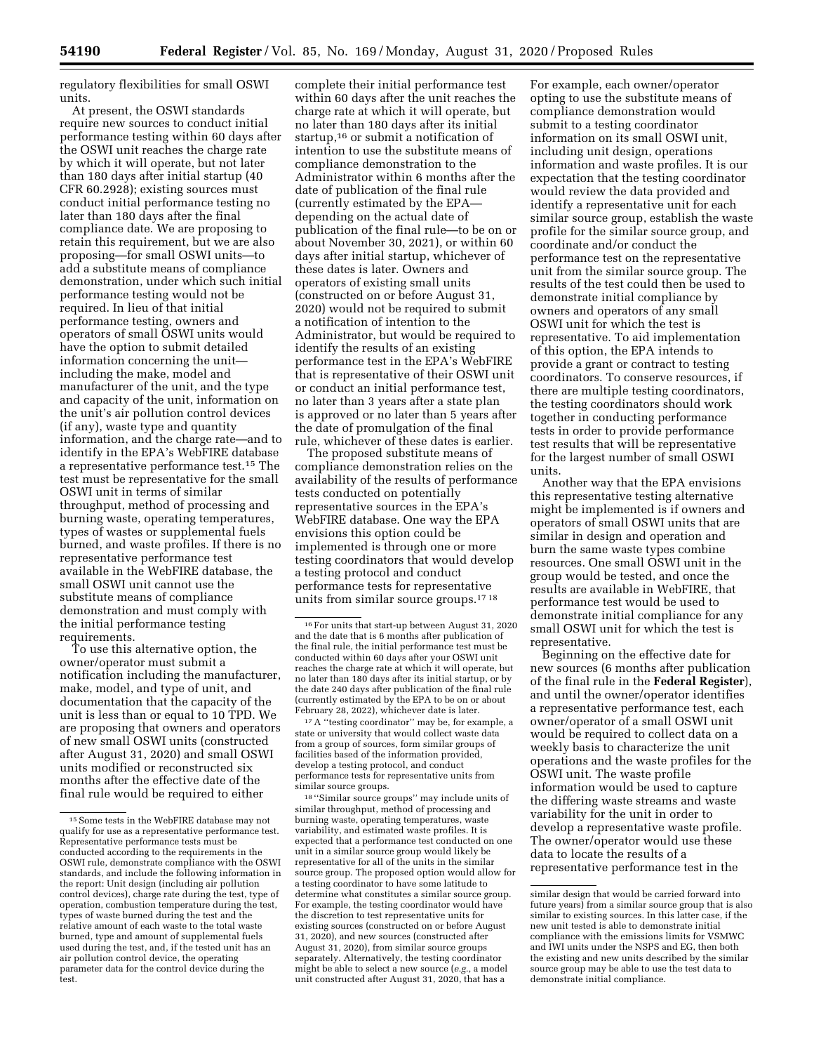regulatory flexibilities for small OSWI units.

At present, the OSWI standards require new sources to conduct initial performance testing within 60 days after the OSWI unit reaches the charge rate by which it will operate, but not later than 180 days after initial startup (40 CFR 60.2928); existing sources must conduct initial performance testing no later than 180 days after the final compliance date. We are proposing to retain this requirement, but we are also proposing—for small OSWI units—to add a substitute means of compliance demonstration, under which such initial performance testing would not be required. In lieu of that initial performance testing, owners and operators of small OSWI units would have the option to submit detailed information concerning the unit including the make, model and manufacturer of the unit, and the type and capacity of the unit, information on the unit's air pollution control devices (if any), waste type and quantity information, and the charge rate—and to identify in the EPA's WebFIRE database a representative performance test.15 The test must be representative for the small OSWI unit in terms of similar throughput, method of processing and burning waste, operating temperatures, types of wastes or supplemental fuels burned, and waste profiles. If there is no representative performance test available in the WebFIRE database, the small OSWI unit cannot use the substitute means of compliance demonstration and must comply with the initial performance testing requirements.

To use this alternative option, the owner/operator must submit a notification including the manufacturer, make, model, and type of unit, and documentation that the capacity of the unit is less than or equal to 10 TPD. We are proposing that owners and operators of new small OSWI units (constructed after August 31, 2020) and small OSWI units modified or reconstructed six months after the effective date of the final rule would be required to either

complete their initial performance test within 60 days after the unit reaches the charge rate at which it will operate, but no later than 180 days after its initial startup,16 or submit a notification of intention to use the substitute means of compliance demonstration to the Administrator within 6 months after the date of publication of the final rule (currently estimated by the EPA depending on the actual date of publication of the final rule—to be on or about November 30, 2021), or within 60 days after initial startup, whichever of these dates is later. Owners and operators of existing small units (constructed on or before August 31, 2020) would not be required to submit a notification of intention to the Administrator, but would be required to identify the results of an existing performance test in the EPA's WebFIRE that is representative of their OSWI unit or conduct an initial performance test, no later than 3 years after a state plan is approved or no later than 5 years after the date of promulgation of the final rule, whichever of these dates is earlier.

The proposed substitute means of compliance demonstration relies on the availability of the results of performance tests conducted on potentially representative sources in the EPA's WebFIRE database. One way the EPA envisions this option could be implemented is through one or more testing coordinators that would develop a testing protocol and conduct performance tests for representative units from similar source groups.17 18

17A ''testing coordinator'' may be, for example, a state or university that would collect waste data from a group of sources, form similar groups of facilities based of the information provided, develop a testing protocol, and conduct performance tests for representative units from similar source groups.

18 ''Similar source groups'' may include units of similar throughput, method of processing and burning waste, operating temperatures, waste variability, and estimated waste profiles. It is expected that a performance test conducted on one unit in a similar source group would likely be representative for all of the units in the similar source group. The proposed option would allow for a testing coordinator to have some latitude to determine what constitutes a similar source group. For example, the testing coordinator would have the discretion to test representative units for existing sources (constructed on or before August 31, 2020), and new sources (constructed after August 31, 2020), from similar source groups separately. Alternatively, the testing coordinator might be able to select a new source (*e.g.,* a model unit constructed after August 31, 2020, that has a

For example, each owner/operator opting to use the substitute means of compliance demonstration would submit to a testing coordinator information on its small OSWI unit, including unit design, operations information and waste profiles. It is our expectation that the testing coordinator would review the data provided and identify a representative unit for each similar source group, establish the waste profile for the similar source group, and coordinate and/or conduct the performance test on the representative unit from the similar source group. The results of the test could then be used to demonstrate initial compliance by owners and operators of any small OSWI unit for which the test is representative. To aid implementation of this option, the EPA intends to provide a grant or contract to testing coordinators. To conserve resources, if there are multiple testing coordinators, the testing coordinators should work together in conducting performance tests in order to provide performance test results that will be representative for the largest number of small OSWI units.

Another way that the EPA envisions this representative testing alternative might be implemented is if owners and operators of small OSWI units that are similar in design and operation and burn the same waste types combine resources. One small OSWI unit in the group would be tested, and once the results are available in WebFIRE, that performance test would be used to demonstrate initial compliance for any small OSWI unit for which the test is representative.

Beginning on the effective date for new sources (6 months after publication of the final rule in the **Federal Register**), and until the owner/operator identifies a representative performance test, each owner/operator of a small OSWI unit would be required to collect data on a weekly basis to characterize the unit operations and the waste profiles for the OSWI unit. The waste profile information would be used to capture the differing waste streams and waste variability for the unit in order to develop a representative waste profile. The owner/operator would use these data to locate the results of a representative performance test in the

<sup>&</sup>lt;sup>15</sup> Some tests in the WebFIRE database may not qualify for use as a representative performance test. Representative performance tests must be conducted according to the requirements in the OSWI rule, demonstrate compliance with the OSWI standards, and include the following information in the report: Unit design (including air pollution control devices), charge rate during the test, type of operation, combustion temperature during the test, types of waste burned during the test and the relative amount of each waste to the total waste burned, type and amount of supplemental fuels used during the test, and, if the tested unit has an air pollution control device, the operating parameter data for the control device during the test.

<sup>16</sup>For units that start-up between August 31, 2020 and the date that is 6 months after publication of the final rule, the initial performance test must be conducted within 60 days after your OSWI unit reaches the charge rate at which it will operate, but no later than 180 days after its initial startup, or by the date 240 days after publication of the final rule (currently estimated by the EPA to be on or about February 28, 2022), whichever date is later.

similar design that would be carried forward into future years) from a similar source group that is also similar to existing sources. In this latter case, if the new unit tested is able to demonstrate initial compliance with the emissions limits for VSMWC and IWI units under the NSPS and EG, then both the existing and new units described by the similar source group may be able to use the test data to demonstrate initial compliance.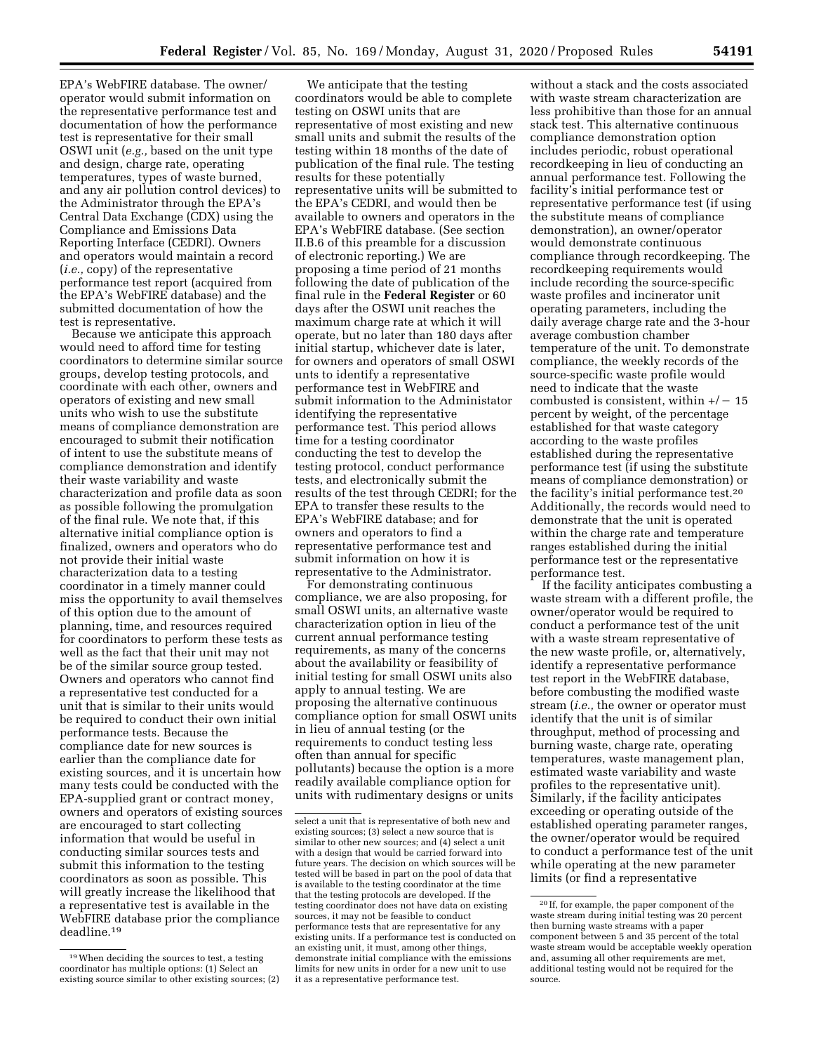EPA's WebFIRE database. The owner/ operator would submit information on the representative performance test and documentation of how the performance test is representative for their small OSWI unit (*e.g.,* based on the unit type and design, charge rate, operating temperatures, types of waste burned, and any air pollution control devices) to the Administrator through the EPA's Central Data Exchange (CDX) using the Compliance and Emissions Data Reporting Interface (CEDRI). Owners and operators would maintain a record (*i.e.,* copy) of the representative performance test report (acquired from the EPA's WebFIRE database) and the submitted documentation of how the test is representative.

Because we anticipate this approach would need to afford time for testing coordinators to determine similar source groups, develop testing protocols, and coordinate with each other, owners and operators of existing and new small units who wish to use the substitute means of compliance demonstration are encouraged to submit their notification of intent to use the substitute means of compliance demonstration and identify their waste variability and waste characterization and profile data as soon as possible following the promulgation of the final rule. We note that, if this alternative initial compliance option is finalized, owners and operators who do not provide their initial waste characterization data to a testing coordinator in a timely manner could miss the opportunity to avail themselves of this option due to the amount of planning, time, and resources required for coordinators to perform these tests as well as the fact that their unit may not be of the similar source group tested. Owners and operators who cannot find a representative test conducted for a unit that is similar to their units would be required to conduct their own initial performance tests. Because the compliance date for new sources is earlier than the compliance date for existing sources, and it is uncertain how many tests could be conducted with the EPA-supplied grant or contract money, owners and operators of existing sources are encouraged to start collecting information that would be useful in conducting similar sources tests and submit this information to the testing coordinators as soon as possible. This will greatly increase the likelihood that a representative test is available in the WebFIRE database prior the compliance deadline.19

We anticipate that the testing coordinators would be able to complete testing on OSWI units that are representative of most existing and new small units and submit the results of the testing within 18 months of the date of publication of the final rule. The testing results for these potentially representative units will be submitted to the EPA's CEDRI, and would then be available to owners and operators in the EPA's WebFIRE database. (See section II.B.6 of this preamble for a discussion of electronic reporting.) We are proposing a time period of 21 months following the date of publication of the final rule in the **Federal Register** or 60 days after the OSWI unit reaches the maximum charge rate at which it will operate, but no later than 180 days after initial startup, whichever date is later, for owners and operators of small OSWI unts to identify a representative performance test in WebFIRE and submit information to the Administator identifying the representative performance test. This period allows time for a testing coordinator conducting the test to develop the testing protocol, conduct performance tests, and electronically submit the results of the test through CEDRI; for the EPA to transfer these results to the EPA's WebFIRE database; and for owners and operators to find a representative performance test and submit information on how it is representative to the Administrator.

For demonstrating continuous compliance, we are also proposing, for small OSWI units, an alternative waste characterization option in lieu of the current annual performance testing requirements, as many of the concerns about the availability or feasibility of initial testing for small OSWI units also apply to annual testing. We are proposing the alternative continuous compliance option for small OSWI units in lieu of annual testing (or the requirements to conduct testing less often than annual for specific pollutants) because the option is a more readily available compliance option for units with rudimentary designs or units

without a stack and the costs associated with waste stream characterization are less prohibitive than those for an annual stack test. This alternative continuous compliance demonstration option includes periodic, robust operational recordkeeping in lieu of conducting an annual performance test. Following the facility's initial performance test or representative performance test (if using the substitute means of compliance demonstration), an owner/operator would demonstrate continuous compliance through recordkeeping. The recordkeeping requirements would include recording the source-specific waste profiles and incinerator unit operating parameters, including the daily average charge rate and the 3-hour average combustion chamber temperature of the unit. To demonstrate compliance, the weekly records of the source-specific waste profile would need to indicate that the waste combusted is consistent, within  $+/- 15$ percent by weight, of the percentage established for that waste category according to the waste profiles established during the representative performance test (if using the substitute means of compliance demonstration) or the facility's initial performance test.20 Additionally, the records would need to demonstrate that the unit is operated within the charge rate and temperature ranges established during the initial performance test or the representative performance test.

If the facility anticipates combusting a waste stream with a different profile, the owner/operator would be required to conduct a performance test of the unit with a waste stream representative of the new waste profile, or, alternatively, identify a representative performance test report in the WebFIRE database, before combusting the modified waste stream (*i.e.,* the owner or operator must identify that the unit is of similar throughput, method of processing and burning waste, charge rate, operating temperatures, waste management plan, estimated waste variability and waste profiles to the representative unit). Similarly, if the facility anticipates exceeding or operating outside of the established operating parameter ranges, the owner/operator would be required to conduct a performance test of the unit while operating at the new parameter limits (or find a representative

<sup>19</sup>When deciding the sources to test, a testing coordinator has multiple options: (1) Select an existing source similar to other existing sources; (2)

select a unit that is representative of both new and existing sources; (3) select a new source that is similar to other new sources; and (4) select a unit with a design that would be carried forward into future years. The decision on which sources will be tested will be based in part on the pool of data that is available to the testing coordinator at the time that the testing protocols are developed. If the testing coordinator does not have data on existing sources, it may not be feasible to conduct performance tests that are representative for any existing units. If a performance test is conducted on an existing unit, it must, among other things, demonstrate initial compliance with the emissions limits for new units in order for a new unit to use it as a representative performance test.

<sup>20</sup> If, for example, the paper component of the waste stream during initial testing was 20 percent then burning waste streams with a paper component between 5 and 35 percent of the total waste stream would be acceptable weekly operation and, assuming all other requirements are met, additional testing would not be required for the source.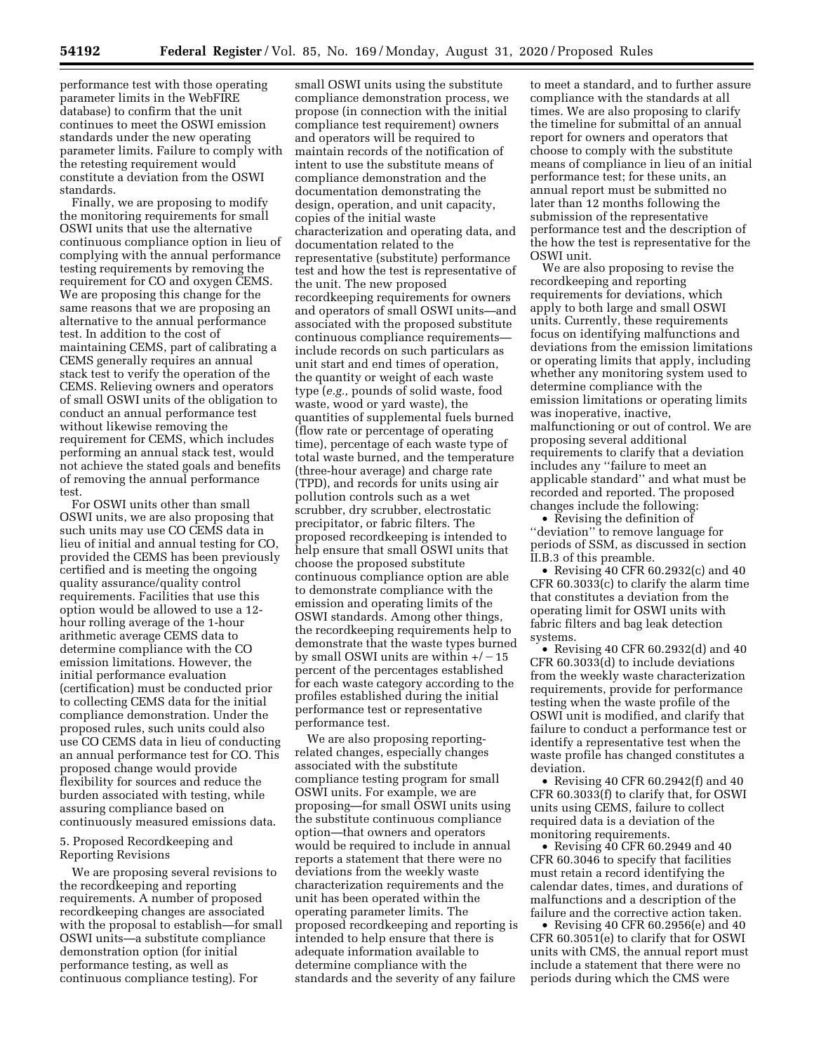performance test with those operating parameter limits in the WebFIRE database) to confirm that the unit continues to meet the OSWI emission standards under the new operating parameter limits. Failure to comply with the retesting requirement would constitute a deviation from the OSWI standards.

Finally, we are proposing to modify the monitoring requirements for small OSWI units that use the alternative continuous compliance option in lieu of complying with the annual performance testing requirements by removing the requirement for CO and oxygen CEMS. We are proposing this change for the same reasons that we are proposing an alternative to the annual performance test. In addition to the cost of maintaining CEMS, part of calibrating a CEMS generally requires an annual stack test to verify the operation of the CEMS. Relieving owners and operators of small OSWI units of the obligation to conduct an annual performance test without likewise removing the requirement for CEMS, which includes performing an annual stack test, would not achieve the stated goals and benefits of removing the annual performance test.

For OSWI units other than small OSWI units, we are also proposing that such units may use CO CEMS data in lieu of initial and annual testing for CO, provided the CEMS has been previously certified and is meeting the ongoing quality assurance/quality control requirements. Facilities that use this option would be allowed to use a 12 hour rolling average of the 1-hour arithmetic average CEMS data to determine compliance with the CO emission limitations. However, the initial performance evaluation (certification) must be conducted prior to collecting CEMS data for the initial compliance demonstration. Under the proposed rules, such units could also use CO CEMS data in lieu of conducting an annual performance test for CO. This proposed change would provide flexibility for sources and reduce the burden associated with testing, while assuring compliance based on continuously measured emissions data.

## 5. Proposed Recordkeeping and Reporting Revisions

We are proposing several revisions to the recordkeeping and reporting requirements. A number of proposed recordkeeping changes are associated with the proposal to establish—for small OSWI units—a substitute compliance demonstration option (for initial performance testing, as well as continuous compliance testing). For

small OSWI units using the substitute compliance demonstration process, we propose (in connection with the initial compliance test requirement) owners and operators will be required to maintain records of the notification of intent to use the substitute means of compliance demonstration and the documentation demonstrating the design, operation, and unit capacity, copies of the initial waste characterization and operating data, and documentation related to the representative (substitute) performance test and how the test is representative of the unit. The new proposed recordkeeping requirements for owners and operators of small OSWI units—and associated with the proposed substitute continuous compliance requirements include records on such particulars as unit start and end times of operation, the quantity or weight of each waste type (*e.g.,* pounds of solid waste, food waste, wood or yard waste), the quantities of supplemental fuels burned (flow rate or percentage of operating time), percentage of each waste type of total waste burned, and the temperature (three-hour average) and charge rate (TPD), and records for units using air pollution controls such as a wet scrubber, dry scrubber, electrostatic precipitator, or fabric filters. The proposed recordkeeping is intended to help ensure that small OSWI units that choose the proposed substitute continuous compliance option are able to demonstrate compliance with the emission and operating limits of the OSWI standards. Among other things, the recordkeeping requirements help to demonstrate that the waste types burned by small OSWI units are within  $+/-15$ percent of the percentages established for each waste category according to the profiles established during the initial performance test or representative performance test.

We are also proposing reportingrelated changes, especially changes associated with the substitute compliance testing program for small OSWI units. For example, we are proposing—for small OSWI units using the substitute continuous compliance option—that owners and operators would be required to include in annual reports a statement that there were no deviations from the weekly waste characterization requirements and the unit has been operated within the operating parameter limits. The proposed recordkeeping and reporting is intended to help ensure that there is adequate information available to determine compliance with the standards and the severity of any failure

to meet a standard, and to further assure compliance with the standards at all times. We are also proposing to clarify the timeline for submittal of an annual report for owners and operators that choose to comply with the substitute means of compliance in lieu of an initial performance test; for these units, an annual report must be submitted no later than 12 months following the submission of the representative performance test and the description of the how the test is representative for the OSWI unit.

We are also proposing to revise the recordkeeping and reporting requirements for deviations, which apply to both large and small OSWI units. Currently, these requirements focus on identifying malfunctions and deviations from the emission limitations or operating limits that apply, including whether any monitoring system used to determine compliance with the emission limitations or operating limits was inoperative, inactive, malfunctioning or out of control. We are proposing several additional requirements to clarify that a deviation includes any ''failure to meet an applicable standard'' and what must be recorded and reported. The proposed changes include the following:

• Revising the definition of ''deviation'' to remove language for periods of SSM, as discussed in section II.B.3 of this preamble.

• Revising 40 CFR 60.2932(c) and 40 CFR 60.3033(c) to clarify the alarm time that constitutes a deviation from the operating limit for OSWI units with fabric filters and bag leak detection systems.

• Revising 40 CFR 60.2932(d) and 40 CFR 60.3033(d) to include deviations from the weekly waste characterization requirements, provide for performance testing when the waste profile of the OSWI unit is modified, and clarify that failure to conduct a performance test or identify a representative test when the waste profile has changed constitutes a deviation.

• Revising 40 CFR 60.2942(f) and 40 CFR 60.3033(f) to clarify that, for OSWI units using CEMS, failure to collect required data is a deviation of the monitoring requirements.

• Revising 40 CFR 60.2949 and 40 CFR 60.3046 to specify that facilities must retain a record identifying the calendar dates, times, and durations of malfunctions and a description of the failure and the corrective action taken.

• Revising 40 CFR 60.2956(e) and 40 CFR 60.3051(e) to clarify that for OSWI units with CMS, the annual report must include a statement that there were no periods during which the CMS were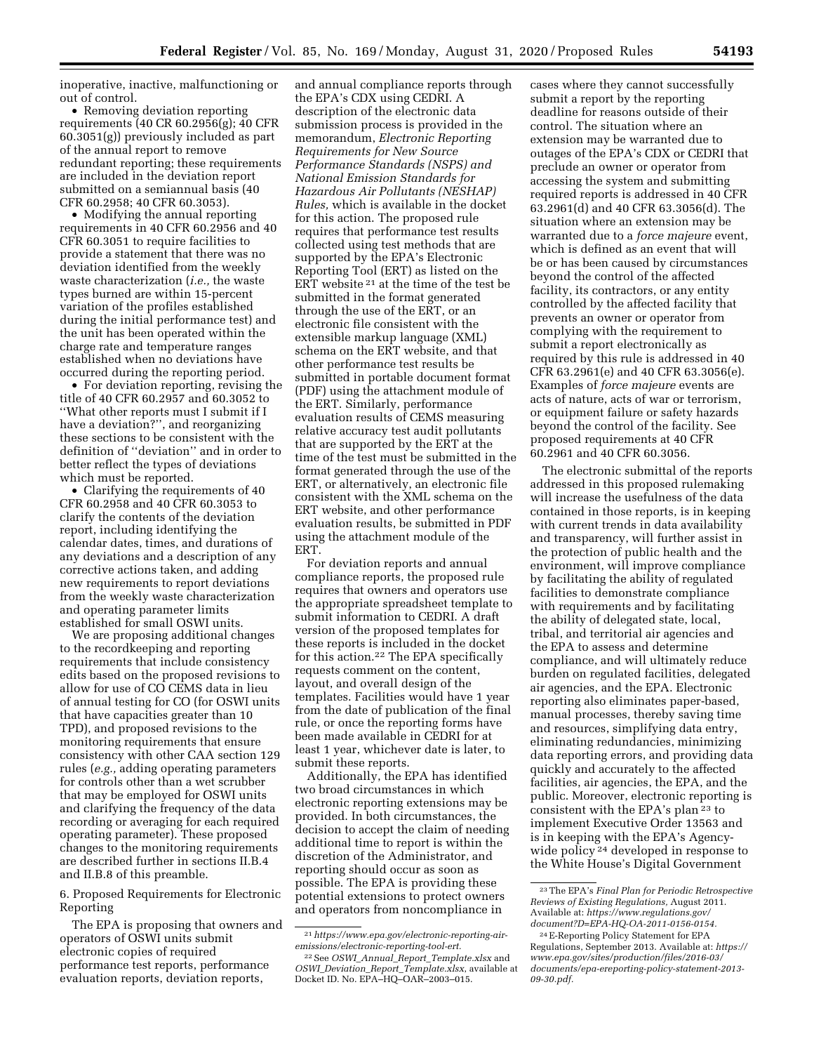inoperative, inactive, malfunctioning or out of control.

• Removing deviation reporting requirements (40 CR 60.2956(g); 40 CFR 60.3051(g)) previously included as part of the annual report to remove redundant reporting; these requirements are included in the deviation report submitted on a semiannual basis (40 CFR 60.2958; 40 CFR 60.3053).

• Modifying the annual reporting requirements in 40 CFR 60.2956 and 40 CFR 60.3051 to require facilities to provide a statement that there was no deviation identified from the weekly waste characterization (*i.e.,* the waste types burned are within 15-percent variation of the profiles established during the initial performance test) and the unit has been operated within the charge rate and temperature ranges established when no deviations have occurred during the reporting period.

• For deviation reporting, revising the title of 40 CFR 60.2957 and 60.3052 to ''What other reports must I submit if I have a deviation?'', and reorganizing these sections to be consistent with the definition of ''deviation'' and in order to better reflect the types of deviations which must be reported.

• Clarifying the requirements of 40 CFR 60.2958 and 40 CFR 60.3053 to clarify the contents of the deviation report, including identifying the calendar dates, times, and durations of any deviations and a description of any corrective actions taken, and adding new requirements to report deviations from the weekly waste characterization and operating parameter limits established for small OSWI units.

We are proposing additional changes to the recordkeeping and reporting requirements that include consistency edits based on the proposed revisions to allow for use of CO CEMS data in lieu of annual testing for CO (for OSWI units that have capacities greater than 10 TPD), and proposed revisions to the monitoring requirements that ensure consistency with other CAA section 129 rules (*e.g.,* adding operating parameters for controls other than a wet scrubber that may be employed for OSWI units and clarifying the frequency of the data recording or averaging for each required operating parameter). These proposed changes to the monitoring requirements are described further in sections II.B.4 and II.B.8 of this preamble.

6. Proposed Requirements for Electronic Reporting

The EPA is proposing that owners and operators of OSWI units submit electronic copies of required performance test reports, performance evaluation reports, deviation reports,

and annual compliance reports through the EPA's CDX using CEDRI. A description of the electronic data submission process is provided in the memorandum, *Electronic Reporting Requirements for New Source Performance Standards (NSPS) and National Emission Standards for Hazardous Air Pollutants (NESHAP) Rules,* which is available in the docket for this action. The proposed rule requires that performance test results collected using test methods that are supported by the EPA's Electronic Reporting Tool (ERT) as listed on the ERT website  $21$  at the time of the test be submitted in the format generated through the use of the ERT, or an electronic file consistent with the extensible markup language (XML) schema on the ERT website, and that other performance test results be submitted in portable document format (PDF) using the attachment module of the ERT. Similarly, performance evaluation results of CEMS measuring relative accuracy test audit pollutants that are supported by the ERT at the time of the test must be submitted in the format generated through the use of the ERT, or alternatively, an electronic file consistent with the XML schema on the ERT website, and other performance evaluation results, be submitted in PDF using the attachment module of the ERT.

For deviation reports and annual compliance reports, the proposed rule requires that owners and operators use the appropriate spreadsheet template to submit information to CEDRI. A draft version of the proposed templates for these reports is included in the docket for this action.22 The EPA specifically requests comment on the content, layout, and overall design of the templates. Facilities would have 1 year from the date of publication of the final rule, or once the reporting forms have been made available in CEDRI for at least 1 year, whichever date is later, to submit these reports.

Additionally, the EPA has identified two broad circumstances in which electronic reporting extensions may be provided. In both circumstances, the decision to accept the claim of needing additional time to report is within the discretion of the Administrator, and reporting should occur as soon as possible. The EPA is providing these potential extensions to protect owners and operators from noncompliance in

cases where they cannot successfully submit a report by the reporting deadline for reasons outside of their control. The situation where an extension may be warranted due to outages of the EPA's CDX or CEDRI that preclude an owner or operator from accessing the system and submitting required reports is addressed in 40 CFR 63.2961(d) and 40 CFR 63.3056(d). The situation where an extension may be warranted due to a *force majeure* event, which is defined as an event that will be or has been caused by circumstances beyond the control of the affected facility, its contractors, or any entity controlled by the affected facility that prevents an owner or operator from complying with the requirement to submit a report electronically as required by this rule is addressed in 40 CFR 63.2961(e) and 40 CFR 63.3056(e). Examples of *force majeure* events are acts of nature, acts of war or terrorism, or equipment failure or safety hazards beyond the control of the facility. See proposed requirements at 40 CFR 60.2961 and 40 CFR 60.3056.

The electronic submittal of the reports addressed in this proposed rulemaking will increase the usefulness of the data contained in those reports, is in keeping with current trends in data availability and transparency, will further assist in the protection of public health and the environment, will improve compliance by facilitating the ability of regulated facilities to demonstrate compliance with requirements and by facilitating the ability of delegated state, local, tribal, and territorial air agencies and the EPA to assess and determine compliance, and will ultimately reduce burden on regulated facilities, delegated air agencies, and the EPA. Electronic reporting also eliminates paper-based, manual processes, thereby saving time and resources, simplifying data entry, eliminating redundancies, minimizing data reporting errors, and providing data quickly and accurately to the affected facilities, air agencies, the EPA, and the public. Moreover, electronic reporting is consistent with the EPA's plan 23 to implement Executive Order 13563 and is in keeping with the EPA's Agencywide policy 24 developed in response to the White House's Digital Government

<sup>21</sup>*[https://www.epa.gov/electronic-reporting-air](https://www.epa.gov/electronic-reporting-air-emissions/electronic-reporting-tool-ert)[emissions/electronic-reporting-tool-ert.](https://www.epa.gov/electronic-reporting-air-emissions/electronic-reporting-tool-ert)* 

<sup>22</sup>See *OSWI*\_*Annual*\_*Report*\_*Template.xlsx* and *OSWI*\_*Deviation*\_*Report*\_*Template.xlsx*, available at Docket ID. No. EPA–HQ–OAR–2003–015.

<sup>23</sup>The EPA's *Final Plan for Periodic Retrospective Reviews of Existing Regulations,* August 2011. Available at: *[https://www.regulations.gov/](https://www.regulations.gov/document?D=EPA-HQ-OA-2011-0156-0154)  [document?D=EPA-HQ-OA-2011-0156-0154.](https://www.regulations.gov/document?D=EPA-HQ-OA-2011-0156-0154)* 

<sup>24</sup>E-Reporting Policy Statement for EPA Regulations, September 2013. Available at: *[https://](https://www.epa.gov/sites/production/files/2016-03/documents/epa-ereporting-policy-statement-2013-09-30.pdf) [www.epa.gov/sites/production/files/2016-03/](https://www.epa.gov/sites/production/files/2016-03/documents/epa-ereporting-policy-statement-2013-09-30.pdf) [documents/epa-ereporting-policy-statement-2013-](https://www.epa.gov/sites/production/files/2016-03/documents/epa-ereporting-policy-statement-2013-09-30.pdf) [09-30.pdf.](https://www.epa.gov/sites/production/files/2016-03/documents/epa-ereporting-policy-statement-2013-09-30.pdf)*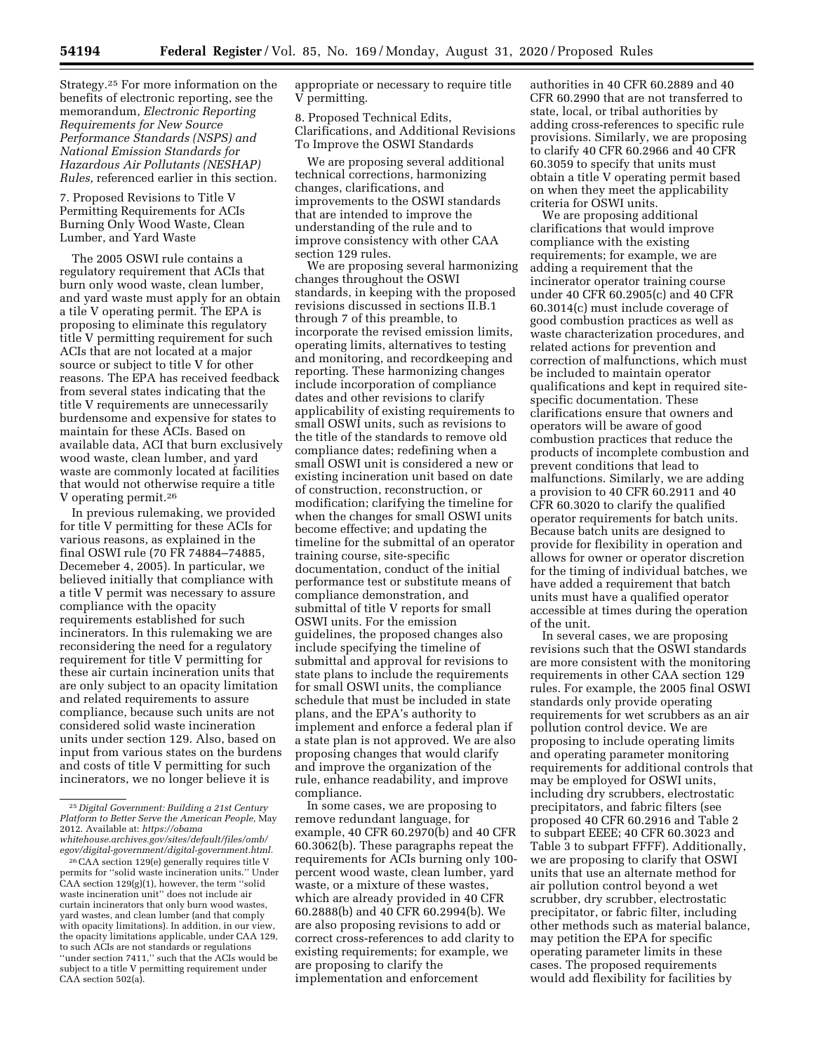Strategy.25 For more information on the benefits of electronic reporting, see the memorandum, *Electronic Reporting Requirements for New Source Performance Standards (NSPS) and National Emission Standards for Hazardous Air Pollutants (NESHAP) Rules,* referenced earlier in this section.

7. Proposed Revisions to Title V Permitting Requirements for ACIs Burning Only Wood Waste, Clean Lumber, and Yard Waste

The 2005 OSWI rule contains a regulatory requirement that ACIs that burn only wood waste, clean lumber, and yard waste must apply for an obtain a tile V operating permit. The EPA is proposing to eliminate this regulatory title V permitting requirement for such ACIs that are not located at a major source or subject to title V for other reasons. The EPA has received feedback from several states indicating that the title V requirements are unnecessarily burdensome and expensive for states to maintain for these ACIs. Based on available data, ACI that burn exclusively wood waste, clean lumber, and yard waste are commonly located at facilities that would not otherwise require a title V operating permit.26

In previous rulemaking, we provided for title V permitting for these ACIs for various reasons, as explained in the final OSWI rule (70 FR 74884–74885, Decemeber 4, 2005). In particular, we believed initially that compliance with a title V permit was necessary to assure compliance with the opacity requirements established for such incinerators. In this rulemaking we are reconsidering the need for a regulatory requirement for title V permitting for these air curtain incineration units that are only subject to an opacity limitation and related requirements to assure compliance, because such units are not considered solid waste incineration units under section 129. Also, based on input from various states on the burdens and costs of title V permitting for such incinerators, we no longer believe it is

appropriate or necessary to require title V permitting.

8. Proposed Technical Edits, Clarifications, and Additional Revisions To Improve the OSWI Standards

We are proposing several additional technical corrections, harmonizing changes, clarifications, and improvements to the OSWI standards that are intended to improve the understanding of the rule and to improve consistency with other CAA section 129 rules.

We are proposing several harmonizing changes throughout the OSWI standards, in keeping with the proposed revisions discussed in sections II.B.1 through 7 of this preamble, to incorporate the revised emission limits, operating limits, alternatives to testing and monitoring, and recordkeeping and reporting. These harmonizing changes include incorporation of compliance dates and other revisions to clarify applicability of existing requirements to small OSWI units, such as revisions to the title of the standards to remove old compliance dates; redefining when a small OSWI unit is considered a new or existing incineration unit based on date of construction, reconstruction, or modification; clarifying the timeline for when the changes for small OSWI units become effective; and updating the timeline for the submittal of an operator training course, site-specific documentation, conduct of the initial performance test or substitute means of compliance demonstration, and submittal of title V reports for small OSWI units. For the emission guidelines, the proposed changes also include specifying the timeline of submittal and approval for revisions to state plans to include the requirements for small OSWI units, the compliance schedule that must be included in state plans, and the EPA's authority to implement and enforce a federal plan if a state plan is not approved. We are also proposing changes that would clarify and improve the organization of the rule, enhance readability, and improve compliance.

In some cases, we are proposing to remove redundant language, for example, 40 CFR 60.2970(b) and 40 CFR 60.3062(b). These paragraphs repeat the requirements for ACIs burning only 100 percent wood waste, clean lumber, yard waste, or a mixture of these wastes, which are already provided in 40 CFR 60.2888(b) and 40 CFR 60.2994(b). We are also proposing revisions to add or correct cross-references to add clarity to existing requirements; for example, we are proposing to clarify the implementation and enforcement

authorities in 40 CFR 60.2889 and 40 CFR 60.2990 that are not transferred to state, local, or tribal authorities by adding cross-references to specific rule provisions. Similarly, we are proposing to clarify 40 CFR 60.2966 and 40 CFR 60.3059 to specify that units must obtain a title V operating permit based on when they meet the applicability criteria for OSWI units.

We are proposing additional clarifications that would improve compliance with the existing requirements; for example, we are adding a requirement that the incinerator operator training course under 40 CFR 60.2905(c) and 40 CFR 60.3014(c) must include coverage of good combustion practices as well as waste characterization procedures, and related actions for prevention and correction of malfunctions, which must be included to maintain operator qualifications and kept in required sitespecific documentation. These clarifications ensure that owners and operators will be aware of good combustion practices that reduce the products of incomplete combustion and prevent conditions that lead to malfunctions. Similarly, we are adding a provision to 40 CFR 60.2911 and 40 CFR 60.3020 to clarify the qualified operator requirements for batch units. Because batch units are designed to provide for flexibility in operation and allows for owner or operator discretion for the timing of individual batches, we have added a requirement that batch units must have a qualified operator accessible at times during the operation of the unit.

In several cases, we are proposing revisions such that the OSWI standards are more consistent with the monitoring requirements in other CAA section 129 rules. For example, the 2005 final OSWI standards only provide operating requirements for wet scrubbers as an air pollution control device. We are proposing to include operating limits and operating parameter monitoring requirements for additional controls that may be employed for OSWI units, including dry scrubbers, electrostatic precipitators, and fabric filters (see proposed 40 CFR 60.2916 and Table 2 to subpart EEEE; 40 CFR 60.3023 and Table 3 to subpart FFFF). Additionally, we are proposing to clarify that OSWI units that use an alternate method for air pollution control beyond a wet scrubber, dry scrubber, electrostatic precipitator, or fabric filter, including other methods such as material balance, may petition the EPA for specific operating parameter limits in these cases. The proposed requirements would add flexibility for facilities by

<sup>25</sup> *Digital Government: Building a 21st Century Platform to Better Serve the American People,* May 2012. Available at: *[https://obama](https://obamawhitehouse.archives.gov/sites/default/files/omb/egov/digital-government/digital-government.html) [whitehouse.archives.gov/sites/default/files/omb/](https://obamawhitehouse.archives.gov/sites/default/files/omb/egov/digital-government/digital-government.html) [egov/digital-government/digital-government.html.](https://obamawhitehouse.archives.gov/sites/default/files/omb/egov/digital-government/digital-government.html)* 

<sup>26</sup>CAA section 129(e) generally requires title V permits for ''solid waste incineration units.'' Under CAA section 129(g)(1), however, the term ''solid waste incineration unit'' does not include air curtain incinerators that only burn wood wastes, yard wastes, and clean lumber (and that comply with opacity limitations). In addition, in our view, the opacity limitations applicable, under CAA 129, to such ACIs are not standards or regulations ''under section 7411,'' such that the ACIs would be subject to a title V permitting requirement under CAA section 502(a).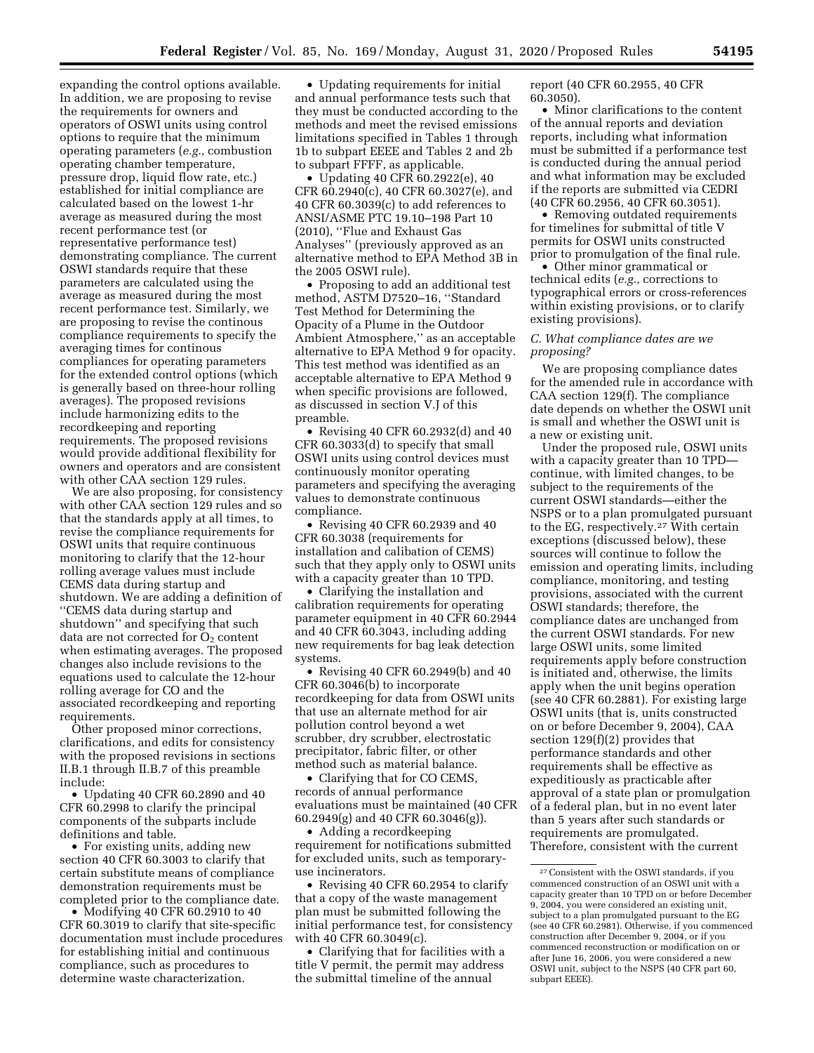expanding the control options available. In addition, we are proposing to revise the requirements for owners and operators of OSWI units using control options to require that the minimum operating parameters (*e.g.,* combustion operating chamber temperature, pressure drop, liquid flow rate, etc.) established for initial compliance are calculated based on the lowest 1-hr average as measured during the most recent performance test (or representative performance test) demonstrating compliance. The current OSWI standards require that these parameters are calculated using the average as measured during the most recent performance test. Similarly, we are proposing to revise the continous compliance requirements to specify the averaging times for continous compliances for operating parameters for the extended control options (which is generally based on three-hour rolling averages). The proposed revisions include harmonizing edits to the recordkeeping and reporting requirements. The proposed revisions would provide additional flexibility for owners and operators and are consistent with other CAA section 129 rules.

We are also proposing, for consistency with other CAA section 129 rules and so that the standards apply at all times, to revise the compliance requirements for OSWI units that require continuous monitoring to clarify that the 12-hour rolling average values must include CEMS data during startup and shutdown. We are adding a definition of ''CEMS data during startup and shutdown'' and specifying that such data are not corrected for  $O<sub>2</sub>$  content when estimating averages. The proposed changes also include revisions to the equations used to calculate the 12-hour rolling average for CO and the associated recordkeeping and reporting requirements.

Other proposed minor corrections, clarifications, and edits for consistency with the proposed revisions in sections II.B.1 through II.B.7 of this preamble include:

• Updating 40 CFR 60.2890 and 40 CFR 60.2998 to clarify the principal components of the subparts include definitions and table.

• For existing units, adding new section 40 CFR 60.3003 to clarify that certain substitute means of compliance demonstration requirements must be completed prior to the compliance date.

• Modifying 40 CFR 60.2910 to 40 CFR 60.3019 to clarify that site-specific documentation must include procedures for establishing initial and continuous compliance, such as procedures to determine waste characterization.

• Updating requirements for initial and annual performance tests such that they must be conducted according to the methods and meet the revised emissions limitations specified in Tables 1 through 1b to subpart EEEE and Tables 2 and 2b to subpart FFFF, as applicable.

• Updating 40 CFR 60.2922(e), 40 CFR 60.2940(c), 40 CFR 60.3027(e), and 40 CFR 60.3039(c) to add references to ANSI/ASME PTC 19.10–198 Part 10 (2010), ''Flue and Exhaust Gas Analyses'' (previously approved as an alternative method to EPA Method 3B in the 2005 OSWI rule).

• Proposing to add an additional test method, ASTM D7520–16, ''Standard Test Method for Determining the Opacity of a Plume in the Outdoor Ambient Atmosphere,'' as an acceptable alternative to EPA Method 9 for opacity. This test method was identified as an acceptable alternative to EPA Method 9 when specific provisions are followed, as discussed in section V.J of this preamble.

• Revising 40 CFR 60.2932(d) and 40 CFR 60.3033(d) to specify that small OSWI units using control devices must continuously monitor operating parameters and specifying the averaging values to demonstrate continuous compliance.

• Revising 40 CFR 60.2939 and 40 CFR 60.3038 (requirements for installation and calibation of CEMS) such that they apply only to OSWI units with a capacity greater than 10 TPD.

• Clarifying the installation and calibration requirements for operating parameter equipment in 40 CFR 60.2944 and 40 CFR 60.3043, including adding new requirements for bag leak detection systems.

• Revising 40 CFR 60.2949(b) and 40 CFR 60.3046(b) to incorporate recordkeeping for data from OSWI units that use an alternate method for air pollution control beyond a wet scrubber, dry scrubber, electrostatic precipitator, fabric filter, or other method such as material balance.

• Clarifying that for CO CEMS, records of annual performance evaluations must be maintained (40 CFR 60.2949(g) and 40 CFR 60.3046(g)).

• Adding a recordkeeping requirement for notifications submitted for excluded units, such as temporaryuse incinerators.

• Revising 40 CFR 60.2954 to clarify that a copy of the waste management plan must be submitted following the initial performance test, for consistency with 40 CFR 60.3049(c).

• Clarifying that for facilities with a title V permit, the permit may address the submittal timeline of the annual

report (40 CFR 60.2955, 40 CFR 60.3050).

• Minor clarifications to the content of the annual reports and deviation reports, including what information must be submitted if a performance test is conducted during the annual period and what information may be excluded if the reports are submitted via CEDRI (40 CFR 60.2956, 40 CFR 60.3051).

• Removing outdated requirements for timelines for submittal of title V permits for OSWI units constructed prior to promulgation of the final rule.

• Other minor grammatical or technical edits (*e.g.,* corrections to typographical errors or cross-references within existing provisions, or to clarify existing provisions).

#### *C. What compliance dates are we proposing?*

We are proposing compliance dates for the amended rule in accordance with CAA section 129(f). The compliance date depends on whether the OSWI unit is small and whether the OSWI unit is a new or existing unit.

Under the proposed rule, OSWI units with a capacity greater than 10 TPD continue, with limited changes, to be subject to the requirements of the current OSWI standards—either the NSPS or to a plan promulgated pursuant to the EG, respectively.27 With certain exceptions (discussed below), these sources will continue to follow the emission and operating limits, including compliance, monitoring, and testing provisions, associated with the current OSWI standards; therefore, the compliance dates are unchanged from the current OSWI standards. For new large OSWI units, some limited requirements apply before construction is initiated and, otherwise, the limits apply when the unit begins operation (see 40 CFR 60.2881). For existing large OSWI units (that is, units constructed on or before December 9, 2004), CAA section 129(f)(2) provides that performance standards and other requirements shall be effective as expeditiously as practicable after approval of a state plan or promulgation of a federal plan, but in no event later than 5 years after such standards or requirements are promulgated. Therefore, consistent with the current

<sup>27</sup>Consistent with the OSWI standards, if you commenced construction of an OSWI unit with a capacity greater than 10 TPD on or before December 9, 2004, you were considered an existing unit, subject to a plan promulgated pursuant to the EG (see 40 CFR 60.2981). Otherwise, if you commenced construction after December 9, 2004, or if you commenced reconstruction or modification on or after June 16, 2006, you were considered a new OSWI unit, subject to the NSPS (40 CFR part 60, subpart EEEE).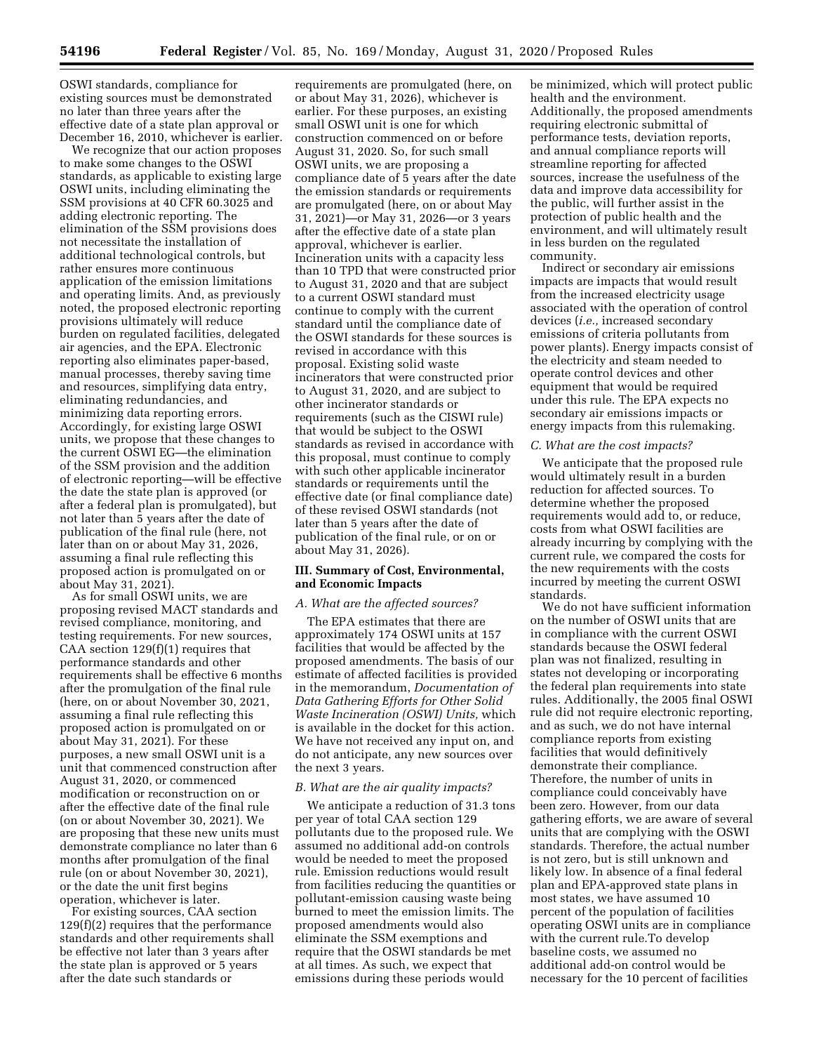OSWI standards, compliance for existing sources must be demonstrated no later than three years after the effective date of a state plan approval or December 16, 2010, whichever is earlier.

We recognize that our action proposes to make some changes to the OSWI standards, as applicable to existing large OSWI units, including eliminating the SSM provisions at 40 CFR 60.3025 and adding electronic reporting. The elimination of the SSM provisions does not necessitate the installation of additional technological controls, but rather ensures more continuous application of the emission limitations and operating limits. And, as previously noted, the proposed electronic reporting provisions ultimately will reduce burden on regulated facilities, delegated air agencies, and the EPA. Electronic reporting also eliminates paper-based, manual processes, thereby saving time and resources, simplifying data entry, eliminating redundancies, and minimizing data reporting errors. Accordingly, for existing large OSWI units, we propose that these changes to the current OSWI EG—the elimination of the SSM provision and the addition of electronic reporting—will be effective the date the state plan is approved (or after a federal plan is promulgated), but not later than 5 years after the date of publication of the final rule (here, not later than on or about May 31, 2026, assuming a final rule reflecting this proposed action is promulgated on or about May 31, 2021).

As for small OSWI units, we are proposing revised MACT standards and revised compliance, monitoring, and testing requirements. For new sources, CAA section  $129(f)(1)$  requires that performance standards and other requirements shall be effective 6 months after the promulgation of the final rule (here, on or about November 30, 2021, assuming a final rule reflecting this proposed action is promulgated on or about May 31, 2021). For these purposes, a new small OSWI unit is a unit that commenced construction after August 31, 2020, or commenced modification or reconstruction on or after the effective date of the final rule (on or about November 30, 2021). We are proposing that these new units must demonstrate compliance no later than 6 months after promulgation of the final rule (on or about November 30, 2021), or the date the unit first begins operation, whichever is later.

For existing sources, CAA section 129(f)(2) requires that the performance standards and other requirements shall be effective not later than 3 years after the state plan is approved or 5 years after the date such standards or

requirements are promulgated (here, on or about May 31, 2026), whichever is earlier. For these purposes, an existing small OSWI unit is one for which construction commenced on or before August 31, 2020. So, for such small OSWI units, we are proposing a compliance date of 5 years after the date the emission standards or requirements are promulgated (here, on or about May 31, 2021)—or May 31, 2026—or 3 years after the effective date of a state plan approval, whichever is earlier. Incineration units with a capacity less than 10 TPD that were constructed prior to August 31, 2020 and that are subject to a current OSWI standard must continue to comply with the current standard until the compliance date of the OSWI standards for these sources is revised in accordance with this proposal. Existing solid waste incinerators that were constructed prior to August 31, 2020, and are subject to other incinerator standards or requirements (such as the CISWI rule) that would be subject to the OSWI standards as revised in accordance with this proposal, must continue to comply with such other applicable incinerator standards or requirements until the effective date (or final compliance date) of these revised OSWI standards (not later than 5 years after the date of publication of the final rule, or on or about May 31, 2026).

#### **III. Summary of Cost, Environmental, and Economic Impacts**

### *A. What are the affected sources?*

The EPA estimates that there are approximately 174 OSWI units at 157 facilities that would be affected by the proposed amendments. The basis of our estimate of affected facilities is provided in the memorandum, *Documentation of Data Gathering Efforts for Other Solid Waste Incineration (OSWI) Units,* which is available in the docket for this action. We have not received any input on, and do not anticipate, any new sources over the next 3 years.

#### *B. What are the air quality impacts?*

We anticipate a reduction of 31.3 tons per year of total CAA section 129 pollutants due to the proposed rule. We assumed no additional add-on controls would be needed to meet the proposed rule. Emission reductions would result from facilities reducing the quantities or pollutant-emission causing waste being burned to meet the emission limits. The proposed amendments would also eliminate the SSM exemptions and require that the OSWI standards be met at all times. As such, we expect that emissions during these periods would

be minimized, which will protect public health and the environment. Additionally, the proposed amendments requiring electronic submittal of performance tests, deviation reports, and annual compliance reports will streamline reporting for affected sources, increase the usefulness of the data and improve data accessibility for the public, will further assist in the protection of public health and the environment, and will ultimately result in less burden on the regulated community.

Indirect or secondary air emissions impacts are impacts that would result from the increased electricity usage associated with the operation of control devices (*i.e.,* increased secondary emissions of criteria pollutants from power plants). Energy impacts consist of the electricity and steam needed to operate control devices and other equipment that would be required under this rule. The EPA expects no secondary air emissions impacts or energy impacts from this rulemaking.

## *C. What are the cost impacts?*

We anticipate that the proposed rule would ultimately result in a burden reduction for affected sources. To determine whether the proposed requirements would add to, or reduce, costs from what OSWI facilities are already incurring by complying with the current rule, we compared the costs for the new requirements with the costs incurred by meeting the current OSWI standards.

We do not have sufficient information on the number of OSWI units that are in compliance with the current OSWI standards because the OSWI federal plan was not finalized, resulting in states not developing or incorporating the federal plan requirements into state rules. Additionally, the 2005 final OSWI rule did not require electronic reporting, and as such, we do not have internal compliance reports from existing facilities that would definitively demonstrate their compliance. Therefore, the number of units in compliance could conceivably have been zero. However, from our data gathering efforts, we are aware of several units that are complying with the OSWI standards. Therefore, the actual number is not zero, but is still unknown and likely low. In absence of a final federal plan and EPA-approved state plans in most states, we have assumed 10 percent of the population of facilities operating OSWI units are in compliance with the current rule.To develop baseline costs, we assumed no additional add-on control would be necessary for the 10 percent of facilities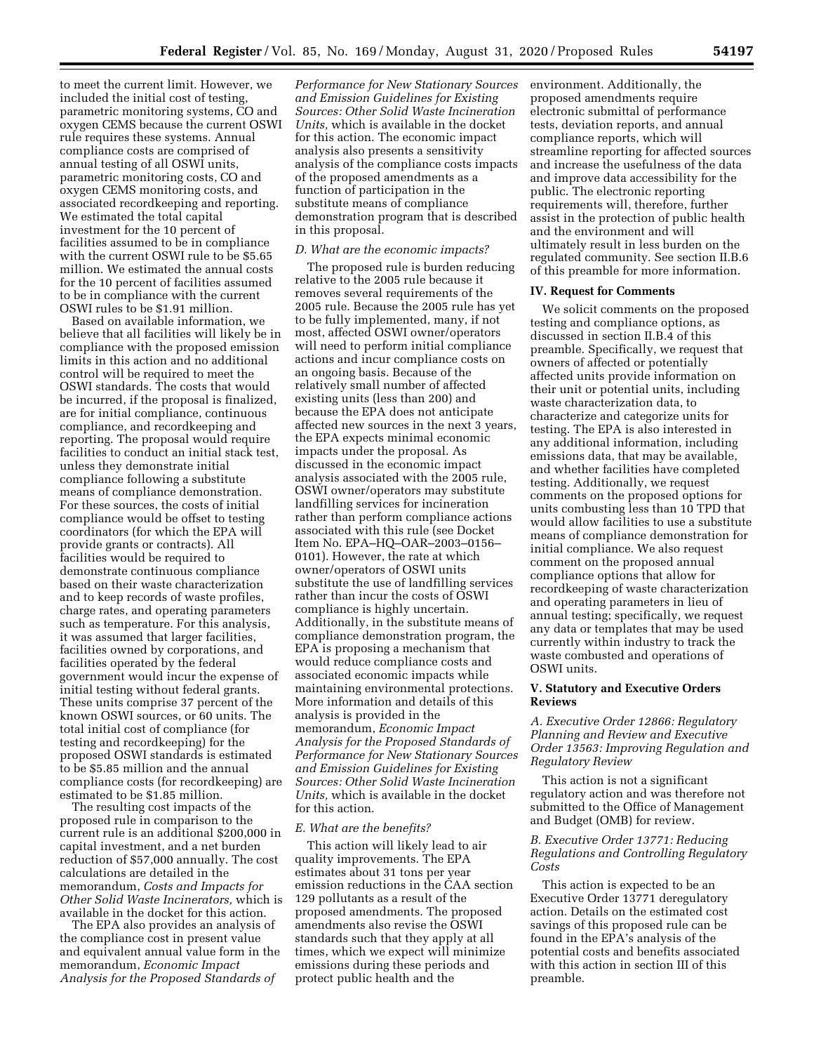to meet the current limit. However, we included the initial cost of testing, parametric monitoring systems, CO and oxygen CEMS because the current OSWI rule requires these systems. Annual compliance costs are comprised of annual testing of all OSWI units, parametric monitoring costs, CO and oxygen CEMS monitoring costs, and associated recordkeeping and reporting. We estimated the total capital investment for the 10 percent of facilities assumed to be in compliance with the current OSWI rule to be \$5.65 million. We estimated the annual costs for the 10 percent of facilities assumed to be in compliance with the current OSWI rules to be \$1.91 million.

Based on available information, we believe that all facilities will likely be in compliance with the proposed emission limits in this action and no additional control will be required to meet the OSWI standards. The costs that would be incurred, if the proposal is finalized, are for initial compliance, continuous compliance, and recordkeeping and reporting. The proposal would require facilities to conduct an initial stack test, unless they demonstrate initial compliance following a substitute means of compliance demonstration. For these sources, the costs of initial compliance would be offset to testing coordinators (for which the EPA will provide grants or contracts). All facilities would be required to demonstrate continuous compliance based on their waste characterization and to keep records of waste profiles, charge rates, and operating parameters such as temperature. For this analysis, it was assumed that larger facilities, facilities owned by corporations, and facilities operated by the federal government would incur the expense of initial testing without federal grants. These units comprise 37 percent of the known OSWI sources, or 60 units. The total initial cost of compliance (for testing and recordkeeping) for the proposed OSWI standards is estimated to be \$5.85 million and the annual compliance costs (for recordkeeping) are estimated to be \$1.85 million.

The resulting cost impacts of the proposed rule in comparison to the current rule is an additional \$200,000 in capital investment, and a net burden reduction of \$57,000 annually. The cost calculations are detailed in the memorandum, *Costs and Impacts for Other Solid Waste Incinerators,* which is available in the docket for this action.

The EPA also provides an analysis of the compliance cost in present value and equivalent annual value form in the memorandum, *Economic Impact Analysis for the Proposed Standards of* 

*Performance for New Stationary Sources and Emission Guidelines for Existing Sources: Other Solid Waste Incineration Units,* which is available in the docket for this action. The economic impact analysis also presents a sensitivity analysis of the compliance costs impacts of the proposed amendments as a function of participation in the substitute means of compliance demonstration program that is described in this proposal.

## *D. What are the economic impacts?*

The proposed rule is burden reducing relative to the 2005 rule because it removes several requirements of the 2005 rule. Because the 2005 rule has yet to be fully implemented, many, if not most, affected OSWI owner/operators will need to perform initial compliance actions and incur compliance costs on an ongoing basis. Because of the relatively small number of affected existing units (less than 200) and because the EPA does not anticipate affected new sources in the next 3 years, the EPA expects minimal economic impacts under the proposal. As discussed in the economic impact analysis associated with the 2005 rule, OSWI owner/operators may substitute landfilling services for incineration rather than perform compliance actions associated with this rule (see Docket Item No. EPA–HQ–OAR–2003–0156– 0101). However, the rate at which owner/operators of OSWI units substitute the use of landfilling services rather than incur the costs of OSWI compliance is highly uncertain. Additionally, in the substitute means of compliance demonstration program, the EPA is proposing a mechanism that would reduce compliance costs and associated economic impacts while maintaining environmental protections. More information and details of this analysis is provided in the memorandum, *Economic Impact Analysis for the Proposed Standards of Performance for New Stationary Sources and Emission Guidelines for Existing Sources: Other Solid Waste Incineration Units,* which is available in the docket for this action.

#### *E. What are the benefits?*

This action will likely lead to air quality improvements. The EPA estimates about 31 tons per year emission reductions in the CAA section 129 pollutants as a result of the proposed amendments. The proposed amendments also revise the OSWI standards such that they apply at all times, which we expect will minimize emissions during these periods and protect public health and the

environment. Additionally, the proposed amendments require electronic submittal of performance tests, deviation reports, and annual compliance reports, which will streamline reporting for affected sources and increase the usefulness of the data and improve data accessibility for the public. The electronic reporting requirements will, therefore, further assist in the protection of public health and the environment and will ultimately result in less burden on the regulated community. See section II.B.6 of this preamble for more information.

#### **IV. Request for Comments**

We solicit comments on the proposed testing and compliance options, as discussed in section II.B.4 of this preamble. Specifically, we request that owners of affected or potentially affected units provide information on their unit or potential units, including waste characterization data, to characterize and categorize units for testing. The EPA is also interested in any additional information, including emissions data, that may be available, and whether facilities have completed testing. Additionally, we request comments on the proposed options for units combusting less than 10 TPD that would allow facilities to use a substitute means of compliance demonstration for initial compliance. We also request comment on the proposed annual compliance options that allow for recordkeeping of waste characterization and operating parameters in lieu of annual testing; specifically, we request any data or templates that may be used currently within industry to track the waste combusted and operations of OSWI units.

## **V. Statutory and Executive Orders Reviews**

*A. Executive Order 12866: Regulatory Planning and Review and Executive Order 13563: Improving Regulation and Regulatory Review* 

This action is not a significant regulatory action and was therefore not submitted to the Office of Management and Budget (OMB) for review.

## *B. Executive Order 13771: Reducing Regulations and Controlling Regulatory Costs*

This action is expected to be an Executive Order 13771 deregulatory action. Details on the estimated cost savings of this proposed rule can be found in the EPA's analysis of the potential costs and benefits associated with this action in section III of this preamble.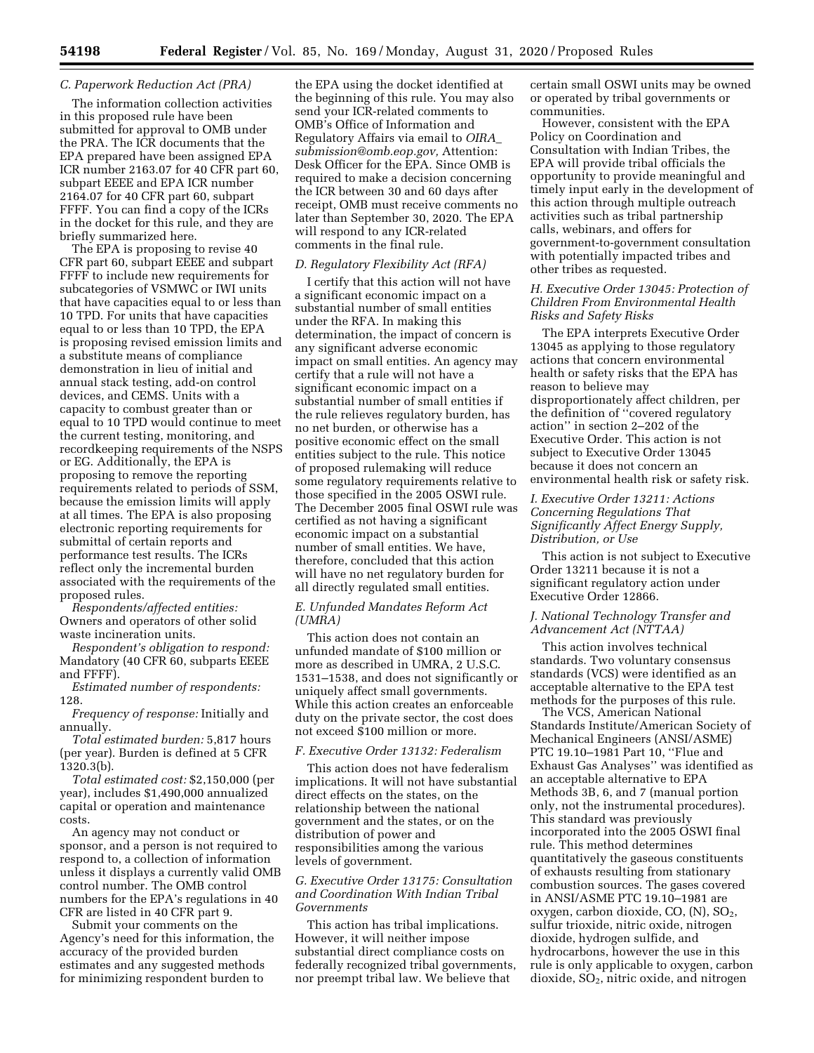## *C. Paperwork Reduction Act (PRA)*

The information collection activities in this proposed rule have been submitted for approval to OMB under the PRA. The ICR documents that the EPA prepared have been assigned EPA ICR number 2163.07 for 40 CFR part 60, subpart EEEE and EPA ICR number 2164.07 for 40 CFR part 60, subpart FFFF. You can find a copy of the ICRs in the docket for this rule, and they are briefly summarized here.

The EPA is proposing to revise 40 CFR part 60, subpart EEEE and subpart FFFF to include new requirements for subcategories of VSMWC or IWI units that have capacities equal to or less than 10 TPD. For units that have capacities equal to or less than 10 TPD, the EPA is proposing revised emission limits and a substitute means of compliance demonstration in lieu of initial and annual stack testing, add-on control devices, and CEMS. Units with a capacity to combust greater than or equal to 10 TPD would continue to meet the current testing, monitoring, and recordkeeping requirements of the NSPS or EG. Additionally, the EPA is proposing to remove the reporting requirements related to periods of SSM, because the emission limits will apply at all times. The EPA is also proposing electronic reporting requirements for submittal of certain reports and performance test results. The ICRs reflect only the incremental burden associated with the requirements of the proposed rules.

*Respondents/affected entities:*  Owners and operators of other solid waste incineration units.

*Respondent's obligation to respond:*  Mandatory (40 CFR 60, subparts EEEE and FFFF).

*Estimated number of respondents:*  128.

*Frequency of response:* Initially and annually.

*Total estimated burden:* 5,817 hours (per year). Burden is defined at 5 CFR 1320.3(b).

*Total estimated cost:* \$2,150,000 (per year), includes \$1,490,000 annualized capital or operation and maintenance costs.

An agency may not conduct or sponsor, and a person is not required to respond to, a collection of information unless it displays a currently valid OMB control number. The OMB control numbers for the EPA's regulations in 40 CFR are listed in 40 CFR part 9.

Submit your comments on the Agency's need for this information, the accuracy of the provided burden estimates and any suggested methods for minimizing respondent burden to

the EPA using the docket identified at the beginning of this rule. You may also send your ICR-related comments to OMB's Office of Information and Regulatory Affairs via email to *[OIRA](mailto:OIRA_submission@omb.eop.gov)*\_ *[submission@omb.eop.gov,](mailto:OIRA_submission@omb.eop.gov)* Attention: Desk Officer for the EPA. Since OMB is required to make a decision concerning the ICR between 30 and 60 days after receipt, OMB must receive comments no later than September 30, 2020. The EPA will respond to any ICR-related comments in the final rule.

#### *D. Regulatory Flexibility Act (RFA)*

I certify that this action will not have a significant economic impact on a substantial number of small entities under the RFA. In making this determination, the impact of concern is any significant adverse economic impact on small entities. An agency may certify that a rule will not have a significant economic impact on a substantial number of small entities if the rule relieves regulatory burden, has no net burden, or otherwise has a positive economic effect on the small entities subject to the rule. This notice of proposed rulemaking will reduce some regulatory requirements relative to those specified in the 2005 OSWI rule. The December 2005 final OSWI rule was certified as not having a significant economic impact on a substantial number of small entities. We have, therefore, concluded that this action will have no net regulatory burden for all directly regulated small entities.

## *E. Unfunded Mandates Reform Act (UMRA)*

This action does not contain an unfunded mandate of \$100 million or more as described in UMRA, 2 U.S.C. 1531–1538, and does not significantly or uniquely affect small governments. While this action creates an enforceable duty on the private sector, the cost does not exceed \$100 million or more.

## *F. Executive Order 13132: Federalism*

This action does not have federalism implications. It will not have substantial direct effects on the states, on the relationship between the national government and the states, or on the distribution of power and responsibilities among the various levels of government.

## *G. Executive Order 13175: Consultation and Coordination With Indian Tribal Governments*

This action has tribal implications. However, it will neither impose substantial direct compliance costs on federally recognized tribal governments, nor preempt tribal law. We believe that

certain small OSWI units may be owned or operated by tribal governments or communities.

However, consistent with the EPA Policy on Coordination and Consultation with Indian Tribes, the EPA will provide tribal officials the opportunity to provide meaningful and timely input early in the development of this action through multiple outreach activities such as tribal partnership calls, webinars, and offers for government-to-government consultation with potentially impacted tribes and other tribes as requested.

## *H. Executive Order 13045: Protection of Children From Environmental Health Risks and Safety Risks*

The EPA interprets Executive Order 13045 as applying to those regulatory actions that concern environmental health or safety risks that the EPA has reason to believe may disproportionately affect children, per the definition of ''covered regulatory action'' in section 2–202 of the Executive Order. This action is not subject to Executive Order 13045 because it does not concern an environmental health risk or safety risk.

## *I. Executive Order 13211: Actions Concerning Regulations That Significantly Affect Energy Supply, Distribution, or Use*

This action is not subject to Executive Order 13211 because it is not a significant regulatory action under Executive Order 12866.

## *J. National Technology Transfer and Advancement Act (NTTAA)*

This action involves technical standards. Two voluntary consensus standards (VCS) were identified as an acceptable alternative to the EPA test methods for the purposes of this rule.

The VCS, American National Standards Institute/American Society of Mechanical Engineers (ANSI/ASME) PTC 19.10–1981 Part 10, ''Flue and Exhaust Gas Analyses'' was identified as an acceptable alternative to EPA Methods 3B, 6, and 7 (manual portion only, not the instrumental procedures). This standard was previously incorporated into the 2005 OSWI final rule. This method determines quantitatively the gaseous constituents of exhausts resulting from stationary combustion sources. The gases covered in ANSI/ASME PTC 19.10–1981 are oxygen, carbon dioxide,  $CO$ ,  $(N)$ ,  $SO<sub>2</sub>$ , sulfur trioxide, nitric oxide, nitrogen dioxide, hydrogen sulfide, and hydrocarbons, however the use in this rule is only applicable to oxygen, carbon dioxide, SO<sub>2</sub>, nitric oxide, and nitrogen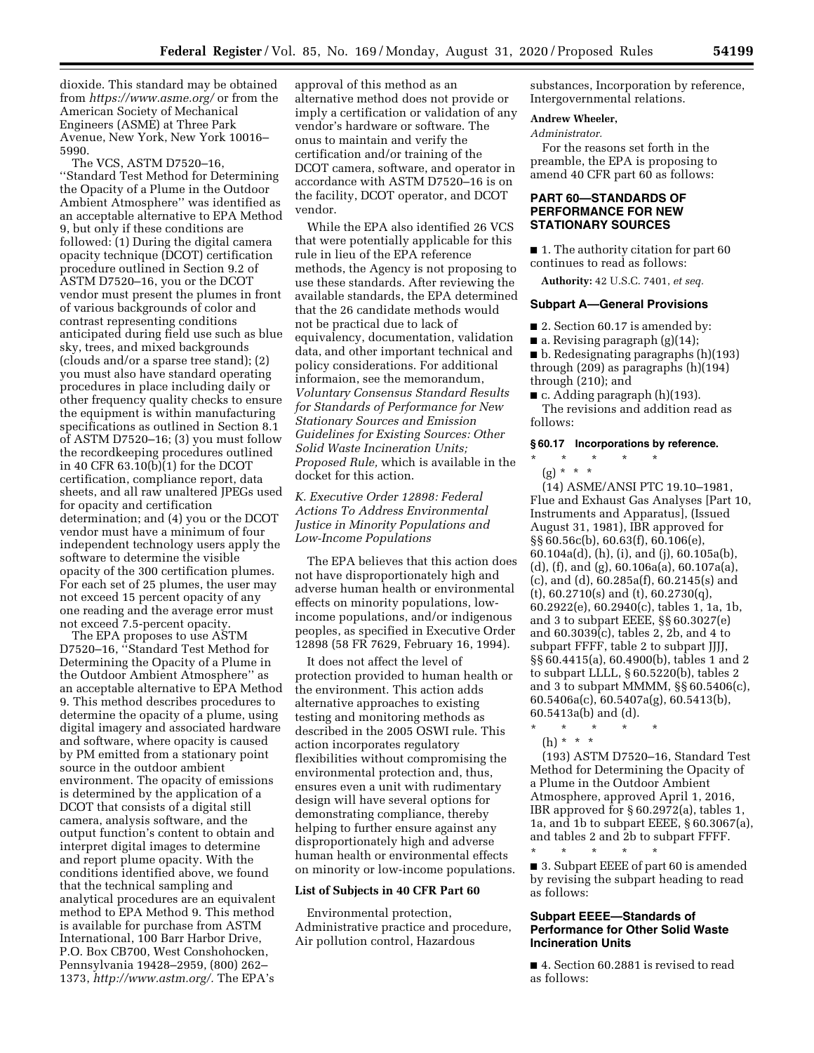dioxide. This standard may be obtained from *<https://www.asme.org/>*or from the American Society of Mechanical Engineers (ASME) at Three Park Avenue, New York, New York 10016– 5990.

The VCS, ASTM D7520–16, ''Standard Test Method for Determining the Opacity of a Plume in the Outdoor Ambient Atmosphere'' was identified as an acceptable alternative to EPA Method 9, but only if these conditions are followed: (1) During the digital camera opacity technique (DCOT) certification procedure outlined in Section 9.2 of ASTM D7520–16, you or the DCOT vendor must present the plumes in front of various backgrounds of color and contrast representing conditions anticipated during field use such as blue sky, trees, and mixed backgrounds (clouds and/or a sparse tree stand); (2) you must also have standard operating procedures in place including daily or other frequency quality checks to ensure the equipment is within manufacturing specifications as outlined in Section 8.1 of ASTM D7520–16; (3) you must follow the recordkeeping procedures outlined in 40 CFR 63.10(b)(1) for the DCOT certification, compliance report, data sheets, and all raw unaltered JPEGs used for opacity and certification determination; and (4) you or the DCOT vendor must have a minimum of four independent technology users apply the software to determine the visible opacity of the 300 certification plumes. For each set of 25 plumes, the user may not exceed 15 percent opacity of any one reading and the average error must not exceed 7.5-percent opacity.

The EPA proposes to use ASTM D7520–16, ''Standard Test Method for Determining the Opacity of a Plume in the Outdoor Ambient Atmosphere'' as an acceptable alternative to EPA Method 9. This method describes procedures to determine the opacity of a plume, using digital imagery and associated hardware and software, where opacity is caused by PM emitted from a stationary point source in the outdoor ambient environment. The opacity of emissions is determined by the application of a DCOT that consists of a digital still camera, analysis software, and the output function's content to obtain and interpret digital images to determine and report plume opacity. With the conditions identified above, we found that the technical sampling and analytical procedures are an equivalent method to EPA Method 9. This method is available for purchase from ASTM International, 100 Barr Harbor Drive, P.O. Box CB700, West Conshohocken, Pennsylvania 19428–2959, (800) 262– 1373, *[http://www.astm.org/.](http://www.astm.org/)* The EPA's

approval of this method as an alternative method does not provide or imply a certification or validation of any vendor's hardware or software. The onus to maintain and verify the certification and/or training of the DCOT camera, software, and operator in accordance with ASTM D7520–16 is on the facility, DCOT operator, and DCOT vendor.

While the EPA also identified 26 VCS that were potentially applicable for this rule in lieu of the EPA reference methods, the Agency is not proposing to use these standards. After reviewing the available standards, the EPA determined that the 26 candidate methods would not be practical due to lack of equivalency, documentation, validation data, and other important technical and policy considerations. For additional informaion, see the memorandum, *Voluntary Consensus Standard Results for Standards of Performance for New Stationary Sources and Emission Guidelines for Existing Sources: Other Solid Waste Incineration Units; Proposed Rule,* which is available in the docket for this action.

*K. Executive Order 12898: Federal Actions To Address Environmental Justice in Minority Populations and Low-Income Populations* 

The EPA believes that this action does not have disproportionately high and adverse human health or environmental effects on minority populations, lowincome populations, and/or indigenous peoples, as specified in Executive Order 12898 (58 FR 7629, February 16, 1994).

It does not affect the level of protection provided to human health or the environment. This action adds alternative approaches to existing testing and monitoring methods as described in the 2005 OSWI rule. This action incorporates regulatory flexibilities without compromising the environmental protection and, thus, ensures even a unit with rudimentary design will have several options for demonstrating compliance, thereby helping to further ensure against any disproportionately high and adverse human health or environmental effects on minority or low-income populations.

#### **List of Subjects in 40 CFR Part 60**

Environmental protection, Administrative practice and procedure, Air pollution control, Hazardous

substances, Incorporation by reference, Intergovernmental relations.

## **Andrew Wheeler,**

*Administrator.* 

For the reasons set forth in the preamble, the EPA is proposing to amend 40 CFR part 60 as follows:

## **PART 60—STANDARDS OF PERFORMANCE FOR NEW STATIONARY SOURCES**

■ 1. The authority citation for part 60 continues to read as follows:

**Authority:** 42 U.S.C. 7401, *et seq.* 

## **Subpart A—General Provisions**

- 2. Section 60.17 is amended by:
- **a.** Revising paragraph  $(g)(14)$ ;
- b. Redesignating paragraphs (h)(193) through (209) as paragraphs (h)(194) through (210); and

■ c. Adding paragraph (h)(193). The revisions and addition read as follows:

## **§ 60.17 Incorporations by reference.**

\* \* \* \* \* (g) \* \* \* \*

(14) ASME/ANSI PTC 19.10–1981, Flue and Exhaust Gas Analyses [Part 10, Instruments and Apparatus], (Issued August 31, 1981), IBR approved for §§ 60.56c(b), 60.63(f), 60.106(e), 60.104a(d), (h), (i), and (j), 60.105a(b), (d), (f), and (g), 60.106a(a), 60.107a(a), (c), and (d), 60.285a(f), 60.2145(s) and (t), 60.2710(s) and (t), 60.2730(q), 60.2922(e), 60.2940(c), tables 1, 1a, 1b, and 3 to subpart EEEE, §§ 60.3027(e) and 60.3039(c), tables 2, 2b, and 4 to subpart FFFF, table 2 to subpart JJJJ, §§ 60.4415(a), 60.4900(b), tables 1 and 2 to subpart LLLL, § 60.5220(b), tables 2 and 3 to subpart MMMM, §§ 60.5406(c), 60.5406a(c), 60.5407a(g), 60.5413(b), 60.5413a(b) and (d).

- \* \* \* \* \* (h) \* \* \*
- (193) ASTM D7520–16, Standard Test Method for Determining the Opacity of a Plume in the Outdoor Ambient Atmosphere, approved April 1, 2016, IBR approved for § 60.2972(a), tables 1, 1a, and 1b to subpart EEEE, § 60.3067(a), and tables 2 and 2b to subpart FFFF.

\* \* \* \* \* ■ 3. Subpart EEEE of part 60 is amended by revising the subpart heading to read as follows:

## **Subpart EEEE—Standards of Performance for Other Solid Waste Incineration Units**

■ 4. Section 60.2881 is revised to read as follows: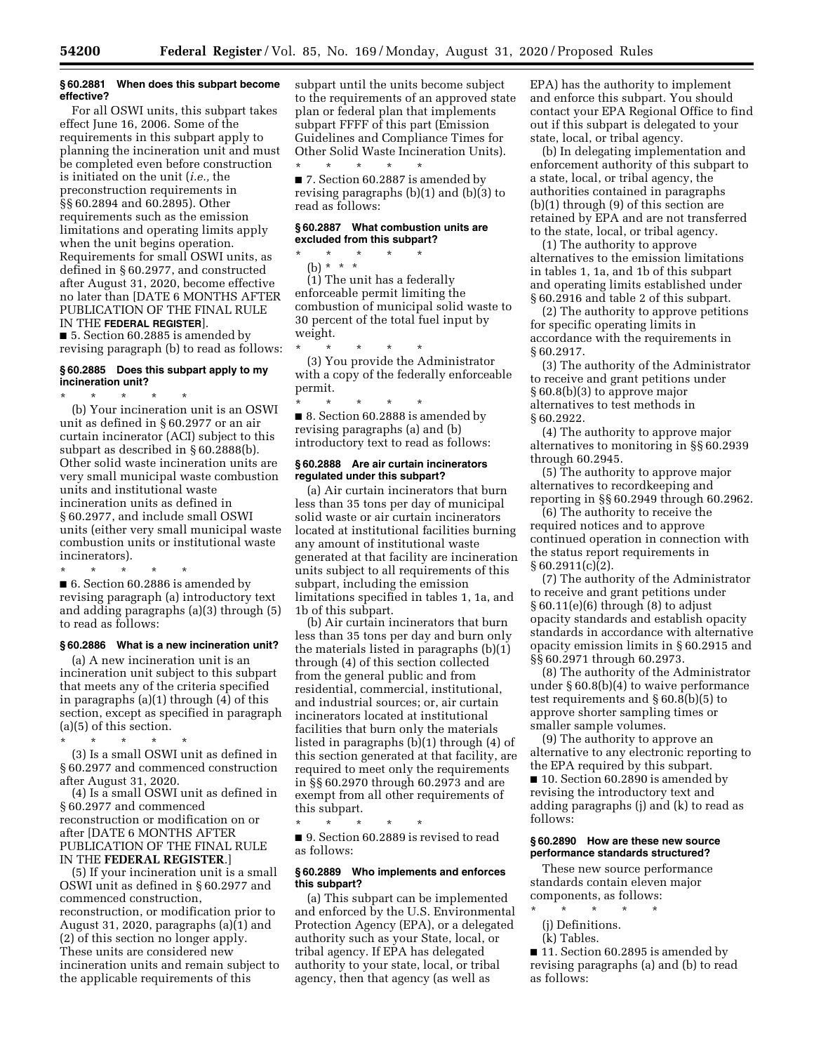#### **§ 60.2881 When does this subpart become effective?**

For all OSWI units, this subpart takes effect June 16, 2006. Some of the requirements in this subpart apply to planning the incineration unit and must be completed even before construction is initiated on the unit (*i.e.,* the preconstruction requirements in §§ 60.2894 and 60.2895). Other requirements such as the emission limitations and operating limits apply when the unit begins operation. Requirements for small OSWI units, as defined in § 60.2977, and constructed after August 31, 2020, become effective no later than [DATE 6 MONTHS AFTER PUBLICATION OF THE FINAL RULE IN THE **FEDERAL REGISTER**].

■ 5. Section 60.2885 is amended by revising paragraph (b) to read as follows:

## **§ 60.2885 Does this subpart apply to my incineration unit?**

\* \* \* \* \* (b) Your incineration unit is an OSWI unit as defined in § 60.2977 or an air curtain incinerator (ACI) subject to this subpart as described in § 60.2888(b). Other solid waste incineration units are very small municipal waste combustion units and institutional waste incineration units as defined in § 60.2977, and include small OSWI units (either very small municipal waste combustion units or institutional waste incinerators).

\* \* \* \* \* ■ 6. Section 60.2886 is amended by revising paragraph (a) introductory text and adding paragraphs (a)(3) through (5) to read as follows:

## **§ 60.2886 What is a new incineration unit?**

(a) A new incineration unit is an incineration unit subject to this subpart that meets any of the criteria specified in paragraphs (a)(1) through (4) of this section, except as specified in paragraph (a)(5) of this section.

\* \* \* \* \*

(3) Is a small OSWI unit as defined in § 60.2977 and commenced construction after August 31, 2020.

(4) Is a small OSWI unit as defined in § 60.2977 and commenced reconstruction or modification on or after [DATE 6 MONTHS AFTER PUBLICATION OF THE FINAL RULE IN THE **FEDERAL REGISTER**.]

(5) If your incineration unit is a small OSWI unit as defined in § 60.2977 and commenced construction, reconstruction, or modification prior to August 31, 2020, paragraphs (a)(1) and (2) of this section no longer apply. These units are considered new incineration units and remain subject to the applicable requirements of this

subpart until the units become subject to the requirements of an approved state plan or federal plan that implements subpart FFFF of this part (Emission Guidelines and Compliance Times for Other Solid Waste Incineration Units). \* \* \* \* \*

■ 7. Section 60.2887 is amended by revising paragraphs (b)(1) and (b)(3) to read as follows:

## **§ 60.2887 What combustion units are excluded from this subpart?**

\* \* \* \* \* (b) \* \* \*

(1) The unit has a federally enforceable permit limiting the combustion of municipal solid waste to 30 percent of the total fuel input by weight.

\* \* \* \* \* (3) You provide the Administrator with a copy of the federally enforceable permit.

\* \* \* \* \* ■ 8. Section 60.2888 is amended by revising paragraphs (a) and (b) introductory text to read as follows:

#### **§ 60.2888 Are air curtain incinerators regulated under this subpart?**

(a) Air curtain incinerators that burn less than 35 tons per day of municipal solid waste or air curtain incinerators located at institutional facilities burning any amount of institutional waste generated at that facility are incineration units subject to all requirements of this subpart, including the emission limitations specified in tables 1, 1a, and 1b of this subpart.

(b) Air curtain incinerators that burn less than 35 tons per day and burn only the materials listed in paragraphs (b)(1) through (4) of this section collected from the general public and from residential, commercial, institutional, and industrial sources; or, air curtain incinerators located at institutional facilities that burn only the materials listed in paragraphs (b)(1) through (4) of this section generated at that facility, are required to meet only the requirements in §§ 60.2970 through 60.2973 and are exempt from all other requirements of this subpart.

\* \* \* \* \* ■ 9. Section 60.2889 is revised to read as follows:

## **§ 60.2889 Who implements and enforces this subpart?**

(a) This subpart can be implemented and enforced by the U.S. Environmental Protection Agency (EPA), or a delegated authority such as your State, local, or tribal agency. If EPA has delegated authority to your state, local, or tribal agency, then that agency (as well as

EPA) has the authority to implement and enforce this subpart. You should contact your EPA Regional Office to find out if this subpart is delegated to your state, local, or tribal agency.

(b) In delegating implementation and enforcement authority of this subpart to a state, local, or tribal agency, the authorities contained in paragraphs (b)(1) through (9) of this section are retained by EPA and are not transferred to the state, local, or tribal agency.

(1) The authority to approve alternatives to the emission limitations in tables 1, 1a, and 1b of this subpart and operating limits established under § 60.2916 and table 2 of this subpart.

(2) The authority to approve petitions for specific operating limits in accordance with the requirements in § 60.2917.

(3) The authority of the Administrator to receive and grant petitions under § 60.8(b)(3) to approve major alternatives to test methods in § 60.2922.

(4) The authority to approve major alternatives to monitoring in §§ 60.2939 through 60.2945.

(5) The authority to approve major alternatives to recordkeeping and reporting in §§ 60.2949 through 60.2962.

(6) The authority to receive the required notices and to approve continued operation in connection with the status report requirements in  $§ 60.2911(c)$ <sup>[2]</sup>.

(7) The authority of the Administrator to receive and grant petitions under § 60.11(e)(6) through (8) to adjust opacity standards and establish opacity standards in accordance with alternative opacity emission limits in § 60.2915 and §§ 60.2971 through 60.2973.

(8) The authority of the Administrator under § 60.8(b)(4) to waive performance test requirements and § 60.8(b)(5) to approve shorter sampling times or smaller sample volumes.

(9) The authority to approve an alternative to any electronic reporting to the EPA required by this subpart.

■ 10. Section 60.2890 is amended by revising the introductory text and adding paragraphs (j) and (k) to read as follows:

## **§ 60.2890 How are these new source performance standards structured?**

These new source performance standards contain eleven major components, as follows:

- \* \* \* \* \*
	- (j) Definitions.
- (k) Tables.

■ 11. Section 60.2895 is amended by revising paragraphs (a) and (b) to read as follows: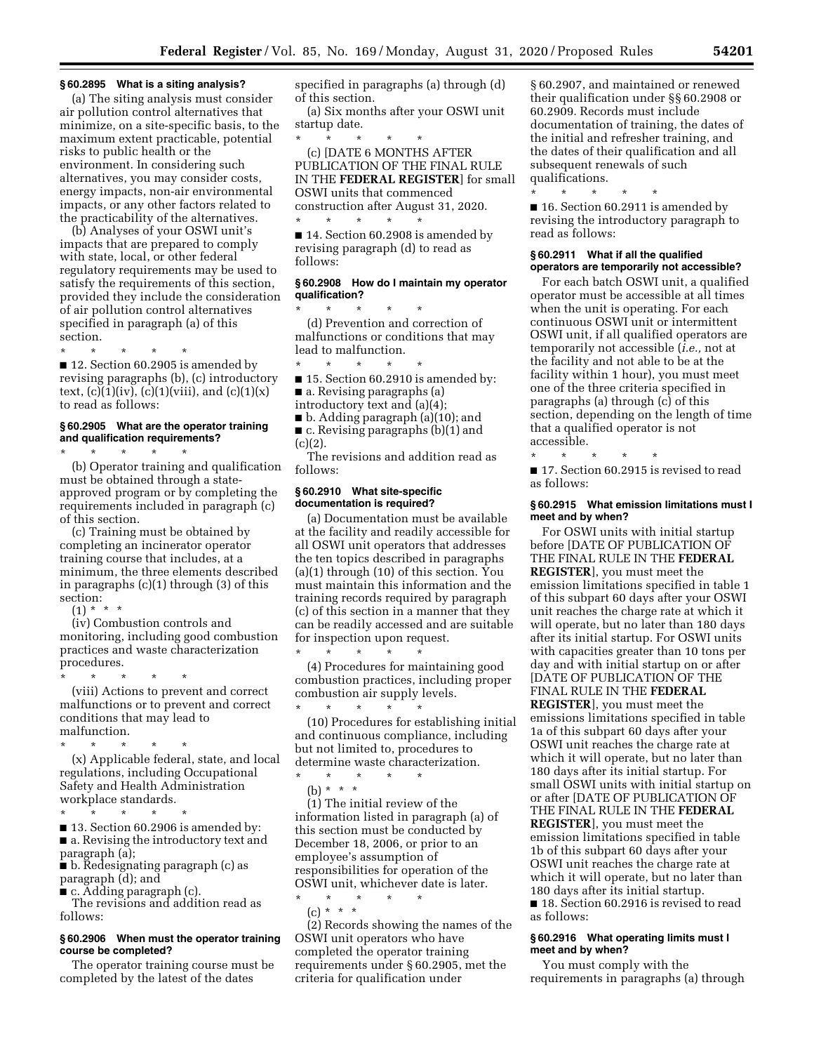#### **§ 60.2895 What is a siting analysis?**

(a) The siting analysis must consider air pollution control alternatives that minimize, on a site-specific basis, to the maximum extent practicable, potential risks to public health or the environment. In considering such alternatives, you may consider costs, energy impacts, non-air environmental impacts, or any other factors related to the practicability of the alternatives.

(b) Analyses of your OSWI unit's impacts that are prepared to comply with state, local, or other federal regulatory requirements may be used to satisfy the requirements of this section, provided they include the consideration of air pollution control alternatives specified in paragraph (a) of this section.

\* \* \* \* \* ■ 12. Section 60.2905 is amended by revising paragraphs (b), (c) introductory text,  $(c)(1)(iv)$ ,  $(c)(1)(viii)$ , and  $(c)(1)(x)$ to read as follows:

## **§ 60.2905 What are the operator training and qualification requirements?**

\* \* \* \* \* (b) Operator training and qualification must be obtained through a stateapproved program or by completing the requirements included in paragraph (c) of this section.

(c) Training must be obtained by completing an incinerator operator training course that includes, at a minimum, the three elements described in paragraphs (c)(1) through (3) of this section:

 $(1) * * * *$ 

(iv) Combustion controls and monitoring, including good combustion practices and waste characterization procedures.

\* \* \* \* \* (viii) Actions to prevent and correct malfunctions or to prevent and correct conditions that may lead to malfunction.

\* \* \* \* \*

(x) Applicable federal, state, and local regulations, including Occupational Safety and Health Administration workplace standards.

\* \* \* \* \* ■ 13. Section 60.2906 is amended by: ■ a. Revising the introductory text and paragraph (a);

■ b. Redesignating paragraph (c) as paragraph (d); and

■ c. Adding paragraph (c).

The revisions and addition read as follows:

#### **§ 60.2906 When must the operator training course be completed?**

The operator training course must be completed by the latest of the dates

specified in paragraphs (a) through (d) of this section.

(a) Six months after your OSWI unit startup date.

\* \* \* \* \* (c) [DATE 6 MONTHS AFTER PUBLICATION OF THE FINAL RULE IN THE **FEDERAL REGISTER**] for small OSWI units that commenced construction after August 31, 2020.

■ 14. Section 60.2908 is amended by revising paragraph (d) to read as follows:

\* \* \* \* \*

## **§ 60.2908 How do I maintain my operator qualification?**

\* \* \* \* \* (d) Prevention and correction of malfunctions or conditions that may lead to malfunction.

\* \* \* \* \* ■ 15. Section 60.2910 is amended by: ■ a. Revising paragraphs (a)

introductory text and (a)(4);

■ b. Adding paragraph (a)(10); and ■ c. Revising paragraphs (b)(1) and  $(c)(2).$ 

The revisions and addition read as follows:

#### **§ 60.2910 What site-specific documentation is required?**

\* \* \* \* \*

(a) Documentation must be available at the facility and readily accessible for all OSWI unit operators that addresses the ten topics described in paragraphs (a)(1) through (10) of this section. You must maintain this information and the training records required by paragraph (c) of this section in a manner that they can be readily accessed and are suitable for inspection upon request.

(4) Procedures for maintaining good combustion practices, including proper combustion air supply levels. \* \* \* \* \*

(10) Procedures for establishing initial and continuous compliance, including but not limited to, procedures to determine waste characterization.

\* \* \* \* \* (b) \* \* \*

(1) The initial review of the information listed in paragraph (a) of this section must be conducted by December 18, 2006, or prior to an employee's assumption of responsibilities for operation of the OSWI unit, whichever date is later.

\* \* \* \* \* (c) \* \* \*

(2) Records showing the names of the OSWI unit operators who have completed the operator training requirements under § 60.2905, met the criteria for qualification under

§ 60.2907, and maintained or renewed their qualification under §§ 60.2908 or 60.2909. Records must include documentation of training, the dates of the initial and refresher training, and the dates of their qualification and all subsequent renewals of such qualifications.

\* \* \* \* \* ■ 16. Section 60.2911 is amended by revising the introductory paragraph to read as follows:

## **§ 60.2911 What if all the qualified operators are temporarily not accessible?**

For each batch OSWI unit, a qualified operator must be accessible at all times when the unit is operating. For each continuous OSWI unit or intermittent OSWI unit, if all qualified operators are temporarily not accessible (*i.e.,* not at the facility and not able to be at the facility within 1 hour), you must meet one of the three criteria specified in paragraphs (a) through (c) of this section, depending on the length of time that a qualified operator is not accessible.

\* \* \* \* \* ■ 17. Section 60.2915 is revised to read as follows:

#### **§ 60.2915 What emission limitations must I meet and by when?**

For OSWI units with initial startup before [DATE OF PUBLICATION OF THE FINAL RULE IN THE **FEDERAL REGISTER**], you must meet the emission limitations specified in table 1 of this subpart 60 days after your OSWI unit reaches the charge rate at which it will operate, but no later than 180 days after its initial startup. For OSWI units with capacities greater than 10 tons per day and with initial startup on or after [DATE OF PUBLICATION OF THE FINAL RULE IN THE **FEDERAL REGISTER**], you must meet the emissions limitations specified in table 1a of this subpart 60 days after your OSWI unit reaches the charge rate at which it will operate, but no later than 180 days after its initial startup. For small OSWI units with initial startup on or after [DATE OF PUBLICATION OF THE FINAL RULE IN THE **FEDERAL REGISTER**], you must meet the emission limitations specified in table 1b of this subpart 60 days after your OSWI unit reaches the charge rate at which it will operate, but no later than 180 days after its initial startup. ■ 18. Section 60.2916 is revised to read

as follows:

## **§ 60.2916 What operating limits must I meet and by when?**

You must comply with the requirements in paragraphs (a) through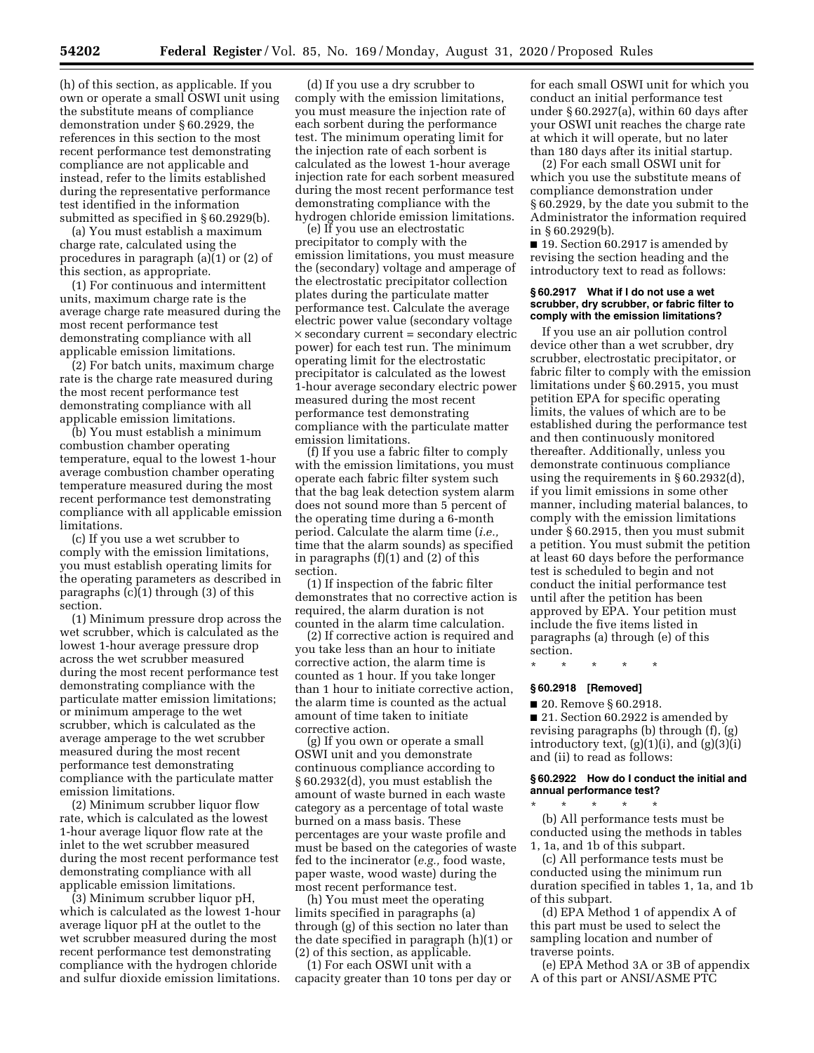(h) of this section, as applicable. If you own or operate a small OSWI unit using the substitute means of compliance demonstration under § 60.2929, the references in this section to the most recent performance test demonstrating compliance are not applicable and instead, refer to the limits established during the representative performance test identified in the information submitted as specified in § 60.2929(b).

(a) You must establish a maximum charge rate, calculated using the procedures in paragraph (a)(1) or (2) of this section, as appropriate.

(1) For continuous and intermittent units, maximum charge rate is the average charge rate measured during the most recent performance test demonstrating compliance with all applicable emission limitations.

(2) For batch units, maximum charge rate is the charge rate measured during the most recent performance test demonstrating compliance with all applicable emission limitations.

(b) You must establish a minimum combustion chamber operating temperature, equal to the lowest 1-hour average combustion chamber operating temperature measured during the most recent performance test demonstrating compliance with all applicable emission limitations.

(c) If you use a wet scrubber to comply with the emission limitations, you must establish operating limits for the operating parameters as described in paragraphs (c)(1) through (3) of this section.

(1) Minimum pressure drop across the wet scrubber, which is calculated as the lowest 1-hour average pressure drop across the wet scrubber measured during the most recent performance test demonstrating compliance with the particulate matter emission limitations; or minimum amperage to the wet scrubber, which is calculated as the average amperage to the wet scrubber measured during the most recent performance test demonstrating compliance with the particulate matter emission limitations.

(2) Minimum scrubber liquor flow rate, which is calculated as the lowest 1-hour average liquor flow rate at the inlet to the wet scrubber measured during the most recent performance test demonstrating compliance with all applicable emission limitations.

(3) Minimum scrubber liquor pH, which is calculated as the lowest 1-hour average liquor pH at the outlet to the wet scrubber measured during the most recent performance test demonstrating compliance with the hydrogen chloride and sulfur dioxide emission limitations.

(d) If you use a dry scrubber to comply with the emission limitations, you must measure the injection rate of each sorbent during the performance test. The minimum operating limit for the injection rate of each sorbent is calculated as the lowest 1-hour average injection rate for each sorbent measured during the most recent performance test demonstrating compliance with the hydrogen chloride emission limitations.

(e) If you use an electrostatic precipitator to comply with the emission limitations, you must measure the (secondary) voltage and amperage of the electrostatic precipitator collection plates during the particulate matter performance test. Calculate the average electric power value (secondary voltage  $\times$  secondary current = secondary electric power) for each test run. The minimum operating limit for the electrostatic precipitator is calculated as the lowest 1-hour average secondary electric power measured during the most recent performance test demonstrating compliance with the particulate matter emission limitations.

(f) If you use a fabric filter to comply with the emission limitations, you must operate each fabric filter system such that the bag leak detection system alarm does not sound more than 5 percent of the operating time during a 6-month period. Calculate the alarm time (*i.e.,*  time that the alarm sounds) as specified in paragraphs (f)(1) and (2) of this section.

(1) If inspection of the fabric filter demonstrates that no corrective action is required, the alarm duration is not counted in the alarm time calculation.

(2) If corrective action is required and you take less than an hour to initiate corrective action, the alarm time is counted as 1 hour. If you take longer than 1 hour to initiate corrective action, the alarm time is counted as the actual amount of time taken to initiate corrective action.

(g) If you own or operate a small OSWI unit and you demonstrate continuous compliance according to § 60.2932(d), you must establish the amount of waste burned in each waste category as a percentage of total waste burned on a mass basis. These percentages are your waste profile and must be based on the categories of waste fed to the incinerator (*e.g.,* food waste, paper waste, wood waste) during the most recent performance test.

(h) You must meet the operating limits specified in paragraphs (a) through (g) of this section no later than the date specified in paragraph (h)(1) or (2) of this section, as applicable.

(1) For each OSWI unit with a capacity greater than 10 tons per day or

for each small OSWI unit for which you conduct an initial performance test under § 60.2927(a), within 60 days after your OSWI unit reaches the charge rate at which it will operate, but no later than 180 days after its initial startup.

(2) For each small OSWI unit for which you use the substitute means of compliance demonstration under § 60.2929, by the date you submit to the Administrator the information required in § 60.2929(b).

■ 19. Section 60.2917 is amended by revising the section heading and the introductory text to read as follows:

## **§ 60.2917 What if I do not use a wet scrubber, dry scrubber, or fabric filter to comply with the emission limitations?**

If you use an air pollution control device other than a wet scrubber, dry scrubber, electrostatic precipitator, or fabric filter to comply with the emission limitations under § 60.2915, you must petition EPA for specific operating limits, the values of which are to be established during the performance test and then continuously monitored thereafter. Additionally, unless you demonstrate continuous compliance using the requirements in § 60.2932(d), if you limit emissions in some other manner, including material balances, to comply with the emission limitations under § 60.2915, then you must submit a petition. You must submit the petition at least 60 days before the performance test is scheduled to begin and not conduct the initial performance test until after the petition has been approved by EPA. Your petition must include the five items listed in paragraphs (a) through (e) of this section.

\* \* \* \* \*

#### **§ 60.2918 [Removed]**

■ 20. Remove § 60.2918.

■ 21. Section 60.2922 is amended by revising paragraphs (b) through (f), (g) introductory text,  $(g)(1)(i)$ , and  $(g)(3)(i)$ and (ii) to read as follows:

#### **§ 60.2922 How do I conduct the initial and annual performance test?**

\* \* \* \* \* (b) All performance tests must be conducted using the methods in tables 1, 1a, and 1b of this subpart.

(c) All performance tests must be conducted using the minimum run duration specified in tables 1, 1a, and 1b of this subpart.

(d) EPA Method 1 of appendix A of this part must be used to select the sampling location and number of traverse points.

(e) EPA Method 3A or 3B of appendix A of this part or ANSI/ASME PTC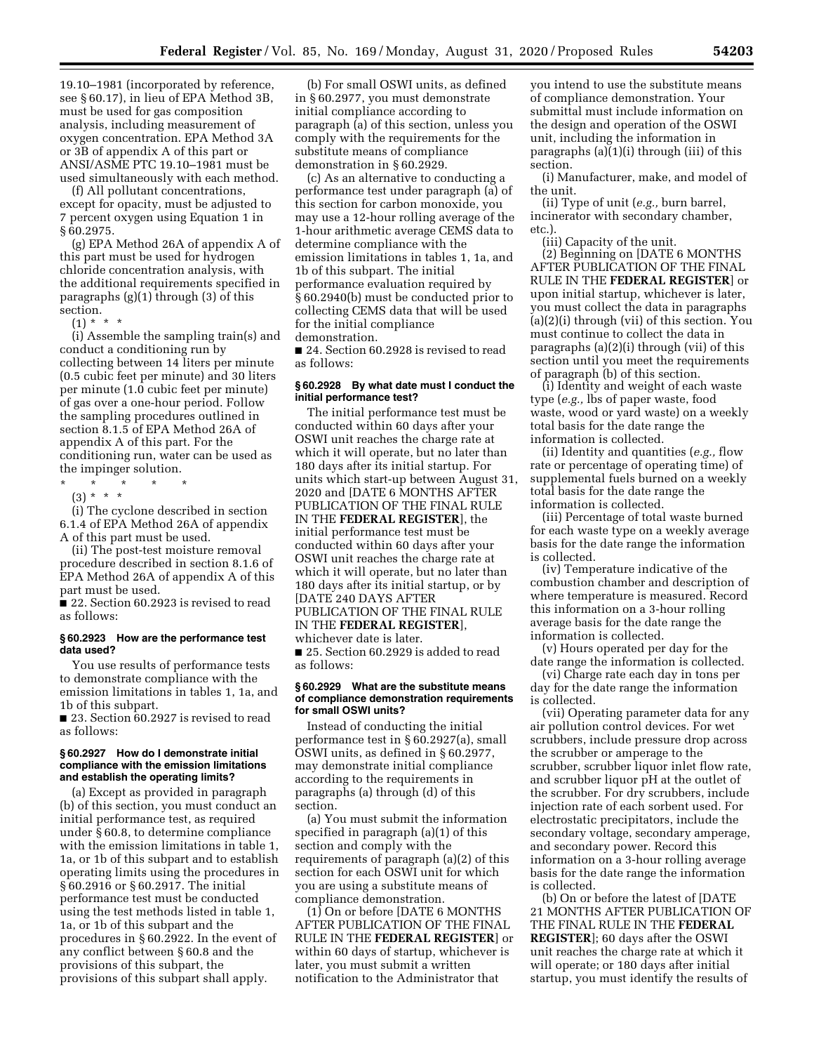19.10–1981 (incorporated by reference, see § 60.17), in lieu of EPA Method 3B, must be used for gas composition analysis, including measurement of oxygen concentration. EPA Method 3A or 3B of appendix A of this part or ANSI/ASME PTC 19.10–1981 must be used simultaneously with each method.

(f) All pollutant concentrations, except for opacity, must be adjusted to 7 percent oxygen using Equation 1 in § 60.2975.

(g) EPA Method 26A of appendix A of this part must be used for hydrogen chloride concentration analysis, with the additional requirements specified in paragraphs (g)(1) through (3) of this section.

 $(1) * * * *$ 

(i) Assemble the sampling train(s) and conduct a conditioning run by collecting between 14 liters per minute (0.5 cubic feet per minute) and 30 liters per minute (1.0 cubic feet per minute) of gas over a one-hour period. Follow the sampling procedures outlined in section 8.1.5 of EPA Method 26A of appendix A of this part. For the conditioning run, water can be used as the impinger solution.

\* \* \* \* \*

(3) \* \* \*

(i) The cyclone described in section 6.1.4 of EPA Method 26A of appendix A of this part must be used.

(ii) The post-test moisture removal procedure described in section 8.1.6 of EPA Method 26A of appendix A of this part must be used.

■ 22. Section 60.2923 is revised to read as follows:

#### **§ 60.2923 How are the performance test data used?**

You use results of performance tests to demonstrate compliance with the emission limitations in tables 1, 1a, and 1b of this subpart.

■ 23. Section 60.2927 is revised to read as follows:

#### **§ 60.2927 How do I demonstrate initial compliance with the emission limitations and establish the operating limits?**

(a) Except as provided in paragraph (b) of this section, you must conduct an initial performance test, as required under § 60.8, to determine compliance with the emission limitations in table 1, 1a, or 1b of this subpart and to establish operating limits using the procedures in § 60.2916 or § 60.2917. The initial performance test must be conducted using the test methods listed in table 1, 1a, or 1b of this subpart and the procedures in § 60.2922. In the event of any conflict between § 60.8 and the provisions of this subpart, the provisions of this subpart shall apply.

(b) For small OSWI units, as defined in § 60.2977, you must demonstrate initial compliance according to paragraph (a) of this section, unless you comply with the requirements for the substitute means of compliance demonstration in § 60.2929.

(c) As an alternative to conducting a performance test under paragraph (a) of this section for carbon monoxide, you may use a 12-hour rolling average of the 1-hour arithmetic average CEMS data to determine compliance with the emission limitations in tables 1, 1a, and 1b of this subpart. The initial performance evaluation required by § 60.2940(b) must be conducted prior to collecting CEMS data that will be used for the initial compliance demonstration.

■ 24. Section 60.2928 is revised to read as follows:

## **§ 60.2928 By what date must I conduct the initial performance test?**

The initial performance test must be conducted within 60 days after your OSWI unit reaches the charge rate at which it will operate, but no later than 180 days after its initial startup. For units which start-up between August 31, 2020 and [DATE 6 MONTHS AFTER PUBLICATION OF THE FINAL RULE IN THE **FEDERAL REGISTER**], the initial performance test must be conducted within 60 days after your OSWI unit reaches the charge rate at which it will operate, but no later than 180 days after its initial startup, or by [DATE 240 DAYS AFTER PUBLICATION OF THE FINAL RULE IN THE **FEDERAL REGISTER**], whichever date is later.

■ 25. Section 60.2929 is added to read as follows:

#### **§ 60.2929 What are the substitute means of compliance demonstration requirements for small OSWI units?**

Instead of conducting the initial performance test in § 60.2927(a), small OSWI units, as defined in § 60.2977, may demonstrate initial compliance according to the requirements in paragraphs (a) through (d) of this section.

(a) You must submit the information specified in paragraph (a)(1) of this section and comply with the requirements of paragraph (a)(2) of this section for each OSWI unit for which you are using a substitute means of compliance demonstration.

(1) On or before [DATE 6 MONTHS AFTER PUBLICATION OF THE FINAL RULE IN THE **FEDERAL REGISTER**] or within 60 days of startup, whichever is later, you must submit a written notification to the Administrator that

you intend to use the substitute means of compliance demonstration. Your submittal must include information on the design and operation of the OSWI unit, including the information in paragraphs (a)(1)(i) through (iii) of this section.

(i) Manufacturer, make, and model of the unit.

(ii) Type of unit (*e.g.,* burn barrel, incinerator with secondary chamber, etc.).

(iii) Capacity of the unit.

(2) Beginning on [DATE 6 MONTHS AFTER PUBLICATION OF THE FINAL RULE IN THE **FEDERAL REGISTER**] or upon initial startup, whichever is later, you must collect the data in paragraphs (a)(2)(i) through (vii) of this section. You must continue to collect the data in paragraphs (a)(2)(i) through (vii) of this section until you meet the requirements of paragraph (b) of this section.

(i) Identity and weight of each waste type (*e.g.,* lbs of paper waste, food waste, wood or yard waste) on a weekly total basis for the date range the information is collected.

(ii) Identity and quantities (*e.g.,* flow rate or percentage of operating time) of supplemental fuels burned on a weekly total basis for the date range the information is collected.

(iii) Percentage of total waste burned for each waste type on a weekly average basis for the date range the information is collected.

(iv) Temperature indicative of the combustion chamber and description of where temperature is measured. Record this information on a 3-hour rolling average basis for the date range the information is collected.

(v) Hours operated per day for the date range the information is collected.

(vi) Charge rate each day in tons per day for the date range the information is collected.

(vii) Operating parameter data for any air pollution control devices. For wet scrubbers, include pressure drop across the scrubber or amperage to the scrubber, scrubber liquor inlet flow rate, and scrubber liquor pH at the outlet of the scrubber. For dry scrubbers, include injection rate of each sorbent used. For electrostatic precipitators, include the secondary voltage, secondary amperage, and secondary power. Record this information on a 3-hour rolling average basis for the date range the information is collected.

(b) On or before the latest of [DATE 21 MONTHS AFTER PUBLICATION OF THE FINAL RULE IN THE **FEDERAL REGISTER**]; 60 days after the OSWI unit reaches the charge rate at which it will operate; or 180 days after initial startup, you must identify the results of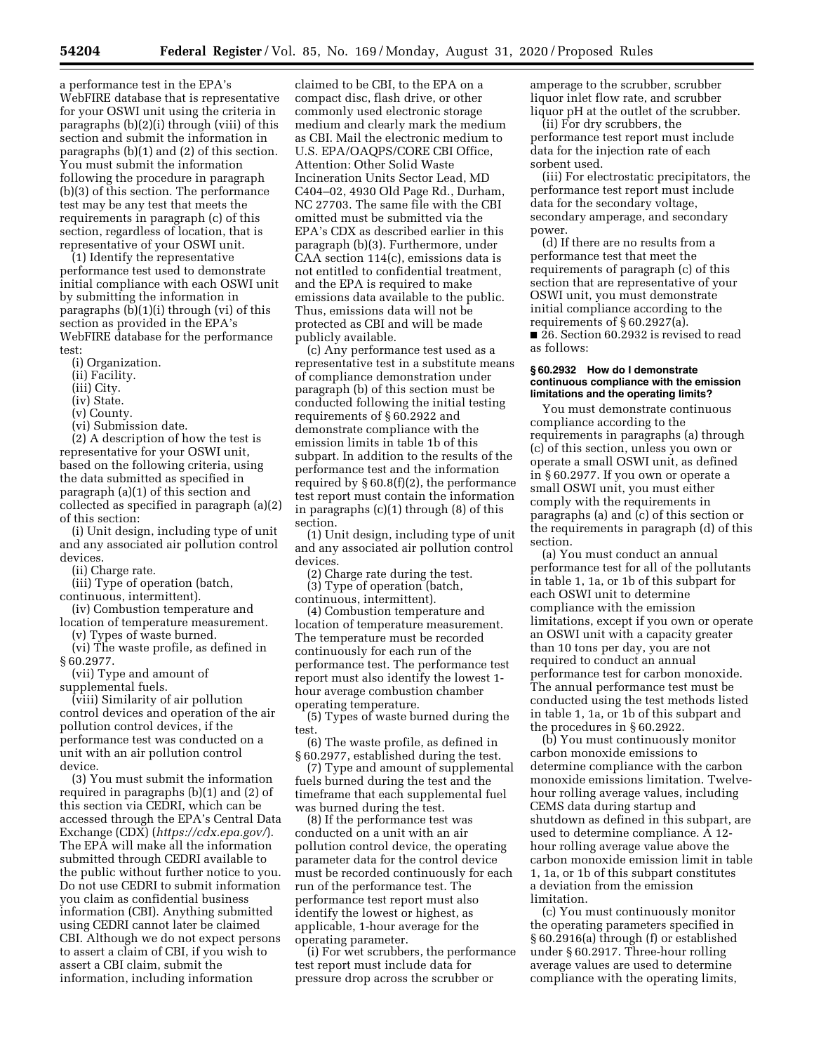a performance test in the EPA's WebFIRE database that is representative for your OSWI unit using the criteria in paragraphs (b)(2)(i) through (viii) of this section and submit the information in paragraphs (b)(1) and (2) of this section. You must submit the information following the procedure in paragraph (b)(3) of this section. The performance test may be any test that meets the requirements in paragraph (c) of this section, regardless of location, that is representative of your OSWI unit.

(1) Identify the representative performance test used to demonstrate initial compliance with each OSWI unit by submitting the information in paragraphs (b)(1)(i) through (vi) of this section as provided in the EPA's WebFIRE database for the performance test:

- (i) Organization.
- (ii) Facility.
- (iii) City.
- (iv) State.
- (v) County.
- (vi) Submission date.

(2) A description of how the test is representative for your OSWI unit, based on the following criteria, using the data submitted as specified in paragraph (a)(1) of this section and collected as specified in paragraph (a)(2) of this section:

(i) Unit design, including type of unit and any associated air pollution control devices.

(ii) Charge rate.

(iii) Type of operation (batch, continuous, intermittent).

(iv) Combustion temperature and

location of temperature measurement. (v) Types of waste burned.

(vi) The waste profile, as defined in § 60.2977.

(vii) Type and amount of supplemental fuels.

(viii) Similarity of air pollution control devices and operation of the air pollution control devices, if the performance test was conducted on a unit with an air pollution control device.

(3) You must submit the information required in paragraphs (b)(1) and (2) of this section via CEDRI, which can be accessed through the EPA's Central Data Exchange (CDX) (*<https://cdx.epa.gov/>*). The EPA will make all the information submitted through CEDRI available to the public without further notice to you. Do not use CEDRI to submit information you claim as confidential business information (CBI). Anything submitted using CEDRI cannot later be claimed CBI. Although we do not expect persons to assert a claim of CBI, if you wish to assert a CBI claim, submit the information, including information

claimed to be CBI, to the EPA on a compact disc, flash drive, or other commonly used electronic storage medium and clearly mark the medium as CBI. Mail the electronic medium to U.S. EPA/OAQPS/CORE CBI Office, Attention: Other Solid Waste Incineration Units Sector Lead, MD C404–02, 4930 Old Page Rd., Durham, NC 27703. The same file with the CBI omitted must be submitted via the EPA's CDX as described earlier in this paragraph (b)(3). Furthermore, under CAA section 114(c), emissions data is not entitled to confidential treatment, and the EPA is required to make emissions data available to the public. Thus, emissions data will not be protected as CBI and will be made publicly available.

(c) Any performance test used as a representative test in a substitute means of compliance demonstration under paragraph (b) of this section must be conducted following the initial testing requirements of § 60.2922 and demonstrate compliance with the emission limits in table 1b of this subpart. In addition to the results of the performance test and the information required by § 60.8(f)(2), the performance test report must contain the information in paragraphs (c)(1) through (8) of this section.

(1) Unit design, including type of unit and any associated air pollution control devices.

(2) Charge rate during the test. (3) Type of operation (batch,

continuous, intermittent). (4) Combustion temperature and

location of temperature measurement. The temperature must be recorded continuously for each run of the performance test. The performance test report must also identify the lowest 1 hour average combustion chamber operating temperature.

(5) Types of waste burned during the test.

(6) The waste profile, as defined in § 60.2977, established during the test.

(7) Type and amount of supplemental fuels burned during the test and the timeframe that each supplemental fuel was burned during the test.

(8) If the performance test was conducted on a unit with an air pollution control device, the operating parameter data for the control device must be recorded continuously for each run of the performance test. The performance test report must also identify the lowest or highest, as applicable, 1-hour average for the operating parameter.

(i) For wet scrubbers, the performance test report must include data for pressure drop across the scrubber or

amperage to the scrubber, scrubber liquor inlet flow rate, and scrubber liquor pH at the outlet of the scrubber.

(ii) For dry scrubbers, the performance test report must include data for the injection rate of each sorbent used.

(iii) For electrostatic precipitators, the performance test report must include data for the secondary voltage, secondary amperage, and secondary power.

(d) If there are no results from a performance test that meet the requirements of paragraph (c) of this section that are representative of your OSWI unit, you must demonstrate initial compliance according to the requirements of § 60.2927(a). ■ 26. Section 60.2932 is revised to read

as follows:

#### **§ 60.2932 How do I demonstrate continuous compliance with the emission limitations and the operating limits?**

You must demonstrate continuous compliance according to the requirements in paragraphs (a) through (c) of this section, unless you own or operate a small OSWI unit, as defined in § 60.2977. If you own or operate a small OSWI unit, you must either comply with the requirements in paragraphs (a) and (c) of this section or the requirements in paragraph (d) of this section.

(a) You must conduct an annual performance test for all of the pollutants in table 1, 1a, or 1b of this subpart for each OSWI unit to determine compliance with the emission limitations, except if you own or operate an OSWI unit with a capacity greater than 10 tons per day, you are not required to conduct an annual performance test for carbon monoxide. The annual performance test must be conducted using the test methods listed in table 1, 1a, or 1b of this subpart and the procedures in § 60.2922.

(b) You must continuously monitor carbon monoxide emissions to determine compliance with the carbon monoxide emissions limitation. Twelvehour rolling average values, including CEMS data during startup and shutdown as defined in this subpart, are used to determine compliance. A 12 hour rolling average value above the carbon monoxide emission limit in table 1, 1a, or 1b of this subpart constitutes a deviation from the emission limitation.

(c) You must continuously monitor the operating parameters specified in § 60.2916(a) through (f) or established under § 60.2917. Three-hour rolling average values are used to determine compliance with the operating limits,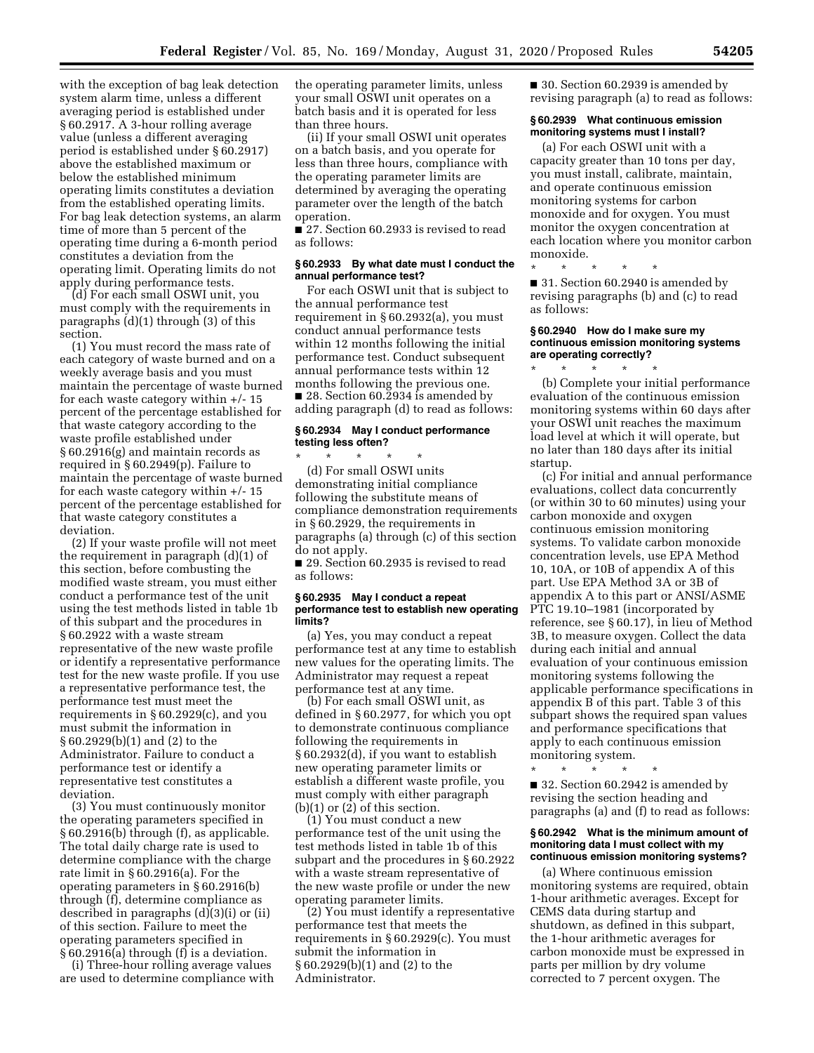with the exception of bag leak detection system alarm time, unless a different averaging period is established under § 60.2917. A 3-hour rolling average value (unless a different averaging period is established under § 60.2917) above the established maximum or below the established minimum operating limits constitutes a deviation from the established operating limits. For bag leak detection systems, an alarm time of more than 5 percent of the operating time during a 6-month period constitutes a deviation from the operating limit. Operating limits do not apply during performance tests.

(d) For each small OSWI unit, you must comply with the requirements in paragraphs (d)(1) through (3) of this section.

(1) You must record the mass rate of each category of waste burned and on a weekly average basis and you must maintain the percentage of waste burned for each waste category within  $+/- 15$ percent of the percentage established for that waste category according to the waste profile established under § 60.2916(g) and maintain records as required in § 60.2949(p). Failure to maintain the percentage of waste burned for each waste category within +/- 15 percent of the percentage established for that waste category constitutes a deviation.

(2) If your waste profile will not meet the requirement in paragraph (d)(1) of this section, before combusting the modified waste stream, you must either conduct a performance test of the unit using the test methods listed in table 1b of this subpart and the procedures in § 60.2922 with a waste stream representative of the new waste profile or identify a representative performance test for the new waste profile. If you use a representative performance test, the performance test must meet the requirements in § 60.2929(c), and you must submit the information in § 60.2929(b)(1) and (2) to the Administrator. Failure to conduct a performance test or identify a representative test constitutes a deviation.

(3) You must continuously monitor the operating parameters specified in § 60.2916(b) through (f), as applicable. The total daily charge rate is used to determine compliance with the charge rate limit in § 60.2916(a). For the operating parameters in § 60.2916(b) through (f), determine compliance as described in paragraphs  $(d)(3)(i)$  or  $(ii)$ of this section. Failure to meet the operating parameters specified in § 60.2916(a) through (f) is a deviation.

(i) Three-hour rolling average values are used to determine compliance with the operating parameter limits, unless your small OSWI unit operates on a batch basis and it is operated for less than three hours.

(ii) If your small OSWI unit operates on a batch basis, and you operate for less than three hours, compliance with the operating parameter limits are determined by averaging the operating parameter over the length of the batch operation.

■ 27. Section 60.2933 is revised to read as follows:

## **§ 60.2933 By what date must I conduct the annual performance test?**

For each OSWI unit that is subject to the annual performance test requirement in § 60.2932(a), you must conduct annual performance tests within 12 months following the initial performance test. Conduct subsequent annual performance tests within 12 months following the previous one. ■ 28. Section 60.2934 is amended by adding paragraph (d) to read as follows:

#### **§ 60.2934 May I conduct performance testing less often?**

\* \* \* \* \* (d) For small OSWI units demonstrating initial compliance following the substitute means of compliance demonstration requirements in § 60.2929, the requirements in paragraphs (a) through (c) of this section do not apply.

■ 29. Section 60.2935 is revised to read as follows:

#### **§ 60.2935 May I conduct a repeat performance test to establish new operating limits?**

(a) Yes, you may conduct a repeat performance test at any time to establish new values for the operating limits. The Administrator may request a repeat performance test at any time.

(b) For each small OSWI unit, as defined in § 60.2977, for which you opt to demonstrate continuous compliance following the requirements in § 60.2932(d), if you want to establish new operating parameter limits or establish a different waste profile, you must comply with either paragraph (b)(1) or (2) of this section.

(1) You must conduct a new performance test of the unit using the test methods listed in table 1b of this subpart and the procedures in § 60.2922 with a waste stream representative of the new waste profile or under the new operating parameter limits.

(2) You must identify a representative performance test that meets the requirements in § 60.2929(c). You must submit the information in § 60.2929(b)(1) and (2) to the Administrator.

■ 30. Section 60.2939 is amended by revising paragraph (a) to read as follows:

## **§ 60.2939 What continuous emission monitoring systems must I install?**

(a) For each OSWI unit with a capacity greater than 10 tons per day, you must install, calibrate, maintain, and operate continuous emission monitoring systems for carbon monoxide and for oxygen. You must monitor the oxygen concentration at each location where you monitor carbon monoxide.

\* \* \* \* \* ■ 31. Section 60.2940 is amended by revising paragraphs (b) and (c) to read as follows:

#### **§ 60.2940 How do I make sure my continuous emission monitoring systems are operating correctly?**

\* \* \* \* \* (b) Complete your initial performance evaluation of the continuous emission monitoring systems within 60 days after your OSWI unit reaches the maximum load level at which it will operate, but no later than 180 days after its initial startup.

(c) For initial and annual performance evaluations, collect data concurrently (or within 30 to 60 minutes) using your carbon monoxide and oxygen continuous emission monitoring systems. To validate carbon monoxide concentration levels, use EPA Method 10, 10A, or 10B of appendix A of this part. Use EPA Method 3A or 3B of appendix A to this part or ANSI/ASME PTC 19.10–1981 (incorporated by reference, see § 60.17), in lieu of Method 3B, to measure oxygen. Collect the data during each initial and annual evaluation of your continuous emission monitoring systems following the applicable performance specifications in appendix B of this part. Table 3 of this subpart shows the required span values and performance specifications that apply to each continuous emission monitoring system.

\* \* \* \* \* ■ 32. Section 60.2942 is amended by revising the section heading and paragraphs (a) and (f) to read as follows:

#### **§ 60.2942 What is the minimum amount of monitoring data I must collect with my continuous emission monitoring systems?**

(a) Where continuous emission monitoring systems are required, obtain 1-hour arithmetic averages. Except for CEMS data during startup and shutdown, as defined in this subpart, the 1-hour arithmetic averages for carbon monoxide must be expressed in parts per million by dry volume corrected to 7 percent oxygen. The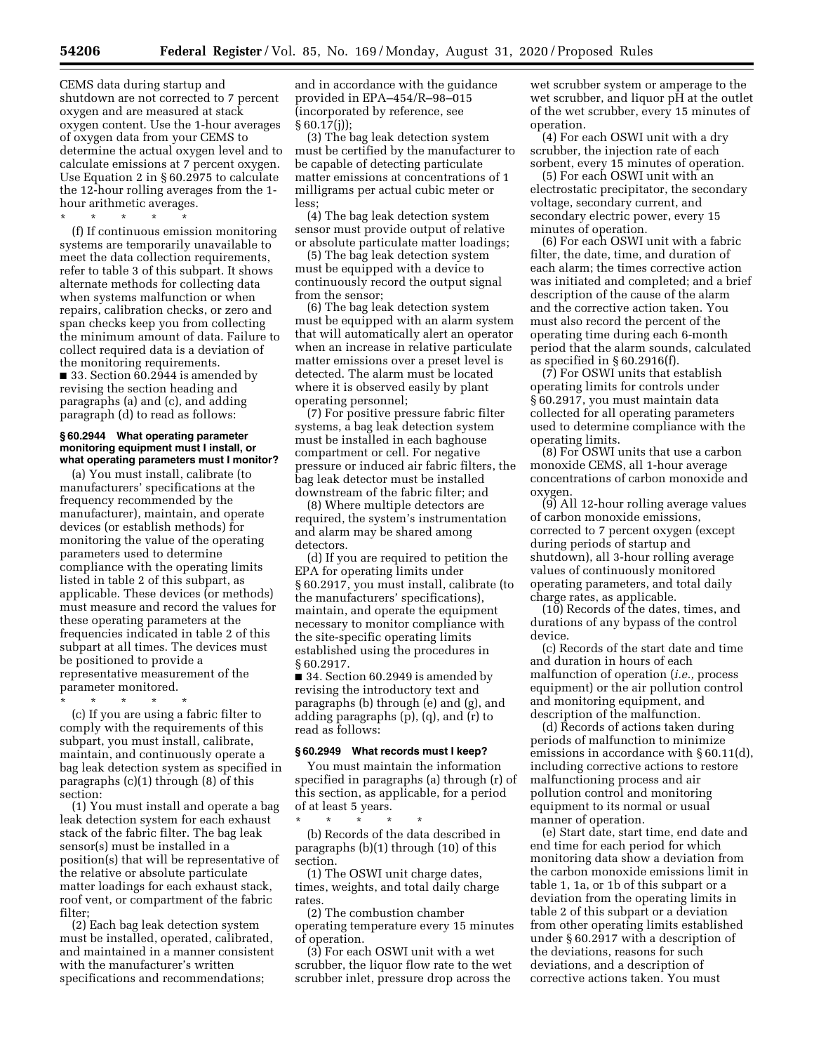CEMS data during startup and shutdown are not corrected to 7 percent oxygen and are measured at stack oxygen content. Use the 1-hour averages of oxygen data from your CEMS to determine the actual oxygen level and to calculate emissions at 7 percent oxygen. Use Equation 2 in § 60.2975 to calculate the 12-hour rolling averages from the 1 hour arithmetic averages.

\* \* \* \* \* (f) If continuous emission monitoring systems are temporarily unavailable to meet the data collection requirements, refer to table 3 of this subpart. It shows alternate methods for collecting data when systems malfunction or when repairs, calibration checks, or zero and span checks keep you from collecting the minimum amount of data. Failure to collect required data is a deviation of the monitoring requirements. ■ 33. Section 60.2944 is amended by revising the section heading and

paragraphs (a) and (c), and adding paragraph (d) to read as follows:

#### **§ 60.2944 What operating parameter monitoring equipment must I install, or what operating parameters must I monitor?**

(a) You must install, calibrate (to manufacturers' specifications at the frequency recommended by the manufacturer), maintain, and operate devices (or establish methods) for monitoring the value of the operating parameters used to determine compliance with the operating limits listed in table 2 of this subpart, as applicable. These devices (or methods) must measure and record the values for these operating parameters at the frequencies indicated in table 2 of this subpart at all times. The devices must be positioned to provide a representative measurement of the parameter monitored.

\* \* \* \* \* (c) If you are using a fabric filter to comply with the requirements of this subpart, you must install, calibrate, maintain, and continuously operate a bag leak detection system as specified in paragraphs (c)(1) through (8) of this section:

(1) You must install and operate a bag leak detection system for each exhaust stack of the fabric filter. The bag leak sensor(s) must be installed in a position(s) that will be representative of the relative or absolute particulate matter loadings for each exhaust stack, roof vent, or compartment of the fabric filter;

(2) Each bag leak detection system must be installed, operated, calibrated, and maintained in a manner consistent with the manufacturer's written specifications and recommendations;

and in accordance with the guidance provided in EPA–454/R–98–015 (incorporated by reference, see  $§ 60.17(i)$ ;

(3) The bag leak detection system must be certified by the manufacturer to be capable of detecting particulate matter emissions at concentrations of 1 milligrams per actual cubic meter or less;

(4) The bag leak detection system sensor must provide output of relative or absolute particulate matter loadings;

(5) The bag leak detection system must be equipped with a device to continuously record the output signal from the sensor;

(6) The bag leak detection system must be equipped with an alarm system that will automatically alert an operator when an increase in relative particulate matter emissions over a preset level is detected. The alarm must be located where it is observed easily by plant operating personnel;

(7) For positive pressure fabric filter systems, a bag leak detection system must be installed in each baghouse compartment or cell. For negative pressure or induced air fabric filters, the bag leak detector must be installed downstream of the fabric filter; and

(8) Where multiple detectors are required, the system's instrumentation and alarm may be shared among detectors.

(d) If you are required to petition the EPA for operating limits under § 60.2917, you must install, calibrate (to the manufacturers' specifications), maintain, and operate the equipment necessary to monitor compliance with the site-specific operating limits established using the procedures in § 60.2917.

■ 34. Section 60.2949 is amended by revising the introductory text and paragraphs (b) through (e) and (g), and adding paragraphs (p), (q), and (r) to read as follows:

## **§ 60.2949 What records must I keep?**

You must maintain the information specified in paragraphs (a) through (r) of this section, as applicable, for a period of at least 5 years.

\* \* \* \* \* (b) Records of the data described in paragraphs (b)(1) through (10) of this section.

(1) The OSWI unit charge dates, times, weights, and total daily charge rates.

(2) The combustion chamber operating temperature every 15 minutes of operation.

(3) For each OSWI unit with a wet scrubber, the liquor flow rate to the wet scrubber inlet, pressure drop across the wet scrubber system or amperage to the wet scrubber, and liquor pH at the outlet of the wet scrubber, every 15 minutes of operation.

(4) For each OSWI unit with a dry scrubber, the injection rate of each sorbent, every 15 minutes of operation.

(5) For each OSWI unit with an electrostatic precipitator, the secondary voltage, secondary current, and secondary electric power, every 15 minutes of operation.

(6) For each OSWI unit with a fabric filter, the date, time, and duration of each alarm; the times corrective action was initiated and completed; and a brief description of the cause of the alarm and the corrective action taken. You must also record the percent of the operating time during each 6-month period that the alarm sounds, calculated as specified in § 60.2916(f).

(7) For OSWI units that establish operating limits for controls under § 60.2917, you must maintain data collected for all operating parameters used to determine compliance with the operating limits.

(8) For OSWI units that use a carbon monoxide CEMS, all 1-hour average concentrations of carbon monoxide and oxygen.

(9) All 12-hour rolling average values of carbon monoxide emissions, corrected to 7 percent oxygen (except during periods of startup and shutdown), all 3-hour rolling average values of continuously monitored operating parameters, and total daily charge rates, as applicable.

(10) Records of the dates, times, and durations of any bypass of the control device.

(c) Records of the start date and time and duration in hours of each malfunction of operation (*i.e.,* process equipment) or the air pollution control and monitoring equipment, and description of the malfunction.

(d) Records of actions taken during periods of malfunction to minimize emissions in accordance with § 60.11(d), including corrective actions to restore malfunctioning process and air pollution control and monitoring equipment to its normal or usual manner of operation.

(e) Start date, start time, end date and end time for each period for which monitoring data show a deviation from the carbon monoxide emissions limit in table 1, 1a, or 1b of this subpart or a deviation from the operating limits in table 2 of this subpart or a deviation from other operating limits established under § 60.2917 with a description of the deviations, reasons for such deviations, and a description of corrective actions taken. You must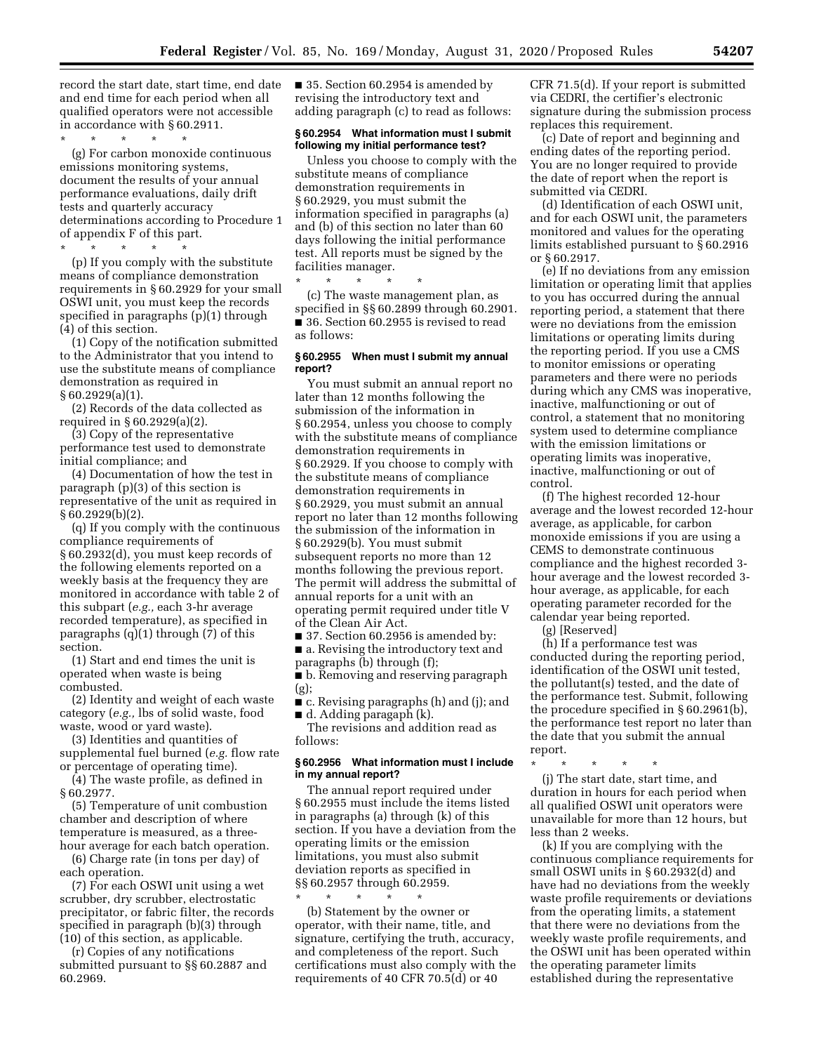record the start date, start time, end date and end time for each period when all qualified operators were not accessible in accordance with § 60.2911.

\* \* \* \* \*

(g) For carbon monoxide continuous emissions monitoring systems, document the results of your annual performance evaluations, daily drift tests and quarterly accuracy determinations according to Procedure 1 of appendix F of this part.

\* \* \* \* \*

(p) If you comply with the substitute means of compliance demonstration requirements in § 60.2929 for your small OSWI unit, you must keep the records specified in paragraphs (p)(1) through (4) of this section.

(1) Copy of the notification submitted to the Administrator that you intend to use the substitute means of compliance demonstration as required in § 60.2929(a)(1).

(2) Records of the data collected as required in § 60.2929(a)(2).

(3) Copy of the representative performance test used to demonstrate initial compliance; and

(4) Documentation of how the test in paragraph (p)(3) of this section is representative of the unit as required in  $§ 60.2929(b)(2).$ 

(q) If you comply with the continuous compliance requirements of § 60.2932(d), you must keep records of the following elements reported on a weekly basis at the frequency they are monitored in accordance with table 2 of this subpart (*e.g.,* each 3-hr average recorded temperature), as specified in paragraphs (q)(1) through (7) of this section.

(1) Start and end times the unit is operated when waste is being combusted.

(2) Identity and weight of each waste category (*e.g.,* lbs of solid waste, food waste, wood or yard waste).

(3) Identities and quantities of supplemental fuel burned (*e.g.* flow rate or percentage of operating time).

(4) The waste profile, as defined in § 60.2977.

(5) Temperature of unit combustion chamber and description of where temperature is measured, as a threehour average for each batch operation.

(6) Charge rate (in tons per day) of each operation.

(7) For each OSWI unit using a wet scrubber, dry scrubber, electrostatic precipitator, or fabric filter, the records specified in paragraph (b)(3) through (10) of this section, as applicable.

(r) Copies of any notifications submitted pursuant to §§ 60.2887 and 60.2969.

■ 35. Section 60.2954 is amended by revising the introductory text and adding paragraph (c) to read as follows:

## **§ 60.2954 What information must I submit following my initial performance test?**

Unless you choose to comply with the substitute means of compliance demonstration requirements in § 60.2929, you must submit the information specified in paragraphs (a) and (b) of this section no later than 60 days following the initial performance test. All reports must be signed by the facilities manager.

\* \* \* \* \* (c) The waste management plan, as specified in §§ 60.2899 through 60.2901. ■ 36. Section 60.2955 is revised to read as follows:

#### **§ 60.2955 When must I submit my annual report?**

You must submit an annual report no later than 12 months following the submission of the information in § 60.2954, unless you choose to comply with the substitute means of compliance demonstration requirements in § 60.2929. If you choose to comply with the substitute means of compliance demonstration requirements in § 60.2929, you must submit an annual report no later than 12 months following the submission of the information in § 60.2929(b). You must submit subsequent reports no more than 12 months following the previous report. The permit will address the submittal of annual reports for a unit with an operating permit required under title V of the Clean Air Act.

■ 37. Section 60.2956 is amended by:

■ a. Revising the introductory text and paragraphs (b) through (f);

■ b. Removing and reserving paragraph (g);

■ c. Revising paragraphs (h) and (j); and ■ d. Adding paragaph (k).

The revisions and addition read as follows:

### **§ 60.2956 What information must I include in my annual report?**

The annual report required under § 60.2955 must include the items listed in paragraphs (a) through (k) of this section. If you have a deviation from the operating limits or the emission limitations, you must also submit deviation reports as specified in §§ 60.2957 through 60.2959.

\* \* \* \* \* (b) Statement by the owner or operator, with their name, title, and signature, certifying the truth, accuracy, and completeness of the report. Such certifications must also comply with the requirements of 40 CFR 70.5(d) or 40

CFR 71.5(d). If your report is submitted via CEDRI, the certifier's electronic signature during the submission process replaces this requirement.

(c) Date of report and beginning and ending dates of the reporting period. You are no longer required to provide the date of report when the report is submitted via CEDRI.

(d) Identification of each OSWI unit, and for each OSWI unit, the parameters monitored and values for the operating limits established pursuant to § 60.2916 or § 60.2917.

(e) If no deviations from any emission limitation or operating limit that applies to you has occurred during the annual reporting period, a statement that there were no deviations from the emission limitations or operating limits during the reporting period. If you use a CMS to monitor emissions or operating parameters and there were no periods during which any CMS was inoperative, inactive, malfunctioning or out of control, a statement that no monitoring system used to determine compliance with the emission limitations or operating limits was inoperative, inactive, malfunctioning or out of control.

(f) The highest recorded 12-hour average and the lowest recorded 12-hour average, as applicable, for carbon monoxide emissions if you are using a CEMS to demonstrate continuous compliance and the highest recorded 3 hour average and the lowest recorded 3 hour average, as applicable, for each operating parameter recorded for the calendar year being reported.

(g) [Reserved]

(h) If a performance test was conducted during the reporting period, identification of the OSWI unit tested, the pollutant(s) tested, and the date of the performance test. Submit, following the procedure specified in § 60.2961(b), the performance test report no later than the date that you submit the annual report.

\* \* \* \* \*

(j) The start date, start time, and duration in hours for each period when all qualified OSWI unit operators were unavailable for more than 12 hours, but less than 2 weeks.

(k) If you are complying with the continuous compliance requirements for small OSWI units in § 60.2932(d) and have had no deviations from the weekly waste profile requirements or deviations from the operating limits, a statement that there were no deviations from the weekly waste profile requirements, and the OSWI unit has been operated within the operating parameter limits established during the representative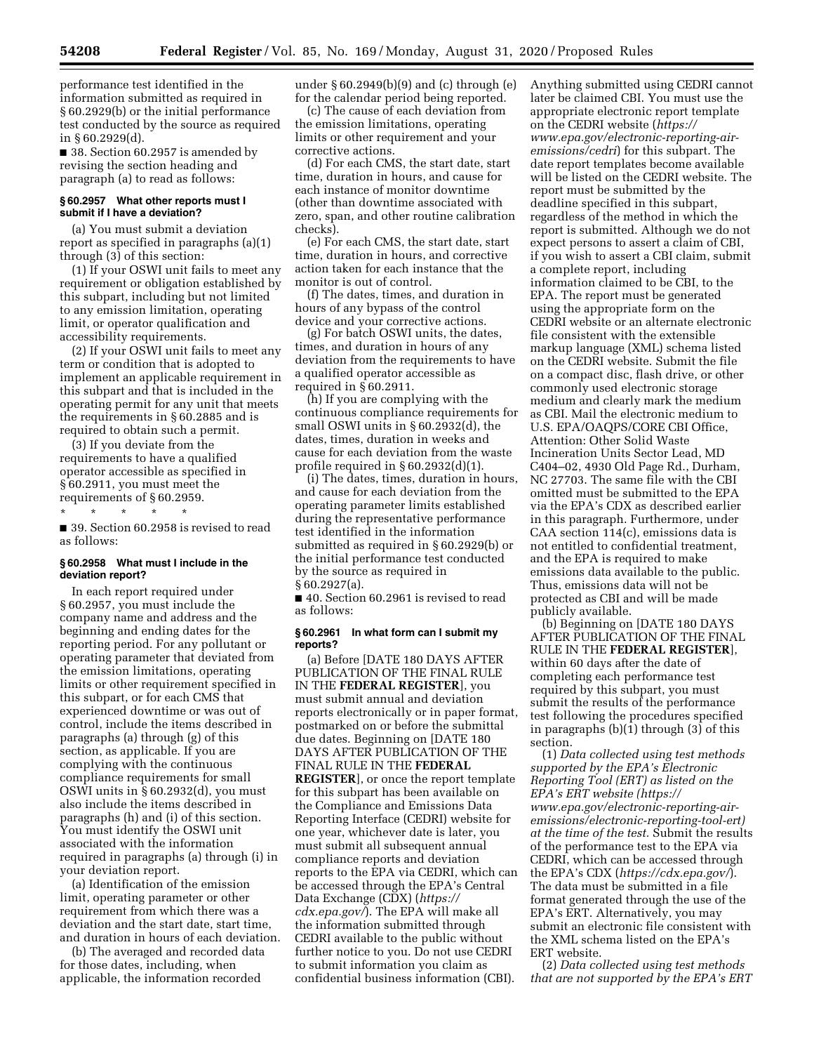performance test identified in the information submitted as required in § 60.2929(b) or the initial performance test conducted by the source as required in § 60.2929(d).

■ 38. Section 60.2957 is amended by revising the section heading and paragraph (a) to read as follows:

### **§ 60.2957 What other reports must I submit if I have a deviation?**

(a) You must submit a deviation report as specified in paragraphs (a)(1) through (3) of this section:

(1) If your OSWI unit fails to meet any requirement or obligation established by this subpart, including but not limited to any emission limitation, operating limit, or operator qualification and accessibility requirements.

(2) If your OSWI unit fails to meet any term or condition that is adopted to implement an applicable requirement in this subpart and that is included in the operating permit for any unit that meets the requirements in § 60.2885 and is required to obtain such a permit.

(3) If you deviate from the requirements to have a qualified operator accessible as specified in § 60.2911, you must meet the requirements of § 60.2959.

\* \* \* \* \*

■ 39. Section 60.2958 is revised to read as follows:

## **§ 60.2958 What must I include in the deviation report?**

In each report required under § 60.2957, you must include the company name and address and the beginning and ending dates for the reporting period. For any pollutant or operating parameter that deviated from the emission limitations, operating limits or other requirement specified in this subpart, or for each CMS that experienced downtime or was out of control, include the items described in paragraphs (a) through (g) of this section, as applicable. If you are complying with the continuous compliance requirements for small OSWI units in § 60.2932(d), you must also include the items described in paragraphs (h) and (i) of this section. You must identify the OSWI unit associated with the information required in paragraphs (a) through (i) in your deviation report.

(a) Identification of the emission limit, operating parameter or other requirement from which there was a deviation and the start date, start time, and duration in hours of each deviation.

(b) The averaged and recorded data for those dates, including, when applicable, the information recorded

under § 60.2949(b)(9) and (c) through (e) for the calendar period being reported.

(c) The cause of each deviation from the emission limitations, operating limits or other requirement and your corrective actions.

(d) For each CMS, the start date, start time, duration in hours, and cause for each instance of monitor downtime (other than downtime associated with zero, span, and other routine calibration checks).

(e) For each CMS, the start date, start time, duration in hours, and corrective action taken for each instance that the monitor is out of control.

(f) The dates, times, and duration in hours of any bypass of the control device and your corrective actions.

(g) For batch OSWI units, the dates, times, and duration in hours of any deviation from the requirements to have a qualified operator accessible as required in § 60.2911.

(h) If you are complying with the continuous compliance requirements for small OSWI units in § 60.2932(d), the dates, times, duration in weeks and cause for each deviation from the waste profile required in § 60.2932(d)(1).

(i) The dates, times, duration in hours, and cause for each deviation from the operating parameter limits established during the representative performance test identified in the information submitted as required in § 60.2929(b) or the initial performance test conducted by the source as required in § 60.2927(a).

■ 40. Section 60.2961 is revised to read as follows:

#### **§ 60.2961 In what form can I submit my reports?**

(a) Before [DATE 180 DAYS AFTER PUBLICATION OF THE FINAL RULE IN THE **FEDERAL REGISTER**], you must submit annual and deviation reports electronically or in paper format, postmarked on or before the submittal due dates. Beginning on [DATE 180 DAYS AFTER PUBLICATION OF THE FINAL RULE IN THE **FEDERAL REGISTER**], or once the report template for this subpart has been available on the Compliance and Emissions Data Reporting Interface (CEDRI) website for one year, whichever date is later, you must submit all subsequent annual compliance reports and deviation reports to the EPA via CEDRI, which can be accessed through the EPA's Central Data Exchange (CDX) (*[https://](https://cdx.epa.gov/) [cdx.epa.gov/](https://cdx.epa.gov/)*). The EPA will make all the information submitted through CEDRI available to the public without further notice to you. Do not use CEDRI to submit information you claim as confidential business information (CBI).

Anything submitted using CEDRI cannot later be claimed CBI. You must use the appropriate electronic report template on the CEDRI website (*[https://](https://www.epa.gov/electronic-reporting-air-emissions/cedri) [www.epa.gov/electronic-reporting-air](https://www.epa.gov/electronic-reporting-air-emissions/cedri)[emissions/cedri](https://www.epa.gov/electronic-reporting-air-emissions/cedri)*) for this subpart. The date report templates become available will be listed on the CEDRI website. The report must be submitted by the deadline specified in this subpart, regardless of the method in which the report is submitted. Although we do not expect persons to assert a claim of CBI, if you wish to assert a CBI claim, submit a complete report, including information claimed to be CBI, to the EPA. The report must be generated using the appropriate form on the CEDRI website or an alternate electronic file consistent with the extensible markup language (XML) schema listed on the CEDRI website. Submit the file on a compact disc, flash drive, or other commonly used electronic storage medium and clearly mark the medium as CBI. Mail the electronic medium to U.S. EPA/OAQPS/CORE CBI Office, Attention: Other Solid Waste Incineration Units Sector Lead, MD C404–02, 4930 Old Page Rd., Durham, NC 27703. The same file with the CBI omitted must be submitted to the EPA via the EPA's CDX as described earlier in this paragraph. Furthermore, under CAA section 114(c), emissions data is not entitled to confidential treatment, and the EPA is required to make emissions data available to the public. Thus, emissions data will not be protected as CBI and will be made publicly available.

(b) Beginning on [DATE 180 DAYS AFTER PUBLICATION OF THE FINAL RULE IN THE **FEDERAL REGISTER**], within 60 days after the date of completing each performance test required by this subpart, you must submit the results of the performance test following the procedures specified in paragraphs (b)(1) through (3) of this section.

(1) *Data collected using test methods supported by the EPA's Electronic Reporting Tool (ERT) as listed on the EPA's ERT website ([https://](https://www.epa.gov/electronic-reporting-air-emissions/electronic-reporting-tool-ert) [www.epa.gov/electronic-reporting-air](https://www.epa.gov/electronic-reporting-air-emissions/electronic-reporting-tool-ert)[emissions/electronic-reporting-tool-ert\)](https://www.epa.gov/electronic-reporting-air-emissions/electronic-reporting-tool-ert) at the time of the test.* Submit the results of the performance test to the EPA via CEDRI, which can be accessed through the EPA's CDX (*<https://cdx.epa.gov/>*). The data must be submitted in a file format generated through the use of the EPA's ERT. Alternatively, you may submit an electronic file consistent with the XML schema listed on the EPA's ERT website.

(2) *Data collected using test methods that are not supported by the EPA's ERT*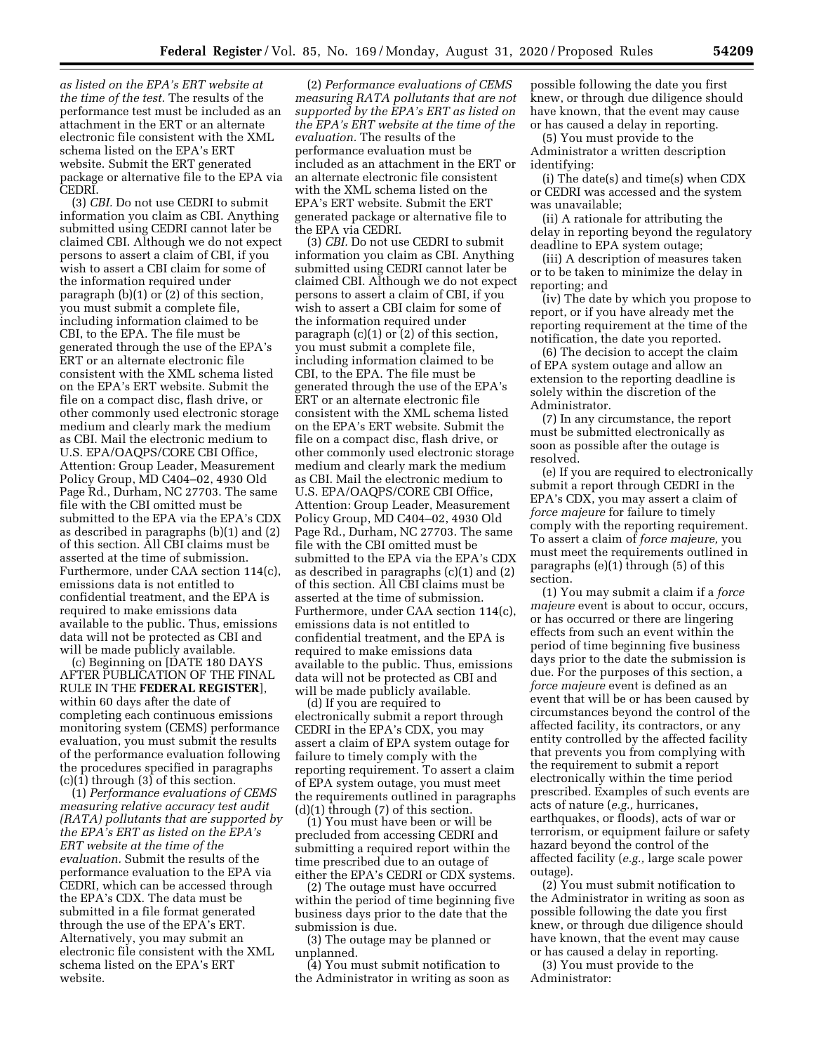*as listed on the EPA's ERT website at the time of the test.* The results of the performance test must be included as an attachment in the ERT or an alternate electronic file consistent with the XML schema listed on the EPA's ERT website. Submit the ERT generated package or alternative file to the EPA via CEDRI.

(3) *CBI.* Do not use CEDRI to submit information you claim as CBI. Anything submitted using CEDRI cannot later be claimed CBI. Although we do not expect persons to assert a claim of CBI, if you wish to assert a CBI claim for some of the information required under paragraph (b)(1) or (2) of this section, you must submit a complete file, including information claimed to be CBI, to the EPA. The file must be generated through the use of the EPA's ERT or an alternate electronic file consistent with the XML schema listed on the EPA's ERT website. Submit the file on a compact disc, flash drive, or other commonly used electronic storage medium and clearly mark the medium as CBI. Mail the electronic medium to U.S. EPA/OAQPS/CORE CBI Office, Attention: Group Leader, Measurement Policy Group, MD C404–02, 4930 Old Page Rd., Durham, NC 27703. The same file with the CBI omitted must be submitted to the EPA via the EPA's CDX as described in paragraphs (b)(1) and (2) of this section. All CBI claims must be asserted at the time of submission. Furthermore, under CAA section 114(c), emissions data is not entitled to confidential treatment, and the EPA is required to make emissions data available to the public. Thus, emissions data will not be protected as CBI and will be made publicly available.

(c) Beginning on [DATE 180 DAYS AFTER PUBLICATION OF THE FINAL RULE IN THE **FEDERAL REGISTER**], within 60 days after the date of completing each continuous emissions monitoring system (CEMS) performance evaluation, you must submit the results of the performance evaluation following the procedures specified in paragraphs (c)(1) through (3) of this section.

(1) *Performance evaluations of CEMS measuring relative accuracy test audit (RATA) pollutants that are supported by the EPA's ERT as listed on the EPA's ERT website at the time of the evaluation.* Submit the results of the performance evaluation to the EPA via CEDRI, which can be accessed through the EPA's CDX. The data must be submitted in a file format generated through the use of the EPA's ERT. Alternatively, you may submit an electronic file consistent with the XML schema listed on the EPA's ERT website.

(2) *Performance evaluations of CEMS measuring RATA pollutants that are not supported by the EPA's ERT as listed on the EPA's ERT website at the time of the evaluation.* The results of the performance evaluation must be included as an attachment in the ERT or an alternate electronic file consistent with the XML schema listed on the EPA's ERT website. Submit the ERT generated package or alternative file to the EPA via CEDRI.

(3) *CBI.* Do not use CEDRI to submit information you claim as CBI. Anything submitted using CEDRI cannot later be claimed CBI. Although we do not expect persons to assert a claim of CBI, if you wish to assert a CBI claim for some of the information required under paragraph (c)(1) or (2) of this section, you must submit a complete file, including information claimed to be CBI, to the EPA. The file must be generated through the use of the EPA's ERT or an alternate electronic file consistent with the XML schema listed on the EPA's ERT website. Submit the file on a compact disc, flash drive, or other commonly used electronic storage medium and clearly mark the medium as CBI. Mail the electronic medium to U.S. EPA/OAQPS/CORE CBI Office, Attention: Group Leader, Measurement Policy Group, MD C404–02, 4930 Old Page Rd., Durham, NC 27703. The same file with the CBI omitted must be submitted to the EPA via the EPA's CDX as described in paragraphs (c)(1) and (2) of this section. All CBI claims must be asserted at the time of submission. Furthermore, under CAA section 114(c), emissions data is not entitled to confidential treatment, and the EPA is required to make emissions data available to the public. Thus, emissions data will not be protected as CBI and will be made publicly available.

(d) If you are required to electronically submit a report through CEDRI in the EPA's CDX, you may assert a claim of EPA system outage for failure to timely comply with the reporting requirement. To assert a claim of EPA system outage, you must meet the requirements outlined in paragraphs  $(d)(1)$  through  $(7)$  of this section.

(1) You must have been or will be precluded from accessing CEDRI and submitting a required report within the time prescribed due to an outage of either the EPA's CEDRI or CDX systems.

(2) The outage must have occurred within the period of time beginning five business days prior to the date that the submission is due.

(3) The outage may be planned or unplanned.

(4) You must submit notification to the Administrator in writing as soon as

possible following the date you first knew, or through due diligence should have known, that the event may cause or has caused a delay in reporting.

(5) You must provide to the Administrator a written description identifying:

(i) The date(s) and time(s) when CDX or CEDRI was accessed and the system was unavailable;

(ii) A rationale for attributing the delay in reporting beyond the regulatory deadline to EPA system outage;

(iii) A description of measures taken or to be taken to minimize the delay in reporting; and

(iv) The date by which you propose to report, or if you have already met the reporting requirement at the time of the notification, the date you reported.

(6) The decision to accept the claim of EPA system outage and allow an extension to the reporting deadline is solely within the discretion of the Administrator.

(7) In any circumstance, the report must be submitted electronically as soon as possible after the outage is resolved.

(e) If you are required to electronically submit a report through CEDRI in the EPA's CDX, you may assert a claim of *force majeure* for failure to timely comply with the reporting requirement. To assert a claim of *force majeure,* you must meet the requirements outlined in paragraphs (e)(1) through (5) of this section.

(1) You may submit a claim if a *force majeure* event is about to occur, occurs, or has occurred or there are lingering effects from such an event within the period of time beginning five business days prior to the date the submission is due. For the purposes of this section, a *force majeure* event is defined as an event that will be or has been caused by circumstances beyond the control of the affected facility, its contractors, or any entity controlled by the affected facility that prevents you from complying with the requirement to submit a report electronically within the time period prescribed. Examples of such events are acts of nature (*e.g.,* hurricanes, earthquakes, or floods), acts of war or terrorism, or equipment failure or safety hazard beyond the control of the affected facility (*e.g.,* large scale power outage).

(2) You must submit notification to the Administrator in writing as soon as possible following the date you first knew, or through due diligence should have known, that the event may cause or has caused a delay in reporting.

(3) You must provide to the Administrator: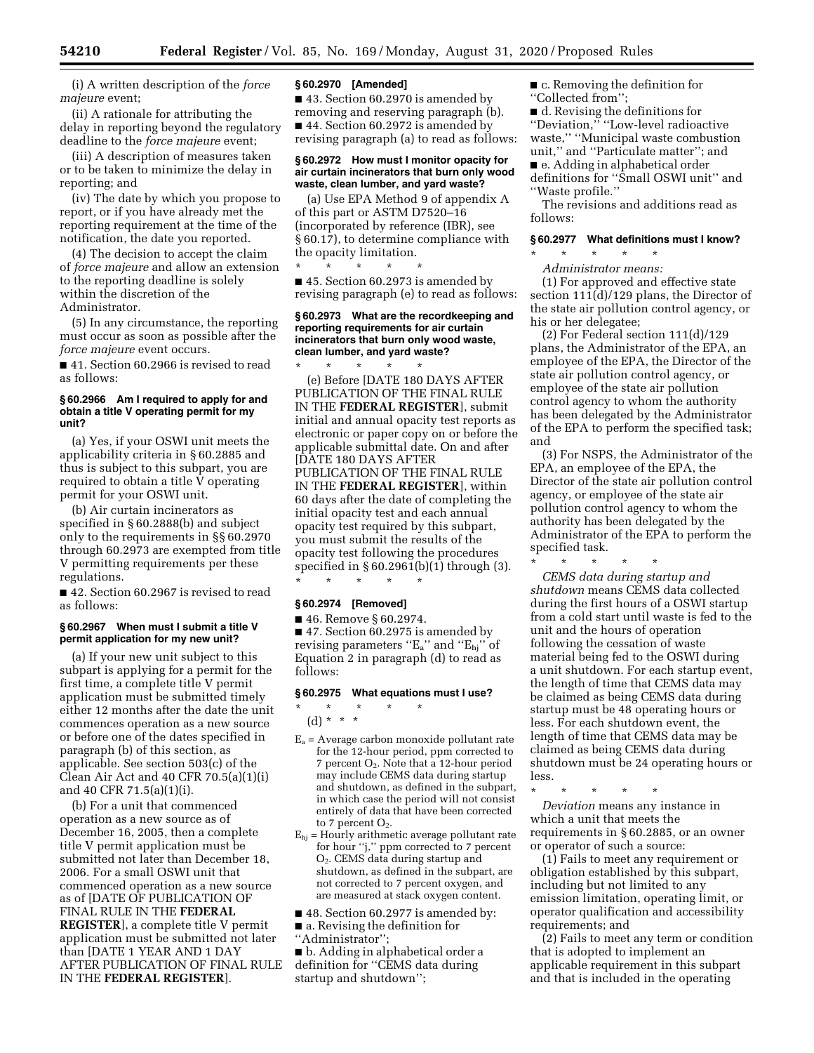(i) A written description of the *force majeure* event;

(ii) A rationale for attributing the delay in reporting beyond the regulatory deadline to the *force majeure* event;

(iii) A description of measures taken or to be taken to minimize the delay in reporting; and

(iv) The date by which you propose to report, or if you have already met the reporting requirement at the time of the notification, the date you reported.

(4) The decision to accept the claim of *force majeure* and allow an extension to the reporting deadline is solely within the discretion of the Administrator.

(5) In any circumstance, the reporting must occur as soon as possible after the *force majeure* event occurs.

■ 41. Section 60.2966 is revised to read as follows:

#### **§ 60.2966 Am I required to apply for and obtain a title V operating permit for my unit?**

(a) Yes, if your OSWI unit meets the applicability criteria in § 60.2885 and thus is subject to this subpart, you are required to obtain a title V operating permit for your OSWI unit.

(b) Air curtain incinerators as specified in § 60.2888(b) and subject only to the requirements in §§ 60.2970 through 60.2973 are exempted from title V permitting requirements per these regulations.

■ 42. Section 60.2967 is revised to read as follows:

#### **§ 60.2967 When must I submit a title V permit application for my new unit?**

(a) If your new unit subject to this subpart is applying for a permit for the first time, a complete title V permit application must be submitted timely either 12 months after the date the unit commences operation as a new source or before one of the dates specified in paragraph (b) of this section, as applicable. See section 503(c) of the Clean Air Act and  $40$  CFR  $70.5(a)(1)(i)$ and 40 CFR 71.5(a)(1)(i).

(b) For a unit that commenced operation as a new source as of December 16, 2005, then a complete title V permit application must be submitted not later than December 18, 2006. For a small OSWI unit that commenced operation as a new source as of [DATE OF PUBLICATION OF FINAL RULE IN THE **FEDERAL REGISTER**], a complete title V permit application must be submitted not later than [DATE 1 YEAR AND 1 DAY AFTER PUBLICATION OF FINAL RULE IN THE **FEDERAL REGISTER**].

#### **§ 60.2970 [Amended]**

■ 43. Section 60.2970 is amended by removing and reserving paragraph (b). ■ 44. Section 60.2972 is amended by revising paragraph (a) to read as follows:

### **§ 60.2972 How must I monitor opacity for air curtain incinerators that burn only wood waste, clean lumber, and yard waste?**

(a) Use EPA Method 9 of appendix A of this part or ASTM D7520–16 (incorporated by reference (IBR), see § 60.17), to determine compliance with the opacity limitation.

\* \* \* \* \* ■ 45. Section 60.2973 is amended by revising paragraph (e) to read as follows:

#### **§ 60.2973 What are the recordkeeping and reporting requirements for air curtain incinerators that burn only wood waste, clean lumber, and yard waste?**

\* \* \* \* \* (e) Before [DATE 180 DAYS AFTER PUBLICATION OF THE FINAL RULE IN THE **FEDERAL REGISTER**], submit initial and annual opacity test reports as electronic or paper copy on or before the applicable submittal date. On and after [DATE 180 DAYS AFTER PUBLICATION OF THE FINAL RULE IN THE **FEDERAL REGISTER**], within 60 days after the date of completing the initial opacity test and each annual opacity test required by this subpart, you must submit the results of the opacity test following the procedures specified in § 60.2961(b)(1) through (3). \* \* \* \* \*

#### **§ 60.2974 [Removed]**

■ 46. Remove § 60.2974.

■ 47. Section 60.2975 is amended by revising parameters " $E_a$ " and " $E_{hj}$ " of Equation 2 in paragraph (d) to read as follows:

## **§ 60.2975 What equations must I use?**

(d) \* \* \*

\* \* \* \* \*

- $E_a$  = Average carbon monoxide pollutant rate for the 12-hour period, ppm corrected to 7 percent  $O_2$ . Note that a 12-hour period may include CEMS data during startup and shutdown, as defined in the subpart, in which case the period will not consist entirely of data that have been corrected to 7 percent  $O_2$ .
- $E_{hi}$  = Hourly arithmetic average pollutant rate for hour ''j,'' ppm corrected to 7 percent O2. CEMS data during startup and shutdown, as defined in the subpart, are not corrected to 7 percent oxygen, and are measured at stack oxygen content.

■ 48. Section 60.2977 is amended by:

■ a. Revising the definition for

''Administrator'';

■ b. Adding in alphabetical order a definition for ''CEMS data during startup and shutdown'';

■ c. Removing the definition for

''Collected from'';

■ d. Revising the definitions for ''Deviation,'' ''Low-level radioactive waste,'' ''Municipal waste combustion unit,'' and ''Particulate matter''; and ■ e. Adding in alphabetical order definitions for ''Small OSWI unit'' and

''Waste profile.''

The revisions and additions read as follows:

## **§ 60.2977 What definitions must I know?**

\* \* \* \* \* *Administrator means:* 

(1) For approved and effective state section 111(d)/129 plans, the Director of the state air pollution control agency, or his or her delegatee;

(2) For Federal section 111(d)/129 plans, the Administrator of the EPA, an employee of the EPA, the Director of the state air pollution control agency, or employee of the state air pollution control agency to whom the authority has been delegated by the Administrator of the EPA to perform the specified task; and

(3) For NSPS, the Administrator of the EPA, an employee of the EPA, the Director of the state air pollution control agency, or employee of the state air pollution control agency to whom the authority has been delegated by the Administrator of the EPA to perform the specified task.

\* \* \* \* \*

*CEMS data during startup and shutdown* means CEMS data collected during the first hours of a OSWI startup from a cold start until waste is fed to the unit and the hours of operation following the cessation of waste material being fed to the OSWI during a unit shutdown. For each startup event, the length of time that CEMS data may be claimed as being CEMS data during startup must be 48 operating hours or less. For each shutdown event, the length of time that CEMS data may be claimed as being CEMS data during shutdown must be 24 operating hours or less.

\* \* \* \* \*

*Deviation* means any instance in which a unit that meets the requirements in § 60.2885, or an owner or operator of such a source:

(1) Fails to meet any requirement or obligation established by this subpart, including but not limited to any emission limitation, operating limit, or operator qualification and accessibility requirements; and

(2) Fails to meet any term or condition that is adopted to implement an applicable requirement in this subpart and that is included in the operating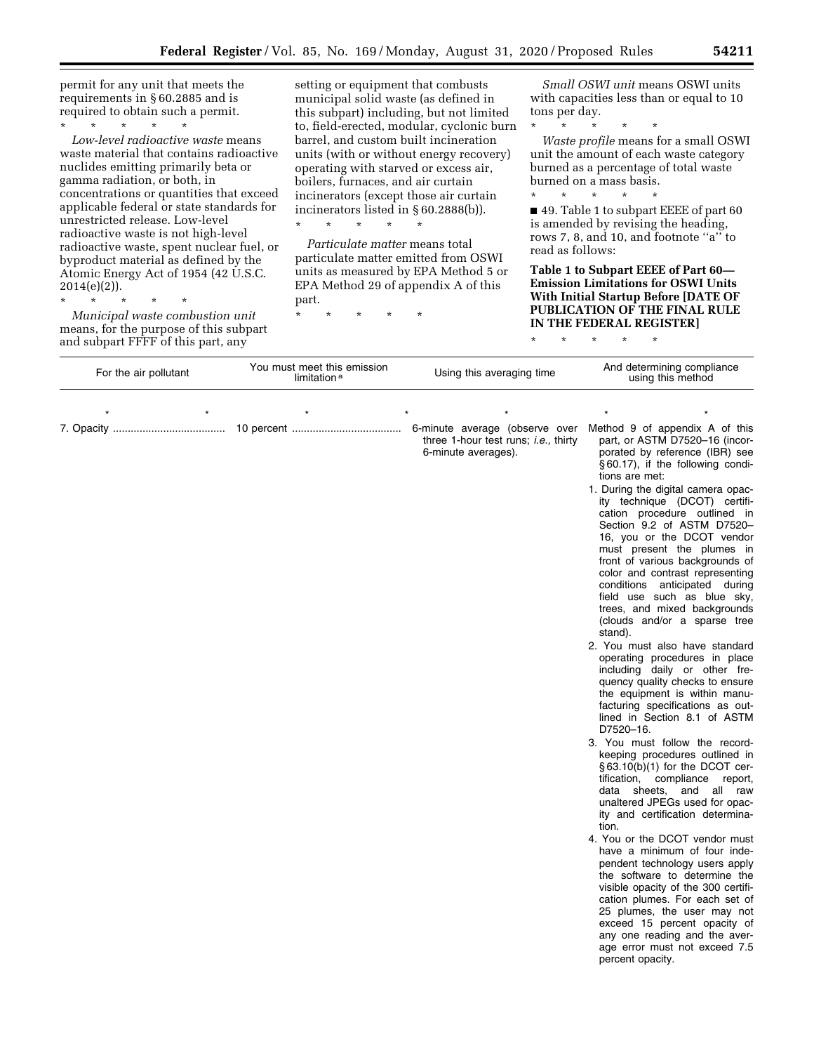permit for any unit that meets the requirements in § 60.2885 and is required to obtain such a permit.

\* \* \* \* \* *Low-level radioactive waste* means waste material that contains radioactive nuclides emitting primarily beta or gamma radiation, or both, in concentrations or quantities that exceed applicable federal or state standards for unrestricted release. Low-level radioactive waste is not high-level radioactive waste, spent nuclear fuel, or byproduct material as defined by the Atomic Energy Act of 1954 (42 U.S.C.  $2014(e)(2)$ ).

\* \* \* \* \*

*Municipal waste combustion unit*  means, for the purpose of this subpart and subpart FFFF of this part, any

setting or equipment that combusts municipal solid waste (as defined in this subpart) including, but not limited to, field-erected, modular, cyclonic burn barrel, and custom built incineration units (with or without energy recovery) operating with starved or excess air, boilers, furnaces, and air curtain incinerators (except those air curtain incinerators listed in § 60.2888(b)).

*Particulate matter* means total particulate matter emitted from OSWI units as measured by EPA Method 5 or EPA Method 29 of appendix A of this part.

\* \* \* \* \*

\* \* \* \* \*

*Small OSWI unit* means OSWI units with capacities less than or equal to 10 tons per day.

\* \* \* \* \* *Waste profile* means for a small OSWI unit the amount of each waste category burned as a percentage of total waste burned on a mass basis.

\* \* \* \* \* ■ 49. Table 1 to subpart EEEE of part 60 is amended by revising the heading, rows 7, 8, and 10, and footnote ''a'' to read as follows:

**Table 1 to Subpart EEEE of Part 60— Emission Limitations for OSWI Units With Initial Startup Before [DATE OF PUBLICATION OF THE FINAL RULE IN THE FEDERAL REGISTER]** 

\* \* \* \* \*

| For the air pollutant | You must meet this emission<br>limitation <sup>a</sup> | Using this averaging time                                                                             | And determining compliance<br>using this method                                                                                                                                                                                                                                                                                                                                                                                                                                                                                                                                                                                                                                                                                                                                                                                                                                                                                                                                                                                                                                                                                                                                                                                                                                                                                                                                                                                                           |
|-----------------------|--------------------------------------------------------|-------------------------------------------------------------------------------------------------------|-----------------------------------------------------------------------------------------------------------------------------------------------------------------------------------------------------------------------------------------------------------------------------------------------------------------------------------------------------------------------------------------------------------------------------------------------------------------------------------------------------------------------------------------------------------------------------------------------------------------------------------------------------------------------------------------------------------------------------------------------------------------------------------------------------------------------------------------------------------------------------------------------------------------------------------------------------------------------------------------------------------------------------------------------------------------------------------------------------------------------------------------------------------------------------------------------------------------------------------------------------------------------------------------------------------------------------------------------------------------------------------------------------------------------------------------------------------|
|                       |                                                        |                                                                                                       |                                                                                                                                                                                                                                                                                                                                                                                                                                                                                                                                                                                                                                                                                                                                                                                                                                                                                                                                                                                                                                                                                                                                                                                                                                                                                                                                                                                                                                                           |
|                       |                                                        | 6-minute average (observe over<br>three 1-hour test runs; <i>i.e.</i> , thirty<br>6-minute averages). | Method 9 of appendix A of this<br>part, or ASTM D7520-16 (incor-<br>porated by reference (IBR) see<br>§60.17), if the following condi-<br>tions are met:<br>1. During the digital camera opac-<br>ity technique (DCOT) certifi-<br>cation procedure outlined in<br>Section 9.2 of ASTM D7520-<br>16, you or the DCOT vendor<br>must present the plumes in<br>front of various backgrounds of<br>color and contrast representing<br>conditions anticipated during<br>field use such as blue sky,<br>trees, and mixed backgrounds<br>(clouds and/or a sparse tree<br>stand).<br>2. You must also have standard<br>operating procedures in place<br>including daily or other fre-<br>quency quality checks to ensure<br>the equipment is within manu-<br>facturing specifications as out-<br>lined in Section 8.1 of ASTM<br>D7520-16.<br>3. You must follow the record-<br>keeping procedures outlined in<br>§63.10(b)(1) for the DCOT cer-<br>tification, compliance report,<br>data sheets, and all raw<br>unaltered JPEGs used for opac-<br>ity and certification determina-<br>tion.<br>4. You or the DCOT vendor must<br>have a minimum of four inde-<br>pendent technology users apply<br>the software to determine the<br>visible opacity of the 300 certifi-<br>cation plumes. For each set of<br>25 plumes, the user may not<br>exceed 15 percent opacity of<br>any one reading and the aver-<br>age error must not exceed 7.5<br>percent opacity. |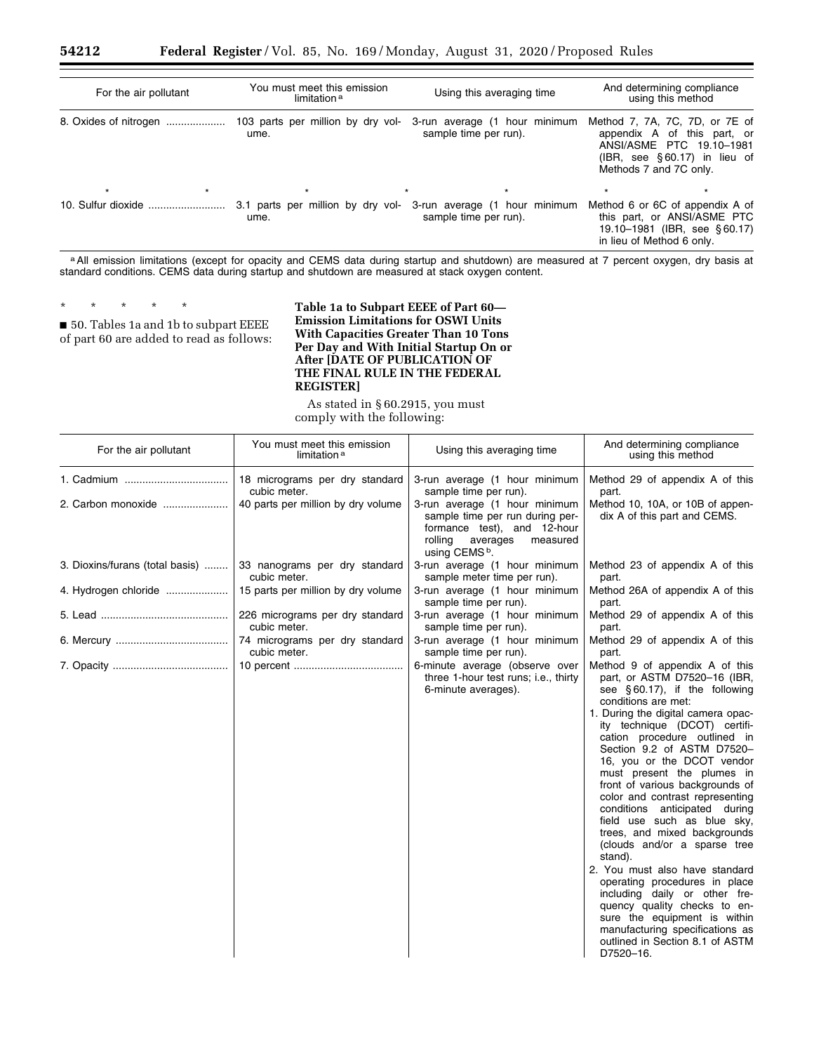| For the air pollutant | You must meet this emission<br>limitation <sup>a</sup> | Using this averaging time                              | And determining compliance<br>using this method                                                                                                       |
|-----------------------|--------------------------------------------------------|--------------------------------------------------------|-------------------------------------------------------------------------------------------------------------------------------------------------------|
|                       | 103 parts per million by dry vol-<br>ume.              | 3-run average (1 hour minimum<br>sample time per run). | Method 7, 7A, 7C, 7D, or 7E of<br>appendix A of this part, or<br>ANSI/ASME PTC 19.10-1981<br>$(IBR, see §60.17)$ in lieu of<br>Methods 7 and 7C only. |
| $\star$<br>$\star$    | $\star$                                                | $\star$                                                | $\star$<br>$\star$                                                                                                                                    |
|                       | 3.1 parts per million by dry vol-<br>ume.              | 3-run average (1 hour minimum<br>sample time per run). | Method 6 or 6C of appendix A of<br>this part, or ANSI/ASME PTC<br>19.10-1981 (IBR, see §60.17)<br>in lieu of Method 6 only.                           |

a All emission limitations (except for opacity and CEMS data during startup and shutdown) are measured at 7 percent oxygen, dry basis at standard conditions. CEMS data during startup and shutdown are measured at stack oxygen content.

\* \* \* \* \*

■ 50. Tables 1a and 1b to subpart EEEE of part 60 are added to read as follows:

**Table 1a to Subpart EEEE of Part 60— Emission Limitations for OSWI Units With Capacities Greater Than 10 Tons Per Day and With Initial Startup On or After [DATE OF PUBLICATION OF THE FINAL RULE IN THE FEDERAL REGISTER]** 

As stated in § 60.2915, you must comply with the following:

| For the air pollutant           | You must meet this emission<br>limitation <sup>a</sup> | Using this averaging time                                                                                                                                       | And determining compliance<br>using this method                                                                                                                                                                                                                                                                                                                                                                                                                                                                                                                                                                                                                                                                                                                                                 |
|---------------------------------|--------------------------------------------------------|-----------------------------------------------------------------------------------------------------------------------------------------------------------------|-------------------------------------------------------------------------------------------------------------------------------------------------------------------------------------------------------------------------------------------------------------------------------------------------------------------------------------------------------------------------------------------------------------------------------------------------------------------------------------------------------------------------------------------------------------------------------------------------------------------------------------------------------------------------------------------------------------------------------------------------------------------------------------------------|
|                                 | 18 micrograms per dry standard                         | 3-run average (1 hour minimum                                                                                                                                   | Method 29 of appendix A of this                                                                                                                                                                                                                                                                                                                                                                                                                                                                                                                                                                                                                                                                                                                                                                 |
|                                 | cubic meter.                                           | sample time per run).                                                                                                                                           | part.                                                                                                                                                                                                                                                                                                                                                                                                                                                                                                                                                                                                                                                                                                                                                                                           |
| 2. Carbon monoxide              | 40 parts per million by dry volume                     | 3-run average (1 hour minimum<br>sample time per run during per-<br>formance test), and 12-hour<br>rolling<br>averages<br>measured<br>using CEMS <sup>b</sup> . | Method 10, 10A, or 10B of appen-<br>dix A of this part and CEMS.                                                                                                                                                                                                                                                                                                                                                                                                                                                                                                                                                                                                                                                                                                                                |
| 3. Dioxins/furans (total basis) | 33 nanograms per dry standard                          | 3-run average (1 hour minimum                                                                                                                                   | Method 23 of appendix A of this                                                                                                                                                                                                                                                                                                                                                                                                                                                                                                                                                                                                                                                                                                                                                                 |
|                                 | cubic meter.                                           | sample meter time per run).                                                                                                                                     | part.                                                                                                                                                                                                                                                                                                                                                                                                                                                                                                                                                                                                                                                                                                                                                                                           |
| 4. Hydrogen chloride            | 15 parts per million by dry volume                     | 3-run average (1 hour minimum<br>sample time per run).                                                                                                          | Method 26A of appendix A of this<br>part.                                                                                                                                                                                                                                                                                                                                                                                                                                                                                                                                                                                                                                                                                                                                                       |
|                                 | 226 micrograms per dry standard                        | 3-run average (1 hour minimum                                                                                                                                   | Method 29 of appendix A of this                                                                                                                                                                                                                                                                                                                                                                                                                                                                                                                                                                                                                                                                                                                                                                 |
|                                 | cubic meter.                                           | sample time per run).                                                                                                                                           | part.                                                                                                                                                                                                                                                                                                                                                                                                                                                                                                                                                                                                                                                                                                                                                                                           |
|                                 | 74 micrograms per dry standard                         | 3-run average (1 hour minimum                                                                                                                                   | Method 29 of appendix A of this                                                                                                                                                                                                                                                                                                                                                                                                                                                                                                                                                                                                                                                                                                                                                                 |
|                                 | cubic meter.                                           | sample time per run).                                                                                                                                           | part.                                                                                                                                                                                                                                                                                                                                                                                                                                                                                                                                                                                                                                                                                                                                                                                           |
|                                 |                                                        | 6-minute average (observe over<br>three 1-hour test runs; i.e., thirty<br>6-minute averages).                                                                   | Method 9 of appendix A of this<br>part, or ASTM D7520-16 (IBR,<br>see §60.17), if the following<br>conditions are met:<br>1. During the digital camera opac-<br>ity technique (DCOT) certifi-<br>cation procedure outlined in<br>Section 9.2 of ASTM D7520-<br>16, you or the DCOT vendor<br>must present the plumes in<br>front of various backgrounds of<br>color and contrast representing<br>conditions anticipated during<br>field use such as blue sky.<br>trees, and mixed backgrounds<br>(clouds and/or a sparse tree<br>stand).<br>2. You must also have standard<br>operating procedures in place<br>including daily or other fre-<br>quency quality checks to en-<br>sure the equipment is within<br>manufacturing specifications as<br>outlined in Section 8.1 of ASTM<br>D7520-16. |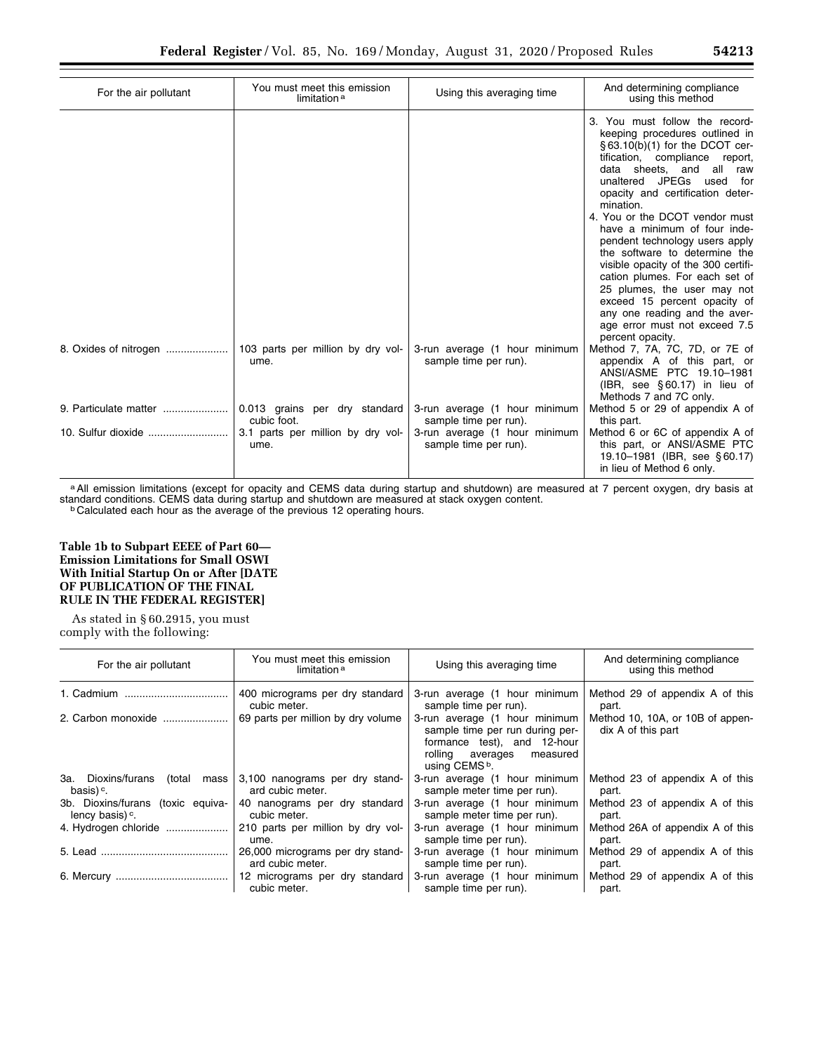| For the air pollutant | You must meet this emission<br>limitation <sup>a</sup> | Using this averaging time                              | And determining compliance<br>using this method                                                                                                                                                                                                                                                                                                                                                                                                                                                                                                                                                           |
|-----------------------|--------------------------------------------------------|--------------------------------------------------------|-----------------------------------------------------------------------------------------------------------------------------------------------------------------------------------------------------------------------------------------------------------------------------------------------------------------------------------------------------------------------------------------------------------------------------------------------------------------------------------------------------------------------------------------------------------------------------------------------------------|
|                       |                                                        |                                                        | 3. You must follow the record-<br>keeping procedures outlined in<br>$\S 63.10(b)(1)$ for the DCOT cer-<br>tification, compliance<br>report,<br>data sheets, and all<br>raw<br>unaltered JPEGs<br>used for<br>opacity and certification deter-<br>mination.<br>4. You or the DCOT vendor must<br>have a minimum of four inde-<br>pendent technology users apply<br>the software to determine the<br>visible opacity of the 300 certifi-<br>cation plumes. For each set of<br>25 plumes, the user may not<br>exceed 15 percent opacity of<br>any one reading and the aver-<br>age error must not exceed 7.5 |
|                       | 103 parts per million by dry vol-<br>ume.              | 3-run average (1 hour minimum<br>sample time per run). | percent opacity.<br>Method 7, 7A, 7C, 7D, or 7E of<br>appendix A of this part, or<br>ANSI/ASME PTC 19.10-1981<br>$(IBR, see §60.17)$ in lieu of<br>Methods 7 and 7C only.                                                                                                                                                                                                                                                                                                                                                                                                                                 |
| 9. Particulate matter | 0.013 grains per dry standard<br>cubic foot.           | 3-run average (1 hour minimum<br>sample time per run). | Method 5 or 29 of appendix A of<br>this part.                                                                                                                                                                                                                                                                                                                                                                                                                                                                                                                                                             |
| 10. Sulfur dioxide    | 3.1 parts per million by dry vol-<br>ume.              | 3-run average (1 hour minimum<br>sample time per run). | Method 6 or 6C of appendix A of<br>this part, or ANSI/ASME PTC<br>19.10-1981 (IBR, see §60.17)<br>in lieu of Method 6 only.                                                                                                                                                                                                                                                                                                                                                                                                                                                                               |

a All emission limitations (except for opacity and CEMS data during startup and shutdown) are measured at 7 percent oxygen, dry basis at standard conditions. CEMS data during startup and shutdown are measured at stack oxygen content.<br><sup>b</sup> Calculated each hour as the average of the previous 12 operating hours.

**Table 1b to Subpart EEEE of Part 60— Emission Limitations for Small OSWI With Initial Startup On or After [DATE OF PUBLICATION OF THE FINAL RULE IN THE FEDERAL REGISTER]** 

As stated in § 60.2915, you must comply with the following:

| For the air pollutant             | You must meet this emission<br>limitation <sup>a</sup> | Using this averaging time                                                                                                                                 | And determining compliance<br>using this method        |
|-----------------------------------|--------------------------------------------------------|-----------------------------------------------------------------------------------------------------------------------------------------------------------|--------------------------------------------------------|
|                                   | 400 micrograms per dry standard                        | 3-run average (1 hour minimum                                                                                                                             | Method 29 of appendix A of this                        |
|                                   | cubic meter.                                           | sample time per run).                                                                                                                                     | part.                                                  |
| 2. Carbon monoxide                | 69 parts per million by dry volume                     | 3-run average (1 hour minimum<br>sample time per run during per-<br>formance test), and 12-hour<br>rolling averages measured<br>using CEMS <sup>b</sup> . | Method 10, 10A, or 10B of appen-<br>dix A of this part |
| 3a. Dioxins/furans (total mass)   | 3,100 nanograms per dry stand-                         | 3-run average (1 hour minimum                                                                                                                             | Method 23 of appendix A of this                        |
| basis) <sup>c</sup> .             | ard cubic meter.                                       | sample meter time per run).                                                                                                                               | part.                                                  |
| 3b. Dioxins/furans (toxic equiva- | 40 nanograms per dry standard                          | 3-run average (1 hour minimum                                                                                                                             | Method 23 of appendix A of this                        |
| lency basis) <sup>c</sup> .       | cubic meter.                                           | sample meter time per run).                                                                                                                               | part.                                                  |
| 4. Hydrogen chloride              | 210 parts per million by dry vol-                      | 3-run average (1 hour minimum                                                                                                                             | Method 26A of appendix A of this                       |
|                                   | ume.                                                   | sample time per run).                                                                                                                                     | part.                                                  |
|                                   | 26,000 micrograms per dry stand-                       | 3-run average (1 hour minimum                                                                                                                             | Method 29 of appendix A of this                        |
|                                   | ard cubic meter.                                       | sample time per run).                                                                                                                                     | part.                                                  |
|                                   | 12 micrograms per dry standard                         | 3-run average (1 hour minimum                                                                                                                             | Method 29 of appendix A of this                        |
|                                   | cubic meter.                                           | sample time per run).                                                                                                                                     | part.                                                  |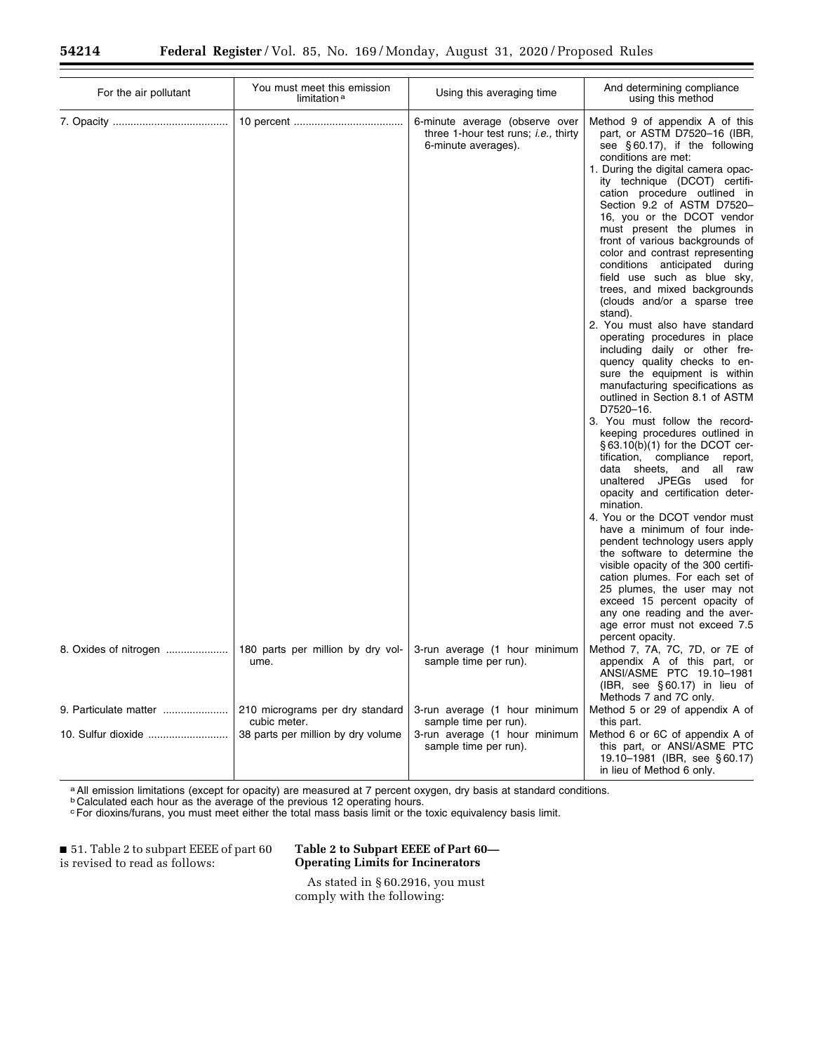| For the air pollutant | You must meet this emission<br>limitation <sup>a</sup> | Using this averaging time                                                                             | And determining compliance<br>using this method                                                                                                                                                                                                                                                                                                                                                                                                                                                                                                                                                                                                                                                                                                                                                                                                                                                                                                                                                                                                                                                                                                                                                                                                                                                                                          |
|-----------------------|--------------------------------------------------------|-------------------------------------------------------------------------------------------------------|------------------------------------------------------------------------------------------------------------------------------------------------------------------------------------------------------------------------------------------------------------------------------------------------------------------------------------------------------------------------------------------------------------------------------------------------------------------------------------------------------------------------------------------------------------------------------------------------------------------------------------------------------------------------------------------------------------------------------------------------------------------------------------------------------------------------------------------------------------------------------------------------------------------------------------------------------------------------------------------------------------------------------------------------------------------------------------------------------------------------------------------------------------------------------------------------------------------------------------------------------------------------------------------------------------------------------------------|
|                       |                                                        | 6-minute average (observe over<br>three 1-hour test runs; <i>i.e.</i> , thirty<br>6-minute averages). | Method 9 of appendix A of this<br>part, or ASTM D7520-16 (IBR,<br>see $\S 60.17$ , if the following<br>conditions are met:<br>1. During the digital camera opac-<br>ity technique (DCOT) certifi-<br>cation procedure outlined in<br>Section 9.2 of ASTM D7520-<br>16, you or the DCOT vendor<br>must present the plumes in<br>front of various backgrounds of<br>color and contrast representing<br>conditions anticipated during<br>field use such as blue sky,<br>trees, and mixed backgrounds<br>(clouds and/or a sparse tree<br>stand).<br>2. You must also have standard<br>operating procedures in place<br>including daily or other fre-<br>quency quality checks to en-<br>sure the equipment is within<br>manufacturing specifications as<br>outlined in Section 8.1 of ASTM<br>D7520-16.<br>3. You must follow the record-<br>keeping procedures outlined in<br>$\S$ 63.10(b)(1) for the DCOT cer-<br>tification, compliance<br>report,<br>data sheets, and all raw<br>unaltered JPEGs used for<br>opacity and certification deter-<br>mination.<br>4. You or the DCOT vendor must<br>have a minimum of four inde-<br>pendent technology users apply<br>the software to determine the<br>visible opacity of the 300 certifi-<br>cation plumes. For each set of<br>25 plumes, the user may not<br>exceed 15 percent opacity of |
| 8. Oxides of nitrogen | 180 parts per million by dry vol-                      | 3-run average (1 hour minimum                                                                         | any one reading and the aver-<br>age error must not exceed 7.5<br>percent opacity.<br>Method 7, 7A, 7C, 7D, or 7E of                                                                                                                                                                                                                                                                                                                                                                                                                                                                                                                                                                                                                                                                                                                                                                                                                                                                                                                                                                                                                                                                                                                                                                                                                     |
|                       | ume.                                                   | sample time per run).                                                                                 | appendix A of this part, or<br>ANSI/ASME PTC 19.10-1981<br>$(HBR, see §60.17)$ in lieu of<br>Methods 7 and 7C only.                                                                                                                                                                                                                                                                                                                                                                                                                                                                                                                                                                                                                                                                                                                                                                                                                                                                                                                                                                                                                                                                                                                                                                                                                      |
| 9. Particulate matter | 210 micrograms per dry standard<br>cubic meter.        | 3-run average (1 hour minimum<br>sample time per run).                                                | Method 5 or 29 of appendix A of<br>this part.                                                                                                                                                                                                                                                                                                                                                                                                                                                                                                                                                                                                                                                                                                                                                                                                                                                                                                                                                                                                                                                                                                                                                                                                                                                                                            |
|                       | 38 parts per million by dry volume                     | 3-run average (1 hour minimum<br>sample time per run).                                                | Method 6 or 6C of appendix A of<br>this part, or ANSI/ASME PTC                                                                                                                                                                                                                                                                                                                                                                                                                                                                                                                                                                                                                                                                                                                                                                                                                                                                                                                                                                                                                                                                                                                                                                                                                                                                           |
|                       |                                                        |                                                                                                       | 19.10-1981 (IBR, see §60.17)<br>in lieu of Method 6 only.                                                                                                                                                                                                                                                                                                                                                                                                                                                                                                                                                                                                                                                                                                                                                                                                                                                                                                                                                                                                                                                                                                                                                                                                                                                                                |

a All emission limitations (except for opacity) are measured at 7 percent oxygen, dry basis at standard conditions.

b Calculated each hour as the average of the previous 12 operating hours.

cFor dioxins/furans, you must meet either the total mass basis limit or the toxic equivalency basis limit.

■ 51. Table 2 to subpart EEEE of part 60 is revised to read as follows:

**Table 2 to Subpart EEEE of Part 60— Operating Limits for Incinerators** 

As stated in § 60.2916, you must comply with the following: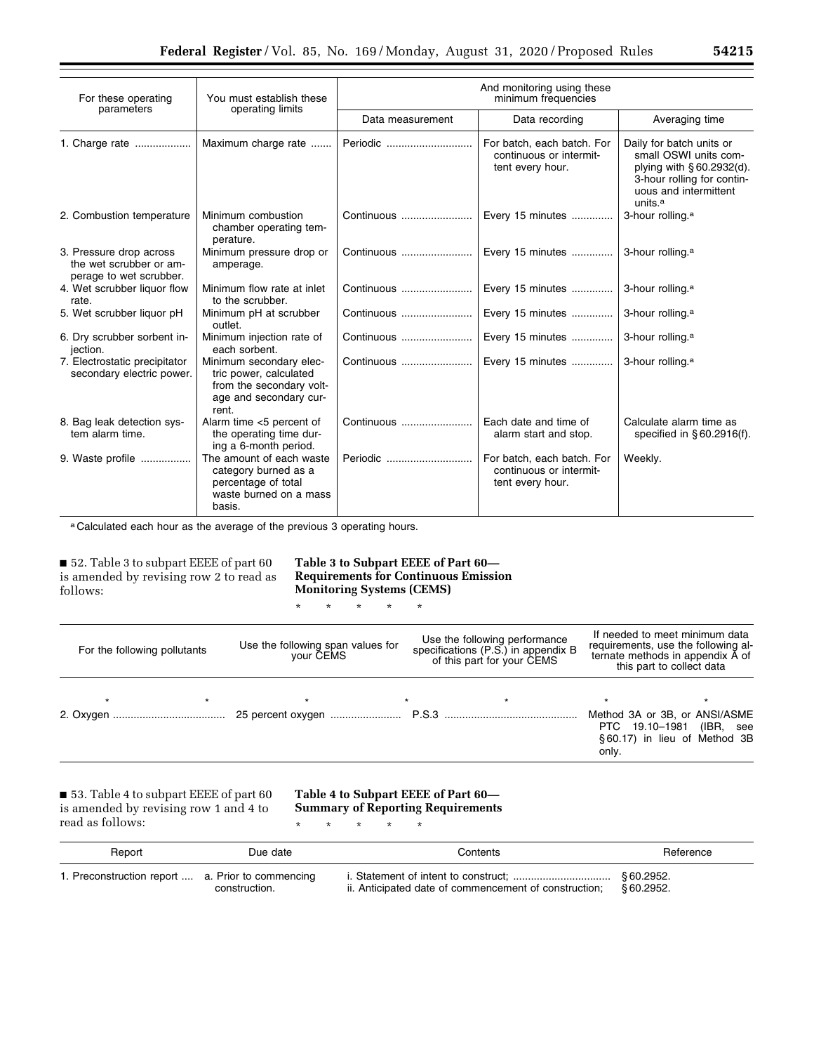| For these operating<br>parameters                                             | You must establish these<br>operating limits                                                                     | And monitoring using these<br>minimum frequencies |                                                                           |                                                                                                                                                              |  |
|-------------------------------------------------------------------------------|------------------------------------------------------------------------------------------------------------------|---------------------------------------------------|---------------------------------------------------------------------------|--------------------------------------------------------------------------------------------------------------------------------------------------------------|--|
|                                                                               |                                                                                                                  | Data measurement                                  | Data recording                                                            | Averaging time                                                                                                                                               |  |
| 1. Charge rate                                                                | Maximum charge rate                                                                                              | Periodic                                          | For batch, each batch. For<br>continuous or intermit-<br>tent every hour. | Daily for batch units or<br>small OSWI units com-<br>plying with § 60.2932(d).<br>3-hour rolling for contin-<br>uous and intermittent<br>units. <sup>a</sup> |  |
| 2. Combustion temperature                                                     | Minimum combustion<br>chamber operating tem-<br>perature.                                                        | Continuous                                        | Every 15 minutes                                                          | 3-hour rolling. <sup>a</sup>                                                                                                                                 |  |
| 3. Pressure drop across<br>the wet scrubber or am-<br>perage to wet scrubber. | Minimum pressure drop or<br>amperage.                                                                            | Continuous                                        | Every 15 minutes                                                          | 3-hour rolling. <sup>a</sup>                                                                                                                                 |  |
| 4. Wet scrubber liquor flow<br>rate.                                          | Minimum flow rate at inlet<br>to the scrubber.                                                                   | Continuous                                        | Every 15 minutes                                                          | 3-hour rolling. <sup>a</sup>                                                                                                                                 |  |
| 5. Wet scrubber liquor pH                                                     | Minimum pH at scrubber<br>outlet.                                                                                | Continuous                                        | Every 15 minutes                                                          | 3-hour rolling. <sup>a</sup>                                                                                                                                 |  |
| 6. Dry scrubber sorbent in-<br>jection.                                       | Minimum injection rate of<br>each sorbent.                                                                       | Continuous                                        | Every 15 minutes                                                          | 3-hour rolling. <sup>a</sup>                                                                                                                                 |  |
| 7. Electrostatic precipitator<br>secondary electric power.                    | Minimum secondary elec-<br>tric power, calculated<br>from the secondary volt-<br>age and secondary cur-<br>rent. | Continuous                                        | Every 15 minutes                                                          | 3-hour rolling. <sup>a</sup>                                                                                                                                 |  |
| 8. Bag leak detection sys-<br>tem alarm time.                                 | Alarm time <5 percent of<br>the operating time dur-<br>ing a 6-month period.                                     | Continuous                                        | Each date and time of<br>alarm start and stop.                            | Calculate alarm time as<br>specified in $\S$ 60.2916(f).                                                                                                     |  |
| 9. Waste profile                                                              | The amount of each waste<br>category burned as a<br>percentage of total<br>waste burned on a mass<br>basis.      | Periodic                                          | For batch, each batch. For<br>continuous or intermit-<br>tent every hour. | Weekly.                                                                                                                                                      |  |

a Calculated each hour as the average of the previous 3 operating hours.

■ 52. Table 3 to subpart EEEE of part 60 is amended by revising row 2 to read as follows:

**Table 3 to Subpart EEEE of Part 60— Requirements for Continuous Emission Monitoring Systems (CEMS)** 

| Use the following span values for<br>For the following pollutants<br>your CEMS |         | Use the following performance<br>specifications (P.S.) in appendix B<br>of this part for your CEMS | If needed to meet minimum data<br>requirements, use the following al-<br>ternate methods in appendix A of<br>this part to collect data |
|--------------------------------------------------------------------------------|---------|----------------------------------------------------------------------------------------------------|----------------------------------------------------------------------------------------------------------------------------------------|
|                                                                                | $\star$ | $\star$<br>$\star$                                                                                 | $\star$<br>Method 3A or 3B, or ANSI/ASME<br>PTC 19.10-1981<br>(IBR, see<br>§60.17) in lieu of Method 3B<br>only.                       |

■ 53. Table 4 to subpart EEEE of part 60 is amended by revising row 1 and 4 to read as follows:

# **Table 4 to Subpart EEEE of Part 60— Summary of Reporting Requirements**

\* \* \* \* \*

\* \* \* \* \*

| Report                                            | Due date      | Contents                                                        | Reference |
|---------------------------------------------------|---------------|-----------------------------------------------------------------|-----------|
| 1. Preconstruction report  a. Prior to commencing | construction. | ii. Anticipated date of commencement of construction: §60.2952. |           |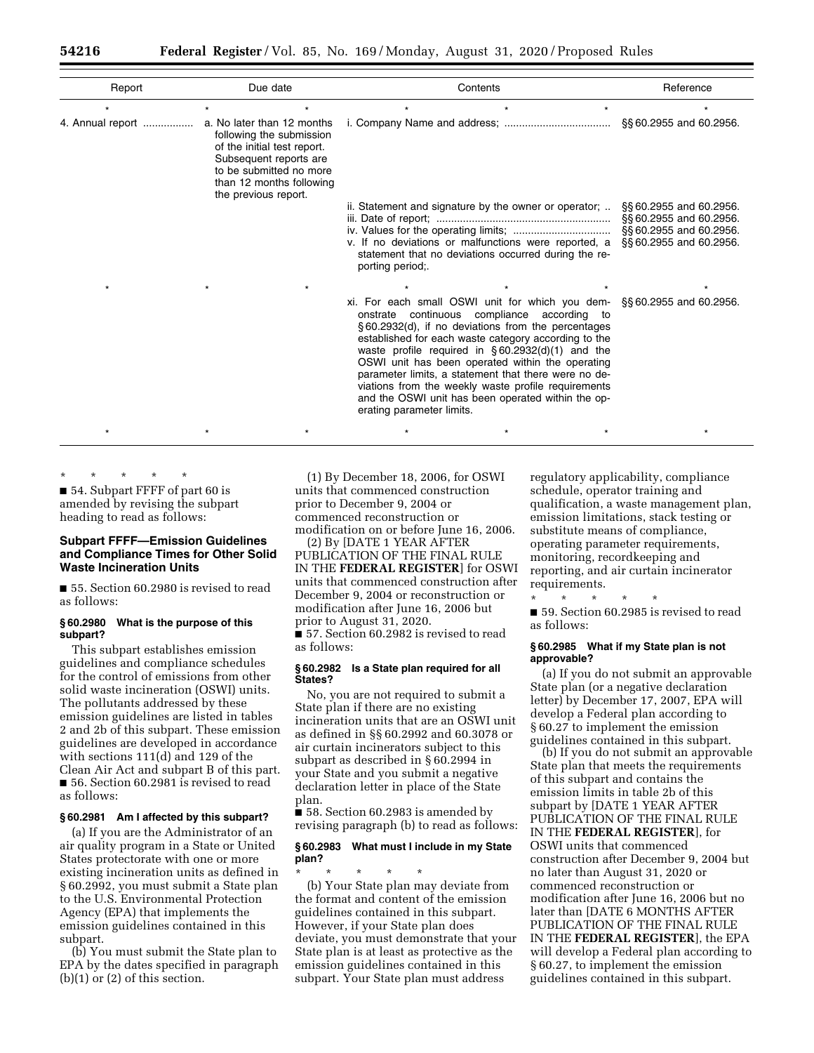| Report           | Due date                                                                                                                                                                                       | Contents                                                                                                                                                                                                                                                                                                                                                                                                                                                                                                                                               | Reference                                                                                              |
|------------------|------------------------------------------------------------------------------------------------------------------------------------------------------------------------------------------------|--------------------------------------------------------------------------------------------------------------------------------------------------------------------------------------------------------------------------------------------------------------------------------------------------------------------------------------------------------------------------------------------------------------------------------------------------------------------------------------------------------------------------------------------------------|--------------------------------------------------------------------------------------------------------|
| ÷                | $\star$<br>$\star$                                                                                                                                                                             | $\star$<br>$\star$                                                                                                                                                                                                                                                                                                                                                                                                                                                                                                                                     | $\star$                                                                                                |
| 4. Annual report | a. No later than 12 months<br>following the submission<br>of the initial test report.<br>Subsequent reports are<br>to be submitted no more<br>than 12 months following<br>the previous report. |                                                                                                                                                                                                                                                                                                                                                                                                                                                                                                                                                        | §§60.2955 and 60.2956.                                                                                 |
|                  |                                                                                                                                                                                                | ii. Statement and signature by the owner or operator;<br>v. If no deviations or malfunctions were reported, a<br>statement that no deviations occurred during the re-<br>porting period;                                                                                                                                                                                                                                                                                                                                                               | §§60.2955 and 60.2956.<br>§§ 60.2955 and 60.2956.<br>§§60.2955 and 60.2956.<br>§§ 60.2955 and 60.2956. |
|                  |                                                                                                                                                                                                | xi. For each small OSWI unit for which you dem- $\S$ § 60.2955 and 60.2956.<br>onstrate continuous compliance according to<br>§60.2932(d), if no deviations from the percentages<br>established for each waste category according to the<br>waste profile required in $\S 60.2932(d)(1)$ and the<br>OSWI unit has been operated within the operating<br>parameter limits, a statement that there were no de-<br>viations from the weekly waste profile requirements<br>and the OSWI unit has been operated within the op-<br>erating parameter limits. |                                                                                                        |
|                  |                                                                                                                                                                                                |                                                                                                                                                                                                                                                                                                                                                                                                                                                                                                                                                        |                                                                                                        |

\* \* \* \* \* ■ 54. Subpart FFFF of part 60 is amended by revising the subpart heading to read as follows:

## **Subpart FFFF—Emission Guidelines and Compliance Times for Other Solid Waste Incineration Units**

■ 55. Section 60.2980 is revised to read as follows:

## **§ 60.2980 What is the purpose of this subpart?**

This subpart establishes emission guidelines and compliance schedules for the control of emissions from other solid waste incineration (OSWI) units. The pollutants addressed by these emission guidelines are listed in tables 2 and 2b of this subpart. These emission guidelines are developed in accordance with sections 111(d) and 129 of the Clean Air Act and subpart B of this part. ■ 56. Section 60.2981 is revised to read as follows:

## **§ 60.2981 Am I affected by this subpart?**

(a) If you are the Administrator of an air quality program in a State or United States protectorate with one or more existing incineration units as defined in § 60.2992, you must submit a State plan to the U.S. Environmental Protection Agency (EPA) that implements the emission guidelines contained in this subpart.

(b) You must submit the State plan to EPA by the dates specified in paragraph  $(b)(1)$  or  $(2)$  of this section.

(1) By December 18, 2006, for OSWI units that commenced construction prior to December 9, 2004 or commenced reconstruction or

modification on or before June 16, 2006. (2) By [DATE 1 YEAR AFTER

PUBLICATION OF THE FINAL RULE IN THE **FEDERAL REGISTER**] for OSWI units that commenced construction after December 9, 2004 or reconstruction or modification after June 16, 2006 but prior to August 31, 2020. ■ 57. Section 60.2982 is revised to read as follows:

## **§ 60.2982 Is a State plan required for all States?**

No, you are not required to submit a State plan if there are no existing incineration units that are an OSWI unit as defined in §§ 60.2992 and 60.3078 or air curtain incinerators subject to this subpart as described in § 60.2994 in your State and you submit a negative declaration letter in place of the State plan.

■ 58. Section 60.2983 is amended by revising paragraph (b) to read as follows:

## **§ 60.2983 What must I include in my State plan?**

\* \* \* \* \* (b) Your State plan may deviate from the format and content of the emission guidelines contained in this subpart. However, if your State plan does deviate, you must demonstrate that your State plan is at least as protective as the emission guidelines contained in this subpart. Your State plan must address

regulatory applicability, compliance schedule, operator training and qualification, a waste management plan, emission limitations, stack testing or substitute means of compliance, operating parameter requirements, monitoring, recordkeeping and reporting, and air curtain incinerator requirements.

\* \* \* \* \* ■ 59. Section 60.2985 is revised to read as follows:

## **§ 60.2985 What if my State plan is not approvable?**

(a) If you do not submit an approvable State plan (or a negative declaration letter) by December 17, 2007, EPA will develop a Federal plan according to § 60.27 to implement the emission guidelines contained in this subpart.

(b) If you do not submit an approvable State plan that meets the requirements of this subpart and contains the emission limits in table 2b of this subpart by [DATE 1 YEAR AFTER PUBLICATION OF THE FINAL RULE IN THE **FEDERAL REGISTER**], for OSWI units that commenced construction after December 9, 2004 but no later than August 31, 2020 or commenced reconstruction or modification after June 16, 2006 but no later than [DATE 6 MONTHS AFTER PUBLICATION OF THE FINAL RULE IN THE **FEDERAL REGISTER**], the EPA will develop a Federal plan according to § 60.27, to implement the emission guidelines contained in this subpart.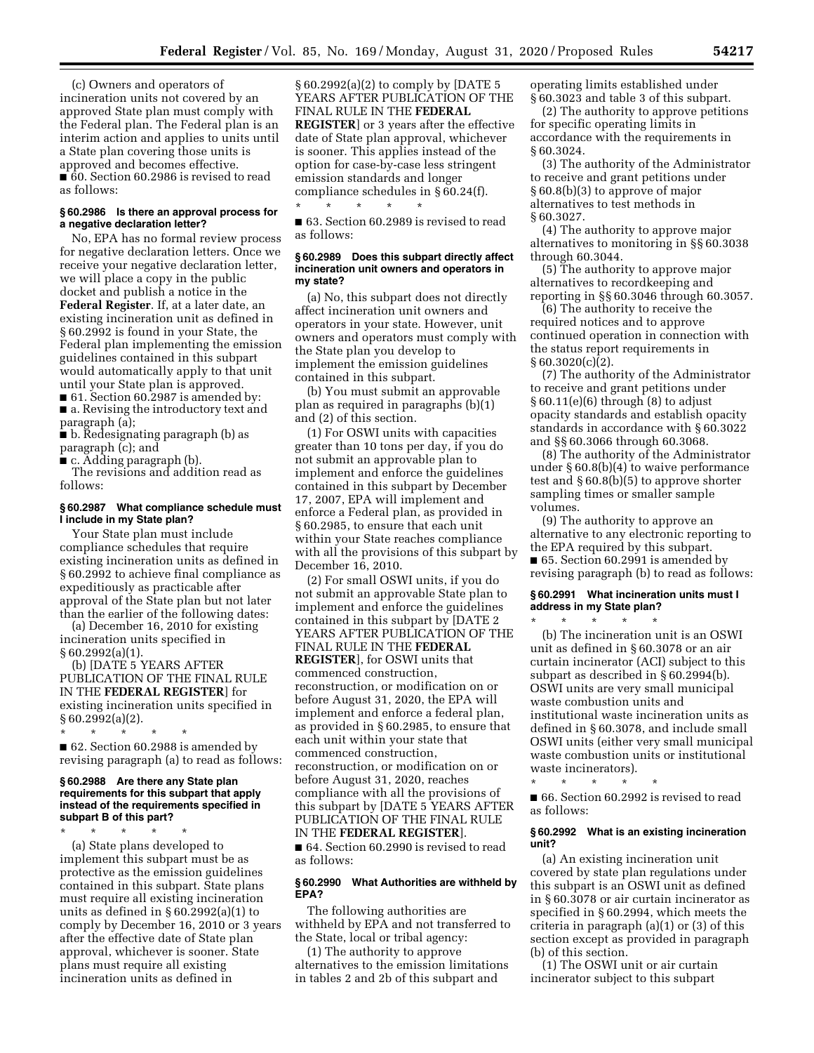(c) Owners and operators of incineration units not covered by an approved State plan must comply with the Federal plan. The Federal plan is an interim action and applies to units until a State plan covering those units is approved and becomes effective. ■ 60. Section 60.2986 is revised to read as follows:

## **§ 60.2986 Is there an approval process for a negative declaration letter?**

No, EPA has no formal review process for negative declaration letters. Once we receive your negative declaration letter, we will place a copy in the public docket and publish a notice in the **Federal Register**. If, at a later date, an existing incineration unit as defined in § 60.2992 is found in your State, the Federal plan implementing the emission guidelines contained in this subpart would automatically apply to that unit until your State plan is approved. ■ 61. Section 60.2987 is amended by:

■ a. Revising the introductory text and paragraph (a);

■ b. Redesignating paragraph (b) as paragraph (c); and

■ c. Adding paragraph (b).

The revisions and addition read as follows:

## **§ 60.2987 What compliance schedule must I include in my State plan?**

Your State plan must include compliance schedules that require existing incineration units as defined in § 60.2992 to achieve final compliance as expeditiously as practicable after approval of the State plan but not later than the earlier of the following dates:

(a) December 16, 2010 for existing incineration units specified in § 60.2992(a)(1).

(b) [DATE 5 YEARS AFTER PUBLICATION OF THE FINAL RULE IN THE **FEDERAL REGISTER**] for existing incineration units specified in § 60.2992(a)(2).

\* \* \* \* \* ■ 62. Section 60.2988 is amended by revising paragraph (a) to read as follows:

#### **§ 60.2988 Are there any State plan requirements for this subpart that apply instead of the requirements specified in subpart B of this part?**

\* \* \* \* \* (a) State plans developed to implement this subpart must be as protective as the emission guidelines contained in this subpart. State plans must require all existing incineration units as defined in § 60.2992(a)(1) to comply by December 16, 2010 or 3 years after the effective date of State plan approval, whichever is sooner. State plans must require all existing incineration units as defined in

§ 60.2992(a)(2) to comply by [DATE 5 YEARS AFTER PUBLICATION OF THE FINAL RULE IN THE **FEDERAL REGISTER**] or 3 years after the effective date of State plan approval, whichever is sooner. This applies instead of the option for case-by-case less stringent emission standards and longer compliance schedules in § 60.24(f).

■ 63. Section 60.2989 is revised to read as follows:

\* \* \* \* \*

## **§ 60.2989 Does this subpart directly affect incineration unit owners and operators in my state?**

(a) No, this subpart does not directly affect incineration unit owners and operators in your state. However, unit owners and operators must comply with the State plan you develop to implement the emission guidelines contained in this subpart.

(b) You must submit an approvable plan as required in paragraphs (b)(1) and (2) of this section.

(1) For OSWI units with capacities greater than 10 tons per day, if you do not submit an approvable plan to implement and enforce the guidelines contained in this subpart by December 17, 2007, EPA will implement and enforce a Federal plan, as provided in § 60.2985, to ensure that each unit within your State reaches compliance with all the provisions of this subpart by December 16, 2010.

(2) For small OSWI units, if you do not submit an approvable State plan to implement and enforce the guidelines contained in this subpart by [DATE 2 YEARS AFTER PUBLICATION OF THE FINAL RULE IN THE **FEDERAL REGISTER**], for OSWI units that commenced construction, reconstruction, or modification on or before August 31, 2020, the EPA will implement and enforce a federal plan, as provided in § 60.2985, to ensure that each unit within your state that commenced construction, reconstruction, or modification on or before August 31, 2020, reaches compliance with all the provisions of this subpart by [DATE 5 YEARS AFTER PUBLICATION OF THE FINAL RULE IN THE **FEDERAL REGISTER**].

■ 64. Section 60.2990 is revised to read as follows:

## **§ 60.2990 What Authorities are withheld by EPA?**

The following authorities are withheld by EPA and not transferred to the State, local or tribal agency:

(1) The authority to approve alternatives to the emission limitations in tables 2 and 2b of this subpart and

operating limits established under § 60.3023 and table 3 of this subpart.

(2) The authority to approve petitions for specific operating limits in accordance with the requirements in § 60.3024.

(3) The authority of the Administrator to receive and grant petitions under § 60.8(b)(3) to approve of major alternatives to test methods in § 60.3027.

(4) The authority to approve major alternatives to monitoring in §§ 60.3038 through 60.3044.

(5) The authority to approve major alternatives to recordkeeping and reporting in §§ 60.3046 through 60.3057.

(6) The authority to receive the required notices and to approve continued operation in connection with the status report requirements in § 60.3020(c)(2).

(7) The authority of the Administrator to receive and grant petitions under  $§ 60.11(e)(6)$  through  $(8)$  to adjust opacity standards and establish opacity standards in accordance with § 60.3022 and §§ 60.3066 through 60.3068.

(8) The authority of the Administrator under § 60.8(b)(4) to waive performance test and § 60.8(b)(5) to approve shorter sampling times or smaller sample volumes.

(9) The authority to approve an alternative to any electronic reporting to the EPA required by this subpart. ■ 65. Section 60.2991 is amended by revising paragraph (b) to read as follows:

## **§ 60.2991 What incineration units must I address in my State plan?**

\* \* \* \* \* (b) The incineration unit is an OSWI unit as defined in § 60.3078 or an air curtain incinerator (ACI) subject to this subpart as described in § 60.2994(b). OSWI units are very small municipal waste combustion units and institutional waste incineration units as defined in § 60.3078, and include small OSWI units (either very small municipal waste combustion units or institutional waste incinerators).

\* \* \* \* \* ■ 66. Section 60.2992 is revised to read as follows:

#### **§ 60.2992 What is an existing incineration unit?**

(a) An existing incineration unit covered by state plan regulations under this subpart is an OSWI unit as defined in § 60.3078 or air curtain incinerator as specified in § 60.2994, which meets the criteria in paragraph (a)(1) or (3) of this section except as provided in paragraph (b) of this section.

(1) The OSWI unit or air curtain incinerator subject to this subpart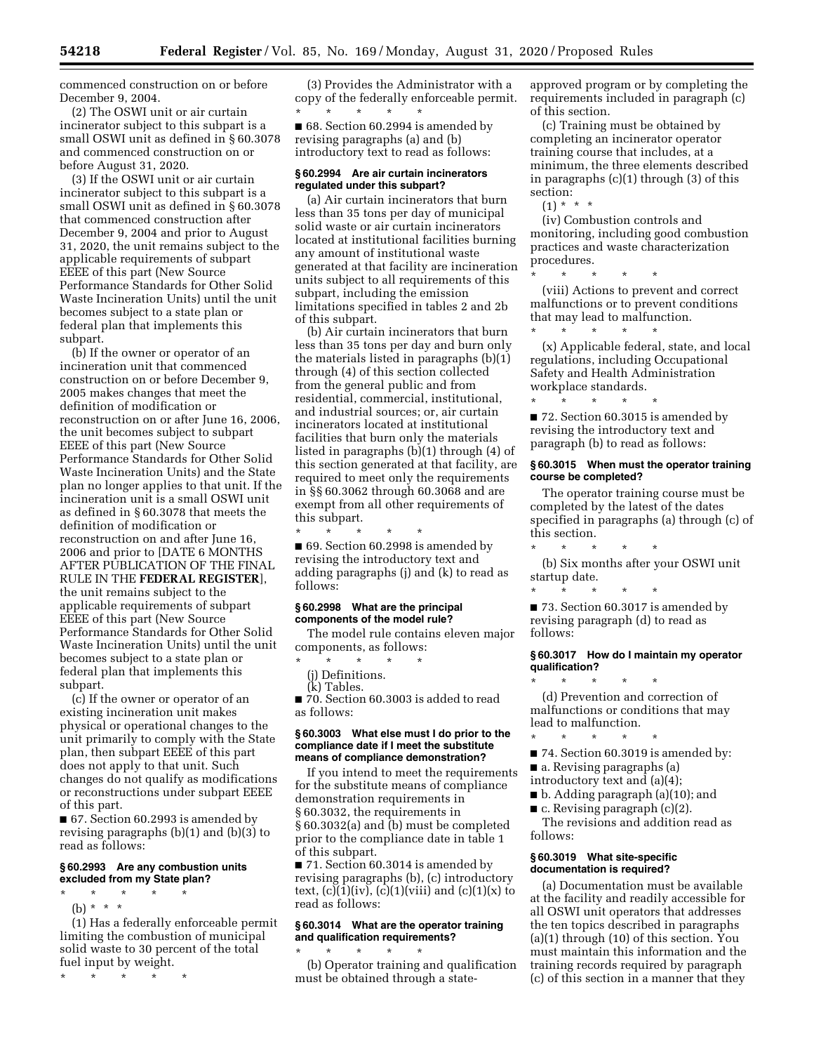commenced construction on or before December 9, 2004.

(2) The OSWI unit or air curtain incinerator subject to this subpart is a small OSWI unit as defined in § 60.3078 and commenced construction on or before August 31, 2020.

(3) If the OSWI unit or air curtain incinerator subject to this subpart is a small OSWI unit as defined in § 60.3078 that commenced construction after December 9, 2004 and prior to August 31, 2020, the unit remains subject to the applicable requirements of subpart EEEE of this part (New Source Performance Standards for Other Solid Waste Incineration Units) until the unit becomes subject to a state plan or federal plan that implements this subpart.

(b) If the owner or operator of an incineration unit that commenced construction on or before December 9, 2005 makes changes that meet the definition of modification or reconstruction on or after June 16, 2006, the unit becomes subject to subpart EEEE of this part (New Source Performance Standards for Other Solid Waste Incineration Units) and the State plan no longer applies to that unit. If the incineration unit is a small OSWI unit as defined in § 60.3078 that meets the definition of modification or reconstruction on and after June 16, 2006 and prior to [DATE 6 MONTHS AFTER PUBLICATION OF THE FINAL RULE IN THE **FEDERAL REGISTER**], the unit remains subject to the applicable requirements of subpart EEEE of this part (New Source Performance Standards for Other Solid Waste Incineration Units) until the unit becomes subject to a state plan or federal plan that implements this subpart.

(c) If the owner or operator of an existing incineration unit makes physical or operational changes to the unit primarily to comply with the State plan, then subpart EEEE of this part does not apply to that unit. Such changes do not qualify as modifications or reconstructions under subpart EEEE of this part.

■ 67. Section 60.2993 is amended by revising paragraphs (b)(1) and (b)(3) to read as follows:

#### **§ 60.2993 Are any combustion units excluded from my State plan?**

- \* \* \* \* \*
- (b) \* \* \*

(1) Has a federally enforceable permit limiting the combustion of municipal solid waste to 30 percent of the total fuel input by weight.

\* \* \* \* \*

(3) Provides the Administrator with a copy of the federally enforceable permit. \* \* \* \* \*

■ 68. Section 60.2994 is amended by revising paragraphs (a) and (b) introductory text to read as follows:

#### **§ 60.2994 Are air curtain incinerators regulated under this subpart?**

(a) Air curtain incinerators that burn less than 35 tons per day of municipal solid waste or air curtain incinerators located at institutional facilities burning any amount of institutional waste generated at that facility are incineration units subject to all requirements of this subpart, including the emission limitations specified in tables 2 and 2b of this subpart.

(b) Air curtain incinerators that burn less than 35 tons per day and burn only the materials listed in paragraphs (b)(1) through (4) of this section collected from the general public and from residential, commercial, institutional, and industrial sources; or, air curtain incinerators located at institutional facilities that burn only the materials listed in paragraphs (b)(1) through (4) of this section generated at that facility, are required to meet only the requirements in §§ 60.3062 through 60.3068 and are exempt from all other requirements of this subpart.

\* \* \* \* \* ■ 69. Section 60.2998 is amended by revising the introductory text and adding paragraphs (j) and (k) to read as follows:

## **§ 60.2998 What are the principal components of the model rule?**

The model rule contains eleven major components, as follows:

- \* \* \* \* \*
- (j) Definitions.
- (k) Tables.

■ 70. Section 60.3003 is added to read as follows:

## **§ 60.3003 What else must I do prior to the compliance date if I meet the substitute means of compliance demonstration?**

If you intend to meet the requirements for the substitute means of compliance demonstration requirements in § 60.3032, the requirements in § 60.3032(a) and (b) must be completed prior to the compliance date in table 1 of this subpart.

■ 71. Section 60.3014 is amended by revising paragraphs (b), (c) introductory text,  $(c)(1)(iv)$ ,  $(c)(1)(viii)$  and  $(c)(1)(x)$  to read as follows:

## **§ 60.3014 What are the operator training and qualification requirements?**

\* \* \* \* \* (b) Operator training and qualification must be obtained through a state-

approved program or by completing the requirements included in paragraph (c) of this section.

(c) Training must be obtained by completing an incinerator operator training course that includes, at a minimum, the three elements described in paragraphs (c)(1) through (3) of this section:

 $(1) * * * *$ 

(iv) Combustion controls and monitoring, including good combustion practices and waste characterization procedures.

\* \* \* \* \* (viii) Actions to prevent and correct malfunctions or to prevent conditions that may lead to malfunction.

\* \* \* \* \* (x) Applicable federal, state, and local regulations, including Occupational Safety and Health Administration workplace standards. \* \* \* \* \*

■ 72. Section 60.3015 is amended by revising the introductory text and paragraph (b) to read as follows:

#### **§ 60.3015 When must the operator training course be completed?**

The operator training course must be completed by the latest of the dates specified in paragraphs (a) through (c) of this section.

\* \* \* \* \* (b) Six months after your OSWI unit

startup date. \* \* \* \* \*

■ 73. Section 60.3017 is amended by revising paragraph (d) to read as follows:

#### **§ 60.3017 How do I maintain my operator qualification?**  \* \* \* \* \*

(d) Prevention and correction of malfunctions or conditions that may lead to malfunction.

- \* \* \* \* \* ■ 74. Section 60.3019 is amended by:
- a. Revising paragraphs (a)
- introductory text and (a)(4);
- b. Adding paragraph (a)(10); and
- $\blacksquare$  c. Revising paragraph (c)(2).

The revisions and addition read as follows:

#### **§ 60.3019 What site-specific documentation is required?**

(a) Documentation must be available at the facility and readily accessible for all OSWI unit operators that addresses the ten topics described in paragraphs (a)(1) through (10) of this section. You must maintain this information and the training records required by paragraph (c) of this section in a manner that they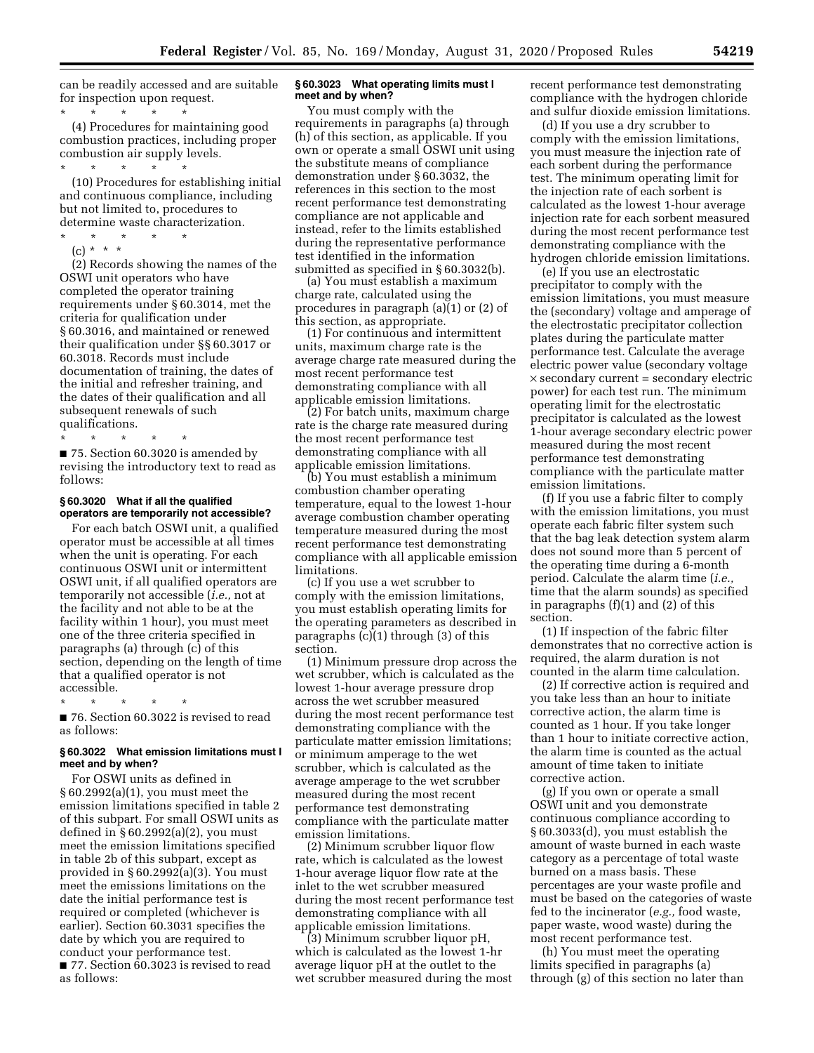can be readily accessed and are suitable for inspection upon request.

\* \* \* \* \* (4) Procedures for maintaining good combustion practices, including proper combustion air supply levels. \* \* \* \* \*

(10) Procedures for establishing initial and continuous compliance, including but not limited to, procedures to determine waste characterization.

\* \* \* \* \*

(c) \* \* \*

(2) Records showing the names of the OSWI unit operators who have completed the operator training requirements under § 60.3014, met the criteria for qualification under § 60.3016, and maintained or renewed their qualification under §§ 60.3017 or 60.3018. Records must include documentation of training, the dates of the initial and refresher training, and the dates of their qualification and all subsequent renewals of such qualifications.

\* \* \* \* \*

■ 75. Section 60.3020 is amended by revising the introductory text to read as follows:

#### **§ 60.3020 What if all the qualified operators are temporarily not accessible?**

For each batch OSWI unit, a qualified operator must be accessible at all times when the unit is operating. For each continuous OSWI unit or intermittent OSWI unit, if all qualified operators are temporarily not accessible (*i.e.,* not at the facility and not able to be at the facility within 1 hour), you must meet one of the three criteria specified in paragraphs (a) through (c) of this section, depending on the length of time that a qualified operator is not accessible.

\* \* \* \* \* ■ 76. Section 60.3022 is revised to read

as follows:

## **§ 60.3022 What emission limitations must I meet and by when?**

For OSWI units as defined in § 60.2992(a)(1), you must meet the emission limitations specified in table 2 of this subpart. For small OSWI units as defined in § 60.2992(a)(2), you must meet the emission limitations specified in table 2b of this subpart, except as provided in § 60.2992(a)(3). You must meet the emissions limitations on the date the initial performance test is required or completed (whichever is earlier). Section 60.3031 specifies the date by which you are required to conduct your performance test. ■ 77. Section 60.3023 is revised to read as follows:

### **§ 60.3023 What operating limits must I meet and by when?**

You must comply with the requirements in paragraphs (a) through (h) of this section, as applicable. If you own or operate a small OSWI unit using the substitute means of compliance demonstration under § 60.3032, the references in this section to the most recent performance test demonstrating compliance are not applicable and instead, refer to the limits established during the representative performance test identified in the information submitted as specified in § 60.3032(b).

(a) You must establish a maximum charge rate, calculated using the procedures in paragraph (a)(1) or (2) of this section, as appropriate.

(1) For continuous and intermittent units, maximum charge rate is the average charge rate measured during the most recent performance test demonstrating compliance with all applicable emission limitations.

(2) For batch units, maximum charge rate is the charge rate measured during the most recent performance test demonstrating compliance with all applicable emission limitations.

(b) You must establish a minimum combustion chamber operating temperature, equal to the lowest 1-hour average combustion chamber operating temperature measured during the most recent performance test demonstrating compliance with all applicable emission limitations.

(c) If you use a wet scrubber to comply with the emission limitations, you must establish operating limits for the operating parameters as described in paragraphs (c)(1) through (3) of this section.

(1) Minimum pressure drop across the wet scrubber, which is calculated as the lowest 1-hour average pressure drop across the wet scrubber measured during the most recent performance test demonstrating compliance with the particulate matter emission limitations; or minimum amperage to the wet scrubber, which is calculated as the average amperage to the wet scrubber measured during the most recent performance test demonstrating compliance with the particulate matter emission limitations.

(2) Minimum scrubber liquor flow rate, which is calculated as the lowest 1-hour average liquor flow rate at the inlet to the wet scrubber measured during the most recent performance test demonstrating compliance with all applicable emission limitations.

(3) Minimum scrubber liquor pH, which is calculated as the lowest 1-hr average liquor pH at the outlet to the wet scrubber measured during the most recent performance test demonstrating compliance with the hydrogen chloride and sulfur dioxide emission limitations.

(d) If you use a dry scrubber to comply with the emission limitations, you must measure the injection rate of each sorbent during the performance test. The minimum operating limit for the injection rate of each sorbent is calculated as the lowest 1-hour average injection rate for each sorbent measured during the most recent performance test demonstrating compliance with the hydrogen chloride emission limitations.

(e) If you use an electrostatic precipitator to comply with the emission limitations, you must measure the (secondary) voltage and amperage of the electrostatic precipitator collection plates during the particulate matter performance test. Calculate the average electric power value (secondary voltage  $\times$  secondary current = secondary electric power) for each test run. The minimum operating limit for the electrostatic precipitator is calculated as the lowest 1-hour average secondary electric power measured during the most recent performance test demonstrating compliance with the particulate matter emission limitations.

(f) If you use a fabric filter to comply with the emission limitations, you must operate each fabric filter system such that the bag leak detection system alarm does not sound more than 5 percent of the operating time during a 6-month period. Calculate the alarm time (*i.e.,*  time that the alarm sounds) as specified in paragraphs (f)(1) and (2) of this section.

(1) If inspection of the fabric filter demonstrates that no corrective action is required, the alarm duration is not counted in the alarm time calculation.

(2) If corrective action is required and you take less than an hour to initiate corrective action, the alarm time is counted as 1 hour. If you take longer than 1 hour to initiate corrective action, the alarm time is counted as the actual amount of time taken to initiate corrective action.

(g) If you own or operate a small OSWI unit and you demonstrate continuous compliance according to § 60.3033(d), you must establish the amount of waste burned in each waste category as a percentage of total waste burned on a mass basis. These percentages are your waste profile and must be based on the categories of waste fed to the incinerator (*e.g.,* food waste, paper waste, wood waste) during the most recent performance test.

(h) You must meet the operating limits specified in paragraphs (a) through (g) of this section no later than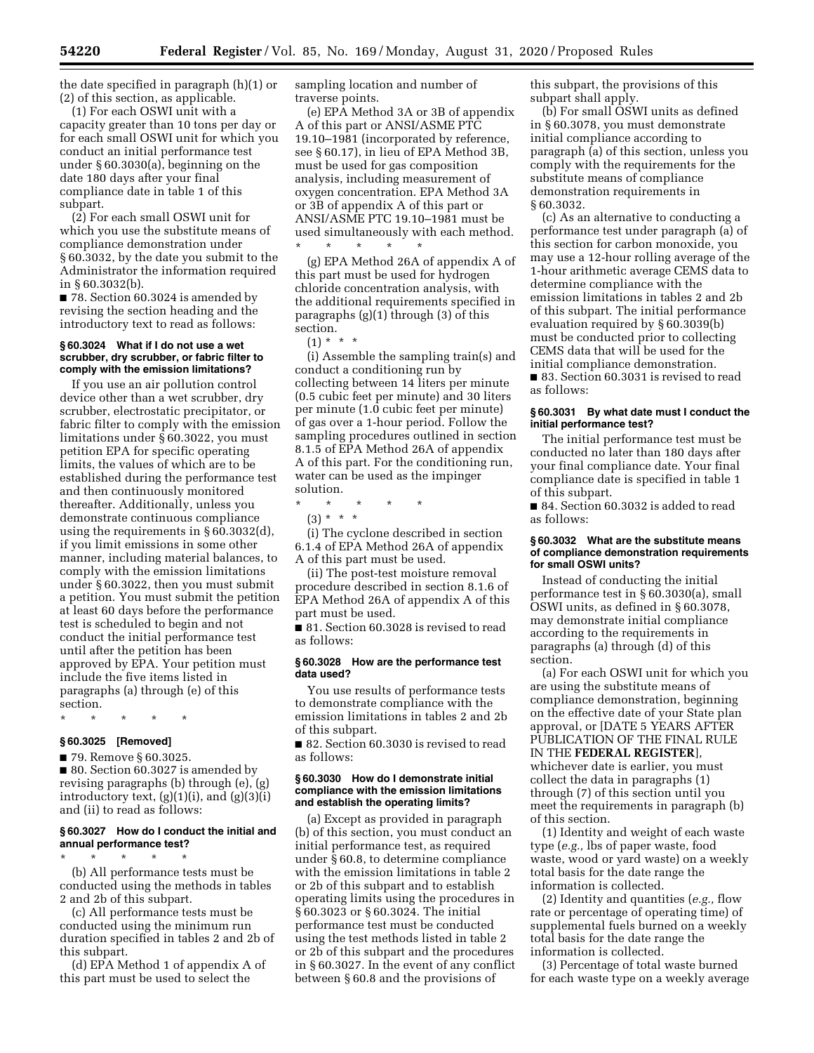the date specified in paragraph (h)(1) or (2) of this section, as applicable.

(1) For each OSWI unit with a capacity greater than 10 tons per day or for each small OSWI unit for which you conduct an initial performance test under § 60.3030(a), beginning on the date 180 days after your final compliance date in table 1 of this subpart.

(2) For each small OSWI unit for which you use the substitute means of compliance demonstration under § 60.3032, by the date you submit to the Administrator the information required in § 60.3032(b).

■ 78. Section 60.3024 is amended by revising the section heading and the introductory text to read as follows:

#### **§ 60.3024 What if I do not use a wet scrubber, dry scrubber, or fabric filter to comply with the emission limitations?**

If you use an air pollution control device other than a wet scrubber, dry scrubber, electrostatic precipitator, or fabric filter to comply with the emission limitations under § 60.3022, you must petition EPA for specific operating limits, the values of which are to be established during the performance test and then continuously monitored thereafter. Additionally, unless you demonstrate continuous compliance using the requirements in § 60.3032(d), if you limit emissions in some other manner, including material balances, to comply with the emission limitations under § 60.3022, then you must submit a petition. You must submit the petition at least 60 days before the performance test is scheduled to begin and not conduct the initial performance test until after the petition has been approved by EPA. Your petition must include the five items listed in paragraphs (a) through (e) of this section.

# \* \* \* \* \*

# **§ 60.3025 [Removed]**

■ 79. Remove § 60.3025. ■ 80. Section 60.3027 is amended by revising paragraphs (b) through (e), (g) introductory text,  $(g)(1)(i)$ , and  $(g)(3)(i)$ and (ii) to read as follows:

## **§ 60.3027 How do I conduct the initial and annual performance test?**

\* \* \* \* \* (b) All performance tests must be conducted using the methods in tables 2 and 2b of this subpart.

(c) All performance tests must be conducted using the minimum run duration specified in tables 2 and 2b of this subpart.

(d) EPA Method 1 of appendix A of this part must be used to select the

sampling location and number of traverse points.

(e) EPA Method 3A or 3B of appendix A of this part or ANSI/ASME PTC 19.10–1981 (incorporated by reference, see § 60.17), in lieu of EPA Method 3B, must be used for gas composition analysis, including measurement of oxygen concentration. EPA Method 3A or 3B of appendix A of this part or ANSI/ASME PTC 19.10–1981 must be used simultaneously with each method.

\* \* \* \* \* (g) EPA Method 26A of appendix A of this part must be used for hydrogen chloride concentration analysis, with the additional requirements specified in paragraphs (g)(1) through (3) of this section.

 $(1) * * * *$ 

(i) Assemble the sampling train(s) and conduct a conditioning run by collecting between 14 liters per minute (0.5 cubic feet per minute) and 30 liters per minute (1.0 cubic feet per minute) of gas over a 1-hour period. Follow the sampling procedures outlined in section 8.1.5 of EPA Method 26A of appendix A of this part. For the conditioning run, water can be used as the impinger solution.

\* \* \* \* \*

(3) \* \* \*

(i) The cyclone described in section 6.1.4 of EPA Method 26A of appendix A of this part must be used.

(ii) The post-test moisture removal procedure described in section 8.1.6 of EPA Method 26A of appendix A of this part must be used.

■ 81. Section 60.3028 is revised to read as follows:

#### **§ 60.3028 How are the performance test data used?**

You use results of performance tests to demonstrate compliance with the emission limitations in tables 2 and 2b of this subpart.

■ 82. Section 60.3030 is revised to read as follows:

#### **§ 60.3030 How do I demonstrate initial compliance with the emission limitations and establish the operating limits?**

(a) Except as provided in paragraph (b) of this section, you must conduct an initial performance test, as required under § 60.8, to determine compliance with the emission limitations in table 2 or 2b of this subpart and to establish operating limits using the procedures in § 60.3023 or § 60.3024. The initial performance test must be conducted using the test methods listed in table 2 or 2b of this subpart and the procedures in § 60.3027. In the event of any conflict between § 60.8 and the provisions of

this subpart, the provisions of this subpart shall apply.

(b) For small OSWI units as defined in § 60.3078, you must demonstrate initial compliance according to paragraph (a) of this section, unless you comply with the requirements for the substitute means of compliance demonstration requirements in § 60.3032.

(c) As an alternative to conducting a performance test under paragraph (a) of this section for carbon monoxide, you may use a 12-hour rolling average of the 1-hour arithmetic average CEMS data to determine compliance with the emission limitations in tables 2 and 2b of this subpart. The initial performance evaluation required by § 60.3039(b) must be conducted prior to collecting CEMS data that will be used for the initial compliance demonstration.

■ 83. Section 60.3031 is revised to read as follows:

#### **§ 60.3031 By what date must I conduct the initial performance test?**

The initial performance test must be conducted no later than 180 days after your final compliance date. Your final compliance date is specified in table 1 of this subpart.

■ 84. Section 60.3032 is added to read as follows:

#### **§ 60.3032 What are the substitute means of compliance demonstration requirements for small OSWI units?**

Instead of conducting the initial performance test in § 60.3030(a), small OSWI units, as defined in § 60.3078, may demonstrate initial compliance according to the requirements in paragraphs (a) through (d) of this section.

(a) For each OSWI unit for which you are using the substitute means of compliance demonstration, beginning on the effective date of your State plan approval, or [DATE 5 YEARS AFTER PUBLICATION OF THE FINAL RULE IN THE **FEDERAL REGISTER**], whichever date is earlier, you must collect the data in paragraphs (1) through (7) of this section until you meet the requirements in paragraph (b) of this section.

(1) Identity and weight of each waste type (*e.g.,* lbs of paper waste, food waste, wood or yard waste) on a weekly total basis for the date range the information is collected.

(2) Identity and quantities (*e.g.,* flow rate or percentage of operating time) of supplemental fuels burned on a weekly total basis for the date range the information is collected.

(3) Percentage of total waste burned for each waste type on a weekly average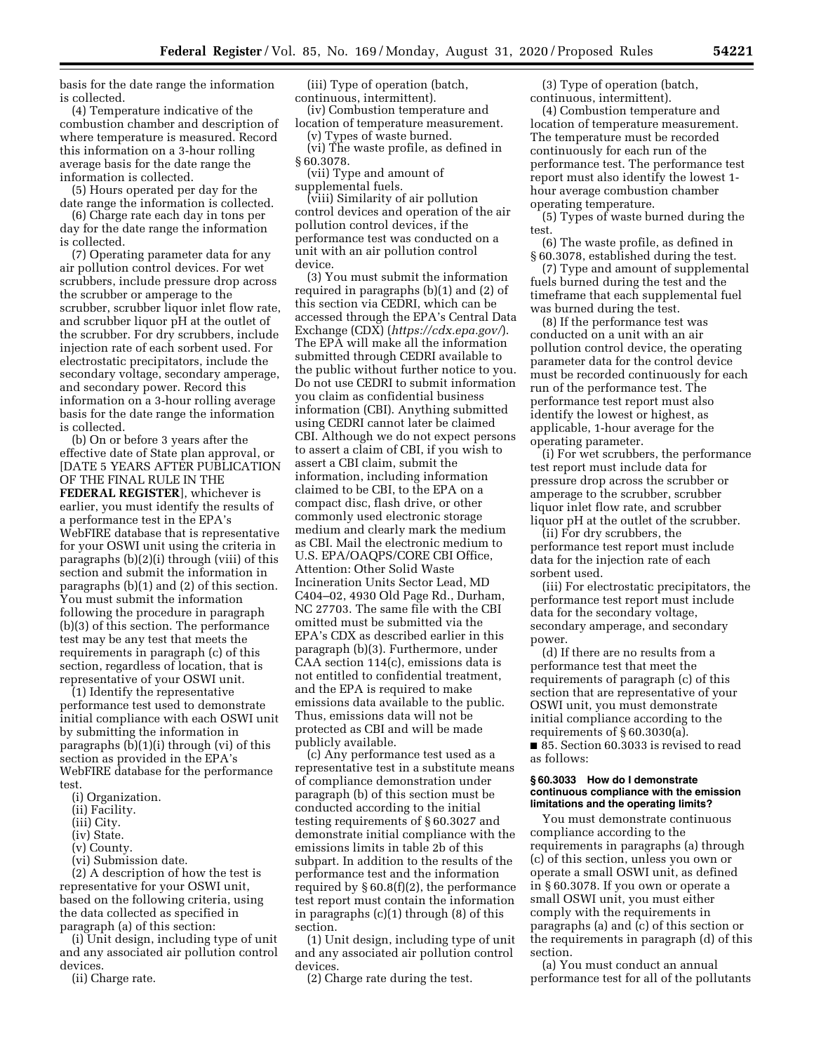basis for the date range the information is collected.

(4) Temperature indicative of the combustion chamber and description of where temperature is measured. Record this information on a 3-hour rolling average basis for the date range the information is collected.

(5) Hours operated per day for the date range the information is collected.

(6) Charge rate each day in tons per day for the date range the information is collected.

(7) Operating parameter data for any air pollution control devices. For wet scrubbers, include pressure drop across the scrubber or amperage to the scrubber, scrubber liquor inlet flow rate, and scrubber liquor pH at the outlet of the scrubber. For dry scrubbers, include injection rate of each sorbent used. For electrostatic precipitators, include the secondary voltage, secondary amperage, and secondary power. Record this information on a 3-hour rolling average basis for the date range the information is collected.

(b) On or before 3 years after the effective date of State plan approval, or [DATE 5 YEARS AFTER PUBLICATION OF THE FINAL RULE IN THE **FEDERAL REGISTER**], whichever is earlier, you must identify the results of a performance test in the EPA's WebFIRE database that is representative for your OSWI unit using the criteria in paragraphs (b)(2)(i) through (viii) of this section and submit the information in paragraphs (b)(1) and (2) of this section. You must submit the information following the procedure in paragraph (b)(3) of this section. The performance test may be any test that meets the requirements in paragraph (c) of this section, regardless of location, that is representative of your OSWI unit.

(1) Identify the representative performance test used to demonstrate initial compliance with each OSWI unit by submitting the information in paragraphs (b)(1)(i) through (vi) of this section as provided in the EPA's WebFIRE database for the performance test.

- (i) Organization.
- (ii) Facility.
- (iii) City.
- (iv) State.
- (v) County.
- (vi) Submission date.

(2) A description of how the test is representative for your OSWI unit, based on the following criteria, using the data collected as specified in paragraph (a) of this section:

(i) Unit design, including type of unit and any associated air pollution control devices.

(ii) Charge rate.

(iii) Type of operation (batch, continuous, intermittent).

(iv) Combustion temperature and location of temperature measurement.

(v) Types of waste burned. (vi) The waste profile, as defined in § 60.3078.

(vii) Type and amount of supplemental fuels.

(viii) Similarity of air pollution control devices and operation of the air pollution control devices, if the performance test was conducted on a unit with an air pollution control device.

(3) You must submit the information required in paragraphs (b)(1) and (2) of this section via CEDRI, which can be accessed through the EPA's Central Data Exchange (CDX) (*<https://cdx.epa.gov/>*). The EPA will make all the information submitted through CEDRI available to the public without further notice to you. Do not use CEDRI to submit information you claim as confidential business information (CBI). Anything submitted using CEDRI cannot later be claimed CBI. Although we do not expect persons to assert a claim of CBI, if you wish to assert a CBI claim, submit the information, including information claimed to be CBI, to the EPA on a compact disc, flash drive, or other commonly used electronic storage medium and clearly mark the medium as CBI. Mail the electronic medium to U.S. EPA/OAQPS/CORE CBI Office, Attention: Other Solid Waste Incineration Units Sector Lead, MD C404–02, 4930 Old Page Rd., Durham, NC 27703. The same file with the CBI omitted must be submitted via the EPA's CDX as described earlier in this paragraph (b)(3). Furthermore, under CAA section 114(c), emissions data is not entitled to confidential treatment, and the EPA is required to make emissions data available to the public. Thus, emissions data will not be protected as CBI and will be made publicly available.

(c) Any performance test used as a representative test in a substitute means of compliance demonstration under paragraph (b) of this section must be conducted according to the initial testing requirements of § 60.3027 and demonstrate initial compliance with the emissions limits in table 2b of this subpart. In addition to the results of the performance test and the information required by  $\S 60.8(f)(2)$ , the performance test report must contain the information in paragraphs (c)(1) through (8) of this section.

(1) Unit design, including type of unit and any associated air pollution control devices.

(2) Charge rate during the test.

(3) Type of operation (batch, continuous, intermittent).

(4) Combustion temperature and location of temperature measurement. The temperature must be recorded continuously for each run of the performance test. The performance test report must also identify the lowest 1 hour average combustion chamber operating temperature.

(5) Types of waste burned during the test.

(6) The waste profile, as defined in § 60.3078, established during the test.

(7) Type and amount of supplemental fuels burned during the test and the timeframe that each supplemental fuel was burned during the test.

(8) If the performance test was conducted on a unit with an air pollution control device, the operating parameter data for the control device must be recorded continuously for each run of the performance test. The performance test report must also identify the lowest or highest, as applicable, 1-hour average for the operating parameter.

(i) For wet scrubbers, the performance test report must include data for pressure drop across the scrubber or amperage to the scrubber, scrubber liquor inlet flow rate, and scrubber liquor pH at the outlet of the scrubber.

(ii) For dry scrubbers, the performance test report must include data for the injection rate of each sorbent used.

(iii) For electrostatic precipitators, the performance test report must include data for the secondary voltage, secondary amperage, and secondary power.

(d) If there are no results from a performance test that meet the requirements of paragraph (c) of this section that are representative of your OSWI unit, you must demonstrate initial compliance according to the requirements of § 60.3030(a). ■ 85. Section 60.3033 is revised to read as follows:

**§ 60.3033 How do I demonstrate continuous compliance with the emission limitations and the operating limits?** 

You must demonstrate continuous compliance according to the requirements in paragraphs (a) through (c) of this section, unless you own or operate a small OSWI unit, as defined in § 60.3078. If you own or operate a small OSWI unit, you must either comply with the requirements in paragraphs (a) and (c) of this section or the requirements in paragraph (d) of this section.

(a) You must conduct an annual performance test for all of the pollutants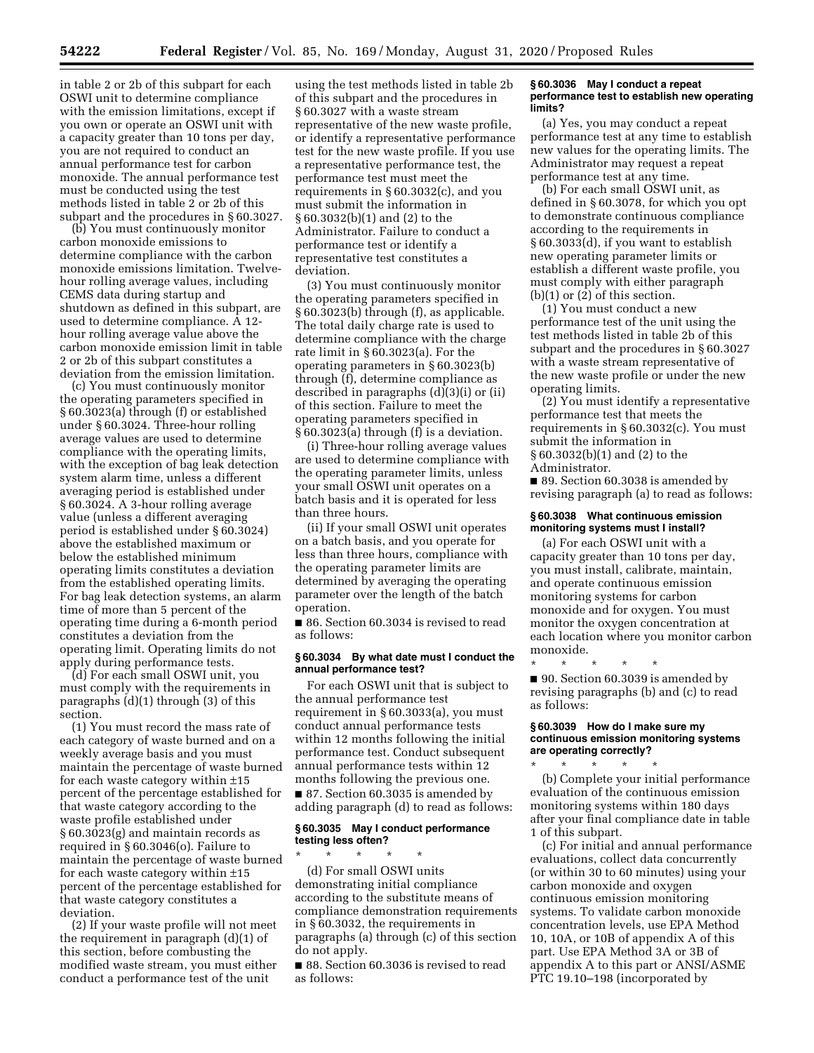in table 2 or 2b of this subpart for each OSWI unit to determine compliance with the emission limitations, except if you own or operate an OSWI unit with a capacity greater than 10 tons per day, you are not required to conduct an annual performance test for carbon monoxide. The annual performance test must be conducted using the test methods listed in table 2 or 2b of this subpart and the procedures in § 60.3027.

(b) You must continuously monitor carbon monoxide emissions to determine compliance with the carbon monoxide emissions limitation. Twelvehour rolling average values, including CEMS data during startup and shutdown as defined in this subpart, are used to determine compliance. A 12 hour rolling average value above the carbon monoxide emission limit in table 2 or 2b of this subpart constitutes a deviation from the emission limitation.

(c) You must continuously monitor the operating parameters specified in § 60.3023(a) through (f) or established under § 60.3024. Three-hour rolling average values are used to determine compliance with the operating limits, with the exception of bag leak detection system alarm time, unless a different averaging period is established under § 60.3024. A 3-hour rolling average value (unless a different averaging period is established under § 60.3024) above the established maximum or below the established minimum operating limits constitutes a deviation from the established operating limits. For bag leak detection systems, an alarm time of more than 5 percent of the operating time during a 6-month period constitutes a deviation from the operating limit. Operating limits do not apply during performance tests.

(d) For each small OSWI unit, you must comply with the requirements in paragraphs (d)(1) through (3) of this section.

(1) You must record the mass rate of each category of waste burned and on a weekly average basis and you must maintain the percentage of waste burned for each waste category within ±15 percent of the percentage established for that waste category according to the waste profile established under § 60.3023(g) and maintain records as required in § 60.3046(o). Failure to maintain the percentage of waste burned for each waste category within ±15 percent of the percentage established for that waste category constitutes a deviation.

(2) If your waste profile will not meet the requirement in paragraph (d)(1) of this section, before combusting the modified waste stream, you must either conduct a performance test of the unit

using the test methods listed in table 2b of this subpart and the procedures in § 60.3027 with a waste stream representative of the new waste profile, or identify a representative performance test for the new waste profile. If you use a representative performance test, the performance test must meet the requirements in § 60.3032(c), and you must submit the information in § 60.3032(b)(1) and (2) to the Administrator. Failure to conduct a performance test or identify a representative test constitutes a deviation.

(3) You must continuously monitor the operating parameters specified in § 60.3023(b) through (f), as applicable. The total daily charge rate is used to determine compliance with the charge rate limit in § 60.3023(a). For the operating parameters in § 60.3023(b) through (f), determine compliance as described in paragraphs (d)(3)(i) or (ii) of this section. Failure to meet the operating parameters specified in § 60.3023(a) through (f) is a deviation.

(i) Three-hour rolling average values are used to determine compliance with the operating parameter limits, unless your small OSWI unit operates on a batch basis and it is operated for less than three hours.

(ii) If your small OSWI unit operates on a batch basis, and you operate for less than three hours, compliance with the operating parameter limits are determined by averaging the operating parameter over the length of the batch operation.

■ 86. Section 60.3034 is revised to read as follows:

## **§ 60.3034 By what date must I conduct the annual performance test?**

For each OSWI unit that is subject to the annual performance test requirement in § 60.3033(a), you must conduct annual performance tests within 12 months following the initial performance test. Conduct subsequent annual performance tests within 12 months following the previous one. ■ 87. Section 60.3035 is amended by adding paragraph (d) to read as follows:

## **§ 60.3035 May I conduct performance testing less often?**

\* \* \* \* \* (d) For small OSWI units demonstrating initial compliance according to the substitute means of compliance demonstration requirements in § 60.3032, the requirements in paragraphs (a) through (c) of this section do not apply.

■ 88. Section 60.3036 is revised to read as follows:

#### **§ 60.3036 May I conduct a repeat performance test to establish new operating limits?**

(a) Yes, you may conduct a repeat performance test at any time to establish new values for the operating limits. The Administrator may request a repeat performance test at any time.

(b) For each small OSWI unit, as defined in § 60.3078, for which you opt to demonstrate continuous compliance according to the requirements in § 60.3033(d), if you want to establish new operating parameter limits or establish a different waste profile, you must comply with either paragraph (b)(1) or (2) of this section.

(1) You must conduct a new performance test of the unit using the test methods listed in table 2b of this subpart and the procedures in § 60.3027 with a waste stream representative of the new waste profile or under the new operating limits.

(2) You must identify a representative performance test that meets the requirements in § 60.3032(c). You must submit the information in § 60.3032(b)(1) and (2) to the Administrator.

■ 89. Section 60.3038 is amended by revising paragraph (a) to read as follows:

## **§ 60.3038 What continuous emission monitoring systems must I install?**

(a) For each OSWI unit with a capacity greater than 10 tons per day, you must install, calibrate, maintain, and operate continuous emission monitoring systems for carbon monoxide and for oxygen. You must monitor the oxygen concentration at each location where you monitor carbon monoxide.

\* \* \* \* \* ■ 90. Section 60.3039 is amended by revising paragraphs (b) and (c) to read as follows:

#### **§ 60.3039 How do I make sure my continuous emission monitoring systems are operating correctly?**

\* \* \* \* \* (b) Complete your initial performance evaluation of the continuous emission monitoring systems within 180 days after your final compliance date in table 1 of this subpart.

(c) For initial and annual performance evaluations, collect data concurrently (or within 30 to 60 minutes) using your carbon monoxide and oxygen continuous emission monitoring systems. To validate carbon monoxide concentration levels, use EPA Method 10, 10A, or 10B of appendix A of this part. Use EPA Method 3A or 3B of appendix A to this part or ANSI/ASME PTC 19.10–198 (incorporated by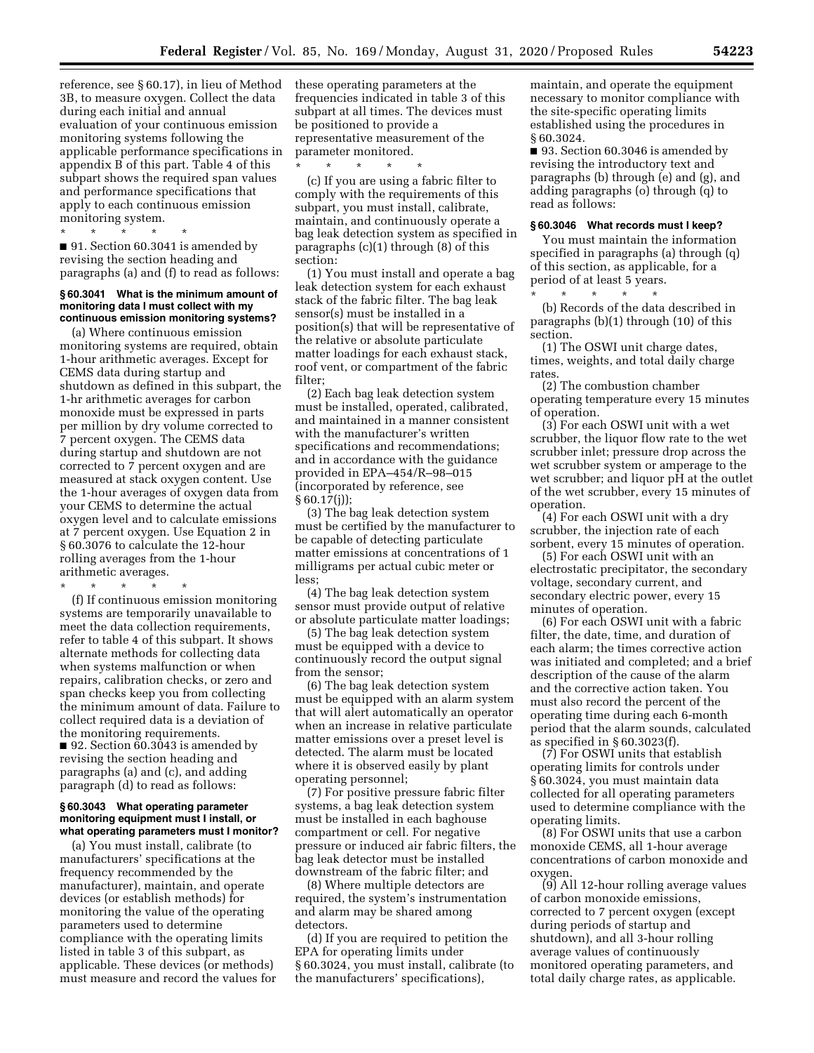reference, see § 60.17), in lieu of Method 3B, to measure oxygen. Collect the data during each initial and annual evaluation of your continuous emission monitoring systems following the applicable performance specifications in appendix B of this part. Table 4 of this subpart shows the required span values and performance specifications that apply to each continuous emission monitoring system.

 $\star$   $\qquad$   $\star$   $\qquad$   $\star$ 

■ 91. Section 60.3041 is amended by revising the section heading and paragraphs (a) and (f) to read as follows:

## **§ 60.3041 What is the minimum amount of monitoring data I must collect with my continuous emission monitoring systems?**

(a) Where continuous emission monitoring systems are required, obtain 1-hour arithmetic averages. Except for CEMS data during startup and shutdown as defined in this subpart, the 1-hr arithmetic averages for carbon monoxide must be expressed in parts per million by dry volume corrected to 7 percent oxygen. The CEMS data during startup and shutdown are not corrected to 7 percent oxygen and are measured at stack oxygen content. Use the 1-hour averages of oxygen data from your CEMS to determine the actual oxygen level and to calculate emissions at 7 percent oxygen. Use Equation 2 in § 60.3076 to calculate the 12-hour rolling averages from the 1-hour arithmetic averages.

\* \* \* \* \*

(f) If continuous emission monitoring systems are temporarily unavailable to meet the data collection requirements, refer to table 4 of this subpart. It shows alternate methods for collecting data when systems malfunction or when repairs, calibration checks, or zero and span checks keep you from collecting the minimum amount of data. Failure to collect required data is a deviation of the monitoring requirements. ■ 92. Section 60.3043 is amended by revising the section heading and paragraphs (a) and (c), and adding paragraph (d) to read as follows:

#### **§ 60.3043 What operating parameter monitoring equipment must I install, or what operating parameters must I monitor?**

(a) You must install, calibrate (to manufacturers' specifications at the frequency recommended by the manufacturer), maintain, and operate devices (or establish methods) for monitoring the value of the operating parameters used to determine compliance with the operating limits listed in table 3 of this subpart, as applicable. These devices (or methods) must measure and record the values for these operating parameters at the frequencies indicated in table 3 of this subpart at all times. The devices must be positioned to provide a representative measurement of the parameter monitored.

\* \* \* \* \* (c) If you are using a fabric filter to comply with the requirements of this subpart, you must install, calibrate, maintain, and continuously operate a bag leak detection system as specified in paragraphs (c)(1) through (8) of this section:

(1) You must install and operate a bag leak detection system for each exhaust stack of the fabric filter. The bag leak sensor(s) must be installed in a position(s) that will be representative of the relative or absolute particulate matter loadings for each exhaust stack, roof vent, or compartment of the fabric filter;

(2) Each bag leak detection system must be installed, operated, calibrated, and maintained in a manner consistent with the manufacturer's written specifications and recommendations; and in accordance with the guidance provided in EPA–454/R–98–015 (incorporated by reference, see § 60.17(j));

(3) The bag leak detection system must be certified by the manufacturer to be capable of detecting particulate matter emissions at concentrations of 1 milligrams per actual cubic meter or less;

(4) The bag leak detection system sensor must provide output of relative or absolute particulate matter loadings;

(5) The bag leak detection system must be equipped with a device to continuously record the output signal from the sensor;

(6) The bag leak detection system must be equipped with an alarm system that will alert automatically an operator when an increase in relative particulate matter emissions over a preset level is detected. The alarm must be located where it is observed easily by plant operating personnel;

(7) For positive pressure fabric filter systems, a bag leak detection system must be installed in each baghouse compartment or cell. For negative pressure or induced air fabric filters, the bag leak detector must be installed downstream of the fabric filter; and

(8) Where multiple detectors are required, the system's instrumentation and alarm may be shared among detectors.

(d) If you are required to petition the EPA for operating limits under § 60.3024, you must install, calibrate (to the manufacturers' specifications),

maintain, and operate the equipment necessary to monitor compliance with the site-specific operating limits established using the procedures in § 60.3024.

■ 93. Section 60.3046 is amended by revising the introductory text and paragraphs (b) through (e) and (g), and adding paragraphs (o) through (q) to read as follows:

## **§ 60.3046 What records must I keep?**

You must maintain the information specified in paragraphs (a) through (q) of this section, as applicable, for a period of at least 5 years. \* \* \* \* \*

(b) Records of the data described in paragraphs (b)(1) through (10) of this section.

(1) The OSWI unit charge dates, times, weights, and total daily charge rates

(2) The combustion chamber operating temperature every 15 minutes of operation.

(3) For each OSWI unit with a wet scrubber, the liquor flow rate to the wet scrubber inlet; pressure drop across the wet scrubber system or amperage to the wet scrubber; and liquor pH at the outlet of the wet scrubber, every 15 minutes of operation.

(4) For each OSWI unit with a dry scrubber, the injection rate of each sorbent, every 15 minutes of operation.

(5) For each OSWI unit with an electrostatic precipitator, the secondary voltage, secondary current, and secondary electric power, every 15 minutes of operation.

(6) For each OSWI unit with a fabric filter, the date, time, and duration of each alarm; the times corrective action was initiated and completed; and a brief description of the cause of the alarm and the corrective action taken. You must also record the percent of the operating time during each 6-month period that the alarm sounds, calculated as specified in § 60.3023(f).

(7) For OSWI units that establish operating limits for controls under § 60.3024, you must maintain data collected for all operating parameters used to determine compliance with the operating limits.

(8) For OSWI units that use a carbon monoxide CEMS, all 1-hour average concentrations of carbon monoxide and oxygen.

(9) All 12-hour rolling average values of carbon monoxide emissions, corrected to 7 percent oxygen (except during periods of startup and shutdown), and all 3-hour rolling average values of continuously monitored operating parameters, and total daily charge rates, as applicable.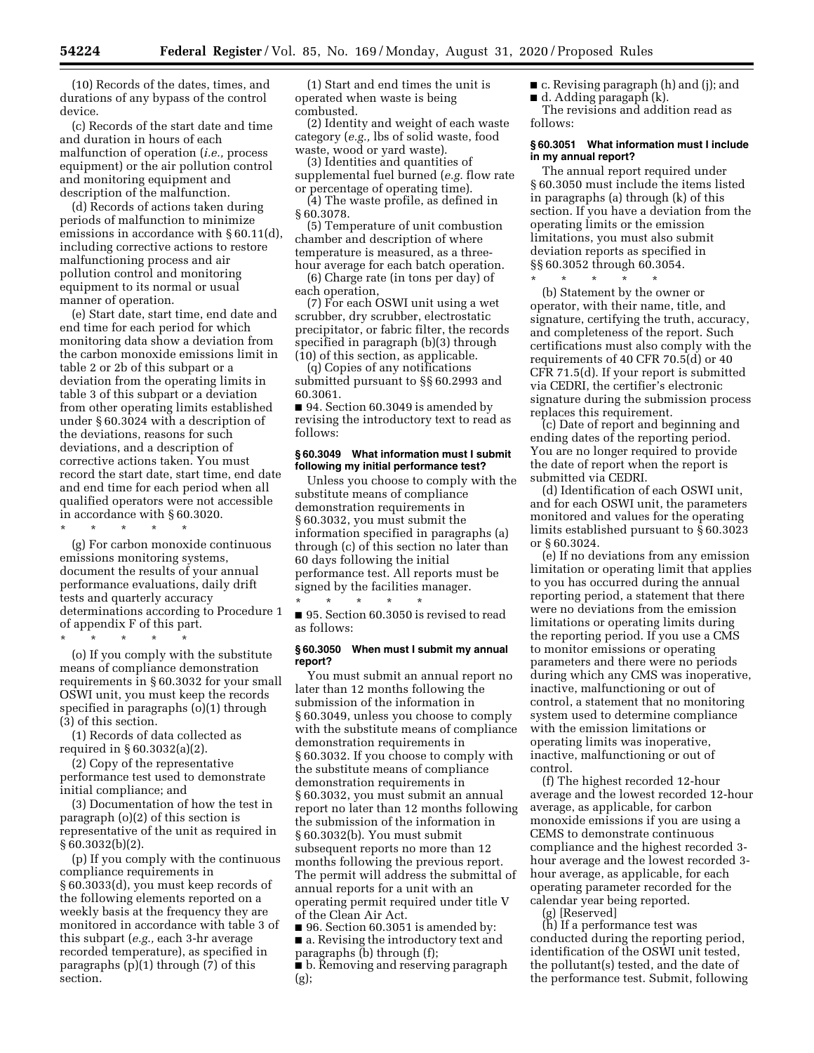(10) Records of the dates, times, and durations of any bypass of the control device.

(c) Records of the start date and time and duration in hours of each malfunction of operation (*i.e.,* process equipment) or the air pollution control and monitoring equipment and description of the malfunction.

(d) Records of actions taken during periods of malfunction to minimize emissions in accordance with § 60.11(d), including corrective actions to restore malfunctioning process and air pollution control and monitoring equipment to its normal or usual manner of operation.

(e) Start date, start time, end date and end time for each period for which monitoring data show a deviation from the carbon monoxide emissions limit in table 2 or 2b of this subpart or a deviation from the operating limits in table 3 of this subpart or a deviation from other operating limits established under § 60.3024 with a description of the deviations, reasons for such deviations, and a description of corrective actions taken. You must record the start date, start time, end date and end time for each period when all qualified operators were not accessible in accordance with § 60.3020.

\* \* \* \* \*

(g) For carbon monoxide continuous emissions monitoring systems, document the results of your annual performance evaluations, daily drift tests and quarterly accuracy determinations according to Procedure 1 of appendix F of this part.

\* \* \* \* \* (o) If you comply with the substitute means of compliance demonstration requirements in § 60.3032 for your small OSWI unit, you must keep the records specified in paragraphs (o)(1) through (3) of this section.

(1) Records of data collected as required in § 60.3032(a)(2).

(2) Copy of the representative performance test used to demonstrate initial compliance; and

(3) Documentation of how the test in paragraph (o)(2) of this section is representative of the unit as required in  $§ 60.3032(b)(2).$ 

(p) If you comply with the continuous compliance requirements in § 60.3033(d), you must keep records of the following elements reported on a weekly basis at the frequency they are monitored in accordance with table 3 of this subpart (*e.g.,* each 3-hr average recorded temperature), as specified in paragraphs (p)(1) through (7) of this section.

(1) Start and end times the unit is operated when waste is being combusted.

(2) Identity and weight of each waste category (*e.g.,* lbs of solid waste, food waste, wood or yard waste).

(3) Identities and quantities of supplemental fuel burned (*e.g.* flow rate or percentage of operating time).

(4) The waste profile, as defined in § 60.3078.

(5) Temperature of unit combustion chamber and description of where temperature is measured, as a threehour average for each batch operation.

(6) Charge rate (in tons per day) of each operation,

(7) For each OSWI unit using a wet scrubber, dry scrubber, electrostatic precipitator, or fabric filter, the records specified in paragraph (b)(3) through (10) of this section, as applicable.

(q) Copies of any notifications submitted pursuant to §§ 60.2993 and 60.3061.

■ 94. Section 60.3049 is amended by revising the introductory text to read as follows:

#### **§ 60.3049 What information must I submit following my initial performance test?**

Unless you choose to comply with the substitute means of compliance demonstration requirements in § 60.3032, you must submit the information specified in paragraphs (a) through (c) of this section no later than 60 days following the initial performance test. All reports must be signed by the facilities manager.

\* \* \* \* \* ■ 95. Section 60.3050 is revised to read as follows:

## **§ 60.3050 When must I submit my annual report?**

You must submit an annual report no later than 12 months following the submission of the information in § 60.3049, unless you choose to comply with the substitute means of compliance demonstration requirements in § 60.3032. If you choose to comply with the substitute means of compliance demonstration requirements in § 60.3032, you must submit an annual report no later than 12 months following the submission of the information in § 60.3032(b). You must submit subsequent reports no more than 12 months following the previous report. The permit will address the submittal of annual reports for a unit with an operating permit required under title V of the Clean Air Act.

■ 96. Section 60.3051 is amended by: ■ a. Revising the introductory text and paragraphs (b) through (f);

■ b. Removing and reserving paragraph (g);

■ c. Revising paragraph (h) and (j); and

■ d. Adding paragaph (k).

The revisions and addition read as follows:

## **§ 60.3051 What information must I include in my annual report?**

The annual report required under § 60.3050 must include the items listed in paragraphs (a) through (k) of this section. If you have a deviation from the operating limits or the emission limitations, you must also submit deviation reports as specified in §§ 60.3052 through 60.3054.

\* \* \* \* \* (b) Statement by the owner or

operator, with their name, title, and signature, certifying the truth, accuracy, and completeness of the report. Such certifications must also comply with the requirements of 40 CFR 70.5(d) or 40 CFR 71.5(d). If your report is submitted via CEDRI, the certifier's electronic signature during the submission process replaces this requirement.

(c) Date of report and beginning and ending dates of the reporting period. You are no longer required to provide the date of report when the report is submitted via CEDRI.

(d) Identification of each OSWI unit, and for each OSWI unit, the parameters monitored and values for the operating limits established pursuant to § 60.3023 or § 60.3024.

(e) If no deviations from any emission limitation or operating limit that applies to you has occurred during the annual reporting period, a statement that there were no deviations from the emission limitations or operating limits during the reporting period. If you use a CMS to monitor emissions or operating parameters and there were no periods during which any CMS was inoperative, inactive, malfunctioning or out of control, a statement that no monitoring system used to determine compliance with the emission limitations or operating limits was inoperative, inactive, malfunctioning or out of control.

(f) The highest recorded 12-hour average and the lowest recorded 12-hour average, as applicable, for carbon monoxide emissions if you are using a CEMS to demonstrate continuous compliance and the highest recorded 3 hour average and the lowest recorded 3 hour average, as applicable, for each operating parameter recorded for the calendar year being reported.

(g) [Reserved]

(h) If a performance test was conducted during the reporting period, identification of the OSWI unit tested, the pollutant(s) tested, and the date of the performance test. Submit, following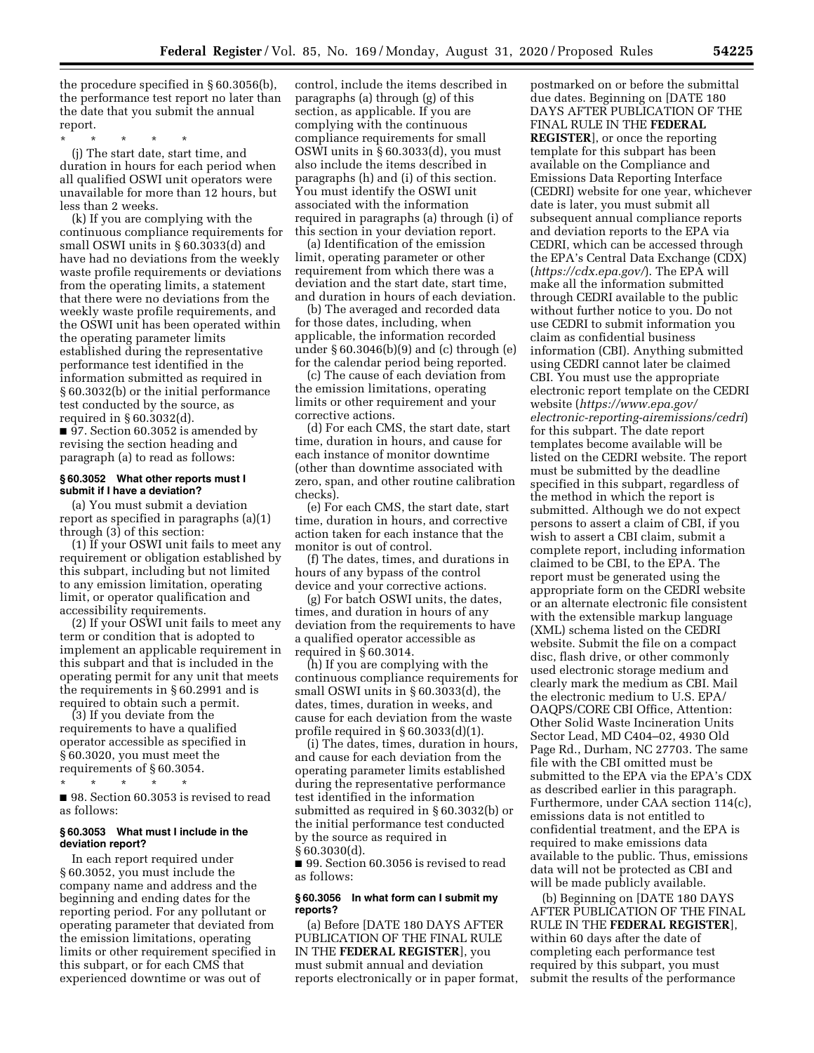the procedure specified in § 60.3056(b), the performance test report no later than the date that you submit the annual report.

\* \* \* \* \*

(j) The start date, start time, and duration in hours for each period when all qualified OSWI unit operators were unavailable for more than 12 hours, but less than 2 weeks.

(k) If you are complying with the continuous compliance requirements for small OSWI units in § 60.3033(d) and have had no deviations from the weekly waste profile requirements or deviations from the operating limits, a statement that there were no deviations from the weekly waste profile requirements, and the OSWI unit has been operated within the operating parameter limits established during the representative performance test identified in the information submitted as required in § 60.3032(b) or the initial performance test conducted by the source, as required in § 60.3032(d).

■ 97. Section 60.3052 is amended by revising the section heading and paragraph (a) to read as follows:

## **§ 60.3052 What other reports must I submit if I have a deviation?**

(a) You must submit a deviation report as specified in paragraphs (a)(1) through (3) of this section:

(1) If your OSWI unit fails to meet any requirement or obligation established by this subpart, including but not limited to any emission limitation, operating limit, or operator qualification and accessibility requirements.

(2) If your OSWI unit fails to meet any term or condition that is adopted to implement an applicable requirement in this subpart and that is included in the operating permit for any unit that meets the requirements in § 60.2991 and is required to obtain such a permit.

(3) If you deviate from the requirements to have a qualified operator accessible as specified in § 60.3020, you must meet the requirements of § 60.3054.

\* \* \* \* \*

■ 98. Section 60.3053 is revised to read as follows:

## **§ 60.3053 What must I include in the deviation report?**

In each report required under § 60.3052, you must include the company name and address and the beginning and ending dates for the reporting period. For any pollutant or operating parameter that deviated from the emission limitations, operating limits or other requirement specified in this subpart, or for each CMS that experienced downtime or was out of

control, include the items described in paragraphs (a) through (g) of this section, as applicable. If you are complying with the continuous compliance requirements for small OSWI units in  $\S 60.3033(d)$ , you must also include the items described in paragraphs (h) and (i) of this section. You must identify the OSWI unit associated with the information required in paragraphs (a) through (i) of this section in your deviation report.

(a) Identification of the emission limit, operating parameter or other requirement from which there was a deviation and the start date, start time, and duration in hours of each deviation.

(b) The averaged and recorded data for those dates, including, when applicable, the information recorded under § 60.3046(b)(9) and (c) through (e) for the calendar period being reported.

(c) The cause of each deviation from the emission limitations, operating limits or other requirement and your corrective actions.

(d) For each CMS, the start date, start time, duration in hours, and cause for each instance of monitor downtime (other than downtime associated with zero, span, and other routine calibration checks).

(e) For each CMS, the start date, start time, duration in hours, and corrective action taken for each instance that the monitor is out of control.

(f) The dates, times, and durations in hours of any bypass of the control device and your corrective actions.

(g) For batch OSWI units, the dates, times, and duration in hours of any deviation from the requirements to have a qualified operator accessible as required in § 60.3014.

(h) If you are complying with the continuous compliance requirements for small OSWI units in § 60.3033(d), the dates, times, duration in weeks, and cause for each deviation from the waste profile required in § 60.3033(d)(1).

(i) The dates, times, duration in hours, and cause for each deviation from the operating parameter limits established during the representative performance test identified in the information submitted as required in § 60.3032(b) or the initial performance test conducted by the source as required in § 60.3030(d).

■ 99. Section 60.3056 is revised to read as follows:

#### **§ 60.3056 In what form can I submit my reports?**

(a) Before [DATE 180 DAYS AFTER PUBLICATION OF THE FINAL RULE IN THE **FEDERAL REGISTER**], you must submit annual and deviation reports electronically or in paper format,

postmarked on or before the submittal due dates. Beginning on [DATE 180 DAYS AFTER PUBLICATION OF THE FINAL RULE IN THE **FEDERAL REGISTER**], or once the reporting template for this subpart has been available on the Compliance and Emissions Data Reporting Interface (CEDRI) website for one year, whichever date is later, you must submit all subsequent annual compliance reports and deviation reports to the EPA via CEDRI, which can be accessed through the EPA's Central Data Exchange (CDX) (*<https://cdx.epa.gov/>*). The EPA will make all the information submitted through CEDRI available to the public without further notice to you. Do not use CEDRI to submit information you claim as confidential business information (CBI). Anything submitted using CEDRI cannot later be claimed CBI. You must use the appropriate electronic report template on the CEDRI website (*[https://www.epa.gov/](https://www.epa.gov/electronic-reporting-airemissions/cedri)  [electronic-reporting-airemissions/cedri](https://www.epa.gov/electronic-reporting-airemissions/cedri)*) for this subpart. The date report templates become available will be listed on the CEDRI website. The report must be submitted by the deadline specified in this subpart, regardless of the method in which the report is submitted. Although we do not expect persons to assert a claim of CBI, if you wish to assert a CBI claim, submit a complete report, including information claimed to be CBI, to the EPA. The report must be generated using the appropriate form on the CEDRI website or an alternate electronic file consistent with the extensible markup language (XML) schema listed on the CEDRI website. Submit the file on a compact disc, flash drive, or other commonly used electronic storage medium and clearly mark the medium as CBI. Mail the electronic medium to U.S. EPA/ OAQPS/CORE CBI Office, Attention: Other Solid Waste Incineration Units Sector Lead, MD C404–02, 4930 Old Page Rd., Durham, NC 27703. The same file with the CBI omitted must be submitted to the EPA via the EPA's CDX as described earlier in this paragraph. Furthermore, under CAA section 114(c), emissions data is not entitled to confidential treatment, and the EPA is required to make emissions data available to the public. Thus, emissions data will not be protected as CBI and will be made publicly available.

(b) Beginning on [DATE 180 DAYS AFTER PUBLICATION OF THE FINAL RULE IN THE **FEDERAL REGISTER**], within 60 days after the date of completing each performance test required by this subpart, you must submit the results of the performance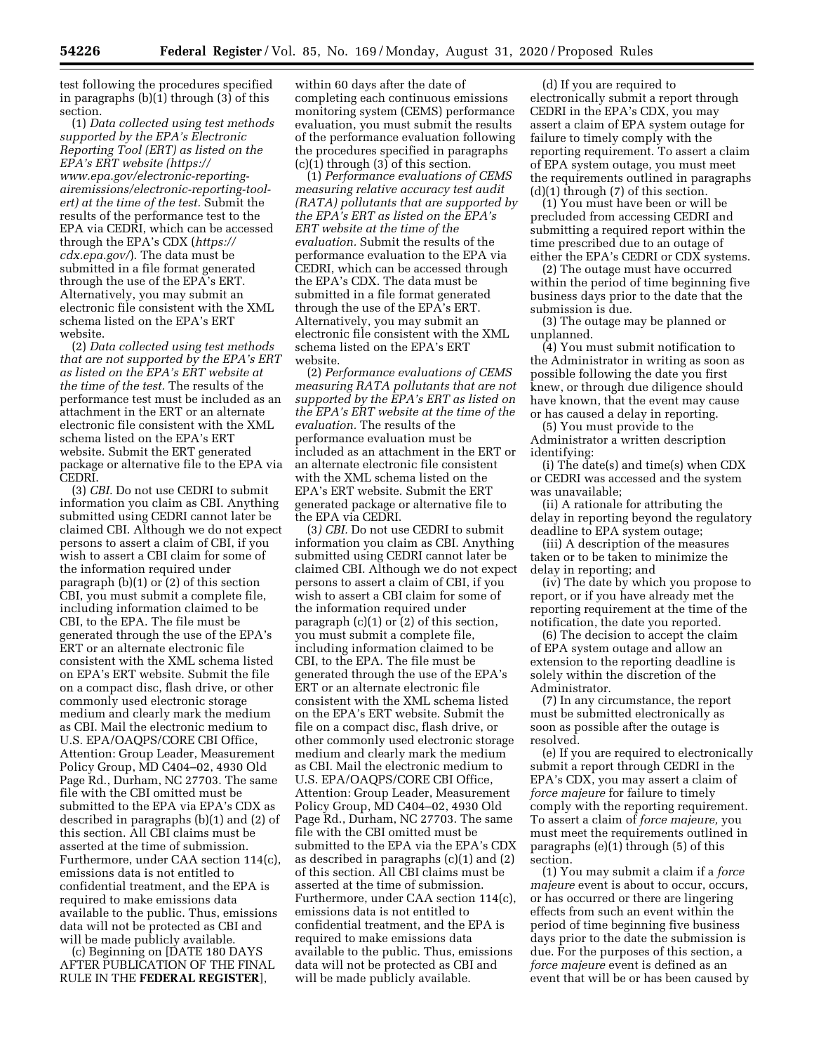test following the procedures specified in paragraphs (b)(1) through (3) of this section.

(1) *Data collected using test methods supported by the EPA's Electronic Reporting Tool (ERT) as listed on the EPA's ERT website [\(https://](https://www.epa.gov/electronic-reporting-air-emissions/electronic-reporting-tool-ert) [www.epa.gov/electronic-reporting](https://www.epa.gov/electronic-reporting-air-emissions/electronic-reporting-tool-ert)[airemissions/electronic-reporting-tool](https://www.epa.gov/electronic-reporting-air-emissions/electronic-reporting-tool-ert)[ert\)](https://www.epa.gov/electronic-reporting-air-emissions/electronic-reporting-tool-ert) at the time of the test.* Submit the results of the performance test to the EPA via CEDRI, which can be accessed through the EPA's CDX (*[https://](https://cdx.epa.gov/) [cdx.epa.gov/](https://cdx.epa.gov/)*). The data must be submitted in a file format generated through the use of the EPA's ERT. Alternatively, you may submit an electronic file consistent with the XML schema listed on the EPA's ERT website.

(2) *Data collected using test methods that are not supported by the EPA's ERT as listed on the EPA's ERT website at the time of the test.* The results of the performance test must be included as an attachment in the ERT or an alternate electronic file consistent with the XML schema listed on the EPA's ERT website. Submit the ERT generated package or alternative file to the EPA via CEDRI.

(3) *CBI.* Do not use CEDRI to submit information you claim as CBI. Anything submitted using CEDRI cannot later be claimed CBI. Although we do not expect persons to assert a claim of CBI, if you wish to assert a CBI claim for some of the information required under paragraph  $(b)(1)$  or  $(2)$  of this section CBI, you must submit a complete file, including information claimed to be CBI, to the EPA. The file must be generated through the use of the EPA's ERT or an alternate electronic file consistent with the XML schema listed on EPA's ERT website. Submit the file on a compact disc, flash drive, or other commonly used electronic storage medium and clearly mark the medium as CBI. Mail the electronic medium to U.S. EPA/OAQPS/CORE CBI Office, Attention: Group Leader, Measurement Policy Group, MD C404–02, 4930 Old Page Rd., Durham, NC 27703. The same file with the CBI omitted must be submitted to the EPA via EPA's CDX as described in paragraphs (b)(1) and (2) of this section. All CBI claims must be asserted at the time of submission. Furthermore, under CAA section 114(c), emissions data is not entitled to confidential treatment, and the EPA is required to make emissions data available to the public. Thus, emissions data will not be protected as CBI and will be made publicly available.

(c) Beginning on [DATE 180 DAYS AFTER PUBLICATION OF THE FINAL RULE IN THE **FEDERAL REGISTER**],

within 60 days after the date of completing each continuous emissions monitoring system (CEMS) performance evaluation, you must submit the results of the performance evaluation following the procedures specified in paragraphs (c)(1) through (3) of this section.

(1) *Performance evaluations of CEMS measuring relative accuracy test audit (RATA) pollutants that are supported by the EPA's ERT as listed on the EPA's ERT website at the time of the evaluation.* Submit the results of the performance evaluation to the EPA via CEDRI, which can be accessed through the EPA's CDX. The data must be submitted in a file format generated through the use of the EPA's ERT. Alternatively, you may submit an electronic file consistent with the XML schema listed on the EPA's ERT website.

(2) *Performance evaluations of CEMS measuring RATA pollutants that are not supported by the EPA's ERT as listed on the EPA's ERT website at the time of the evaluation.* The results of the performance evaluation must be included as an attachment in the ERT or an alternate electronic file consistent with the XML schema listed on the EPA's ERT website. Submit the ERT generated package or alternative file to the EPA via CEDRI.

(3*) CBI.* Do not use CEDRI to submit information you claim as CBI. Anything submitted using CEDRI cannot later be claimed CBI. Although we do not expect persons to assert a claim of CBI, if you wish to assert a CBI claim for some of the information required under paragraph (c)(1) or (2) of this section, you must submit a complete file, including information claimed to be CBI, to the EPA. The file must be generated through the use of the EPA's ERT or an alternate electronic file consistent with the XML schema listed on the EPA's ERT website. Submit the file on a compact disc, flash drive, or other commonly used electronic storage medium and clearly mark the medium as CBI. Mail the electronic medium to U.S. EPA/OAQPS/CORE CBI Office, Attention: Group Leader, Measurement Policy Group, MD C404–02, 4930 Old Page Rd., Durham, NC 27703. The same file with the CBI omitted must be submitted to the EPA via the EPA's CDX as described in paragraphs (c)(1) and (2) of this section. All CBI claims must be asserted at the time of submission. Furthermore, under CAA section 114(c), emissions data is not entitled to confidential treatment, and the EPA is required to make emissions data available to the public. Thus, emissions data will not be protected as CBI and will be made publicly available.

(d) If you are required to electronically submit a report through CEDRI in the EPA's CDX, you may assert a claim of EPA system outage for failure to timely comply with the reporting requirement. To assert a claim of EPA system outage, you must meet the requirements outlined in paragraphs (d)(1) through (7) of this section.

(1) You must have been or will be precluded from accessing CEDRI and submitting a required report within the time prescribed due to an outage of either the EPA's CEDRI or CDX systems.

(2) The outage must have occurred within the period of time beginning five business days prior to the date that the submission is due.

(3) The outage may be planned or unplanned.

(4) You must submit notification to the Administrator in writing as soon as possible following the date you first knew, or through due diligence should have known, that the event may cause or has caused a delay in reporting.

(5) You must provide to the Administrator a written description identifying:

(i) The date(s) and time(s) when CDX or CEDRI was accessed and the system was unavailable;

(ii) A rationale for attributing the delay in reporting beyond the regulatory deadline to EPA system outage;

(iii) A description of the measures taken or to be taken to minimize the delay in reporting; and

(iv) The date by which you propose to report, or if you have already met the reporting requirement at the time of the notification, the date you reported.

(6) The decision to accept the claim of EPA system outage and allow an extension to the reporting deadline is solely within the discretion of the Administrator.

(7) In any circumstance, the report must be submitted electronically as soon as possible after the outage is resolved.

(e) If you are required to electronically submit a report through CEDRI in the EPA's CDX, you may assert a claim of *force majeure* for failure to timely comply with the reporting requirement. To assert a claim of *force majeure,* you must meet the requirements outlined in paragraphs (e)(1) through (5) of this section.

(1) You may submit a claim if a *force majeure* event is about to occur, occurs, or has occurred or there are lingering effects from such an event within the period of time beginning five business days prior to the date the submission is due. For the purposes of this section, a *force majeure* event is defined as an event that will be or has been caused by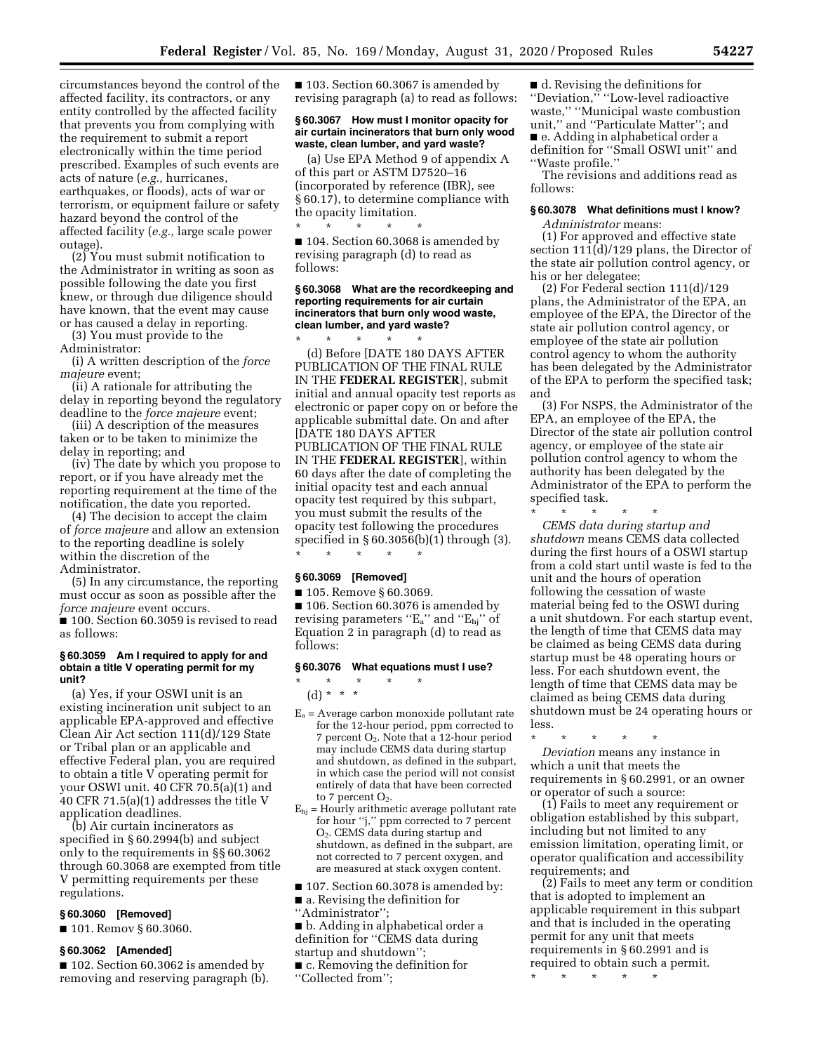circumstances beyond the control of the affected facility, its contractors, or any entity controlled by the affected facility that prevents you from complying with the requirement to submit a report electronically within the time period prescribed. Examples of such events are acts of nature (*e.g.,* hurricanes, earthquakes, or floods), acts of war or terrorism, or equipment failure or safety hazard beyond the control of the affected facility (*e.g.,* large scale power outage).

(2) You must submit notification to the Administrator in writing as soon as possible following the date you first knew, or through due diligence should have known, that the event may cause or has caused a delay in reporting.

(3) You must provide to the Administrator:

(i) A written description of the *force majeure* event;

(ii) A rationale for attributing the delay in reporting beyond the regulatory deadline to the *force majeure* event;

(iii) A description of the measures taken or to be taken to minimize the delay in reporting; and

(iv) The date by which you propose to report, or if you have already met the reporting requirement at the time of the notification, the date you reported.

(4) The decision to accept the claim of *force majeure* and allow an extension to the reporting deadline is solely within the discretion of the Administrator.

(5) In any circumstance, the reporting must occur as soon as possible after the *force majeure* event occurs.

■ 100. Section 60.3059 is revised to read as follows:

#### **§ 60.3059 Am I required to apply for and obtain a title V operating permit for my unit?**

(a) Yes, if your OSWI unit is an existing incineration unit subject to an applicable EPA-approved and effective Clean Air Act section 111(d)/129 State or Tribal plan or an applicable and effective Federal plan, you are required to obtain a title V operating permit for your OSWI unit. 40 CFR 70.5(a)(1) and 40 CFR 71.5(a)(1) addresses the title V application deadlines.

(b) Air curtain incinerators as specified in § 60.2994(b) and subject only to the requirements in §§ 60.3062 through 60.3068 are exempted from title V permitting requirements per these regulations.

## **§ 60.3060 [Removed]**

■ 101. Remov § 60.3060.

#### **§ 60.3062 [Amended]**

■ 102. Section 60.3062 is amended by removing and reserving paragraph (b). ■ 103. Section 60.3067 is amended by revising paragraph (a) to read as follows:

## **§ 60.3067 How must I monitor opacity for air curtain incinerators that burn only wood waste, clean lumber, and yard waste?**

(a) Use EPA Method 9 of appendix A of this part or ASTM D7520–16 (incorporated by reference (IBR), see § 60.17), to determine compliance with the opacity limitation.

\* \* \* \* \* ■ 104. Section 60.3068 is amended by revising paragraph (d) to read as follows:

#### **§ 60.3068 What are the recordkeeping and reporting requirements for air curtain incinerators that burn only wood waste, clean lumber, and yard waste?**

\* \* \* \* \* (d) Before [DATE 180 DAYS AFTER PUBLICATION OF THE FINAL RULE IN THE **FEDERAL REGISTER**], submit initial and annual opacity test reports as electronic or paper copy on or before the applicable submittal date. On and after [DATE 180 DAYS AFTER PUBLICATION OF THE FINAL RULE IN THE **FEDERAL REGISTER**], within 60 days after the date of completing the initial opacity test and each annual opacity test required by this subpart, you must submit the results of the opacity test following the procedures specified in § 60.3056(b)(1) through (3). \* \* \* \* \*

### **§ 60.3069 [Removed]**

■ 105. Remove § 60.3069.

■ 106. Section 60.3076 is amended by revising parameters "E<sub>a</sub>" and "E<sub>hj</sub>" of Equation 2 in paragraph (d) to read as follows:

## **§ 60.3076 What equations must I use?**

\* \* \* \* \* (d) \* \* \*

- $E_a$  = Average carbon monoxide pollutant rate for the 12-hour period, ppm corrected to 7 percent O2. Note that a 12-hour period may include CEMS data during startup and shutdown, as defined in the subpart, in which case the period will not consist entirely of data that have been corrected to 7 percent O<sub>2</sub>.
- $E_{hi}$  = Hourly arithmetic average pollutant rate for hour ''j,'' ppm corrected to 7 percent O2. CEMS data during startup and shutdown, as defined in the subpart, are not corrected to 7 percent oxygen, and are measured at stack oxygen content.

■ 107. Section 60.3078 is amended by: ■ a. Revising the definition for

''Administrator'';

■ b. Adding in alphabetical order a definition for ''CEMS data during startup and shutdown'';

■ c. Removing the definition for ''Collected from'';

■ d. Revising the definitions for ''Deviation,'' ''Low-level radioactive waste,'' ''Municipal waste combustion unit,'' and ''Particulate Matter''; and ■ e. Adding in alphabetical order a definition for ''Small OSWI unit'' and ''Waste profile.''

The revisions and additions read as follows:

## **§ 60.3078 What definitions must I know?**

*Administrator* means:

(1) For approved and effective state section 111(d)/129 plans, the Director of the state air pollution control agency, or his or her delegatee;

(2) For Federal section 111(d)/129 plans, the Administrator of the EPA, an employee of the EPA, the Director of the state air pollution control agency, or employee of the state air pollution control agency to whom the authority has been delegated by the Administrator of the EPA to perform the specified task; and

(3) For NSPS, the Administrator of the EPA, an employee of the EPA, the Director of the state air pollution control agency, or employee of the state air pollution control agency to whom the authority has been delegated by the Administrator of the EPA to perform the specified task.

\* \* \* \* \*

*CEMS data during startup and shutdown* means CEMS data collected during the first hours of a OSWI startup from a cold start until waste is fed to the unit and the hours of operation following the cessation of waste material being fed to the OSWI during a unit shutdown. For each startup event, the length of time that CEMS data may be claimed as being CEMS data during startup must be 48 operating hours or less. For each shutdown event, the length of time that CEMS data may be claimed as being CEMS data during shutdown must be 24 operating hours or less.

\* \* \* \* \* *Deviation* means any instance in which a unit that meets the requirements in § 60.2991, or an owner or operator of such a source:

(1) Fails to meet any requirement or obligation established by this subpart, including but not limited to any emission limitation, operating limit, or operator qualification and accessibility requirements; and

(2) Fails to meet any term or condition that is adopted to implement an applicable requirement in this subpart and that is included in the operating permit for any unit that meets requirements in § 60.2991 and is required to obtain such a permit.

\* \* \* \* \*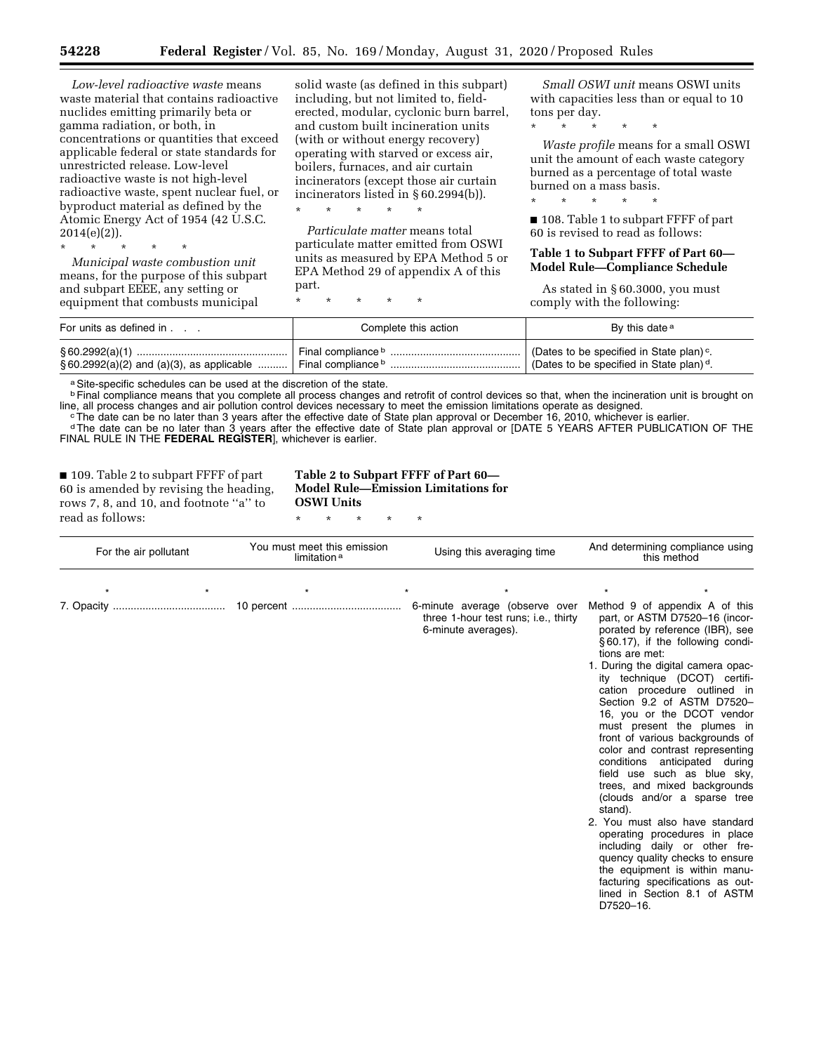*Low-level radioactive waste* means waste material that contains radioactive nuclides emitting primarily beta or gamma radiation, or both, in concentrations or quantities that exceed applicable federal or state standards for unrestricted release. Low-level radioactive waste is not high-level radioactive waste, spent nuclear fuel, or byproduct material as defined by the Atomic Energy Act of 1954 (42 U.S.C. 2014(e)(2)).

\* \* \* \* \* *Municipal waste combustion unit*  means, for the purpose of this subpart and subpart EEEE, any setting or equipment that combusts municipal

solid waste (as defined in this subpart) including, but not limited to, fielderected, modular, cyclonic burn barrel, and custom built incineration units (with or without energy recovery) operating with starved or excess air, boilers, furnaces, and air curtain incinerators (except those air curtain incinerators listed in § 60.2994(b)).

*Particulate matter* means total particulate matter emitted from OSWI units as measured by EPA Method 5 or EPA Method 29 of appendix A of this part.

\* \* \* \* \*

\* \* \* \* \*

\* \* \* \* \*

*Small OSWI unit* means OSWI units with capacities less than or equal to 10 tons per day.

\* \* \* \* \*

*Waste profile* means for a small OSWI unit the amount of each waste category burned as a percentage of total waste burned on a mass basis.

\* \* \* \* \*

■ 108. Table 1 to subpart FFFF of part 60 is revised to read as follows:

## **Table 1 to Subpart FFFF of Part 60— Model Rule—Compliance Schedule**

As stated in § 60.3000, you must comply with the following:

D7520–16.

| For units as defined in                         | Complete this action | By this date <sup>a</sup>                            |
|-------------------------------------------------|----------------------|------------------------------------------------------|
|                                                 | Final compliance b   | (Dates to be specified in State plan) <sup>c</sup> . |
| $\S 60.2992(a)(2)$ and $(a)(3)$ , as applicable |                      | (Dates to be specified in State plan) <sup>d</sup> . |

a Site-specific schedules can be used at the discretion of the state.

<sup>b</sup> Final compliance means that you complete all process changes and retrofit of control devices so that, when the incineration unit is brought on line, all process changes and air pollution control devices necessary to me

The date can be no later than 3 years after the effective date of State plan approval or December 16, 2010, whichever is earlier.<br>The date can be no later than 3 years after the effective date of State plan approval or Dec FINAL RULE IN THE **FEDERAL REGISTER**], whichever is earlier.

■ 109. Table 2 to subpart FFFF of part 60 is amended by revising the heading, rows 7, 8, and 10, and footnote ''a'' to read as follows:

**Table 2 to Subpart FFFF of Part 60— Model Rule—Emission Limitations for OSWI Units** 

| For the air pollutant | You must meet this emission<br>limitation <sup>a</sup> | Using this averaging time                                                                     | And determining compliance using<br>this method                                                                                                                                                                                                                                                                                                                                                                                                                                                                                                                                                                                                                                                                                                                                         |  |
|-----------------------|--------------------------------------------------------|-----------------------------------------------------------------------------------------------|-----------------------------------------------------------------------------------------------------------------------------------------------------------------------------------------------------------------------------------------------------------------------------------------------------------------------------------------------------------------------------------------------------------------------------------------------------------------------------------------------------------------------------------------------------------------------------------------------------------------------------------------------------------------------------------------------------------------------------------------------------------------------------------------|--|
|                       |                                                        |                                                                                               |                                                                                                                                                                                                                                                                                                                                                                                                                                                                                                                                                                                                                                                                                                                                                                                         |  |
|                       |                                                        | 6-minute average (observe over<br>three 1-hour test runs; i.e., thirty<br>6-minute averages). | Method 9 of appendix A of this<br>part, or ASTM D7520-16 (incor-<br>porated by reference (IBR), see<br>§60.17), if the following condi-<br>tions are met:<br>1. During the digital camera opac-<br>ity technique (DCOT) certifi-<br>cation procedure outlined in<br>Section 9.2 of ASTM D7520-<br>16, you or the DCOT vendor<br>must present the plumes in<br>front of various backgrounds of<br>color and contrast representing<br>conditions anticipated during<br>field use such as blue sky,<br>trees, and mixed backgrounds<br>(clouds and/or a sparse tree<br>stand).<br>2. You must also have standard<br>operating procedures in place<br>including daily or other fre-<br>quency quality checks to ensure<br>the equipment is within manu-<br>facturing specifications as out- |  |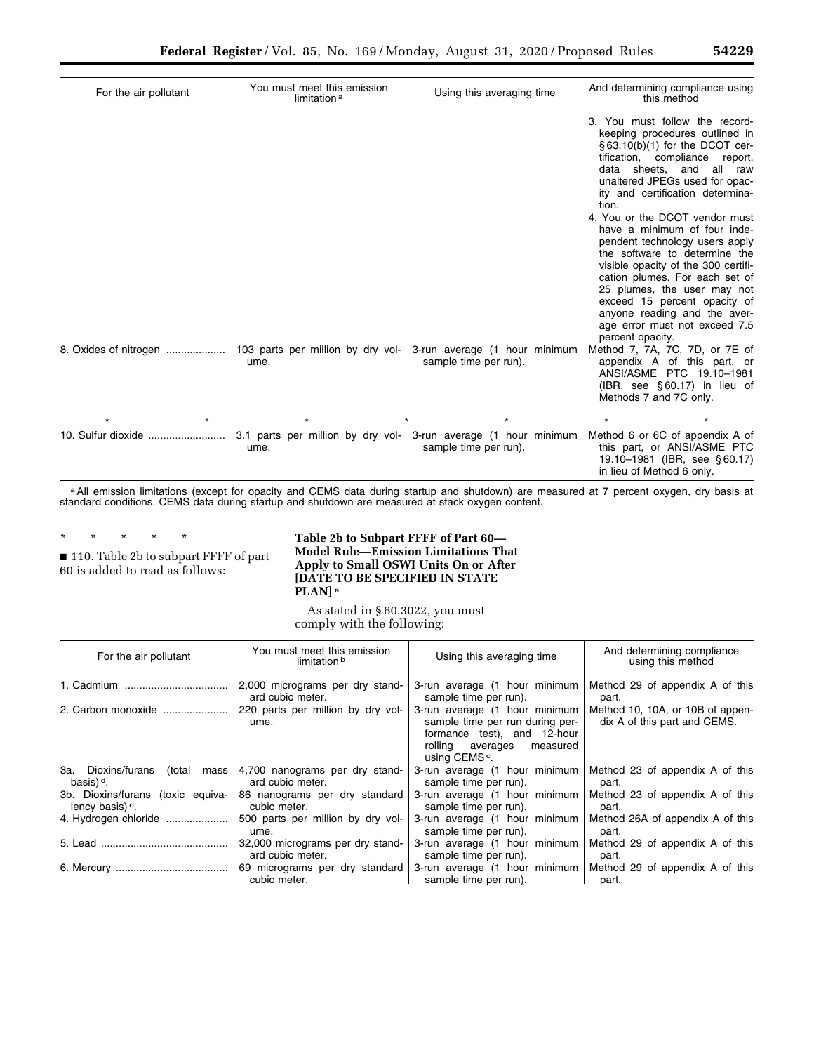| For the air pollutant | You must meet this emission<br>limitation <sup>a</sup> | Using this averaging time                                                                | And determining compliance using<br>this method                                                                                                                                                                                                                                                                                                                                                                                                                                                                                                                                                                       |
|-----------------------|--------------------------------------------------------|------------------------------------------------------------------------------------------|-----------------------------------------------------------------------------------------------------------------------------------------------------------------------------------------------------------------------------------------------------------------------------------------------------------------------------------------------------------------------------------------------------------------------------------------------------------------------------------------------------------------------------------------------------------------------------------------------------------------------|
|                       |                                                        |                                                                                          | 3. You must follow the record-<br>keeping procedures outlined in<br>$\S 63.10(b)(1)$ for the DCOT cer-<br>tification, compliance report,<br>data sheets, and all raw<br>unaltered JPEGs used for opac-<br>ity and certification determina-<br>tion.<br>4. You or the DCOT vendor must<br>have a minimum of four inde-<br>pendent technology users apply<br>the software to determine the<br>visible opacity of the 300 certifi-<br>cation plumes. For each set of<br>25 plumes, the user may not<br>exceed 15 percent opacity of<br>anyone reading and the aver-<br>age error must not exceed 7.5<br>percent opacity. |
| 8. Oxides of nitrogen | ume.                                                   | 103 parts per million by dry vol- 3-run average (1 hour minimum<br>sample time per run). | Method 7, 7A, 7C, 7D, or 7E of<br>appendix A of this part, or<br>ANSI/ASME PTC 19.10-1981<br>(IBR, see $§60.17$ ) in lieu of<br>Methods 7 and 7C only.                                                                                                                                                                                                                                                                                                                                                                                                                                                                |
|                       |                                                        |                                                                                          | $\star$                                                                                                                                                                                                                                                                                                                                                                                                                                                                                                                                                                                                               |
|                       | ume.                                                   | 3.1 parts per million by dry vol- 3-run average (1 hour minimum<br>sample time per run). | Method 6 or 6C of appendix A of<br>this part, or ANSI/ASME PTC<br>19.10–1981 (IBR, see §60.17)<br>in lieu of Method 6 only.                                                                                                                                                                                                                                                                                                                                                                                                                                                                                           |

a All emission limitations (except for opacity and CEMS data during startup and shutdown) are measured at 7 percent oxygen, dry basis at standard conditions. CEMS data during startup and shutdown are measured at stack oxygen content.

\* \* \* \* \* ■ 110. Table 2b to subpart FFFF of part

60 is added to read as follows:

**Table 2b to Subpart FFFF of Part 60— Model Rule—Emission Limitations That Apply to Small OSWI Units On or After [DATE TO BE SPECIFIED IN STATE PLAN] a**

As stated in § 60.3022, you must comply with the following:

| You must meet this emission<br>For the air pollutant<br>limitation b |                                                    | Using this averaging time                                                                                                                                    | And determining compliance<br>using this method                  |
|----------------------------------------------------------------------|----------------------------------------------------|--------------------------------------------------------------------------------------------------------------------------------------------------------------|------------------------------------------------------------------|
|                                                                      | 2,000 micrograms per dry stand-                    | 3-run average (1 hour minimum                                                                                                                                | Method 29 of appendix A of this                                  |
|                                                                      | ard cubic meter.                                   | sample time per run).                                                                                                                                        | part.                                                            |
| 2. Carbon monoxide                                                   | 220 parts per million by dry vol-<br>ume.          | 3-run average (1 hour minimum<br>sample time per run during per-<br>formance test), and 12-hour<br>rolling averages<br>measured<br>using CEMS <sup>c</sup> . | Method 10, 10A, or 10B of appen-<br>dix A of this part and CEMS. |
| 3a. Dioxins/furans<br>(total<br>mass<br>basis) <sup>d</sup> .        | 4,700 nanograms per dry stand-<br>ard cubic meter. | 3-run average (1 hour minimum<br>sample time per run).                                                                                                       | Method 23 of appendix A of this<br>part.                         |
| 3b. Dioxins/furans<br>(toxic equiva-<br>lency basis) <sup>d</sup> .  | 86 nanograms per dry standard<br>cubic meter.      | 3-run average (1 hour minimum<br>sample time per run).                                                                                                       | Method 23 of appendix A of this<br>part.                         |
| 4. Hydrogen chloride                                                 | 500 parts per million by dry vol-                  | 3-run average (1 hour minimum                                                                                                                                | Method 26A of appendix A of this                                 |
|                                                                      | ume.                                               | sample time per run).                                                                                                                                        | part.                                                            |
|                                                                      | 32,000 micrograms per dry stand-                   | 3-run average (1 hour minimum                                                                                                                                | Method 29 of appendix A of this                                  |
|                                                                      | ard cubic meter.                                   | sample time per run).                                                                                                                                        | part.                                                            |
|                                                                      | 69 micrograms per dry standard                     | 3-run average (1 hour minimum                                                                                                                                | Method 29 of appendix A of this                                  |
|                                                                      | cubic meter.                                       | sample time per run).                                                                                                                                        | part.                                                            |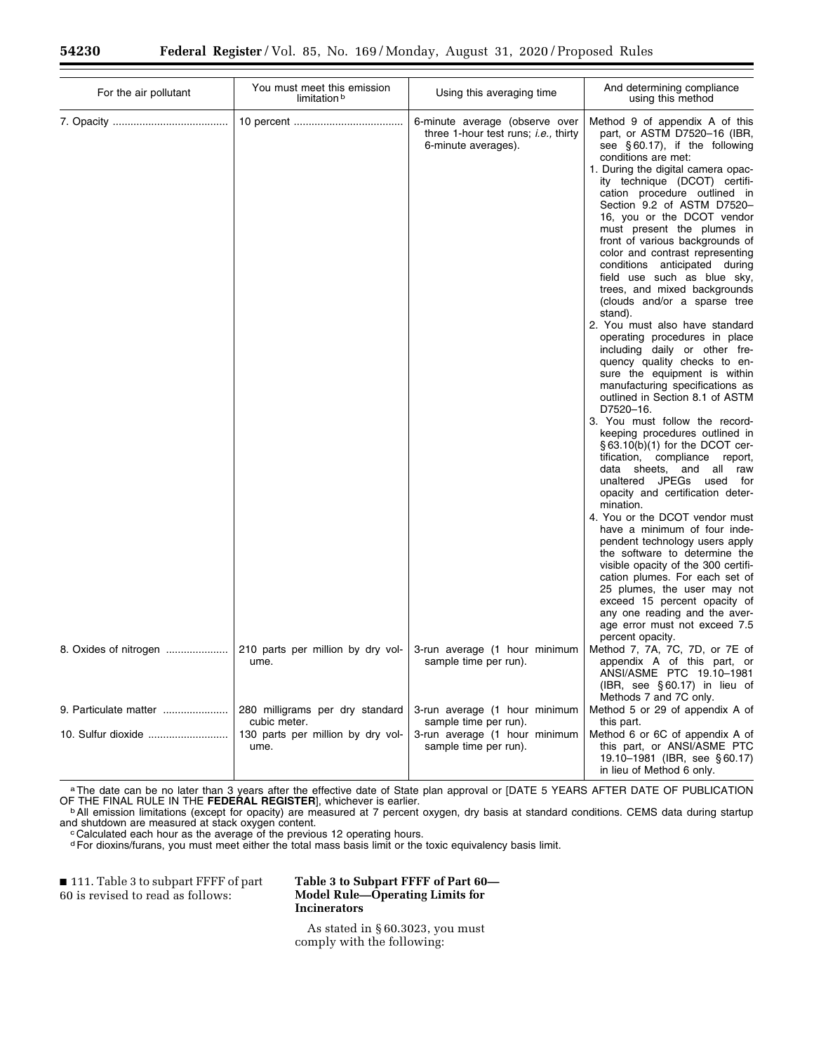| For the air pollutant | You must meet this emission<br>limitation b       | Using this averaging time                                                                             | And determining compliance<br>using this method                                                                                                                                                                                                                                                                                                                                                                                                                                                                                                                                                                                                                                                                                                                                                                                                                                                                                                                                                                                                                                                                                                                                                                                                                                                           |
|-----------------------|---------------------------------------------------|-------------------------------------------------------------------------------------------------------|-----------------------------------------------------------------------------------------------------------------------------------------------------------------------------------------------------------------------------------------------------------------------------------------------------------------------------------------------------------------------------------------------------------------------------------------------------------------------------------------------------------------------------------------------------------------------------------------------------------------------------------------------------------------------------------------------------------------------------------------------------------------------------------------------------------------------------------------------------------------------------------------------------------------------------------------------------------------------------------------------------------------------------------------------------------------------------------------------------------------------------------------------------------------------------------------------------------------------------------------------------------------------------------------------------------|
|                       |                                                   | 6-minute average (observe over<br>three 1-hour test runs; <i>i.e.</i> , thirty<br>6-minute averages). | Method 9 of appendix A of this<br>part, or ASTM D7520-16 (IBR,<br>see $\S 60.17$ ), if the following<br>conditions are met:<br>1. During the digital camera opac-<br>ity technique (DCOT) certifi-<br>cation procedure outlined in<br>Section 9.2 of ASTM D7520-<br>16, you or the DCOT vendor<br>must present the plumes in<br>front of various backgrounds of<br>color and contrast representing<br>conditions anticipated during<br>field use such as blue sky,<br>trees, and mixed backgrounds<br>(clouds and/or a sparse tree<br>stand).<br>2. You must also have standard<br>operating procedures in place<br>including daily or other fre-<br>quency quality checks to en-<br>sure the equipment is within<br>manufacturing specifications as<br>outlined in Section 8.1 of ASTM<br>D7520-16.<br>3. You must follow the record-<br>keeping procedures outlined in<br>$\S$ 63.10(b)(1) for the DCOT cer-<br>tification, compliance<br>report,<br>data sheets, and all raw<br>unaltered JPEGs used for<br>opacity and certification deter-<br>mination.<br>4. You or the DCOT vendor must<br>have a minimum of four inde-<br>pendent technology users apply<br>the software to determine the<br>visible opacity of the 300 certifi-<br>cation plumes. For each set of<br>25 plumes, the user may not |
|                       |                                                   |                                                                                                       | exceed 15 percent opacity of<br>any one reading and the aver-<br>age error must not exceed 7.5<br>percent opacity.                                                                                                                                                                                                                                                                                                                                                                                                                                                                                                                                                                                                                                                                                                                                                                                                                                                                                                                                                                                                                                                                                                                                                                                        |
| 8. Oxides of nitrogen | 210 parts per million by dry vol-<br>ume.         | 3-run average (1 hour minimum<br>sample time per run).                                                | Method 7, 7A, 7C, 7D, or 7E of<br>appendix A of this part, or<br>ANSI/ASME PTC 19.10-1981<br>$(HBR, see §60.17)$ in lieu of<br>Methods 7 and 7C only.                                                                                                                                                                                                                                                                                                                                                                                                                                                                                                                                                                                                                                                                                                                                                                                                                                                                                                                                                                                                                                                                                                                                                     |
| 9. Particulate matter | 280 milligrams per dry standard                   | 3-run average (1 hour minimum                                                                         | Method 5 or 29 of appendix A of                                                                                                                                                                                                                                                                                                                                                                                                                                                                                                                                                                                                                                                                                                                                                                                                                                                                                                                                                                                                                                                                                                                                                                                                                                                                           |
|                       | cubic meter.<br>130 parts per million by dry vol- | sample time per run).<br>3-run average (1 hour minimum                                                | this part.<br>Method 6 or 6C of appendix A of                                                                                                                                                                                                                                                                                                                                                                                                                                                                                                                                                                                                                                                                                                                                                                                                                                                                                                                                                                                                                                                                                                                                                                                                                                                             |
|                       | ume.                                              | sample time per run).                                                                                 | this part, or ANSI/ASME PTC<br>19.10-1981 (IBR, see §60.17)<br>in lieu of Method 6 only.                                                                                                                                                                                                                                                                                                                                                                                                                                                                                                                                                                                                                                                                                                                                                                                                                                                                                                                                                                                                                                                                                                                                                                                                                  |

a The date can be no later than 3 years after the effective date of State plan approval or [DATE 5 YEARS AFTER DATE OF PUBLICATION OF THE FINAL RULE IN THE **FEDERAL REGISTER**], whichever is earlier.<br><sup>b</sup>All emission limitations (except for opacity) are measured at 7 percent oxygen, dry basis at standard conditions. CEMS data during startup

and shutdown are measured at stack oxygen content.<br><sup>c</sup> Calculated each hour as the average of the previous 12 operating hours.

dFor dioxins/furans, you must meet either the total mass basis limit or the toxic equivalency basis limit.

■ 111. Table 3 to subpart FFFF of part 60 is revised to read as follows:

## **Table 3 to Subpart FFFF of Part 60— Model Rule—Operating Limits for Incinerators**

As stated in § 60.3023, you must comply with the following: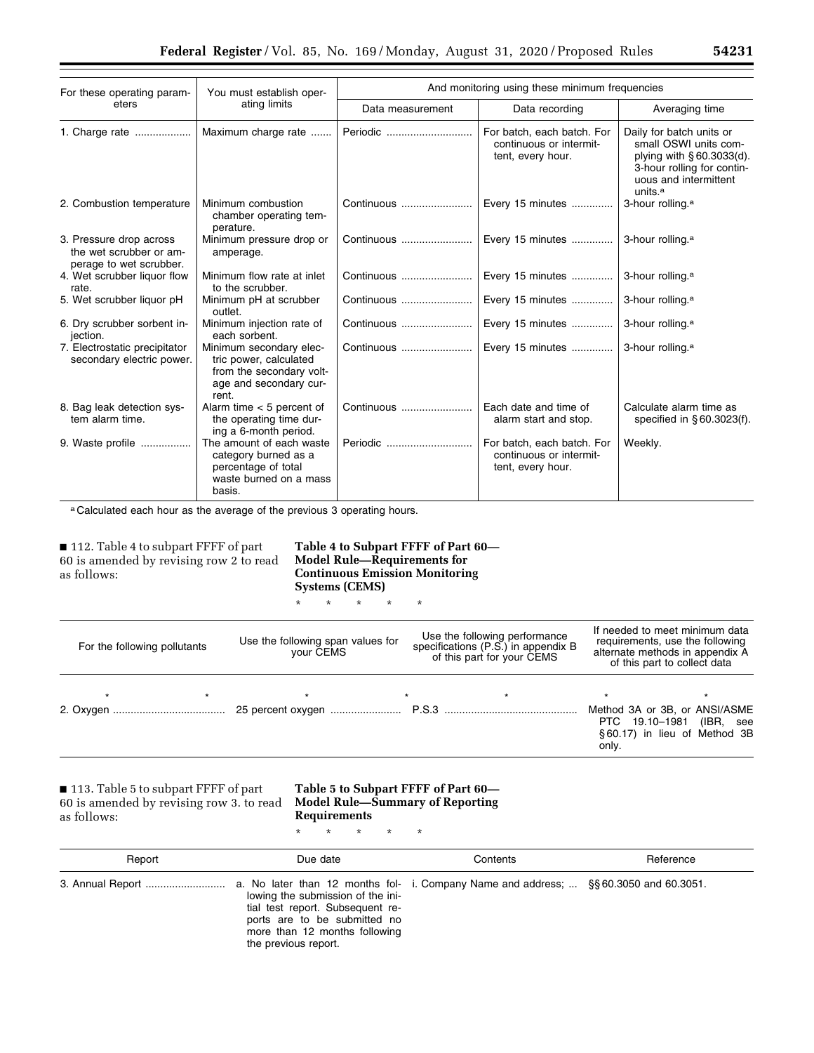| For these operating param-<br>eters                                           | You must establish oper-                                                                                         | And monitoring using these minimum frequencies |                                                                            |                                                                                                                                                             |  |
|-------------------------------------------------------------------------------|------------------------------------------------------------------------------------------------------------------|------------------------------------------------|----------------------------------------------------------------------------|-------------------------------------------------------------------------------------------------------------------------------------------------------------|--|
|                                                                               | ating limits                                                                                                     | Data measurement                               | Data recording                                                             | Averaging time                                                                                                                                              |  |
| 1. Charge rate                                                                | Maximum charge rate                                                                                              | Periodic                                       | For batch, each batch. For<br>continuous or intermit-<br>tent, every hour. | Daily for batch units or<br>small OSWI units com-<br>plying with §60.3033(d).<br>3-hour rolling for contin-<br>uous and intermittent<br>units. <sup>a</sup> |  |
| 2. Combustion temperature                                                     | Minimum combustion<br>chamber operating tem-<br>perature.                                                        | Continuous                                     | Every 15 minutes                                                           | 3-hour rolling. <sup>a</sup>                                                                                                                                |  |
| 3. Pressure drop across<br>the wet scrubber or am-<br>perage to wet scrubber. | Minimum pressure drop or<br>amperage.                                                                            | Continuous                                     | Every 15 minutes                                                           | 3-hour rolling. <sup>a</sup>                                                                                                                                |  |
| 4. Wet scrubber liquor flow<br>rate.                                          | Minimum flow rate at inlet<br>to the scrubber.                                                                   | Continuous                                     | Every 15 minutes                                                           | 3-hour rolling. <sup>a</sup>                                                                                                                                |  |
| 5. Wet scrubber liquor pH                                                     | Minimum pH at scrubber<br>outlet.                                                                                | Continuous                                     | Every 15 minutes                                                           | 3-hour rolling. <sup>a</sup>                                                                                                                                |  |
| 6. Dry scrubber sorbent in-<br>jection.                                       | Minimum injection rate of<br>each sorbent.                                                                       | Continuous                                     | Every 15 minutes                                                           | 3-hour rolling. <sup>a</sup>                                                                                                                                |  |
| 7. Electrostatic precipitator<br>secondary electric power.                    | Minimum secondary elec-<br>tric power, calculated<br>from the secondary volt-<br>age and secondary cur-<br>rent. | Continuous                                     | Every 15 minutes                                                           | 3-hour rolling. <sup>a</sup>                                                                                                                                |  |
| 8. Bag leak detection sys-<br>tem alarm time.                                 | Alarm time $<$ 5 percent of<br>the operating time dur-<br>ing a 6-month period.                                  | Continuous                                     | Each date and time of<br>alarm start and stop.                             | Calculate alarm time as<br>specified in §60.3023(f).                                                                                                        |  |
| 9. Waste profile                                                              | The amount of each waste<br>category burned as a<br>percentage of total<br>waste burned on a mass<br>basis.      | Periodic                                       | For batch, each batch. For<br>continuous or intermit-<br>tent, every hour. | Weekly.                                                                                                                                                     |  |

a Calculated each hour as the average of the previous 3 operating hours.

■ 112. Table 4 to subpart FFFF of part 60 is amended by revising row 2 to read as follows:

## **Table 4 to Subpart FFFF of Part 60— Model Rule—Requirements for Continuous Emission Monitoring Systems (CEMS)**

\* \* \* \* \*

| For the following pollutants | Use the following span values for<br>vour ČEMS | Use the following performance<br>specifications (P.S.) in appendix B<br>of this part for your CEMS | If needed to meet minimum data<br>requirements, use the following<br>alternate methods in appendix A<br>of this part to collect data |  |
|------------------------------|------------------------------------------------|----------------------------------------------------------------------------------------------------|--------------------------------------------------------------------------------------------------------------------------------------|--|
|                              |                                                |                                                                                                    | Method 3A or 3B, or ANSI/ASME<br>PTC 19.10-1981<br>(IBR, see<br>§60.17) in lieu of Method 3B<br>only.                                |  |

■ 113. Table 5 to subpart FFFF of part 60 is amended by revising row 3. to read as follows:

## **Table 5 to Subpart FFFF of Part 60— Model Rule—Summary of Reporting Requirements**

\* \* \* \* \*

| Report | Due date                                                                                                                                                       | Contents | Reference |
|--------|----------------------------------------------------------------------------------------------------------------------------------------------------------------|----------|-----------|
|        | lowing the submission of the ini-<br>tial test report. Subsequent re-<br>ports are to be submitted no<br>more than 12 months following<br>the previous report. |          |           |